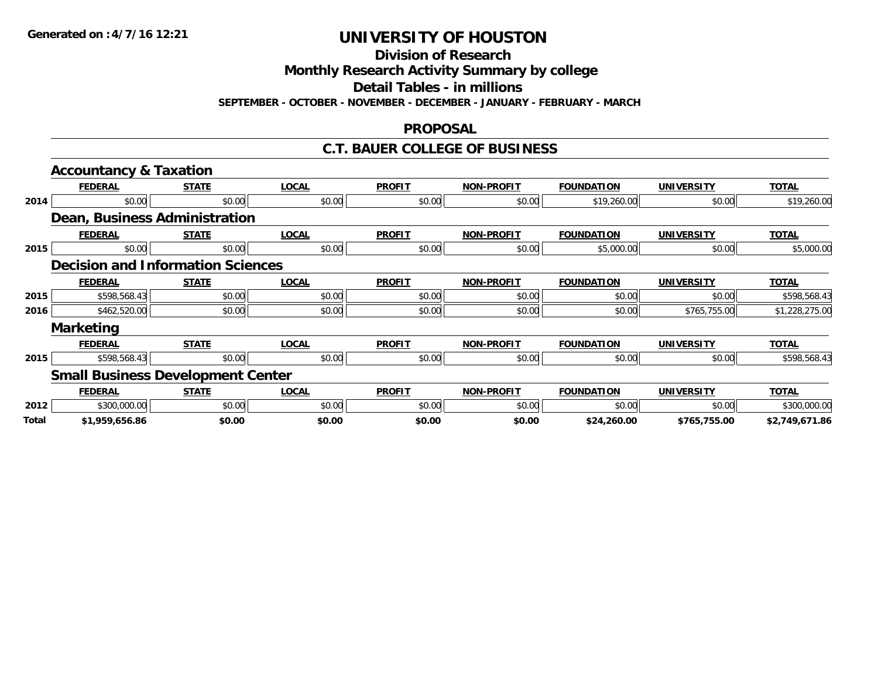**Division of Research**

**Monthly Research Activity Summary by college**

**Detail Tables - in millions**

**SEPTEMBER - OCTOBER - NOVEMBER - DECEMBER - JANUARY - FEBRUARY - MARCH**

#### **PROPOSAL**

#### **C.T. BAUER COLLEGE OF BUSINESS**

|       | <b>Accountancy &amp; Taxation</b>        |              |              |               |                   |                   |                   |                |
|-------|------------------------------------------|--------------|--------------|---------------|-------------------|-------------------|-------------------|----------------|
|       | <b>FEDERAL</b>                           | <b>STATE</b> | <b>LOCAL</b> | <b>PROFIT</b> | <b>NON-PROFIT</b> | <b>FOUNDATION</b> | <b>UNIVERSITY</b> | <b>TOTAL</b>   |
| 2014  | \$0.00                                   | \$0.00       | \$0.00       | \$0.00        | \$0.00            | \$19,260.00       | \$0.00            | \$19,260.00    |
|       | Dean, Business Administration            |              |              |               |                   |                   |                   |                |
|       | <b>FEDERAL</b>                           | <b>STATE</b> | <b>LOCAL</b> | <b>PROFIT</b> | <b>NON-PROFIT</b> | <b>FOUNDATION</b> | <b>UNIVERSITY</b> | <b>TOTAL</b>   |
| 2015  | \$0.00                                   | \$0.00       | \$0.00       | \$0.00        | \$0.00            | \$5,000.00        | \$0.00            | \$5,000.00     |
|       | <b>Decision and Information Sciences</b> |              |              |               |                   |                   |                   |                |
|       | <b>FEDERAL</b>                           | <b>STATE</b> | <b>LOCAL</b> | <b>PROFIT</b> | <b>NON-PROFIT</b> | <b>FOUNDATION</b> | <b>UNIVERSITY</b> | <b>TOTAL</b>   |
| 2015  | \$598,568.43                             | \$0.00       | \$0.00       | \$0.00        | \$0.00            | \$0.00            | \$0.00            | \$598,568.43   |
| 2016  | \$462,520.00                             | \$0.00       | \$0.00       | \$0.00        | \$0.00            | \$0.00            | \$765,755.00      | \$1,228,275.00 |
|       | <b>Marketing</b>                         |              |              |               |                   |                   |                   |                |
|       | <b>FEDERAL</b>                           | <b>STATE</b> | <b>LOCAL</b> | <b>PROFIT</b> | <b>NON-PROFIT</b> | <b>FOUNDATION</b> | <b>UNIVERSITY</b> | <b>TOTAL</b>   |
| 2015  | \$598,568.43                             | \$0.00       | \$0.00       | \$0.00        | \$0.00            | \$0.00            | \$0.00            | \$598,568.43   |
|       | <b>Small Business Development Center</b> |              |              |               |                   |                   |                   |                |
|       | <b>FEDERAL</b>                           | <b>STATE</b> | <b>LOCAL</b> | <b>PROFIT</b> | <b>NON-PROFIT</b> | <b>FOUNDATION</b> | <b>UNIVERSITY</b> | <b>TOTAL</b>   |
| 2012  | \$300,000.00                             | \$0.00       | \$0.00       | \$0.00        | \$0.00            | \$0.00            | \$0.00            | \$300,000.00   |
| Total | \$1,959,656.86                           | \$0.00       | \$0.00       | \$0.00        | \$0.00            | \$24,260.00       | \$765,755.00      | \$2,749,671.86 |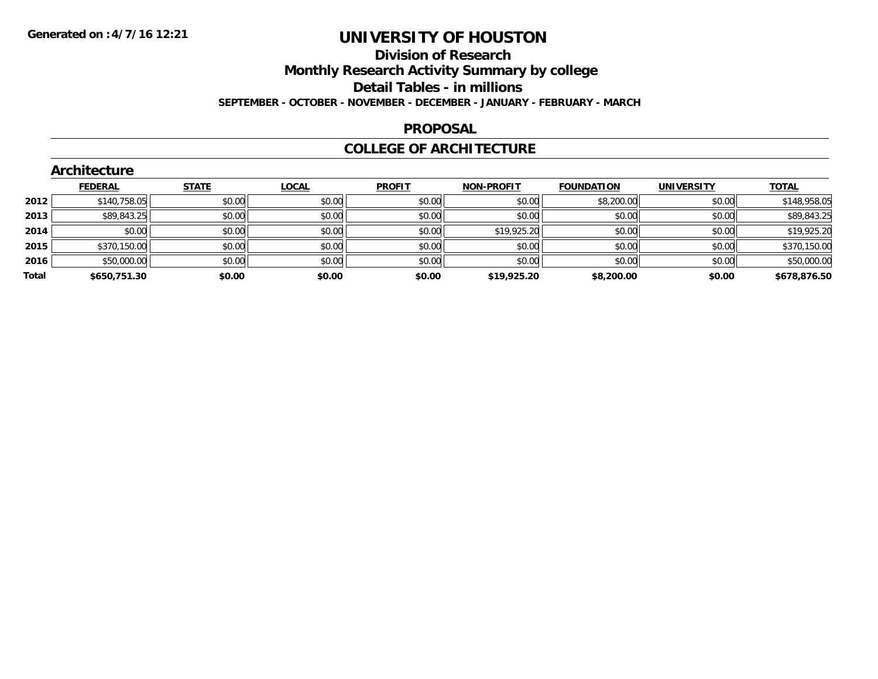### **Division of Research Monthly Research Activity Summary by college Detail Tables - in millions SEPTEMBER - OCTOBER - NOVEMBER - DECEMBER - JANUARY - FEBRUARY - MARCH**

#### **PROPOSAL**

### **COLLEGE OF ARCHITECTURE**

|       | Architecture   |              |              |               |                   |                   |                   |              |
|-------|----------------|--------------|--------------|---------------|-------------------|-------------------|-------------------|--------------|
|       | <b>FEDERAL</b> | <b>STATE</b> | <b>LOCAL</b> | <b>PROFIT</b> | <b>NON-PROFIT</b> | <b>FOUNDATION</b> | <b>UNIVERSITY</b> | <u>TOTAL</u> |
| 2012  | \$140,758.05   | \$0.00       | \$0.00       | \$0.00        | \$0.00            | \$8,200.00        | \$0.00            | \$148,958.05 |
| 2013  | \$89,843.25    | \$0.00       | \$0.00       | \$0.00        | \$0.00            | \$0.00            | \$0.00            | \$89,843.25  |
| 2014  | \$0.00         | \$0.00       | \$0.00       | \$0.00        | \$19,925.20       | \$0.00            | \$0.00            | \$19,925.20  |
| 2015  | \$370,150.00   | \$0.00       | \$0.00       | \$0.00        | \$0.00            | \$0.00            | \$0.00            | \$370,150.00 |
| 2016  | \$50,000.00    | \$0.00       | \$0.00       | \$0.00        | \$0.00            | \$0.00            | \$0.00            | \$50,000.00  |
| Total | \$650,751.30   | \$0.00       | \$0.00       | \$0.00        | \$19,925.20       | \$8,200.00        | \$0.00            | \$678,876.50 |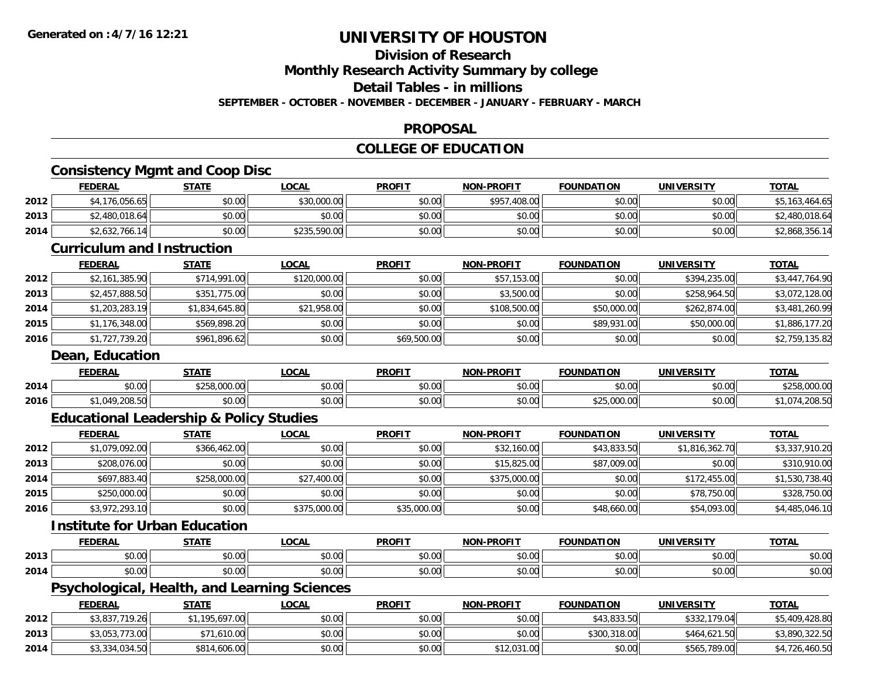# **Division of Research**

**Monthly Research Activity Summary by college**

**Detail Tables - in millions**

**SEPTEMBER - OCTOBER - NOVEMBER - DECEMBER - JANUARY - FEBRUARY - MARCH**

### **PROPOSAL**

## **COLLEGE OF EDUCATION**

# **Consistency Mgmt and Coop Disc**

|      | <b>FEDERAL</b>                    | <b>STATE</b> | <u>LOCAL</u> | <b>PROFIT</b> | <b>NON-PROFIT</b> | <b>FOUNDATION</b> | <b>UNIVERSITY</b> | <b>TOTAL</b>   |
|------|-----------------------------------|--------------|--------------|---------------|-------------------|-------------------|-------------------|----------------|
| 2012 | \$4,176,056.65                    | \$0.00       | \$30,000.00  | \$0.00        | \$957,408.00      | \$0.00            | \$0.00            | \$5,163,464.65 |
| 2013 | \$2,480,018.64                    | \$0.00       | \$0.00       | \$0.00        | \$0.00            | \$0.00            | \$0.00            | \$2,480,018.64 |
| 2014 | \$2,632,766.14                    | \$0.00       | \$235,590.00 | \$0.00        | \$0.00            | \$0.00            | \$0.00            | \$2,868,356.14 |
|      | <b>Curriculum and Instruction</b> |              |              |               |                   |                   |                   |                |
|      | <b>FEDERAL</b>                    | <b>STATE</b> | <u>LOCAL</u> | <b>PROFIT</b> | <b>NON-PROFIT</b> | <b>FOUNDATION</b> | <b>UNIVERSITY</b> | <b>TOTAL</b>   |
|      |                                   |              |              |               |                   |                   |                   |                |

| 2012 | \$2,161,385.90 | \$714,991.00   | \$120,000.00 | \$0.00      | \$57,153.00  | \$0.00      | \$394,235,00 | \$3,447,764.90 |
|------|----------------|----------------|--------------|-------------|--------------|-------------|--------------|----------------|
| 2013 | \$2,457,888.50 | \$351,775.00   | \$0.00       | \$0.00      | \$3,500.00   | \$0.00      | \$258,964.50 | \$3,072,128.00 |
| 2014 | \$1,203,283.19 | \$1,834,645.80 | \$21,958.00  | \$0.00      | \$108,500.00 | \$50,000.00 | \$262.874.00 | \$3,481,260.99 |
| 2015 | \$1,176,348.00 | \$569,898.20   | \$0.00       | \$0.00      | \$0.00       | \$89,931.00 | \$50,000.00  | \$1,886,177.20 |
| 2016 | \$1,727,739.20 | \$961,896.62   | \$0.00       | \$69,500.00 | \$0.00       | \$0.00      | \$0.00       | \$2,759,135.82 |

#### **Dean, Education**

|      | <b>FEDERAL</b>                                 | STATI                                     | _OCAI         | <b>PROFIT</b> | -DDAFIT<br><b>NON</b> | ΓΙΩΝ<br>ר מנחו ומ | <b>UNIVERSITY</b> | TOTAL |
|------|------------------------------------------------|-------------------------------------------|---------------|---------------|-----------------------|-------------------|-------------------|-------|
| 2014 | $\mathfrak{g} \cap \mathfrak{g} \cap$<br>PU.UU | 0.00<br>$\lambda$<br>uuu                  | 0000<br>PU.UU | \$0.00        | \$0.00                | \$0.00            | \$0.00            |       |
| 2016 | $\sim$ 200 $\sim$ $\sim$<br>.049<br>.          | $\uparrow$ $\uparrow$ $\uparrow$<br>JU.UU | 0000<br>JU.UU | \$0.00        | \$0.00                | \$25,000.00       | \$0.00            |       |

# **Educational Leadership & Policy Studies**

|      | <b>FEDERAL</b> | <b>STATE</b> | <u>LOCAL</u> | <b>PROFIT</b> | <b>NON-PROFIT</b> | <b>FOUNDATION</b> | <b>UNIVERSITY</b> | <b>TOTAL</b>   |
|------|----------------|--------------|--------------|---------------|-------------------|-------------------|-------------------|----------------|
| 2012 | \$1,079,092.00 | \$366,462.00 | \$0.00       | \$0.00        | \$32,160.00       | \$43,833.50       | \$1,816,362.70    | \$3,337,910.20 |
| 2013 | \$208,076.00   | \$0.00       | \$0.00       | \$0.00        | \$15,825.00       | \$87,009.00       | \$0.00            | \$310,910.00   |
| 2014 | \$697.883.40   | \$258,000.00 | \$27,400.00  | \$0.00        | \$375,000.00      | \$0.00            | \$172,455.00      | \$1,530,738.40 |
| 2015 | \$250,000.00   | \$0.00       | \$0.00       | \$0.00        | \$0.00            | \$0.00            | \$78,750.00       | \$328,750.00   |
| 2016 | \$3,972,293.10 | \$0.00       | \$375,000.00 | \$35,000.00   | \$0.00            | \$48,660.00       | \$54,093.00       | \$4,485,046.10 |

### **Institute for Urban Education**

|      | EEDEDAI<br>- 53                       | 97 A TI                                  | $\bigcap$<br>.  | <b>PROFIT</b> | <b>DDOEIT</b><br>חרות<br>                 | במחומו ומז<br>חחוז            | <b>INIVERSITY</b>    | <b>TOTAL</b>       |
|------|---------------------------------------|------------------------------------------|-----------------|---------------|-------------------------------------------|-------------------------------|----------------------|--------------------|
| 2013 | $\uparrow$ $\uparrow$ $\uparrow$<br>. | $\mathbf{A} \mathbf{A}$<br>$\sim$ $\sim$ | $\cdots$        | $\sim$ $\sim$ | $\mathbb{A} \cap \mathbb{A} \cap$<br>00.U | $+ - - -$                     | $\sim$ 00            | $\sim$ 00<br>,u.uu |
| 2014 | $\uparrow$ $\uparrow$<br>pu.uu        | * ^<br>Ψυ.∪ν                             | $\sim$<br>vu.vu | 0000<br>vu.vu | $\sim$ $\sim$<br>vv.vv                    | $\sim$ $\sim$ $\sim$<br>pu.uu | 0.00<br><b>PO.OO</b> | JU.UU              |

### **Psychological, Health, and Learning Sciences**

|      | <b>FEDERAL</b> | <b>STATE</b> | <u>LOCAL</u> | <b>PROFIT</b> | <b>NON-PROFIT</b> | <b>FOUNDATION</b> | UNIVERSITY   | <b>TOTAL</b>   |
|------|----------------|--------------|--------------|---------------|-------------------|-------------------|--------------|----------------|
| 2012 | \$3,837,719.26 | .195.697.00  | \$0.00       | \$0.00        | \$0.00            | \$43,833.50       | \$332,179.04 | \$5,409,428.80 |
| 2013 | \$3,053,773.00 | \$71,610.00  | \$0.00       | \$0.00        | \$0.00            | \$300,318.00      | \$464,621.50 | \$3,890,322.50 |
| 2014 | \$3,334,034.50 | \$814,606.00 | \$0.00       | \$0.00        | \$12,031.00       | \$0.00            | \$565,789.00 | \$4,726,460.50 |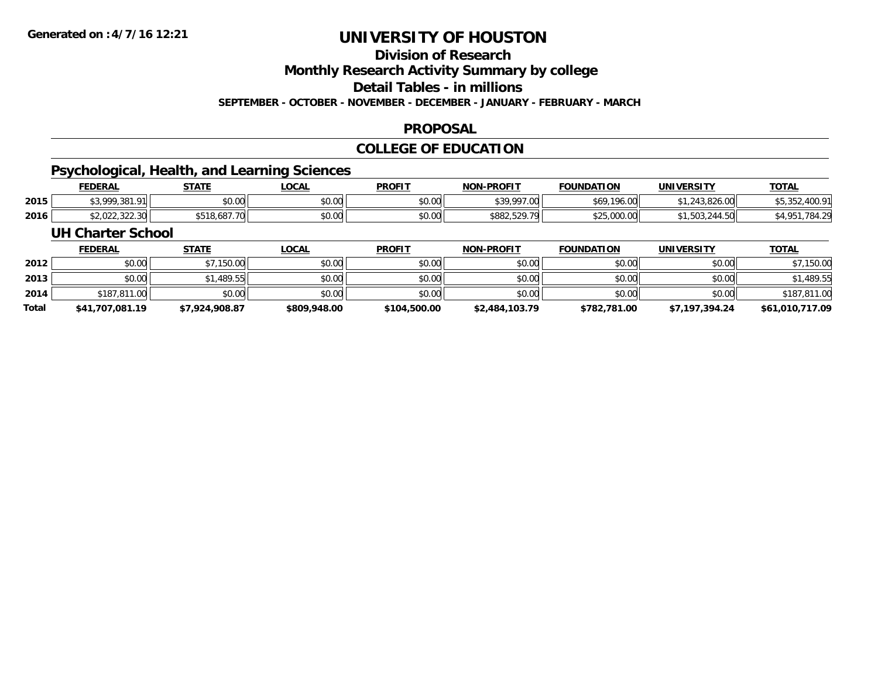# **Division of Research**

**Monthly Research Activity Summary by college**

**Detail Tables - in millions**

**SEPTEMBER - OCTOBER - NOVEMBER - DECEMBER - JANUARY - FEBRUARY - MARCH**

### **PROPOSAL**

### **COLLEGE OF EDUCATION**

# **Psychological, Health, and Learning Sciences**

|      | <b>FEDERAL</b>                   | STATE        | <b>LOCAL</b> | <b>PROFIT</b> | <b>NON-PROFIT</b>    | <b>FOUNDATION</b> | <b>UNIVERSITY</b> | <b>TOTAL</b>                            |
|------|----------------------------------|--------------|--------------|---------------|----------------------|-------------------|-------------------|-----------------------------------------|
| 2015 | \$200020101                      | \$0.00       | \$0.00       | \$0.00        | \$39,997.00          | \$69,196.00       | 1,243,826,00      | $\cdot$ . $\cdot$ . $\cdot$ .<br>JUJJZ. |
| 2016 | יומר ברב ברח בי<br>JZ,UZZ,JZZ.JU | \$518,687.70 | \$0.00       | \$0.00        | 520 70<br>\$882,529. | \$25,000.00       | .,၁೮૩,૮४४         | $\mathcal{A}$ OF                        |

#### **UH Charter School**

|              | <b>FEDERAL</b>  | <b>STATE</b>   | <u>LOCAL</u> | <b>PROFIT</b> | <b>NON-PROFIT</b> | <b>FOUNDATION</b> | <b>UNIVERSITY</b> | <b>TOTAL</b>    |
|--------------|-----------------|----------------|--------------|---------------|-------------------|-------------------|-------------------|-----------------|
| 2012         | \$0.00          | \$7,150.00     | \$0.00       | \$0.00        | \$0.00            | \$0.00            | \$0.00            | \$7,150.00      |
| 2013         | \$0.00          | \$1,489.55     | \$0.00       | \$0.00        | \$0.00            | \$0.00            | \$0.00            | \$1,489.55      |
| 2014         | \$187,811.00    | \$0.00         | \$0.00       | \$0.00        | \$0.00            | \$0.00            | \$0.00            | \$187,811.00    |
| <b>Total</b> | \$41,707,081.19 | \$7.924.908.87 | \$809,948.00 | \$104,500.00  | \$2,484,103.79    | \$782,781.00      | \$7,197,394.24    | \$61,010,717.09 |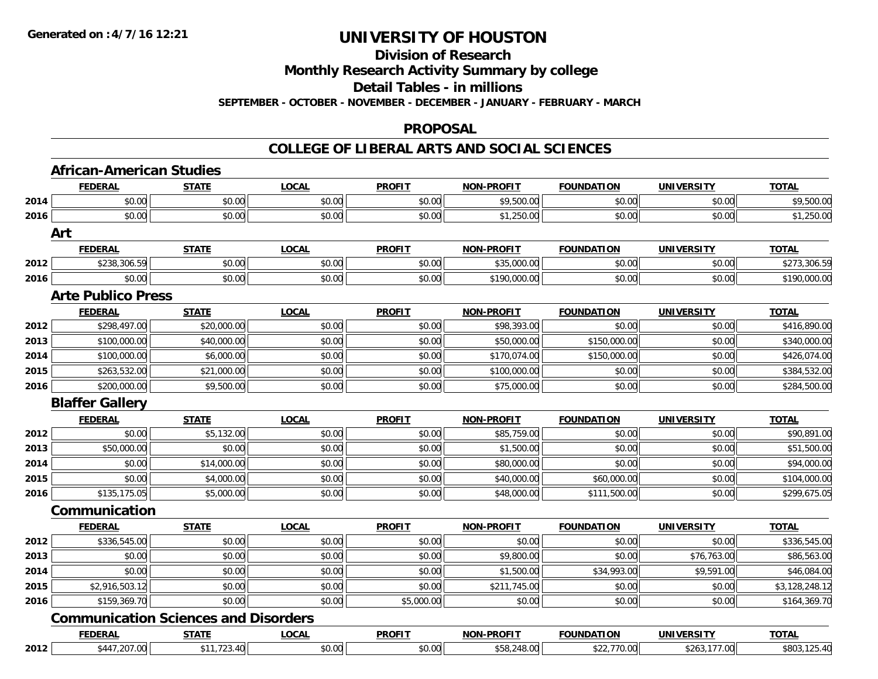# **Division of Research**

**Monthly Research Activity Summary by college**

**Detail Tables - in millions**

**SEPTEMBER - OCTOBER - NOVEMBER - DECEMBER - JANUARY - FEBRUARY - MARCH**

#### **PROPOSAL**

#### **COLLEGE OF LIBERAL ARTS AND SOCIAL SCIENCES**

|      | <b>FEDERAL</b>                              | <b>STATE</b> | <b>LOCAL</b> | <b>PROFIT</b> | NON-PROFIT        | <b>FOUNDATION</b> | <b>UNIVERSITY</b> | <b>TOTAL</b>   |
|------|---------------------------------------------|--------------|--------------|---------------|-------------------|-------------------|-------------------|----------------|
| 2014 | \$0.00                                      | \$0.00       | \$0.00       | \$0.00        | \$9,500.00        | \$0.00            | \$0.00            | \$9,500.00     |
| 2016 | \$0.00                                      | \$0.00       | \$0.00       | \$0.00        | \$1,250.00        | \$0.00            | \$0.00            | \$1,250.00     |
| Art  |                                             |              |              |               |                   |                   |                   |                |
|      | <b>FEDERAL</b>                              | <b>STATE</b> | <b>LOCAL</b> | <b>PROFIT</b> | NON-PROFIT        | <b>FOUNDATION</b> | <b>UNIVERSITY</b> | <b>TOTAL</b>   |
| 2012 | \$238,306.59                                | \$0.00       | \$0.00       | \$0.00        | \$35,000.00       | \$0.00            | \$0.00            | \$273,306.59   |
| 2016 | \$0.00                                      | \$0.00       | \$0.00       | \$0.00        | \$190,000.00      | \$0.00            | \$0.00            | \$190,000.00   |
|      | <b>Arte Publico Press</b>                   |              |              |               |                   |                   |                   |                |
|      | <b>FEDERAL</b>                              | <b>STATE</b> | <b>LOCAL</b> | <b>PROFIT</b> | <b>NON-PROFIT</b> | <b>FOUNDATION</b> | <b>UNIVERSITY</b> | <b>TOTAL</b>   |
| 2012 | \$298,497.00                                | \$20,000.00  | \$0.00       | \$0.00        | \$98,393.00       | \$0.00            | \$0.00            | \$416,890.00   |
| 2013 | \$100,000.00                                | \$40,000.00  | \$0.00       | \$0.00        | \$50,000.00       | \$150,000.00      | \$0.00            | \$340,000.00   |
| 2014 | \$100,000.00                                | \$6,000.00   | \$0.00       | \$0.00        | \$170,074.00      | \$150,000.00      | \$0.00            | \$426,074.00   |
| 2015 | \$263,532.00                                | \$21,000.00  | \$0.00       | \$0.00        | \$100,000.00      | \$0.00            | \$0.00            | \$384,532.00   |
| 2016 | \$200,000.00                                | \$9,500.00   | \$0.00       | \$0.00        | \$75,000.00       | \$0.00            | \$0.00            | \$284,500.00   |
|      | <b>Blaffer Gallery</b>                      |              |              |               |                   |                   |                   |                |
|      | <b>FEDERAL</b>                              | <b>STATE</b> | <b>LOCAL</b> | <b>PROFIT</b> | <b>NON-PROFIT</b> | <b>FOUNDATION</b> | <b>UNIVERSITY</b> | <b>TOTAL</b>   |
| 2012 | \$0.00                                      | \$5,132.00   | \$0.00       | \$0.00        | \$85,759.00       | \$0.00            | \$0.00            | \$90,891.00    |
| 2013 | \$50,000.00                                 | \$0.00       | \$0.00       | \$0.00        | \$1,500.00        | \$0.00            | \$0.00            | \$51,500.00    |
| 2014 | \$0.00                                      | \$14,000.00  | \$0.00       | \$0.00        | \$80,000.00       | \$0.00            | \$0.00            | \$94,000.00    |
| 2015 | \$0.00                                      | \$4,000.00   | \$0.00       | \$0.00        | \$40,000.00       | \$60,000.00       | \$0.00            | \$104,000.00   |
| 2016 | \$135,175.05                                | \$5,000.00   | \$0.00       | \$0.00        | \$48,000.00       | \$111,500.00      | \$0.00            | \$299,675.05   |
|      | Communication                               |              |              |               |                   |                   |                   |                |
|      | <b>FEDERAL</b>                              | <b>STATE</b> | <b>LOCAL</b> | <b>PROFIT</b> | <b>NON-PROELI</b> | <b>FOUNDATION</b> | <b>UNIVERSITY</b> | <b>TOTAL</b>   |
| 2012 | \$336,545.00                                | \$0.00       | \$0.00       | \$0.00        | \$0.00            | \$0.00            | \$0.00            | \$336,545.00   |
| 2013 | \$0.00                                      | \$0.00       | \$0.00       | \$0.00        | \$9,800.00        | \$0.00            | \$76,763.00       | \$86,563.00    |
| 2014 | \$0.00                                      | \$0.00       | \$0.00       | \$0.00        | \$1,500.00        | \$34,993.00       | \$9,591.00        | \$46,084.00    |
| 2015 | \$2,916,503.12                              | \$0.00       | \$0.00       | \$0.00        | \$211,745.00      | \$0.00            | \$0.00            | \$3,128,248.12 |
| 2016 | \$159,369.70                                | \$0.00       | \$0.00       | \$5,000.00    | \$0.00            | \$0.00            | \$0.00            | \$164,369.70   |
|      | <b>Communication Sciences and Disorders</b> |              |              |               |                   |                   |                   |                |
|      | <b>FEDERAL</b>                              | <b>STATE</b> | <b>LOCAL</b> | <b>PROFIT</b> | <b>NON-PROFIT</b> | <b>FOUNDATION</b> | <b>UNIVERSITY</b> | <b>TOTAL</b>   |
|      | \$447,207.00                                | \$11,723.40  | \$0.00       | \$0.00        | \$58,248.00       | \$22,770.00       | \$263,177.00      | \$803,125.40   |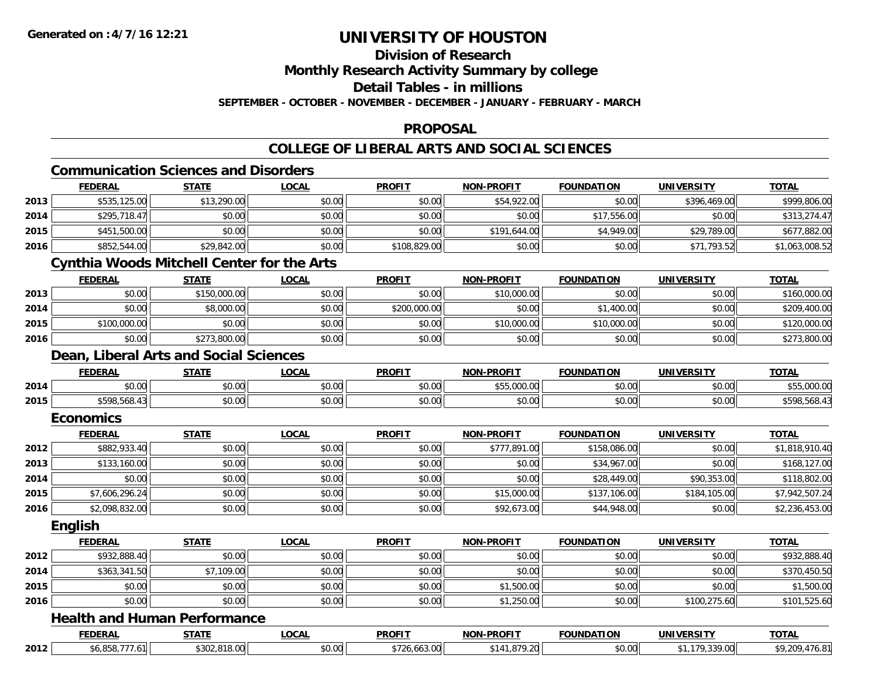# **Division of Research**

**Monthly Research Activity Summary by college**

**Detail Tables - in millions**

**SEPTEMBER - OCTOBER - NOVEMBER - DECEMBER - JANUARY - FEBRUARY - MARCH**

#### **PROPOSAL**

#### **COLLEGE OF LIBERAL ARTS AND SOCIAL SCIENCES**

# **Communication Sciences and Disorders**

|      | <b>FEDERAL</b>                                    | <b>STATE</b> | <b>LOCAL</b> | <b>PROFIT</b> | <b>NON-PROFIT</b> | <b>FOUNDATION</b> | <b>UNIVERSITY</b> | <b>TOTAL</b>   |
|------|---------------------------------------------------|--------------|--------------|---------------|-------------------|-------------------|-------------------|----------------|
| 2013 | \$535,125.00                                      | \$13,290.00  | \$0.00       | \$0.00        | \$54,922.00       | \$0.00            | \$396,469.00      | \$999,806.00   |
| 2014 | \$295,718.47                                      | \$0.00       | \$0.00       | \$0.00        | \$0.00            | \$17,556.00       | \$0.00            | \$313,274.47   |
| 2015 | \$451,500.00                                      | \$0.00       | \$0.00       | \$0.00        | \$191,644.00      | \$4,949.00        | \$29,789.00       | \$677,882.00   |
| 2016 | \$852,544.00                                      | \$29,842.00  | \$0.00       | \$108,829.00  | \$0.00            | \$0.00            | \$71,793.52       | \$1,063,008.52 |
|      | <b>Cynthia Woods Mitchell Center for the Arts</b> |              |              |               |                   |                   |                   |                |
|      | <b>FEDERAL</b>                                    | <b>STATE</b> | <b>LOCAL</b> | <b>PROFIT</b> | <b>NON-PROFIT</b> | <b>FOUNDATION</b> | <b>UNIVERSITY</b> | <b>TOTAL</b>   |
| 2013 | \$0.00                                            | \$150,000.00 | \$0.00       | \$0.00        | \$10,000.00       | \$0.00            | \$0.00            | \$160,000.00   |
| 2014 | \$0.00                                            | \$8,000.00   | \$0.00       | \$200,000.00  | \$0.00            | \$1,400.00        | \$0.00            | \$209,400.00   |
| 2015 | \$100,000.00                                      | \$0.00       | \$0.00       | \$0.00        | \$10,000.00       | \$10,000.00       | \$0.00            | \$120,000.00   |
| 2016 | \$0.00                                            | \$273,800.00 | \$0.00       | \$0.00        | \$0.00            | \$0.00            | \$0.00            | \$273,800.00   |
|      | Dean, Liberal Arts and Social Sciences            |              |              |               |                   |                   |                   |                |
|      | <b>FEDERAL</b>                                    | <b>STATE</b> | <b>LOCAL</b> | <b>PROFIT</b> | <b>NON-PROFIT</b> | <b>FOUNDATION</b> | <b>UNIVERSITY</b> | <b>TOTAL</b>   |
| 2014 | \$0.00                                            | \$0.00       | \$0.00       | \$0.00        | \$55,000.00       | \$0.00            | \$0.00            | \$55,000.00    |
| 2015 | \$598,568.43                                      | \$0.00       | \$0.00       | \$0.00        | \$0.00            | \$0.00            | \$0.00            | \$598,568.43   |
|      | <b>Economics</b>                                  |              |              |               |                   |                   |                   |                |
|      | <b>FEDERAL</b>                                    | <b>STATE</b> | <b>LOCAL</b> | <b>PROFIT</b> | <b>NON-PROFIT</b> | <b>FOUNDATION</b> | <b>UNIVERSITY</b> | <b>TOTAL</b>   |
| 2012 | \$882,933.40                                      | \$0.00       | \$0.00       | \$0.00        | \$777,891.00      | \$158,086.00      | \$0.00            | \$1,818,910.40 |
| 2013 | \$133,160.00                                      | \$0.00       | \$0.00       | \$0.00        | \$0.00            | \$34,967.00       | \$0.00            | \$168,127.00   |
| 2014 | \$0.00                                            | \$0.00       | \$0.00       | \$0.00        | \$0.00            | \$28,449.00       | \$90,353.00       | \$118,802.00   |
| 2015 | \$7,606,296.24                                    | \$0.00       | \$0.00       | \$0.00        | \$15,000.00       | \$137,106.00      | \$184,105.00      | \$7,942,507.24 |
| 2016 | \$2,098,832.00                                    | \$0.00       | \$0.00       | \$0.00        | \$92,673.00       | \$44,948.00       | \$0.00            | \$2,236,453.00 |
|      | English                                           |              |              |               |                   |                   |                   |                |
|      | <b>FEDERAL</b>                                    | <b>STATE</b> | <b>LOCAL</b> | <b>PROFIT</b> | <b>NON-PROFIT</b> | <b>FOUNDATION</b> | <b>UNIVERSITY</b> | <b>TOTAL</b>   |
| 2012 | \$932,888.40                                      | \$0.00       | \$0.00       | \$0.00        | \$0.00            | \$0.00            | \$0.00            | \$932,888.40   |
| 2014 | \$363,341.50                                      | \$7,109.00   | \$0.00       | \$0.00        | \$0.00            | \$0.00            | \$0.00            | \$370,450.50   |
| 2015 | \$0.00                                            | \$0.00       | \$0.00       | \$0.00        | \$1,500.00        | \$0.00            | \$0.00            | \$1,500.00     |
| 2016 | \$0.00                                            | \$0.00       | \$0.00       | \$0.00        | \$1,250.00        | \$0.00            | \$100,275.60      | \$101,525.60   |
|      | <b>Health and Human Performance</b>               |              |              |               |                   |                   |                   |                |
|      | <b>FEDERAL</b>                                    | <b>STATE</b> | <b>LOCAL</b> | <b>PROFIT</b> | <b>NON-PROFIT</b> | <b>FOUNDATION</b> | <b>UNIVERSITY</b> | <b>TOTAL</b>   |
| 2012 | \$6,858,777.61                                    | \$302,818.00 | \$0.00       | \$726,663.00  | \$141,879.20      | \$0.00            | \$1,179,339.00    | \$9,209,476.81 |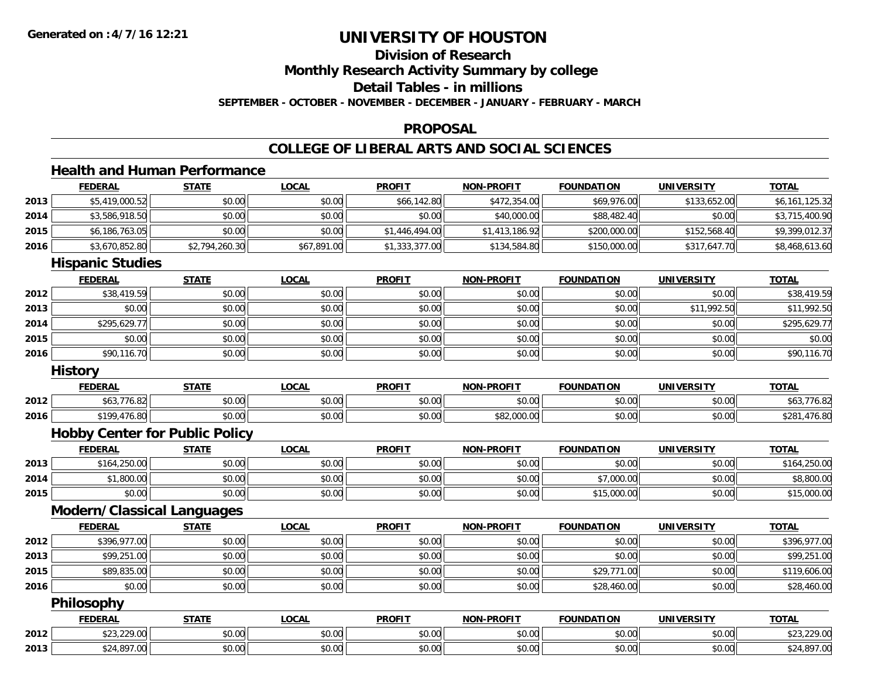# **Division of Research**

**Monthly Research Activity Summary by college**

**Detail Tables - in millions**

**SEPTEMBER - OCTOBER - NOVEMBER - DECEMBER - JANUARY - FEBRUARY - MARCH**

#### **PROPOSAL**

### **COLLEGE OF LIBERAL ARTS AND SOCIAL SCIENCES**

### **Health and Human Performance**

|      | <b>FEDERAL</b>                        | <b>STATE</b>   | <b>LOCAL</b> | <b>PROFIT</b>  | <b>NON-PROFIT</b> | <b>FOUNDATION</b> | <b>UNIVERSITY</b> | <b>TOTAL</b>   |
|------|---------------------------------------|----------------|--------------|----------------|-------------------|-------------------|-------------------|----------------|
| 2013 | \$5,419,000.52                        | \$0.00         | \$0.00       | \$66,142.80    | \$472,354.00      | \$69,976.00       | \$133,652.00      | \$6,161,125.32 |
| 2014 | \$3,586,918.50                        | \$0.00         | \$0.00       | \$0.00         | \$40,000.00       | \$88,482.40       | \$0.00            | \$3,715,400.90 |
| 2015 | \$6,186,763.05                        | \$0.00         | \$0.00       | \$1,446,494.00 | \$1,413,186.92    | \$200,000.00      | \$152,568.40      | \$9,399,012.37 |
| 2016 | \$3,670,852.80                        | \$2,794,260.30 | \$67,891.00  | \$1,333,377.00 | \$134,584.80      | \$150,000.00      | \$317,647.70      | \$8,468,613.60 |
|      | <b>Hispanic Studies</b>               |                |              |                |                   |                   |                   |                |
|      | <b>FEDERAL</b>                        | <b>STATE</b>   | <b>LOCAL</b> | <b>PROFIT</b>  | <b>NON-PROFIT</b> | <b>FOUNDATION</b> | <b>UNIVERSITY</b> | <b>TOTAL</b>   |
| 2012 | \$38,419.59                           | \$0.00         | \$0.00       | \$0.00         | \$0.00            | \$0.00            | \$0.00            | \$38,419.59    |
| 2013 | \$0.00                                | \$0.00         | \$0.00       | \$0.00         | \$0.00            | \$0.00            | \$11,992.50       | \$11,992.50    |
| 2014 | \$295,629.77                          | \$0.00         | \$0.00       | \$0.00         | \$0.00            | \$0.00            | \$0.00            | \$295,629.77   |
| 2015 | \$0.00                                | \$0.00         | \$0.00       | \$0.00         | \$0.00            | \$0.00            | \$0.00            | \$0.00         |
| 2016 | \$90,116.70                           | \$0.00         | \$0.00       | \$0.00         | \$0.00            | \$0.00            | \$0.00            | \$90,116.70    |
|      | <b>History</b>                        |                |              |                |                   |                   |                   |                |
|      | <b>FEDERAL</b>                        | <b>STATE</b>   | <b>LOCAL</b> | <b>PROFIT</b>  | <b>NON-PROFIT</b> | <b>FOUNDATION</b> | <b>UNIVERSITY</b> | <b>TOTAL</b>   |
| 2012 | \$63,776.82                           | \$0.00         | \$0.00       | \$0.00         | \$0.00            | \$0.00            | \$0.00            | \$63,776.82    |
| 2016 | \$199,476.80                          | \$0.00         | \$0.00       | \$0.00         | \$82,000.00       | \$0.00            | \$0.00            | \$281,476.80   |
|      | <b>Hobby Center for Public Policy</b> |                |              |                |                   |                   |                   |                |
|      | <b>FEDERAL</b>                        | <b>STATE</b>   | <b>LOCAL</b> | <b>PROFIT</b>  | <b>NON-PROFIT</b> | <b>FOUNDATION</b> | <b>UNIVERSITY</b> | <b>TOTAL</b>   |
| 2013 | \$164,250.00                          | \$0.00         | \$0.00       | \$0.00         | \$0.00            | \$0.00            | \$0.00            | \$164,250.00   |
| 2014 | \$1,800.00                            | \$0.00         | \$0.00       | \$0.00         | \$0.00            | \$7,000.00        | \$0.00            | \$8,800.00     |
| 2015 | \$0.00                                | \$0.00         | \$0.00       | \$0.00         | \$0.00            | \$15,000.00       | \$0.00            | \$15,000.00    |
|      | <b>Modern/Classical Languages</b>     |                |              |                |                   |                   |                   |                |
|      | <b>FEDERAL</b>                        | <b>STATE</b>   | <b>LOCAL</b> | <b>PROFIT</b>  | <b>NON-PROFIT</b> | <b>FOUNDATION</b> | <b>UNIVERSITY</b> | <b>TOTAL</b>   |
| 2012 | \$396,977.00                          | \$0.00         | \$0.00       | \$0.00         | \$0.00            | \$0.00            | \$0.00            | \$396,977.00   |
| 2013 | \$99,251.00                           | \$0.00         | \$0.00       | \$0.00         | \$0.00            | \$0.00            | \$0.00            | \$99,251.00    |
| 2015 | \$89,835.00                           | \$0.00         | \$0.00       | \$0.00         | \$0.00            | \$29,771.00       | \$0.00            | \$119,606.00   |
| 2016 | \$0.00                                | \$0.00         | \$0.00       | \$0.00         | \$0.00            | \$28,460.00       | \$0.00            | \$28,460.00    |
|      | Philosophy                            |                |              |                |                   |                   |                   |                |
|      | <b>FEDERAL</b>                        | <b>STATE</b>   | <b>LOCAL</b> | <b>PROFIT</b>  | <b>NON-PROFIT</b> | <b>FOUNDATION</b> | <b>UNIVERSITY</b> | <b>TOTAL</b>   |
| 2012 | \$23,229.00                           | \$0.00         | \$0.00       | \$0.00         | \$0.00            | \$0.00            | \$0.00            | \$23,229.00    |
| 2013 | \$24,897.00                           | \$0.00         | \$0.00       | \$0.00         | \$0.00            | \$0.00            | \$0.00            | \$24,897.00    |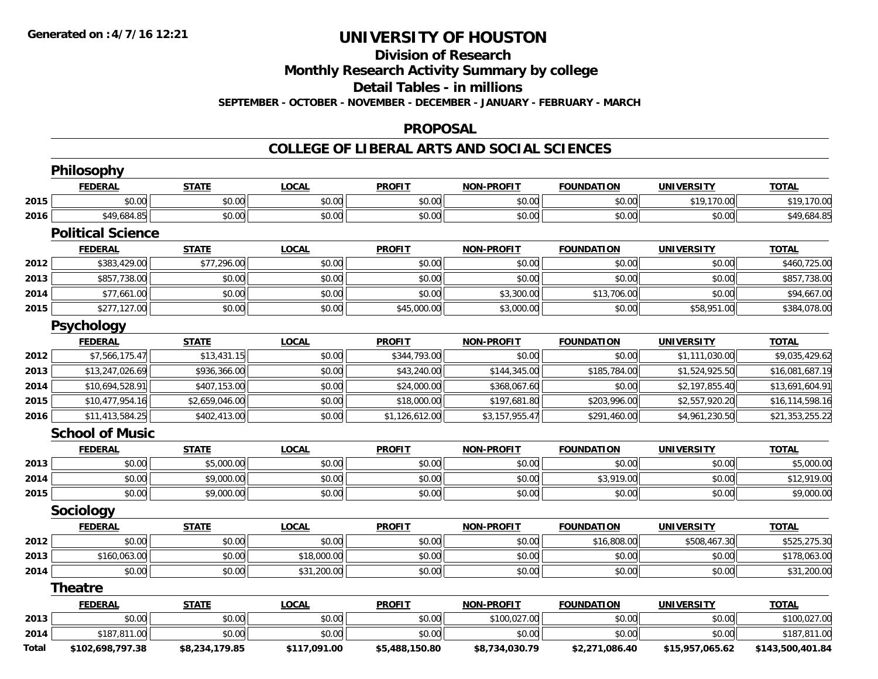#### **Division of Research**

**Monthly Research Activity Summary by college**

**Detail Tables - in millions**

**SEPTEMBER - OCTOBER - NOVEMBER - DECEMBER - JANUARY - FEBRUARY - MARCH**

#### **PROPOSAL**

#### **COLLEGE OF LIBERAL ARTS AND SOCIAL SCIENCES**

|       | <b>Philosophy</b>        |                |              |                |                   |                   |                   |                  |
|-------|--------------------------|----------------|--------------|----------------|-------------------|-------------------|-------------------|------------------|
|       | <b>FEDERAL</b>           | <b>STATE</b>   | <b>LOCAL</b> | <b>PROFIT</b>  | <b>NON-PROFIT</b> | <b>FOUNDATION</b> | <b>UNIVERSITY</b> | <b>TOTAL</b>     |
| 2015  | \$0.00                   | \$0.00         | \$0.00       | \$0.00         | \$0.00            | \$0.00            | \$19,170.00       | \$19,170.00      |
| 2016  | \$49,684.85              | \$0.00         | \$0.00       | \$0.00         | \$0.00            | \$0.00            | \$0.00            | \$49,684.85      |
|       | <b>Political Science</b> |                |              |                |                   |                   |                   |                  |
|       | <b>FEDERAL</b>           | <b>STATE</b>   | <b>LOCAL</b> | <b>PROFIT</b>  | <b>NON-PROFIT</b> | <b>FOUNDATION</b> | <b>UNIVERSITY</b> | <b>TOTAL</b>     |
| 2012  | \$383,429.00             | \$77,296.00    | \$0.00       | \$0.00         | \$0.00            | \$0.00            | \$0.00            | \$460,725.00     |
| 2013  | \$857,738.00             | \$0.00         | \$0.00       | \$0.00         | \$0.00            | \$0.00            | \$0.00            | \$857,738.00     |
| 2014  | \$77,661.00              | \$0.00         | \$0.00       | \$0.00         | \$3,300.00        | \$13,706.00       | \$0.00            | \$94,667.00      |
| 2015  | \$277,127.00             | \$0.00         | \$0.00       | \$45,000.00    | \$3,000.00        | \$0.00            | \$58,951.00       | \$384,078.00     |
|       | Psychology               |                |              |                |                   |                   |                   |                  |
|       | <b>FEDERAL</b>           | <b>STATE</b>   | <b>LOCAL</b> | <b>PROFIT</b>  | <b>NON-PROFIT</b> | <b>FOUNDATION</b> | <b>UNIVERSITY</b> | <b>TOTAL</b>     |
| 2012  | \$7,566,175.47           | \$13,431.15    | \$0.00       | \$344,793.00   | \$0.00            | \$0.00            | \$1,111,030.00    | \$9,035,429.62   |
| 2013  | \$13,247,026.69          | \$936,366.00   | \$0.00       | \$43,240.00    | \$144,345.00      | \$185,784.00      | \$1,524,925.50    | \$16,081,687.19  |
| 2014  | \$10,694,528.91          | \$407,153.00   | \$0.00       | \$24,000.00    | \$368,067.60      | \$0.00            | \$2,197,855.40    | \$13,691,604.91  |
| 2015  | \$10,477,954.16          | \$2,659,046.00 | \$0.00       | \$18,000.00    | \$197,681.80      | \$203,996.00      | \$2,557,920.20    | \$16,114,598.16  |
| 2016  | \$11,413,584.25          | \$402,413.00   | \$0.00       | \$1,126,612.00 | \$3,157,955.47    | \$291,460.00      | \$4,961,230.50    | \$21,353,255.22  |
|       | <b>School of Music</b>   |                |              |                |                   |                   |                   |                  |
|       | <b>FEDERAL</b>           | <b>STATE</b>   | <b>LOCAL</b> | <b>PROFIT</b>  | NON-PROFIT        | <b>FOUNDATION</b> | <b>UNIVERSITY</b> | <b>TOTAL</b>     |
| 2013  | \$0.00                   | \$5,000.00     | \$0.00       | \$0.00         | \$0.00            | \$0.00            | \$0.00            | \$5,000.00       |
| 2014  | \$0.00                   | \$9,000.00     | \$0.00       | \$0.00         | \$0.00            | \$3,919.00        | \$0.00            | \$12,919.00      |
| 2015  | \$0.00                   | \$9,000.00     | \$0.00       | \$0.00         | \$0.00            | \$0.00            | \$0.00            | \$9,000.00       |
|       | Sociology                |                |              |                |                   |                   |                   |                  |
|       | <b>FEDERAL</b>           | <b>STATE</b>   | <b>LOCAL</b> | <b>PROFIT</b>  | NON-PROFIT        | <b>FOUNDATION</b> | <b>UNIVERSITY</b> | <b>TOTAL</b>     |
| 2012  | \$0.00                   | \$0.00         | \$0.00       | \$0.00         | \$0.00            | \$16,808.00       | \$508,467.30      | \$525,275.30     |
| 2013  | \$160,063.00             | \$0.00         | \$18,000.00  | \$0.00         | \$0.00            | \$0.00            | \$0.00            | \$178,063.00     |
| 2014  | \$0.00                   | \$0.00         | \$31,200.00  | \$0.00         | \$0.00            | \$0.00            | \$0.00            | \$31,200.00      |
|       | <b>Theatre</b>           |                |              |                |                   |                   |                   |                  |
|       | <b>FEDERAL</b>           | <b>STATE</b>   | <b>LOCAL</b> | <b>PROFIT</b>  | <b>NON-PROFIT</b> | <b>FOUNDATION</b> | <b>UNIVERSITY</b> | <b>TOTAL</b>     |
| 2013  | \$0.00                   | \$0.00         | \$0.00       | \$0.00         | \$100,027.00      | \$0.00            | \$0.00            | \$100,027.00     |
| 2014  | \$187,811.00             | \$0.00         | \$0.00       | \$0.00         | \$0.00            | \$0.00            | \$0.00            | \$187,811.00     |
| Total | \$102,698,797.38         | \$8,234,179.85 | \$117,091.00 | \$5,488,150.80 | \$8,734,030.79    | \$2,271,086.40    | \$15,957,065.62   | \$143,500,401.84 |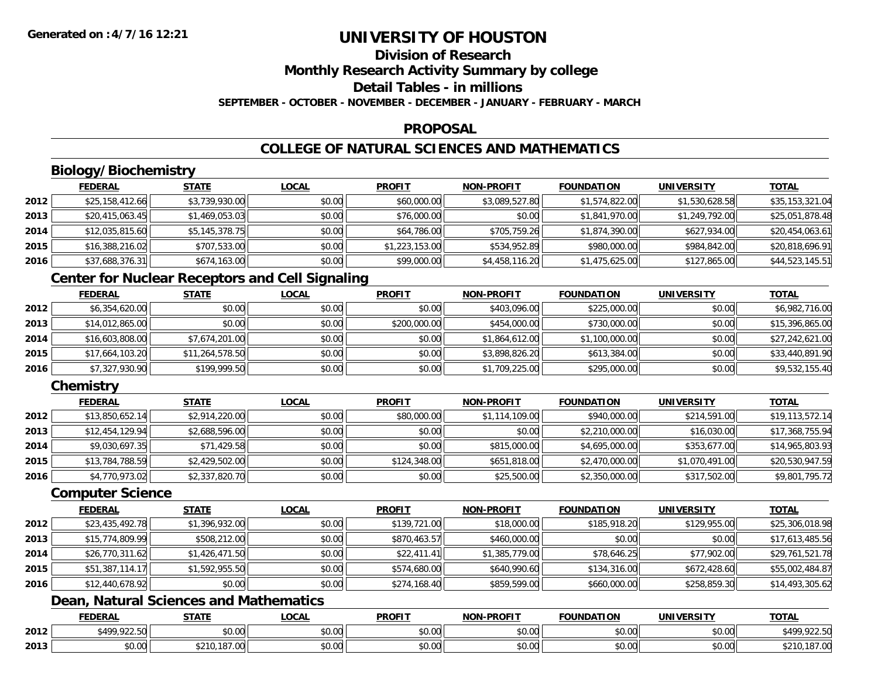# **Division of Research**

**Monthly Research Activity Summary by college**

**Detail Tables - in millions**

**SEPTEMBER - OCTOBER - NOVEMBER - DECEMBER - JANUARY - FEBRUARY - MARCH**

### **PROPOSAL**

# **COLLEGE OF NATURAL SCIENCES AND MATHEMATICS**

# **Biology/Biochemistry**

|      | <b>FEDERAL</b>  | <b>STATE</b>   | <b>LOCAL</b> | <b>PROFIT</b>  | <b>NON-PROFIT</b> | <b>FOUNDATION</b> | <b>UNIVERSITY</b> | <u>TOTAL</u>    |
|------|-----------------|----------------|--------------|----------------|-------------------|-------------------|-------------------|-----------------|
| 2012 | \$25,158,412.66 | \$3,739,930.00 | \$0.00       | \$60,000.00    | \$3,089,527.80    | \$1,574,822.00    | \$1,530,628.58    | \$35,153,321.04 |
| 2013 | \$20,415,063.45 | \$1,469,053.03 | \$0.00       | \$76,000.00    | \$0.00            | \$1,841,970.00    | \$1,249,792.00    | \$25,051,878.48 |
| 2014 | \$12,035,815.60 | \$5,145,378.75 | \$0.00       | \$64,786.00    | \$705,759.26      | \$1,874,390.00    | \$627,934.00      | \$20,454,063.61 |
| 2015 | \$16,388,216.02 | \$707,533.00   | \$0.00       | \$1,223,153.00 | \$534,952.89      | \$980,000.00      | \$984,842,00      | \$20,818,696.91 |
| 2016 | \$37,688,376.31 | \$674,163.00   | \$0.00       | \$99,000.00    | \$4,458,116.20    | \$1,475,625.00    | \$127,865.00      | \$44,523,145.51 |

# **Center for Nuclear Receptors and Cell Signaling**

|      | <b>FEDERAL</b>  | <b>STATE</b>    | <b>LOCAL</b> | <b>PROFIT</b> | <b>NON-PROFIT</b> | <b>FOUNDATION</b> | <b>UNIVERSITY</b> | <b>TOTAL</b>    |
|------|-----------------|-----------------|--------------|---------------|-------------------|-------------------|-------------------|-----------------|
| 2012 | \$6,354,620.00  | \$0.00          | \$0.00       | \$0.00        | \$403,096.00      | \$225,000.00      | \$0.00            | \$6,982,716.00  |
| 2013 | \$14,012,865.00 | \$0.00          | \$0.00       | \$200,000.00  | \$454,000.00      | \$730,000.00      | \$0.00            | \$15,396,865.00 |
| 2014 | \$16,603,808.00 | \$7,674,201.00  | \$0.00       | \$0.00        | \$1,864,612.00    | \$1,100,000.00    | \$0.00            | \$27,242,621.00 |
| 2015 | \$17,664,103.20 | \$11,264,578.50 | \$0.00       | \$0.00        | \$3,898,826.20    | \$613,384.00      | \$0.00            | \$33,440,891.90 |
| 2016 | \$7,327,930.90  | \$199,999.50    | \$0.00       | \$0.00        | \$1,709,225.00    | \$295,000.00      | \$0.00            | \$9,532,155.40  |

# **Chemistry**

|      | <b>FEDERAL</b>  | <b>STATE</b>   | <b>LOCAL</b> | <b>PROFIT</b> | <b>NON-PROFIT</b> | <b>FOUNDATION</b> | <b>UNIVERSITY</b> | <b>TOTAL</b>    |
|------|-----------------|----------------|--------------|---------------|-------------------|-------------------|-------------------|-----------------|
| 2012 | \$13,850,652.14 | \$2,914,220.00 | \$0.00       | \$80,000.00   | \$1,114,109.00    | \$940,000.00      | \$214,591,00      | \$19,113,572.14 |
| 2013 | \$12,454,129.94 | \$2,688,596.00 | \$0.00       | \$0.00        | \$0.00            | \$2,210,000.00    | \$16,030.00       | \$17,368,755.94 |
| 2014 | \$9,030,697.35  | \$71,429.58    | \$0.00       | \$0.00        | \$815,000.00      | \$4,695,000.00    | \$353,677.00      | \$14,965,803.93 |
| 2015 | \$13,784,788.59 | \$2,429,502.00 | \$0.00       | \$124,348.00  | \$651,818.00      | \$2,470,000.00    | \$1,070,491.00    | \$20,530,947.59 |
| 2016 | \$4,770,973.02  | \$2,337,820.70 | \$0.00       | \$0.00        | \$25,500.00       | \$2,350,000.00    | \$317,502.00      | \$9,801,795.72  |

#### **Computer Science**

|      | <b>FEDERAL</b>  | <b>STATE</b>   | <u>LOCAL</u> | <b>PROFIT</b> | <b>NON-PROFIT</b> | <b>FOUNDATION</b> | <b>UNIVERSITY</b> | <b>TOTAL</b>    |
|------|-----------------|----------------|--------------|---------------|-------------------|-------------------|-------------------|-----------------|
| 2012 | \$23,435,492.78 | \$1,396,932.00 | \$0.00       | \$139,721.00  | \$18,000.00       | \$185,918.20      | \$129,955.00      | \$25,306,018.98 |
| 2013 | \$15,774,809.99 | \$508,212.00   | \$0.00       | \$870,463.57  | \$460,000.00      | \$0.00            | \$0.00            | \$17,613,485.56 |
| 2014 | \$26,770,311.62 | \$1,426,471.50 | \$0.00       | \$22,411.41   | \$1,385,779.00    | \$78,646.25       | \$77,902.00       | \$29,761,521.78 |
| 2015 | \$51,387,114.17 | \$1,592,955.50 | \$0.00       | \$574,680.00  | \$640,990.60      | \$134,316.00      | \$672,428.60      | \$55,002,484.87 |
| 2016 | \$12,440,678.92 | \$0.00         | \$0.00       | \$274,168.40  | \$859,599.00      | \$660,000.00      | \$258,859.30      | \$14,493,305.62 |

# **Dean, Natural Sciences and Mathematics**

|      | FEDERA        | <b>STATI</b>            | _OCAL              | <b>PROFIT</b>      | $M$ DDOF <sup><math>T</math></sup><br><b>MAN</b> | UNDATION | UNIVERSIT            | TOTAL                           |
|------|---------------|-------------------------|--------------------|--------------------|--------------------------------------------------|----------|----------------------|---------------------------------|
| 2012 | $*100.022.50$ | ሶስ ሰሰ<br>JU.U           | $\sim$ 00<br>JU.UU | $\sim$ 00<br>JU.UU | $\sim$ 00<br>vv.vv                               | \$0.00   | $\sim$ 00<br>JU.UU   | <b>CAOO</b><br>0.0000<br>922.5U |
| 2013 | \$0.00        | $\overline{\mathbf{a}}$ | $\sim$<br>vv.vv    | ሶስ ሰሰ<br>JU.UU     | $\sim$ 00<br>JU.UU                               | \$0.00   | 0.00<br><b>JU.UU</b> | $\sim$<br>7.UU<br>.             |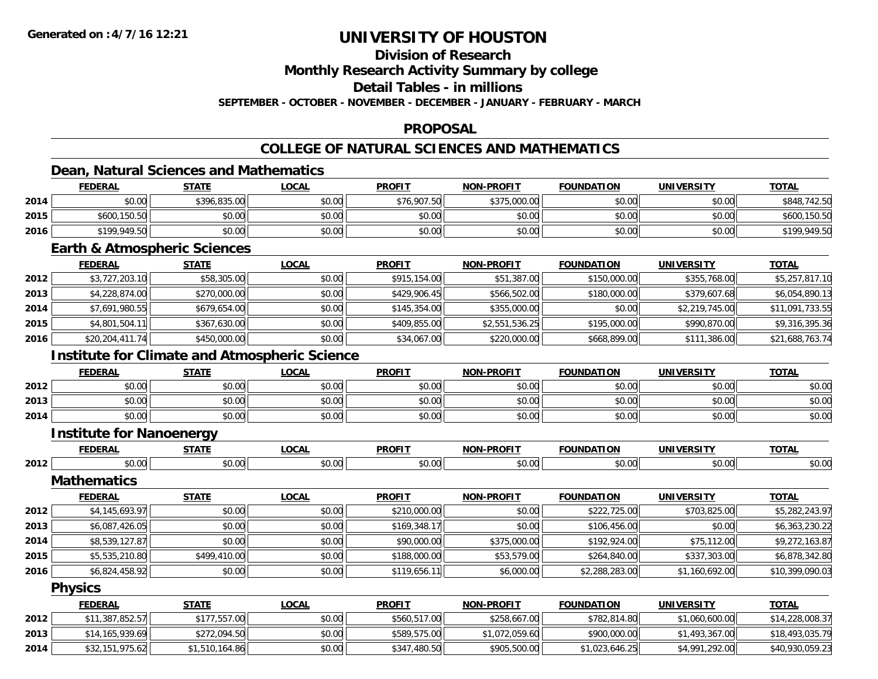## **Division of Research**

**Monthly Research Activity Summary by college**

**Detail Tables - in millions**

**SEPTEMBER - OCTOBER - NOVEMBER - DECEMBER - JANUARY - FEBRUARY - MARCH**

### **PROPOSAL**

# **COLLEGE OF NATURAL SCIENCES AND MATHEMATICS**

### **Dean, Natural Sciences and Mathematics**

|      | <b>FEDERAL</b> | <b>STATE</b> | <u>LOCAL</u> | <b>PROFIT</b> | <b>NON-PROFIT</b> | <b>FOUNDATION</b> | <b>UNIVERSITY</b> | <u>TOTAL</u> |
|------|----------------|--------------|--------------|---------------|-------------------|-------------------|-------------------|--------------|
| 2014 | \$0.00         | \$396,835.00 | \$0.00       | \$76,907.50   | \$375,000.00      | \$0.00            | \$0.00            | \$848,742.50 |
| 2015 | \$600,150.50   | \$0.00       | \$0.00       | \$0.00        | \$0.00            | \$0.00            | \$0.00            | \$600,150.50 |
| 2016 | \$199,949.50   | \$0.00       | \$0.00       | \$0.00        | \$0.00            | \$0.00            | \$0.00            | \$199,949.50 |

#### **Earth & Atmospheric Sciences**

|      | <u>FEDERAL</u>  | <u>STATE</u> | <b>LOCAL</b> | <b>PROFIT</b> | <b>NON-PROFIT</b> | <b>FOUNDATION</b> | <b>UNIVERSITY</b> | <u>TOTAL</u>    |
|------|-----------------|--------------|--------------|---------------|-------------------|-------------------|-------------------|-----------------|
| 2012 | \$3,727,203.10  | \$58,305.00  | \$0.00       | \$915,154.00  | \$51,387.00       | \$150,000.00      | \$355,768.00      | \$5,257,817.10  |
| 2013 | \$4,228,874.00  | \$270,000.00 | \$0.00       | \$429,906.45  | \$566,502.00      | \$180,000.00      | \$379,607.68      | \$6,054,890.13  |
| 2014 | \$7,691,980.55  | \$679,654.00 | \$0.00       | \$145,354.00  | \$355,000.00      | \$0.00            | \$2,219,745.00    | \$11,091,733.55 |
| 2015 | \$4,801,504.11  | \$367,630.00 | \$0.00       | \$409,855.00  | \$2,551,536.25    | \$195,000.00      | \$990,870,00      | \$9,316,395.36  |
| 2016 | \$20,204,411.74 | \$450,000.00 | \$0.00       | \$34,067.00   | \$220,000.00      | \$668,899.00      | \$111,386.00      | \$21,688,763.74 |

## **Institute for Climate and Atmospheric Science**

|      | <b>FEDERAL</b> | <b>STATE</b>   | <b>_OCAL</b> | <b>PROFIT</b> | <b>NON-PROFIT</b> | <b>FOUNDATION</b> | <b>UNIVERSITY</b> | <b>TOTAL</b> |
|------|----------------|----------------|--------------|---------------|-------------------|-------------------|-------------------|--------------|
| 2012 | \$0.00         | ሶስ ሰስ<br>JU.UU | \$0.00       | \$0.00        | \$0.00            | \$0.00            | \$0.00            | \$0.00       |
| 2013 | \$0.00         | \$0.00         | \$0.00       | \$0.00        | \$0.00            | \$0.00            | \$0.00            | \$0.00       |
| 2014 | \$0.00         | \$0.00         | \$0.00       | \$0.00        | \$0.00            | \$0.00            | \$0.00            | \$0.00       |

#### **Institute for Nanoenergy**

|      | ----<br><b>PERAL</b> | $- + -$                    | $\sim$<br>ואטע.    | <b>PROFIT</b> | <b>-PROFIT</b><br>NON- | ΓΙΟΝ<br>$T$ $\bigcap$ ininati. | UNIVERSITY | <b>TOTAL</b>    |
|------|----------------------|----------------------------|--------------------|---------------|------------------------|--------------------------------|------------|-----------------|
| 2012 | $\cap$               | $\sim$<br><b>↑∩</b><br>ט.ט | $\sim$ 00<br>וטטיט | JU.UU         | 0000<br>vu.vu          | \$0.00                         | 0000       | $\sim$<br>,u.uu |

**Mathematics**

|      | <b>FEDERAL</b> | <b>STATE</b> | <b>LOCAL</b> | <b>PROFIT</b> | <b>NON-PROFIT</b> | <b>FOUNDATION</b> | <b>UNIVERSITY</b> | <b>TOTAL</b>    |
|------|----------------|--------------|--------------|---------------|-------------------|-------------------|-------------------|-----------------|
| 2012 | \$4,145,693.97 | \$0.00       | \$0.00       | \$210,000.00  | \$0.00            | \$222,725.00      | \$703,825.00      | \$5,282,243.97  |
| 2013 | \$6,087,426.05 | \$0.00       | \$0.00       | \$169,348.17  | \$0.00            | \$106,456.00      | \$0.00            | \$6,363,230.22  |
| 2014 | \$8,539,127.87 | \$0.00       | \$0.00       | \$90,000.00   | \$375,000.00      | \$192,924.00      | \$75,112.00       | \$9,272,163.87  |
| 2015 | \$5,535,210.80 | \$499,410.00 | \$0.00       | \$188,000.00  | \$53,579.00       | \$264,840.00      | \$337,303.00      | \$6,878,342.80  |
| 2016 | \$6,824,458.92 | \$0.00       | \$0.00       | \$119,656.11  | \$6,000.00        | \$2,288,283.00    | \$1,160,692.00    | \$10,399,090.03 |

#### **Physics**

|      | <b>FEDERAL</b>  | <b>STATE</b>   | <u>LOCAL</u> | <b>PROFIT</b> | <b>NON-PROFIT</b> | <b>FOUNDATION</b> | UNIVERSITY     | <b>TOTAL</b>    |
|------|-----------------|----------------|--------------|---------------|-------------------|-------------------|----------------|-----------------|
| 2012 | \$11,387,852.57 | \$177,557.00   | \$0.00       | \$560,517.00  | \$258,667,00      | \$782,814.80      | \$1,060,600.00 | \$14,228,008.37 |
| 2013 | \$14,165,939.69 | \$272,094.50   | \$0.00       | \$589,575.00  | \$1,072,059.60    | \$900,000.00      | \$1,493,367.00 | \$18,493,035.79 |
| 2014 | \$32,151,975.62 | \$1,510,164.86 | \$0.00       | \$347,480.50  | \$905,500.00      | \$1,023,646.25    | \$4,991,292.00 | \$40,930,059.23 |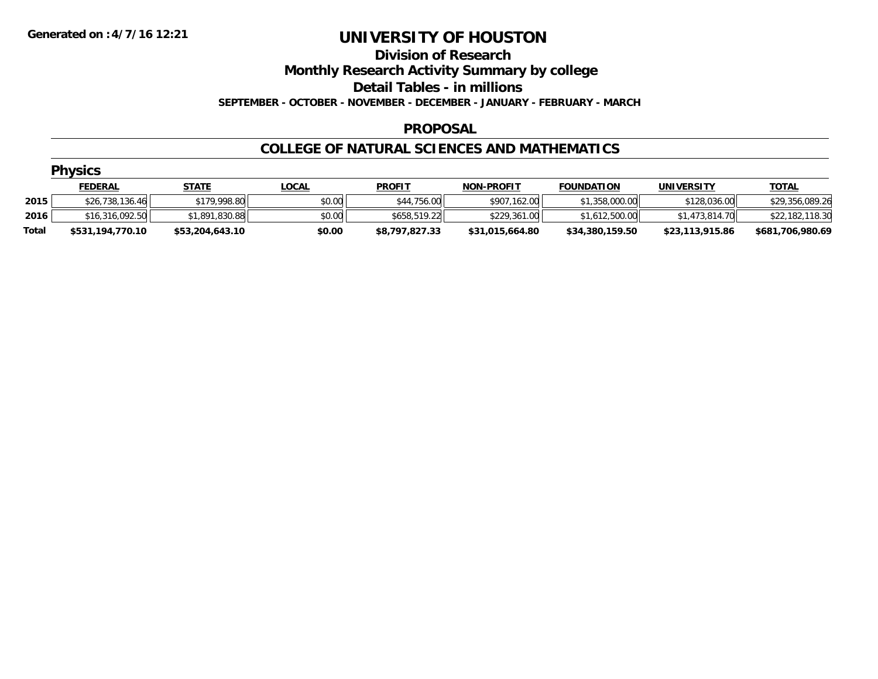#### **Division of Research**

**Monthly Research Activity Summary by college**

**Detail Tables - in millions**

**SEPTEMBER - OCTOBER - NOVEMBER - DECEMBER - JANUARY - FEBRUARY - MARCH**

#### **PROPOSAL**

#### **COLLEGE OF NATURAL SCIENCES AND MATHEMATICS**

|       | <b>Physics</b>   |                 |              |                |                   |                   |                 |                  |
|-------|------------------|-----------------|--------------|----------------|-------------------|-------------------|-----------------|------------------|
|       | <b>FEDERAL</b>   | <u>STATE</u>    | <u>LOCAL</u> | <b>PROFIT</b>  | <b>NON-PROFIT</b> | <b>FOUNDATION</b> | UNIVERSITY      | <b>TOTAL</b>     |
| 2015  | \$26,738,136.46  | \$179,998.80    | \$0.00       | \$44,756.00    | \$907,162.00      | \$1,358,000.00    | \$128,036.00    | \$29,356,089.26  |
| 2016  | \$16,316,092.50  | \$1,891,830.88  | \$0.00       | \$658,519.22   | \$229,361.00      | \$1,612,500.00    | \$1,473,814,70  | \$22,182,118.30  |
| Total | \$531,194,770.10 | \$53,204,643.10 | \$0.00       | \$8,797,827.33 | \$31,015,664.80   | \$34,380,159.50   | \$23,113,915.86 | \$681,706,980.69 |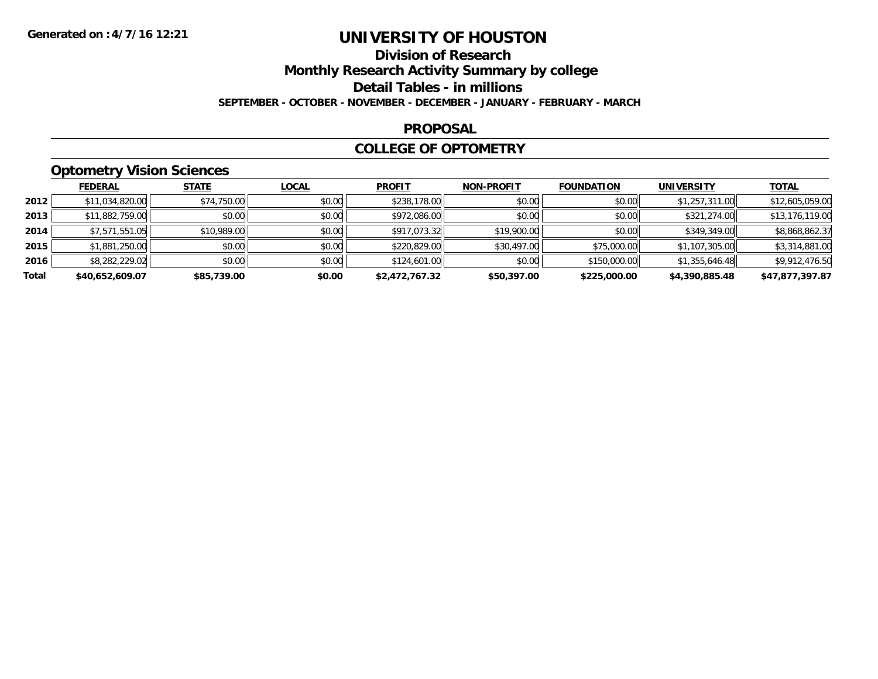## **Division of ResearchMonthly Research Activity Summary by college Detail Tables - in millions SEPTEMBER - OCTOBER - NOVEMBER - DECEMBER - JANUARY - FEBRUARY - MARCH**

#### **PROPOSAL**

### **COLLEGE OF OPTOMETRY**

# **Optometry Vision Sciences**

|       | <b>FEDERAL</b>  | <b>STATE</b> | <b>LOCAL</b> | <b>PROFIT</b>  | <b>NON-PROFIT</b> | <b>FOUNDATION</b> | <b>UNIVERSITY</b> | <u>TOTAL</u>    |
|-------|-----------------|--------------|--------------|----------------|-------------------|-------------------|-------------------|-----------------|
| 2012  | \$11,034,820.00 | \$74,750.00  | \$0.00       | \$238,178,00   | \$0.00            | \$0.00            | \$1,257,311.00    | \$12,605,059.00 |
| 2013  | \$11,882,759.00 | \$0.00       | \$0.00       | \$972,086.00   | \$0.00            | \$0.00            | \$321,274.00      | \$13,176,119.00 |
| 2014  | \$7,571,551.05  | \$10,989.00  | \$0.00       | \$917,073.32   | \$19,900.00       | \$0.00            | \$349,349.00      | \$8,868,862.37  |
| 2015  | \$1,881,250.00  | \$0.00       | \$0.00       | \$220,829.00   | \$30,497.00       | \$75,000.00       | \$1,107,305.00    | \$3,314,881.00  |
| 2016  | \$8,282,229.02  | \$0.00       | \$0.00       | \$124,601.00   | \$0.00            | \$150,000.00      | \$1,355,646.48    | \$9,912,476.50  |
| Total | \$40,652,609.07 | \$85,739.00  | \$0.00       | \$2,472,767.32 | \$50,397.00       | \$225,000.00      | \$4,390,885.48    | \$47,877,397.87 |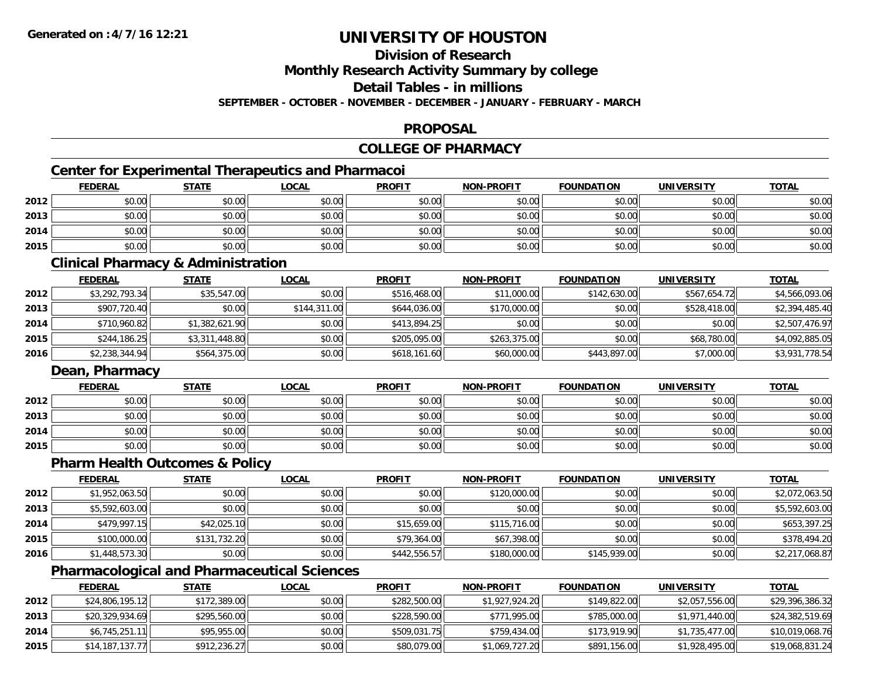# **Division of Research**

**Monthly Research Activity Summary by college**

**Detail Tables - in millions**

**SEPTEMBER - OCTOBER - NOVEMBER - DECEMBER - JANUARY - FEBRUARY - MARCH**

### **PROPOSAL**

# **COLLEGE OF PHARMACY**

# **Center for Experimental Therapeutics and Pharmacoi**

|      | <b>FEDERAL</b> | <b>STATE</b> | <u>LOCAL</u> | <b>PROFIT</b> | <b>NON-PROFIT</b> | <b>FOUNDATION</b> | <b>UNIVERSITY</b> | <b>TOTAL</b> |
|------|----------------|--------------|--------------|---------------|-------------------|-------------------|-------------------|--------------|
| 2012 | \$0.00         | \$0.00       | \$0.00       | \$0.00        | \$0.00            | \$0.00            | \$0.00            | \$0.00       |
| 2013 | \$0.00         | \$0.00       | \$0.00       | \$0.00        | \$0.00            | \$0.00            | \$0.00            | \$0.00       |
| 2014 | \$0.00         | \$0.00       | \$0.00       | \$0.00        | \$0.00            | \$0.00            | \$0.00            | \$0.00       |
| 2015 | \$0.00         | \$0.00       | \$0.00       | \$0.00        | \$0.00            | \$0.00            | \$0.00            | \$0.00       |

#### **Clinical Pharmacy & Administration**

|      | <b>FEDERAL</b> | <u>STATE</u>   | <b>LOCAL</b> | <b>PROFIT</b> | <b>NON-PROFIT</b> | <b>FOUNDATION</b> | <b>UNIVERSITY</b> | <b>TOTAL</b>   |
|------|----------------|----------------|--------------|---------------|-------------------|-------------------|-------------------|----------------|
| 2012 | \$3,292,793.34 | \$35,547.00    | \$0.00       | \$516,468.00  | \$11,000.00       | \$142,630.00      | \$567,654.72      | \$4,566,093.06 |
| 2013 | \$907,720.40   | \$0.00         | \$144,311.00 | \$644,036.00  | \$170,000.00      | \$0.00            | \$528,418.00      | \$2,394,485.40 |
| 2014 | \$710,960.82   | \$1,382,621.90 | \$0.00       | \$413,894.25  | \$0.00            | \$0.00            | \$0.00            | \$2,507,476.97 |
| 2015 | \$244,186.25   | \$3,311,448.80 | \$0.00       | \$205,095,00  | \$263,375,00      | \$0.00            | \$68,780.00       | \$4,092,885.05 |
| 2016 | \$2,238,344.94 | \$564,375.00   | \$0.00       | \$618,161.60  | \$60,000.00       | \$443,897.00      | \$7,000.00        | \$3,931,778.54 |

### **Dean, Pharmacy**

|      | <u>FEDERAL</u> | <b>STATE</b> | <u>LOCAL</u> | <b>PROFIT</b> | <b>NON-PROFIT</b> | <b>FOUNDATION</b> | <b>UNIVERSITY</b> | <u>TOTAL</u> |
|------|----------------|--------------|--------------|---------------|-------------------|-------------------|-------------------|--------------|
| 2012 | \$0.00         | \$0.00       | \$0.00       | \$0.00        | \$0.00            | \$0.00            | \$0.00            | \$0.00       |
| 2013 | \$0.00         | \$0.00       | \$0.00       | \$0.00        | \$0.00            | \$0.00            | \$0.00            | \$0.00       |
| 2014 | \$0.00         | \$0.00       | \$0.00       | \$0.00        | \$0.00            | \$0.00            | \$0.00            | \$0.00       |
| 2015 | \$0.00         | \$0.00       | \$0.00       | \$0.00        | \$0.00            | \$0.00            | \$0.00            | \$0.00       |

### **Pharm Health Outcomes & Policy**

|      | <u>FEDERAL</u> | <b>STATE</b> | <b>LOCAL</b> | <b>PROFIT</b> | <b>NON-PROFIT</b> | <b>FOUNDATION</b> | <b>UNIVERSITY</b> | <b>TOTAL</b>   |
|------|----------------|--------------|--------------|---------------|-------------------|-------------------|-------------------|----------------|
| 2012 | \$1,952,063.50 | \$0.00       | \$0.00       | \$0.00        | \$120,000.00      | \$0.00            | \$0.00            | \$2,072,063.50 |
| 2013 | \$5,592,603.00 | \$0.00       | \$0.00       | \$0.00        | \$0.00            | \$0.00            | \$0.00            | \$5,592,603.00 |
| 2014 | \$479,997.15   | \$42,025.10  | \$0.00       | \$15,659.00   | \$115,716.00      | \$0.00            | \$0.00            | \$653,397.25   |
| 2015 | \$100,000.00   | \$131,732.20 | \$0.00       | \$79,364.00   | \$67,398.00       | \$0.00            | \$0.00            | \$378,494.20   |
| 2016 | \$1,448,573.30 | \$0.00       | \$0.00       | \$442,556.57  | \$180,000.00      | \$145,939.00      | \$0.00            | \$2,217,068.87 |

# **Pharmacological and Pharmaceutical Sciences**

|      | <b>FEDERAL</b>  | <u>STATE</u> | <u>LOCAL</u> | <b>PROFIT</b> | <b>NON-PROFIT</b> | <b>FOUNDATION</b> | UNIVERSITY     | <b>TOTAL</b>    |
|------|-----------------|--------------|--------------|---------------|-------------------|-------------------|----------------|-----------------|
| 2012 | \$24,806,195.12 | \$172,389.00 | \$0.00       | \$282,500.00  | \$1,927,924.20    | \$149,822.00      | \$2,057,556.00 | \$29,396,386.32 |
| 2013 | \$20,329,934.69 | \$295,560.00 | \$0.00       | \$228,590.00  | \$771,995.00      | \$785,000.00      | \$1,971,440.00 | \$24,382,519.69 |
| 2014 | \$6,745,251.11  | \$95,955.00  | \$0.00       | \$509,031.75  | \$759,434.00      | \$173,919.90      | \$1,735,477.00 | \$10,019,068.76 |
| 2015 | \$14,187,137.77 | \$912,236.27 | \$0.00       | \$80,079.00   | \$1,069,727.20    | \$891,156.00      | \$1,928,495.00 | \$19,068,831.24 |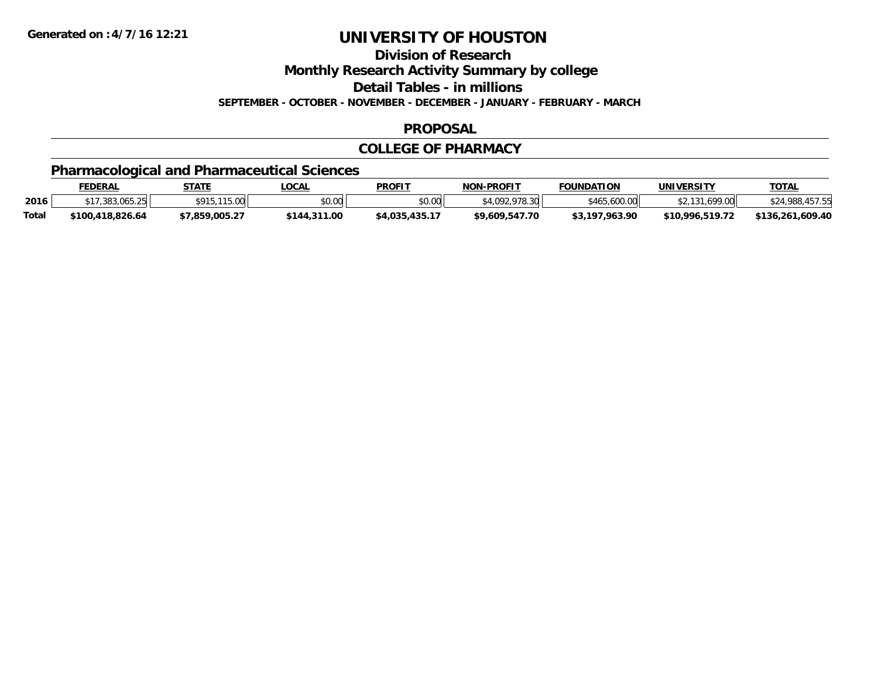**Division of Research**

**Monthly Research Activity Summary by college**

**Detail Tables - in millions**

**SEPTEMBER - OCTOBER - NOVEMBER - DECEMBER - JANUARY - FEBRUARY - MARCH**

### **PROPOSAL**

### **COLLEGE OF PHARMACY**

# **Pharmacological and Pharmaceutical Sciences**

|              | FEDERAL          | STATE                  | LOCAL        | <b>PROFIT</b>  | <b>NON-PROFIT</b>   | <b>FOUNDATION</b> | <b>UNIVERSITY</b> | <u>TOTAL</u>     |
|--------------|------------------|------------------------|--------------|----------------|---------------------|-------------------|-------------------|------------------|
| 2016         | \$17,383,065.25  | \$915 115 00<br>,, , , | \$0.00       | \$0.00         | :4 NO2 079<br>78.30 | \$465,600.00      | \$2.131.699.00    | \$24,988,457.55  |
| <b>Total</b> | \$100.418.826.64 | \$7.859.005.27         | \$144,311.00 | \$4,035,435.17 | \$9,609,547.70      | \$3,197,963.90    | \$10,996,519.72   | \$136,261,609.40 |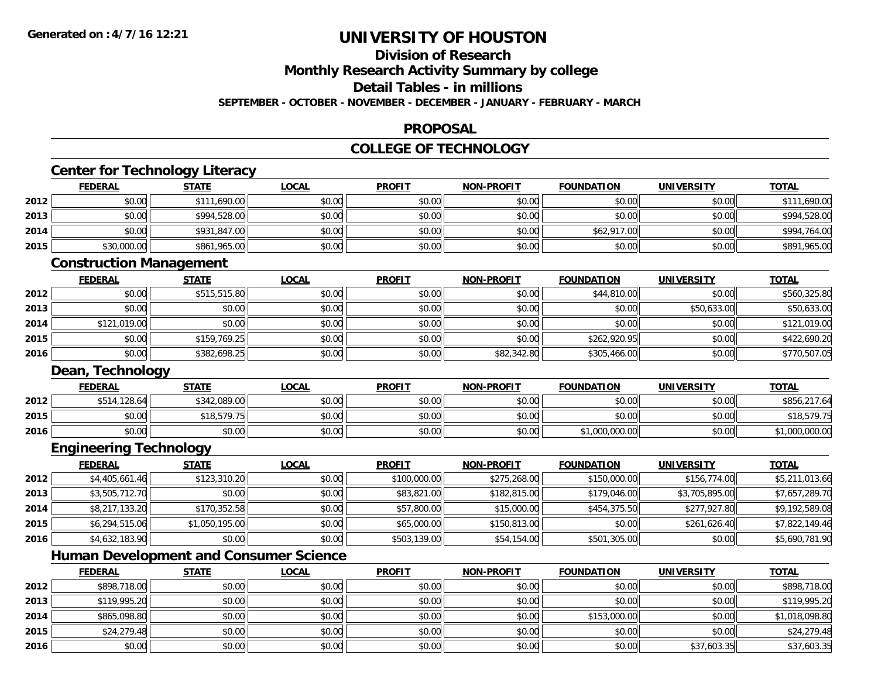#### **Division of Research**

**Monthly Research Activity Summary by college**

**Detail Tables - in millions**

**SEPTEMBER - OCTOBER - NOVEMBER - DECEMBER - JANUARY - FEBRUARY - MARCH**

#### **PROPOSAL**

# **COLLEGE OF TECHNOLOGY**

| <b>FOUNDATION</b><br>\$0.00<br>\$0.00<br>\$62,917.00<br>\$0.00<br><b>FOUNDATION</b><br>\$44,810.00<br>\$0.00 | <b>UNIVERSITY</b><br>\$0.00<br>\$0.00<br>\$0.00<br>\$0.00<br><b>UNIVERSITY</b><br>\$0.00 | <b>TOTAL</b><br>\$111,690.00<br>\$994,528.00<br>\$994,764.00<br>\$891,965.00<br><b>TOTAL</b><br>\$560,325.80 |
|--------------------------------------------------------------------------------------------------------------|------------------------------------------------------------------------------------------|--------------------------------------------------------------------------------------------------------------|
|                                                                                                              |                                                                                          |                                                                                                              |
|                                                                                                              |                                                                                          |                                                                                                              |
|                                                                                                              |                                                                                          |                                                                                                              |
|                                                                                                              |                                                                                          |                                                                                                              |
|                                                                                                              |                                                                                          |                                                                                                              |
|                                                                                                              |                                                                                          |                                                                                                              |
|                                                                                                              |                                                                                          |                                                                                                              |
|                                                                                                              |                                                                                          |                                                                                                              |
|                                                                                                              |                                                                                          |                                                                                                              |
|                                                                                                              |                                                                                          | \$50,633.00                                                                                                  |
|                                                                                                              | \$0.00                                                                                   | \$121,019.00                                                                                                 |
| \$262,920.95                                                                                                 | \$0.00                                                                                   | \$422,690.20                                                                                                 |
| \$305,466.00                                                                                                 | \$0.00                                                                                   | \$770,507.05                                                                                                 |
|                                                                                                              |                                                                                          |                                                                                                              |
| <b>FOUNDATION</b>                                                                                            | <b>UNIVERSITY</b>                                                                        | <b>TOTAL</b>                                                                                                 |
| \$0.00                                                                                                       | \$0.00                                                                                   | \$856,217.64                                                                                                 |
| \$0.00                                                                                                       | \$0.00                                                                                   | \$18,579.75                                                                                                  |
| \$1,000,000.00                                                                                               | \$0.00                                                                                   | \$1,000,000.00                                                                                               |
|                                                                                                              |                                                                                          |                                                                                                              |
| <b>FOUNDATION</b>                                                                                            | <b>UNIVERSITY</b>                                                                        | <b>TOTAL</b>                                                                                                 |
| \$150,000.00                                                                                                 | \$156,774.00                                                                             | \$5,211,013.66                                                                                               |
| \$179,046.00                                                                                                 | \$3,705,895.00                                                                           | \$7,657,289.70                                                                                               |
| \$454,375.50                                                                                                 | \$277,927.80                                                                             | \$9,192,589.08                                                                                               |
| \$0.00                                                                                                       | \$261,626.40                                                                             | \$7,822,149.46                                                                                               |
| \$501,305.00                                                                                                 | \$0.00                                                                                   | \$5,690,781.90                                                                                               |
|                                                                                                              |                                                                                          |                                                                                                              |
| <b>FOUNDATION</b>                                                                                            | <b>UNIVERSITY</b>                                                                        | <b>TOTAL</b>                                                                                                 |
|                                                                                                              | \$0.00                                                                                   | \$50,633.00                                                                                                  |

|      | <b>FEDERAL</b> | <u>JIAIL</u> | <u>LUUAL</u> | <b>FRUFII</b> | <b>IVON-FROFII</b> | <b><i>FUUINDATIUN</i></b> | <b>UNIVERSIII</b> | <u>JUIAL</u>   |
|------|----------------|--------------|--------------|---------------|--------------------|---------------------------|-------------------|----------------|
| 2012 | \$898,718.00   | \$0.00       | \$0.00       | \$0.00        | \$0.00             | \$0.00                    | \$0.00            | \$898,718.00   |
| 2013 | \$119,995.20   | \$0.00       | \$0.00       | \$0.00        | \$0.00             | \$0.00                    | \$0.00            | \$119,995.20   |
| 2014 | \$865,098.80   | \$0.00       | \$0.00       | \$0.00        | \$0.00             | \$153,000.00              | \$0.00            | \$1,018,098.80 |
| 2015 | \$24,279.48    | \$0.00       | \$0.00       | \$0.00        | \$0.00             | \$0.00                    | \$0.00            | \$24,279.48    |
| 2016 | \$0.00         | \$0.00       | \$0.00       | \$0.00        | \$0.00             | \$0.00                    | \$37,603.35       | \$37,603.35    |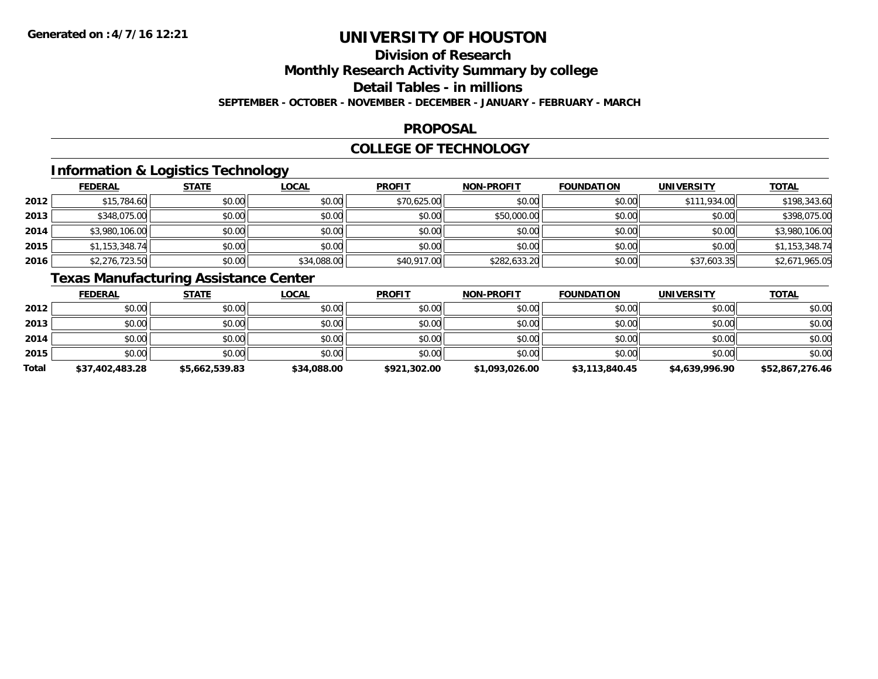# **Division of Research**

**Monthly Research Activity Summary by college**

**Detail Tables - in millions**

**SEPTEMBER - OCTOBER - NOVEMBER - DECEMBER - JANUARY - FEBRUARY - MARCH**

### **PROPOSAL**

### **COLLEGE OF TECHNOLOGY**

# **Information & Logistics Technology**

|      | <b>FEDERAL</b> | <b>STATE</b> | <u>LOCAL</u> | <b>PROFIT</b> | <b>NON-PROFIT</b> | <b>FOUNDATION</b> | <b>UNIVERSITY</b> | <b>TOTAL</b>   |
|------|----------------|--------------|--------------|---------------|-------------------|-------------------|-------------------|----------------|
| 2012 | \$15,784.60    | \$0.00       | \$0.00       | \$70,625.00   | \$0.00            | \$0.00            | \$111,934.00      | \$198,343.60   |
| 2013 | \$348,075.00   | \$0.00       | \$0.00       | \$0.00        | \$50,000.00       | \$0.00            | \$0.00            | \$398,075.00   |
| 2014 | \$3,980,106.00 | \$0.00       | \$0.00       | \$0.00        | \$0.00            | \$0.00            | \$0.00            | \$3,980,106.00 |
| 2015 | \$1,153,348.74 | \$0.00       | \$0.00       | \$0.00        | \$0.00            | \$0.00            | \$0.00            | \$1,153,348.74 |
| 2016 | \$2,276,723.50 | \$0.00       | \$34,088.00  | \$40,917.00   | \$282,633.20      | \$0.00            | \$37,603.35       | \$2,671,965.05 |

# **Texas Manufacturing Assistance Center**

|       | <b>FEDERAL</b>  | <b>STATE</b>   | <b>LOCAL</b> | <b>PROFIT</b> | <b>NON-PROFIT</b> | <b>FOUNDATION</b> | <b>UNIVERSITY</b> | <b>TOTAL</b>    |
|-------|-----------------|----------------|--------------|---------------|-------------------|-------------------|-------------------|-----------------|
| 2012  | \$0.00          | \$0.00         | \$0.00       | \$0.00        | \$0.00            | \$0.00            | \$0.00            | \$0.00          |
| 2013  | \$0.00          | \$0.00         | \$0.00       | \$0.00        | \$0.00            | \$0.00            | \$0.00            | \$0.00          |
| 2014  | \$0.00          | \$0.00         | \$0.00       | \$0.00        | \$0.00            | \$0.00            | \$0.00            | \$0.00          |
| 2015  | \$0.00          | \$0.00         | \$0.00       | \$0.00        | \$0.00            | \$0.00            | \$0.00            | \$0.00          |
| Total | \$37,402,483.28 | \$5,662,539.83 | \$34,088.00  | \$921,302.00  | \$1,093,026.00    | \$3,113,840.45    | \$4,639,996.90    | \$52,867,276.46 |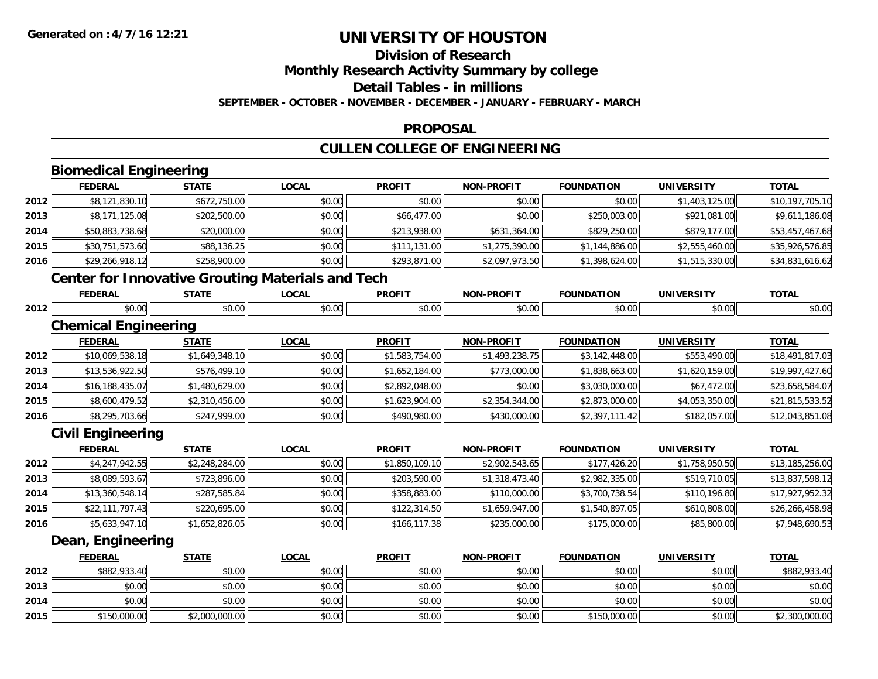# **Division of Research**

**Monthly Research Activity Summary by college**

**Detail Tables - in millions**

**SEPTEMBER - OCTOBER - NOVEMBER - DECEMBER - JANUARY - FEBRUARY - MARCH**

#### **PROPOSAL**

# **CULLEN COLLEGE OF ENGINEERING**

|      | <b>Biomedical Engineering</b> |                |                                                          |                |                   |                   |                   |                 |
|------|-------------------------------|----------------|----------------------------------------------------------|----------------|-------------------|-------------------|-------------------|-----------------|
|      | <b>FEDERAL</b>                | <b>STATE</b>   | <b>LOCAL</b>                                             | <b>PROFIT</b>  | <b>NON-PROFIT</b> | <b>FOUNDATION</b> | <b>UNIVERSITY</b> | <b>TOTAL</b>    |
| 2012 | \$8,121,830.10                | \$672,750.00   | \$0.00                                                   | \$0.00         | \$0.00            | \$0.00            | \$1,403,125.00    | \$10,197,705.10 |
| 2013 | \$8,171,125.08                | \$202,500.00   | \$0.00                                                   | \$66,477.00    | \$0.00            | \$250,003.00      | \$921,081.00      | \$9,611,186.08  |
| 2014 | \$50,883,738.68               | \$20,000.00    | \$0.00                                                   | \$213,938.00   | \$631,364.00      | \$829,250.00      | \$879,177.00      | \$53,457,467.68 |
| 2015 | \$30,751,573.60               | \$88,136.25    | \$0.00                                                   | \$111,131.00   | \$1,275,390.00    | \$1,144,886.00    | \$2,555,460.00    | \$35,926,576.85 |
| 2016 | \$29,266,918.12               | \$258,900.00   | \$0.00                                                   | \$293,871.00   | \$2,097,973.50    | \$1,398,624.00    | \$1,515,330.00    | \$34,831,616.62 |
|      |                               |                | <b>Center for Innovative Grouting Materials and Tech</b> |                |                   |                   |                   |                 |
|      | <b>FEDERAL</b>                | <b>STATE</b>   | <b>LOCAL</b>                                             | <b>PROFIT</b>  | <b>NON-PROFIT</b> | <b>FOUNDATION</b> | <b>UNIVERSITY</b> | <b>TOTAL</b>    |
| 2012 | \$0.00                        | \$0.00         | \$0.00                                                   | \$0.00         | \$0.00            | \$0.00            | \$0.00            | \$0.00          |
|      | <b>Chemical Engineering</b>   |                |                                                          |                |                   |                   |                   |                 |
|      | <b>FEDERAL</b>                | <b>STATE</b>   | <b>LOCAL</b>                                             | <b>PROFIT</b>  | <b>NON-PROFIT</b> | <b>FOUNDATION</b> | <b>UNIVERSITY</b> | <b>TOTAL</b>    |
| 2012 | \$10,069,538.18               | \$1,649,348.10 | \$0.00                                                   | \$1,583,754.00 | \$1,493,238.75    | \$3,142,448.00    | \$553,490.00      | \$18,491,817.03 |
| 2013 | \$13,536,922.50               | \$576,499.10   | \$0.00                                                   | \$1,652,184.00 | \$773,000.00      | \$1,838,663.00    | \$1,620,159.00    | \$19,997,427.60 |
| 2014 | \$16,188,435.07               | \$1,480,629.00 | \$0.00                                                   | \$2,892,048.00 | \$0.00            | \$3,030,000.00    | \$67,472.00       | \$23,658,584.07 |
| 2015 | \$8,600,479.52                | \$2,310,456.00 | \$0.00                                                   | \$1,623,904.00 | \$2,354,344.00    | \$2,873,000.00    | \$4,053,350.00    | \$21,815,533.52 |
| 2016 | \$8,295,703.66                | \$247,999.00   | \$0.00                                                   | \$490,980.00   | \$430,000.00      | \$2,397,111.42    | \$182,057.00      | \$12,043,851.08 |
|      | <b>Civil Engineering</b>      |                |                                                          |                |                   |                   |                   |                 |
|      | <b>FEDERAL</b>                | <b>STATE</b>   | <b>LOCAL</b>                                             | <b>PROFIT</b>  | <b>NON-PROFIT</b> | <b>FOUNDATION</b> | <b>UNIVERSITY</b> | <b>TOTAL</b>    |
| 2012 | \$4,247,942.55                | \$2,248,284.00 | \$0.00                                                   | \$1,850,109.10 | \$2,902,543.65    | \$177,426.20      | \$1,758,950.50    | \$13,185,256.00 |
| 2013 | \$8,089,593.67                | \$723,896.00   | \$0.00                                                   | \$203,590.00   | \$1,318,473.40    | \$2,982,335.00    | \$519,710.05      | \$13,837,598.12 |
| 2014 | \$13,360,548.14               | \$287,585.84   | \$0.00                                                   | \$358,883.00   | \$110,000.00      | \$3,700,738.54    | \$110,196.80      | \$17,927,952.32 |
| 2015 | \$22,111,797.43               | \$220,695.00   | \$0.00                                                   | \$122,314.50   | \$1,659,947.00    | \$1,540,897.05    | \$610,808.00      | \$26,266,458.98 |
| 2016 | \$5,633,947.10                | \$1,652,826.05 | \$0.00                                                   | \$166,117.38   | \$235,000.00      | \$175,000.00      | \$85,800.00       | \$7,948,690.53  |
|      | Dean, Engineering             |                |                                                          |                |                   |                   |                   |                 |
|      | <b>FEDERAL</b>                | <b>STATE</b>   | <b>LOCAL</b>                                             | <b>PROFIT</b>  | <b>NON-PROFIT</b> | <b>FOUNDATION</b> | <b>UNIVERSITY</b> | <b>TOTAL</b>    |
| 2012 | \$882,933.40                  | \$0.00         | \$0.00                                                   | \$0.00         | \$0.00            | \$0.00            | \$0.00            | \$882,933.40    |
| 2013 | \$0.00                        | \$0.00         | \$0.00                                                   | \$0.00         | \$0.00            | \$0.00            | \$0.00            | \$0.00          |
| 2014 | \$0.00                        | \$0.00         | \$0.00                                                   | \$0.00         | \$0.00            | \$0.00            | \$0.00            | \$0.00          |
| 2015 | \$150,000.00                  | \$2,000,000.00 | \$0.00                                                   | \$0.00         | \$0.00            | \$150,000.00      | \$0.00            | \$2,300,000.00  |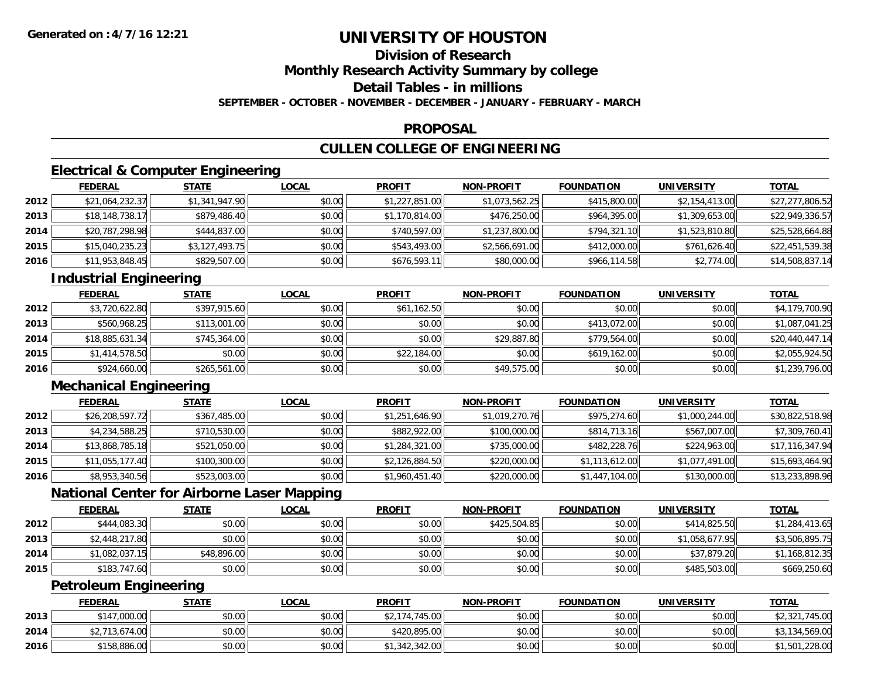# **Division of Research**

**Monthly Research Activity Summary by college**

**Detail Tables - in millions**

**SEPTEMBER - OCTOBER - NOVEMBER - DECEMBER - JANUARY - FEBRUARY - MARCH**

#### **PROPOSAL**

# **CULLEN COLLEGE OF ENGINEERING**

# **Electrical & Computer Engineering**

|      | <b>FEDERAL</b>  | <b>STATE</b>   | <b>LOCAL</b> | <b>PROFIT</b>  | <b>NON-PROFIT</b> | <b>FOUNDATION</b> | <b>UNIVERSITY</b> | <b>TOTAL</b>    |
|------|-----------------|----------------|--------------|----------------|-------------------|-------------------|-------------------|-----------------|
| 2012 | \$21,064,232.37 | \$1,341,947.90 | \$0.00       | \$1,227,851.00 | \$1,073,562.25    | \$415,800.00      | \$2,154,413.00    | \$27,277,806.52 |
| 2013 | \$18,148,738.17 | \$879,486.40   | \$0.00       | \$1,170,814.00 | \$476,250.00      | \$964,395.00      | \$1,309,653.00    | \$22,949,336.57 |
| 2014 | \$20,787,298.98 | \$444,837.00   | \$0.00       | \$740,597.00   | \$1,237,800.00    | \$794,321.10      | \$1,523,810.80    | \$25,528,664.88 |
| 2015 | \$15,040,235.23 | \$3,127,493.75 | \$0.00       | \$543,493.00   | \$2,566,691.00    | \$412,000.00      | \$761,626.40      | \$22,451,539.38 |
| 2016 | \$11,953,848.45 | \$829,507.00   | \$0.00       | \$676,593.11   | \$80,000.00       | \$966,114.58      | \$2,774.00        | \$14,508,837.14 |

# **Industrial Engineering**

|      | <b>FEDERAL</b>  | <b>STATE</b> | <u>LOCAL</u> | <b>PROFIT</b> | <b>NON-PROFIT</b> | <b>FOUNDATION</b> | <b>UNIVERSITY</b> | <b>TOTAL</b>    |
|------|-----------------|--------------|--------------|---------------|-------------------|-------------------|-------------------|-----------------|
| 2012 | \$3,720,622.80  | \$397,915.60 | \$0.00       | \$61,162.50   | \$0.00            | \$0.00            | \$0.00            | \$4,179,700.90  |
| 2013 | \$560,968.25    | \$113,001.00 | \$0.00       | \$0.00        | \$0.00            | \$413.072.00      | \$0.00            | \$1,087,041.25  |
| 2014 | \$18,885,631.34 | \$745,364.00 | \$0.00       | \$0.00        | \$29,887.80       | \$779,564,00      | \$0.00            | \$20,440,447.14 |
| 2015 | \$1,414,578.50  | \$0.00       | \$0.00       | \$22,184.00   | \$0.00            | \$619,162.00      | \$0.00            | \$2,055,924.50  |
| 2016 | \$924,660.00    | \$265,561.00 | \$0.00       | \$0.00        | \$49,575.00       | \$0.00            | \$0.00            | \$1,239,796.00  |

# **Mechanical Engineering**

|      | <b>FEDERAL</b>  | <b>STATE</b> | <b>LOCAL</b> | <b>PROFIT</b>  | <b>NON-PROFIT</b> | <b>FOUNDATION</b> | <b>UNIVERSITY</b> | <b>TOTAL</b>    |
|------|-----------------|--------------|--------------|----------------|-------------------|-------------------|-------------------|-----------------|
| 2012 | \$26,208,597.72 | \$367,485.00 | \$0.00       | \$1,251,646.90 | \$1,019,270.76    | \$975,274.60      | \$1,000,244.00    | \$30,822,518.98 |
| 2013 | \$4,234,588.25  | \$710,530.00 | \$0.00       | \$882,922.00   | \$100,000.00      | \$814,713.16      | \$567,007.00      | \$7,309,760.41  |
| 2014 | \$13,868,785.18 | \$521,050.00 | \$0.00       | \$1,284,321.00 | \$735,000.00      | \$482,228.76      | \$224,963.00      | \$17,116,347.94 |
| 2015 | \$11,055,177.40 | \$100,300.00 | \$0.00       | \$2,126,884.50 | \$220,000.00      | \$1,113,612.00    | \$1,077,491.00    | \$15,693,464.90 |
| 2016 | \$8,953,340.56  | \$523,003.00 | \$0.00       | \$1,960,451.40 | \$220,000.00      | \$1,447,104.00    | \$130,000.00      | \$13,233,898.96 |

## **National Center for Airborne Laser Mapping**

|      | <b>FEDERAL</b> | <u>STATE</u> | <b>LOCAL</b> | <b>PROFIT</b> | <b>NON-PROFIT</b> | <b>FOUNDATION</b> | <b>UNIVERSITY</b> | <b>TOTAL</b>   |
|------|----------------|--------------|--------------|---------------|-------------------|-------------------|-------------------|----------------|
| 2012 | \$444,083.30   | \$0.00       | \$0.00       | \$0.00        | \$425,504.85      | \$0.00            | \$414,825.50      | \$1,284,413.65 |
| 2013 | \$2,448,217.80 | \$0.00       | \$0.00       | \$0.00        | \$0.00            | \$0.00            | \$1,058,677.95    | \$3,506,895.75 |
| 2014 | \$1,082,037.15 | \$48,896.00  | \$0.00       | \$0.00        | \$0.00            | \$0.00            | \$37,879.20       | \$1,168,812.35 |
| 2015 | \$183,747.60   | \$0.00       | \$0.00       | \$0.00        | \$0.00            | \$0.00            | \$485,503.00      | \$669,250.60   |

# **Petroleum Engineering**

|      | <b>FEDERAL</b> | <b>STATE</b> | <u>LOCAL</u> | <b>PROFIT</b>  | <b>NON-PROFIT</b> | <b>FOUNDATION</b> | <b>UNIVERSITY</b> | <b>TOTAL</b>   |
|------|----------------|--------------|--------------|----------------|-------------------|-------------------|-------------------|----------------|
| 2013 | \$147,000.00   | \$0.00       | \$0.00       | .174.745.00    | \$0.00            | \$0.00            | \$0.00            | \$2,321,745.00 |
| 2014 | \$2,713,674.00 | \$0.00       | \$0.00       | \$420,895.00   | \$0.00            | \$0.00            | \$0.00            | \$3,134,569.00 |
| 2016 | \$158,886.00   | \$0.00       | \$0.00       | \$1,342,342.00 | \$0.00            | \$0.00            | \$0.00            | \$1,501,228.00 |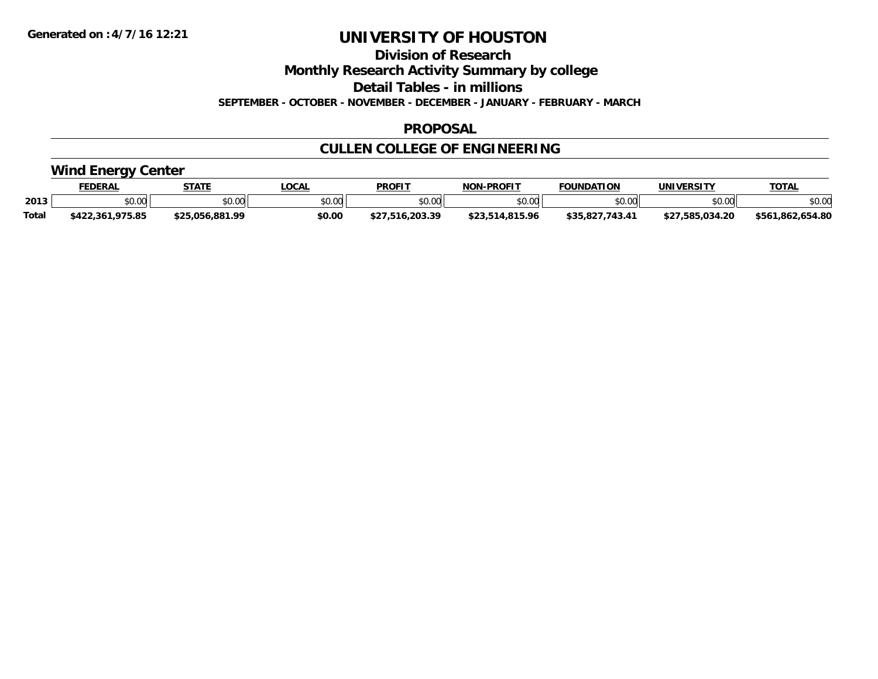**Division of Research**

**Monthly Research Activity Summary by college**

**Detail Tables - in millions**

**SEPTEMBER - OCTOBER - NOVEMBER - DECEMBER - JANUARY - FEBRUARY - MARCH**

#### **PROPOSAL**

# **CULLEN COLLEGE OF ENGINEERING**

### **Wind Energy Center**

|              | <b>FEDERAL</b>            | <b>STATE</b>        | LOCAL          | <b>PROFIT</b>  | <b>J-PROFIT</b><br><b>NON</b> | <b>FOUNDATION</b>             | UNIVERSITY      | <b>TOTAL</b>          |
|--------------|---------------------------|---------------------|----------------|----------------|-------------------------------|-------------------------------|-----------------|-----------------------|
| 2013         | vv.vv                     | \$0.00              | 40.00<br>DU.UG | en uu<br>PO.OO | \$0.00                        | \$0.00                        | \$0.00          | \$0.00                |
| <b>Total</b> | ,975.85<br>.361<br>\$422. | 5.056.881.99<br>ぐつに | \$0.00         | . ი.203.39     | 0.815.96                      | $143.4^{\circ}$<br>ററ<br>43.4 | \$27.585.034.20 | .654.80<br>\$561,862, |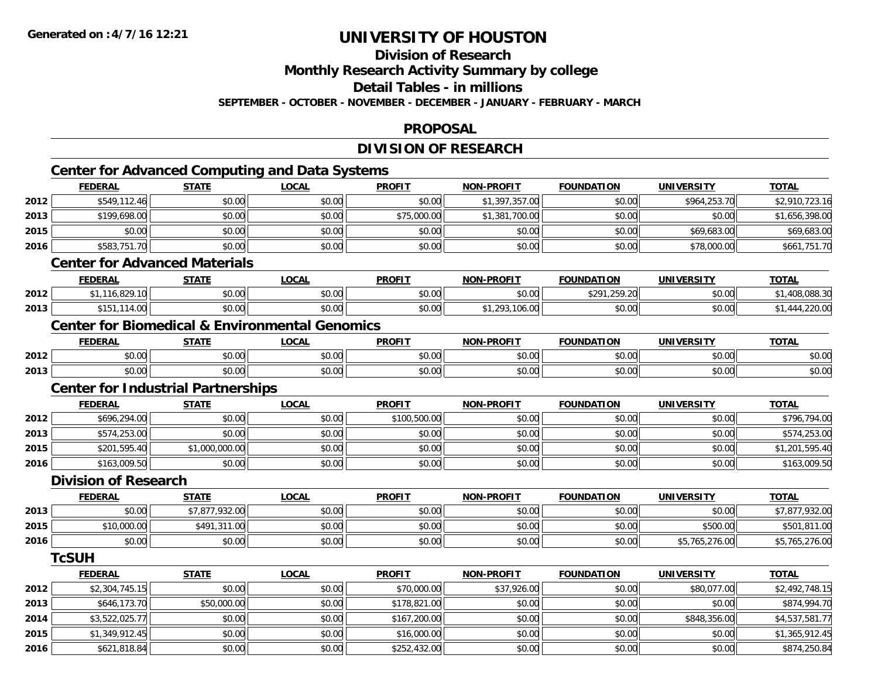**2016**

# **UNIVERSITY OF HOUSTON**

**Division of Research**

**Monthly Research Activity Summary by college**

**Detail Tables - in millions**

**SEPTEMBER - OCTOBER - NOVEMBER - DECEMBER - JANUARY - FEBRUARY - MARCH**

#### **PROPOSAL**

# **DIVISION OF RESEARCH**

|                      | <b>FEDERAL</b>                            | <b>STATE</b>   | <b>LOCAL</b>                                              | <b>PROFIT</b> | <b>NON-PROFIT</b> | <b>FOUNDATION</b> | <b>UNIVERSITY</b> | <b>TOTAL</b>   |
|----------------------|-------------------------------------------|----------------|-----------------------------------------------------------|---------------|-------------------|-------------------|-------------------|----------------|
| 2012                 | \$549,112.46                              | \$0.00         | \$0.00                                                    | \$0.00        | \$1,397,357.00    | \$0.00            | \$964,253.70      | \$2,910,723.16 |
| 2013                 | \$199,698.00                              | \$0.00         | \$0.00                                                    | \$75,000.00   | \$1,381,700.00    | \$0.00            | \$0.00            | \$1,656,398.00 |
| 2015                 | \$0.00                                    | \$0.00         | \$0.00                                                    | \$0.00        | \$0.00            | \$0.00            | \$69,683.00       | \$69,683.00    |
| 2016                 | \$583,751.70                              | \$0.00         | \$0.00                                                    | \$0.00        | \$0.00            | \$0.00            | \$78,000.00       | \$661,751.70   |
|                      | <b>Center for Advanced Materials</b>      |                |                                                           |               |                   |                   |                   |                |
|                      | <b>FEDERAL</b>                            | <b>STATE</b>   | <b>LOCAL</b>                                              | <b>PROFIT</b> | <b>NON-PROFIT</b> | <b>FOUNDATION</b> | <b>UNIVERSITY</b> | <b>TOTAL</b>   |
| 2012                 | \$1,116,829.10                            | \$0.00         | \$0.00                                                    | \$0.00        | \$0.00            | \$291,259.20      | \$0.00            | \$1,408,088.30 |
| 2013                 | \$151,114.00                              | \$0.00         | \$0.00                                                    | \$0.00        | \$1,293,106.00    | \$0.00            | \$0.00            | \$1,444,220.00 |
|                      |                                           |                | <b>Center for Biomedical &amp; Environmental Genomics</b> |               |                   |                   |                   |                |
|                      | <b>FEDERAL</b>                            | <b>STATE</b>   | <b>LOCAL</b>                                              | <b>PROFIT</b> | <b>NON-PROFIT</b> | <b>FOUNDATION</b> | <b>UNIVERSITY</b> | <b>TOTAL</b>   |
| 2012                 | \$0.00                                    | \$0.00         | \$0.00                                                    | \$0.00        | \$0.00            | \$0.00            | \$0.00            | \$0.00         |
| 2013                 | \$0.00                                    | \$0.00         | \$0.00                                                    | \$0.00        | \$0.00            | \$0.00            | \$0.00            | \$0.00         |
|                      | <b>Center for Industrial Partnerships</b> |                |                                                           |               |                   |                   |                   |                |
|                      | <b>FEDERAL</b>                            | <b>STATE</b>   | <b>LOCAL</b>                                              | <b>PROFIT</b> | <b>NON-PROFIT</b> | <b>FOUNDATION</b> | <b>UNIVERSITY</b> | <b>TOTAL</b>   |
| 2012                 | \$696,294.00                              | \$0.00         | \$0.00                                                    | \$100,500.00  | \$0.00            | \$0.00            | \$0.00            | \$796,794.00   |
| 2013                 | \$574,253.00                              | \$0.00         | \$0.00                                                    | \$0.00        | \$0.00            | \$0.00            | \$0.00            | \$574,253.00   |
| 2015                 | \$201,595.40                              | \$1,000,000.00 | \$0.00                                                    | \$0.00        | \$0.00            | \$0.00            | \$0.00            | \$1,201,595.40 |
| 2016                 | \$163,009.50                              | \$0.00         | \$0.00                                                    | \$0.00        | \$0.00            | \$0.00            | \$0.00            | \$163,009.50   |
|                      | <b>Division of Research</b>               |                |                                                           |               |                   |                   |                   |                |
|                      | <b>FEDERAL</b>                            | <b>STATE</b>   | <b>LOCAL</b>                                              | <b>PROFIT</b> | NON-PROFIT        | <b>FOUNDATION</b> | <b>UNIVERSITY</b> | <b>TOTAL</b>   |
| 2013                 | \$0.00                                    | \$7,877,932.00 | \$0.00                                                    | \$0.00        | \$0.00            | \$0.00            | \$0.00            | \$7,877,932.00 |
| 2015                 | \$10,000.00                               | \$491,311.00   | \$0.00                                                    | \$0.00        | \$0.00            | \$0.00            | \$500.00          | \$501,811.00   |
| 2016                 | \$0.00                                    | \$0.00         | \$0.00                                                    | \$0.00        | \$0.00            | \$0.00            | \$5,765,276.00    | \$5,765,276.00 |
|                      | <b>TcSUH</b>                              |                |                                                           |               |                   |                   |                   |                |
|                      | <b>FEDERAL</b>                            | <b>STATE</b>   | <b>LOCAL</b>                                              | <b>PROFIT</b> | <b>NON-PROFIT</b> | <b>FOUNDATION</b> | <b>UNIVERSITY</b> | <b>TOTAL</b>   |
|                      |                                           |                |                                                           |               | \$37,926.00       | \$0.00            | \$80,077.00       | \$2,492,748.15 |
|                      | \$2,304,745.15                            | \$0.00         | \$0.00                                                    | \$70,000.00   |                   |                   |                   |                |
|                      | \$646,173.70                              | \$50,000.00    | \$0.00                                                    | \$178,821.00  | \$0.00            | \$0.00            | \$0.00            | \$874,994.70   |
| 2012<br>2013<br>2014 | \$3,522,025.77                            | \$0.00         | \$0.00                                                    | \$167,200.00  | \$0.00            | \$0.00            | \$848,356.00      | \$4,537,581.77 |

\$621,818.84 \$0.00 \$0.00 \$252,432.00 \$0.00 \$0.00 \$0.00 \$874,250.84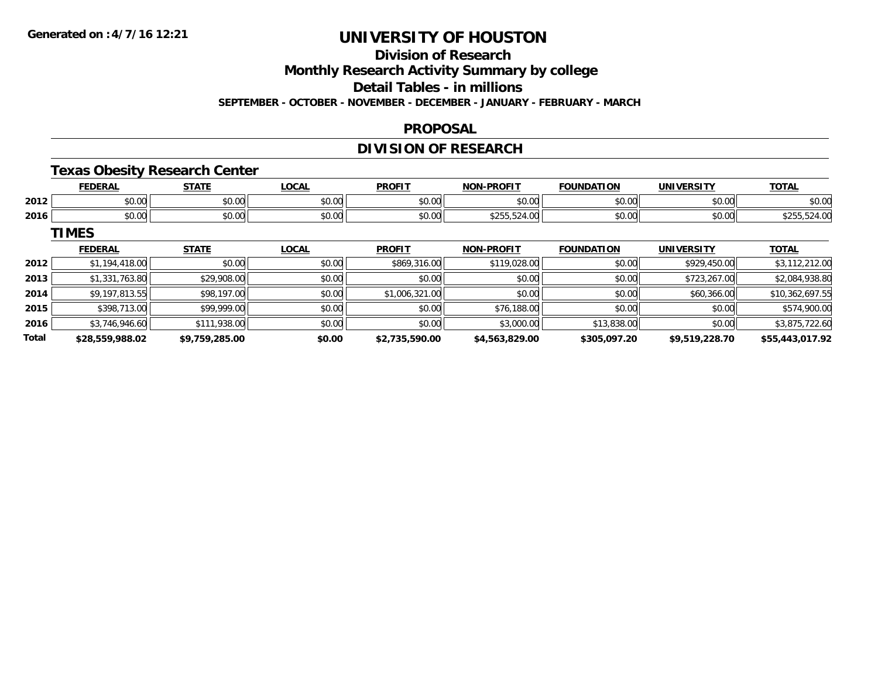# **Division of Research**

**Monthly Research Activity Summary by college**

**Detail Tables - in millions**

**SEPTEMBER - OCTOBER - NOVEMBER - DECEMBER - JANUARY - FEBRUARY - MARCH**

#### **PROPOSAL**

## **DIVISION OF RESEARCH**

### **Texas Obesity Research Center**

|      | <b>NED AI</b><br>ERA | $C = 1$                                                                                 | $\sim$ $\sim$ $\sim$<br>้ บบค.               | <b>PROFIT</b>          | <b>L-PROFIT</b><br>NON- | ΠΟΝ<br><b>COUNIDAT</b> | UNIVERSITY    | <b>TOTAL</b> |
|------|----------------------|-----------------------------------------------------------------------------------------|----------------------------------------------|------------------------|-------------------------|------------------------|---------------|--------------|
| 2012 | \$0.00               | ሐሴ ሰሰ<br>JU.UU                                                                          | $\sim$ $\sim$<br>וטט.טע                      | $\sim$ $\sim$<br>JU.UU | 0 <sup>n</sup><br>JU.UU | \$0.00                 | 0.00<br>JU.UU | \$0.00       |
| 2016 | $\sim$<br>0.00       | $\begin{array}{c} \hline \text{A} & \text{A} & \text{B} \\ \hline \end{array}$<br>JU.UL | $\triangle$ $\triangle$ $\triangle$<br>pu.uu | $\sim$ $\sim$<br>JU.UU | 4.VV<br>$-1$            | \$0.00                 | \$0.00        |              |

**TIMES**

|              | <b>FEDERAL</b>  | <b>STATE</b>   | <u>LOCAL</u> | <b>PROFIT</b>  | <b>NON-PROFIT</b> | <b>FOUNDATION</b> | <b>UNIVERSITY</b> | <b>TOTAL</b>    |
|--------------|-----------------|----------------|--------------|----------------|-------------------|-------------------|-------------------|-----------------|
| 2012         | \$1,194,418.00  | \$0.00         | \$0.00       | \$869,316.00   | \$119,028.00      | \$0.00            | \$929,450.00      | \$3,112,212.00  |
| 2013         | \$1,331,763.80  | \$29,908.00    | \$0.00       | \$0.00         | \$0.00            | \$0.00            | \$723,267.00      | \$2,084,938.80  |
| 2014         | \$9,197,813.55  | \$98,197.00    | \$0.00       | \$1,006,321.00 | \$0.00            | \$0.00            | \$60,366.00       | \$10,362,697.55 |
| 2015         | \$398,713.00    | \$99,999.00    | \$0.00       | \$0.00         | \$76,188.00       | \$0.00            | \$0.00            | \$574,900.00    |
| 2016         | \$3,746,946,60  | \$111,938.00   | \$0.00       | \$0.00         | \$3,000.00        | \$13,838,00       | \$0.00            | \$3,875,722.60  |
| <b>Total</b> | \$28,559,988.02 | \$9,759,285.00 | \$0.00       | \$2,735,590.00 | \$4,563,829.00    | \$305,097.20      | \$9,519,228.70    | \$55,443,017.92 |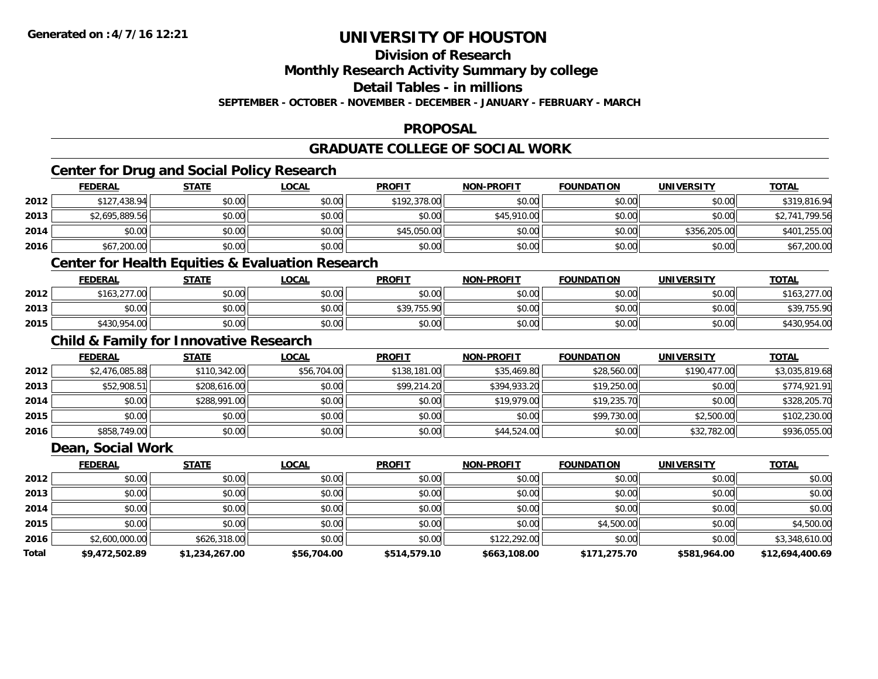# **Division of Research**

**Monthly Research Activity Summary by college**

**Detail Tables - in millions**

**SEPTEMBER - OCTOBER - NOVEMBER - DECEMBER - JANUARY - FEBRUARY - MARCH**

#### **PROPOSAL**

# **GRADUATE COLLEGE OF SOCIAL WORK**

## **Center for Drug and Social Policy Research**

|      | <b>FEDERAL</b> | <u>STATE</u> | <u>LOCAL</u> | <b>PROFIT</b> | <b>NON-PROFIT</b> | <b>FOUNDATION</b> | <b>UNIVERSITY</b> | <b>TOTAL</b>   |
|------|----------------|--------------|--------------|---------------|-------------------|-------------------|-------------------|----------------|
| 2012 | \$127,438.94   | \$0.00       | \$0.00       | \$192,378,00  | \$0.00            | \$0.00            | \$0.00            | \$319,816.94   |
| 2013 | \$2,695,889.56 | \$0.00       | \$0.00       | \$0.00        | \$45,910.00       | \$0.00            | \$0.00            | \$2,741,799.56 |
| 2014 | \$0.00         | \$0.00       | \$0.00       | \$45,050.00   | \$0.00            | \$0.00            | \$356,205,00      | \$401,255.00   |
| 2016 | \$67,200.00    | \$0.00       | \$0.00       | \$0.00        | \$0.00            | \$0.00            | \$0.00            | \$67,200.00    |

### **Center for Health Equities & Evaluation Research**

|      | <b>FEDERAL</b> | <b>STATE</b> | <b>LOCAL</b> | <b>PROFIT</b>             | <b>NON-PROFIT</b> | <b>FOUNDATION</b> | <b>UNIVERSITY</b> | <u>TOTAL</u> |
|------|----------------|--------------|--------------|---------------------------|-------------------|-------------------|-------------------|--------------|
| 2012 | \$163,277.00   | \$0.00       | \$0.00       | \$0.00                    | \$0.00            | \$0.00            | \$0.00            | \$163,2.     |
| 2013 | 0000<br>JU.UU  | \$0.00       | \$0.00       | \$30 755 00<br>JJ , , JJ. | \$0.00            | \$0.00            | \$0.00            | \$39,755.90  |
| 2015 | \$430,954.00   | \$0.00       | \$0.00       | \$0.00                    | \$0.00            | \$0.00            | \$0.00            | \$430,954.00 |

### **Child & Family for Innovative Research**

|      | <b>FEDERAL</b> | <b>STATE</b> | <u>LOCAL</u> | <b>PROFIT</b> | <b>NON-PROFIT</b> | <b>FOUNDATION</b> | <b>UNIVERSITY</b> | <b>TOTAL</b>   |
|------|----------------|--------------|--------------|---------------|-------------------|-------------------|-------------------|----------------|
| 2012 | \$2,476,085.88 | \$110,342.00 | \$56,704.00  | \$138,181.00  | \$35,469.80       | \$28,560.00       | \$190,477.00      | \$3,035,819.68 |
| 2013 | \$52,908.51    | \$208,616.00 | \$0.00       | \$99,214.20   | \$394,933.20      | \$19,250.00       | \$0.00            | \$774,921.91   |
| 2014 | \$0.00         | \$288,991.00 | \$0.00       | \$0.00        | \$19,979.00       | \$19,235.70       | \$0.00            | \$328,205.70   |
| 2015 | \$0.00         | \$0.00       | \$0.00       | \$0.00        | \$0.00            | \$99,730.00       | \$2,500.00        | \$102,230.00   |
| 2016 | \$858,749.00   | \$0.00       | \$0.00       | \$0.00        | \$44,524.00       | \$0.00            | \$32,782.00       | \$936,055.00   |

#### **Dean, Social Work**

|       | <b>FEDERAL</b> | <b>STATE</b>   | <b>LOCAL</b> | <b>PROFIT</b> | <b>NON-PROFIT</b> | <b>FOUNDATION</b> | <b>UNIVERSITY</b> | <u>TOTAL</u>    |
|-------|----------------|----------------|--------------|---------------|-------------------|-------------------|-------------------|-----------------|
| 2012  | \$0.00         | \$0.00         | \$0.00       | \$0.00        | \$0.00            | \$0.00            | \$0.00            | \$0.00          |
| 2013  | \$0.00         | \$0.00         | \$0.00       | \$0.00        | \$0.00            | \$0.00            | \$0.00            | \$0.00          |
| 2014  | \$0.00         | \$0.00         | \$0.00       | \$0.00        | \$0.00            | \$0.00            | \$0.00            | \$0.00          |
| 2015  | \$0.00         | \$0.00         | \$0.00       | \$0.00        | \$0.00            | \$4,500.00        | \$0.00            | \$4,500.00      |
| 2016  | \$2,600,000.00 | \$626,318.00   | \$0.00       | \$0.00        | \$122,292.00      | \$0.00            | \$0.00            | \$3,348,610.00  |
| Total | \$9,472,502.89 | \$1,234,267.00 | \$56,704.00  | \$514,579.10  | \$663,108.00      | \$171,275.70      | \$581,964.00      | \$12,694,400.69 |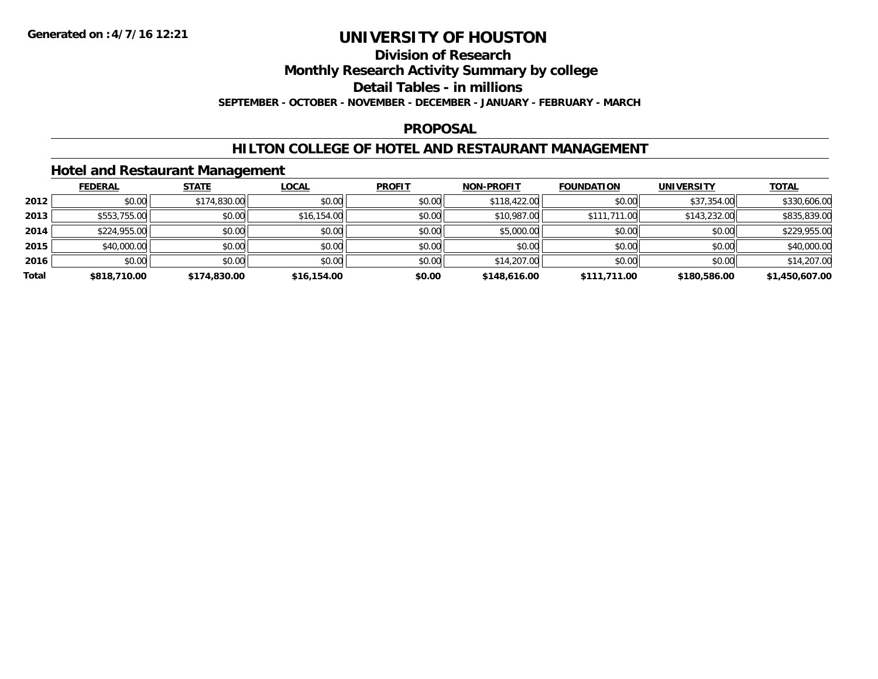#### **Division of Research**

**Monthly Research Activity Summary by college**

**Detail Tables - in millions**

**SEPTEMBER - OCTOBER - NOVEMBER - DECEMBER - JANUARY - FEBRUARY - MARCH**

#### **PROPOSAL**

### **HILTON COLLEGE OF HOTEL AND RESTAURANT MANAGEMENT**

### **Hotel and Restaurant Management**

|       | <b>FEDERAL</b> | <b>STATE</b> | <b>LOCAL</b> | <b>PROFIT</b> | <b>NON-PROFIT</b> | <b>FOUNDATION</b> | <b>UNIVERSITY</b> | <b>TOTAL</b>   |
|-------|----------------|--------------|--------------|---------------|-------------------|-------------------|-------------------|----------------|
| 2012  | \$0.00         | \$174,830.00 | \$0.00       | \$0.00        | \$118,422.00      | \$0.00            | \$37,354.00       | \$330,606.00   |
| 2013  | \$553,755.00   | \$0.00       | \$16,154.00  | \$0.00        | \$10,987.00       | \$111,711.00      | \$143,232.00      | \$835,839.00   |
| 2014  | \$224,955.00   | \$0.00       | \$0.00       | \$0.00        | \$5,000.00        | \$0.00            | \$0.00            | \$229,955.00   |
| 2015  | \$40,000.00    | \$0.00       | \$0.00       | \$0.00        | \$0.00            | \$0.00            | \$0.00            | \$40,000.00    |
| 2016  | \$0.00         | \$0.00       | \$0.00       | \$0.00        | \$14,207.00       | \$0.00            | \$0.00            | \$14,207.00    |
| Total | \$818,710.00   | \$174,830.00 | \$16,154.00  | \$0.00        | \$148,616.00      | \$111,711.00      | \$180,586.00      | \$1,450,607.00 |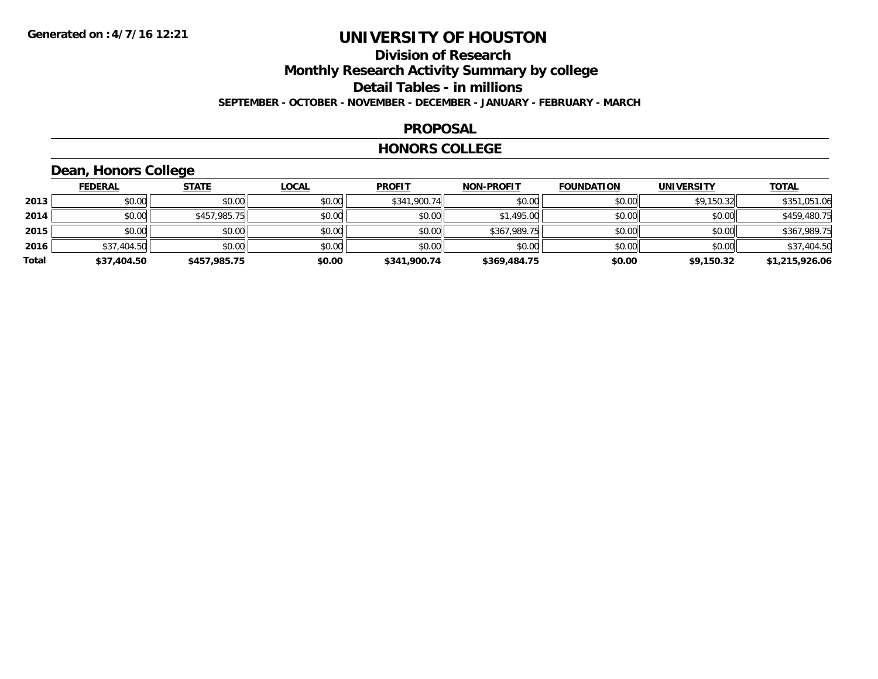### **Division of Research Monthly Research Activity Summary by college Detail Tables - in millions SEPTEMBER - OCTOBER - NOVEMBER - DECEMBER - JANUARY - FEBRUARY - MARCH**

#### **PROPOSAL**

#### **HONORS COLLEGE**

# **Dean, Honors College**

|       | <b>FEDERAL</b> | <b>STATE</b> | <u>LOCAL</u> | <b>PROFIT</b> | <b>NON-PROFIT</b> | <b>FOUNDATION</b> | <b>UNIVERSITY</b> | <b>TOTAL</b>   |
|-------|----------------|--------------|--------------|---------------|-------------------|-------------------|-------------------|----------------|
| 2013  | \$0.00         | \$0.00       | \$0.00       | \$341,900.74  | \$0.00            | \$0.00            | \$9,150.32        | \$351,051.06   |
| 2014  | \$0.00         | \$457,985.75 | \$0.00       | \$0.00        | \$1,495.00        | \$0.00            | \$0.00            | \$459,480.75   |
| 2015  | \$0.00         | \$0.00       | \$0.00       | \$0.00        | \$367,989.75      | \$0.00            | \$0.00            | \$367,989.75   |
| 2016  | \$37,404.50    | \$0.00       | \$0.00       | \$0.00        | \$0.00            | \$0.00            | \$0.00            | \$37,404.50    |
| Total | \$37,404.50    | \$457,985.75 | \$0.00       | \$341,900.74  | \$369,484.75      | \$0.00            | \$9,150.32        | \$1,215,926.06 |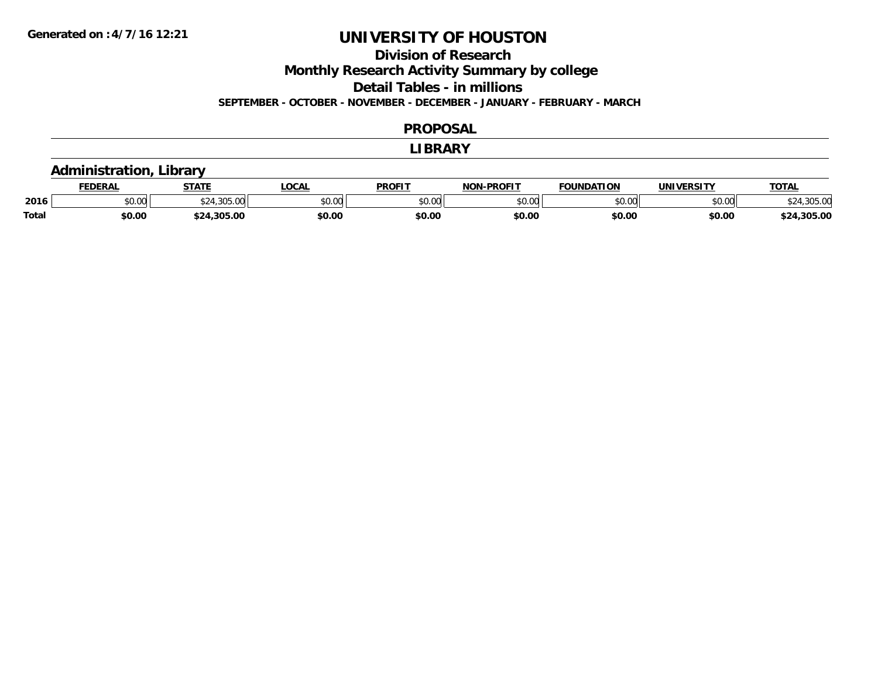# **Division of Research**

**Monthly Research Activity Summary by college**

**Detail Tables - in millions**

**SEPTEMBER - OCTOBER - NOVEMBER - DECEMBER - JANUARY - FEBRUARY - MARCH**

#### **PROPOSAL**

#### **LIBRARY**

### **Administration, Library**

|              | <b>EDERAL</b> | <b>STATE</b>   | <b>LOCAL</b>  | PROFIT        | $LDD$ $OLIT$<br>NIAN | <b>FOUNDATION</b> | UNIVERSITY | <b>TOTAL</b>     |
|--------------|---------------|----------------|---------------|---------------|----------------------|-------------------|------------|------------------|
| 2016         | \$0.00        | 20F            | 0000<br>vu.uu | 0000<br>vv.vv | 0000<br>,u.uu        | 0000              | \$0.00     | $\sim$           |
| <b>Total</b> | \$0.00        | ぐつハ<br>.305.00 | \$0.00        | \$0.00        | \$0.00               | \$0.00            | \$0.00     | .305.00<br>$+2.$ |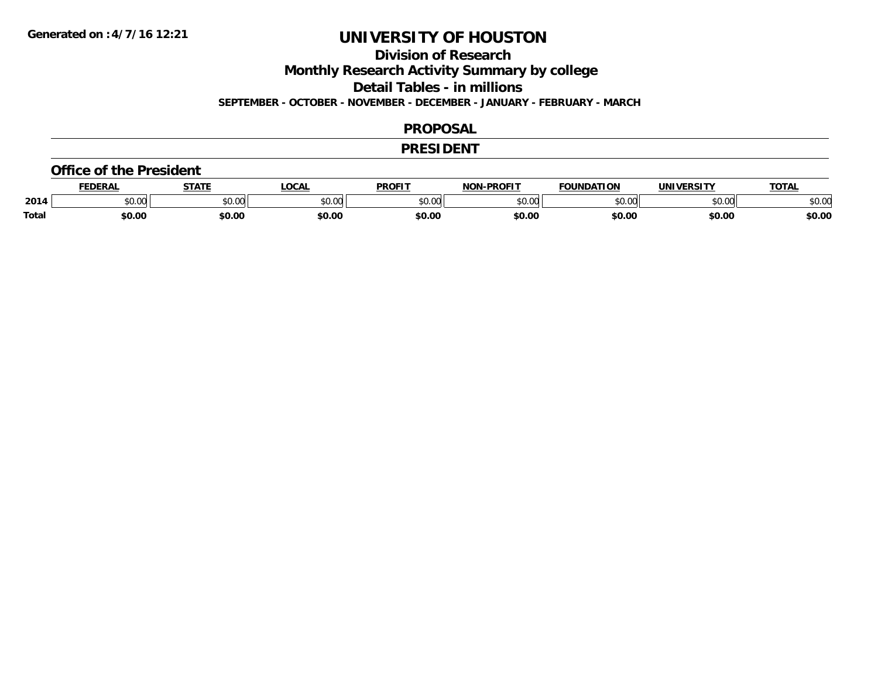## **Division of Research**

**Monthly Research Activity Summary by college**

**Detail Tables - in millions**

**SEPTEMBER - OCTOBER - NOVEMBER - DECEMBER - JANUARY - FEBRUARY - MARCH**

#### **PROPOSAL**

#### **PRESIDENT**

#### **Office of the President**

|       | EDERAL | <b>STATE</b>       | <b>OCAL</b> | PROFIT        | <b>I-PROFIT</b><br>וחרות | <b>FOUNDATION</b> | UNIVERSITY | <b>TOTAL</b>  |
|-------|--------|--------------------|-------------|---------------|--------------------------|-------------------|------------|---------------|
| 2014  | \$0.00 | $\sim$ 00<br>vv.vv | \$0.00      | 0000<br>vv.vv | 0000<br>,u.uu            | \$0.00            | \$0.00     | 0000<br>JU.UU |
| Total | \$0.00 | \$0.00             | \$0.00      | \$0.00        | \$0.00                   | \$0.00            | \$0.00     | \$0.00        |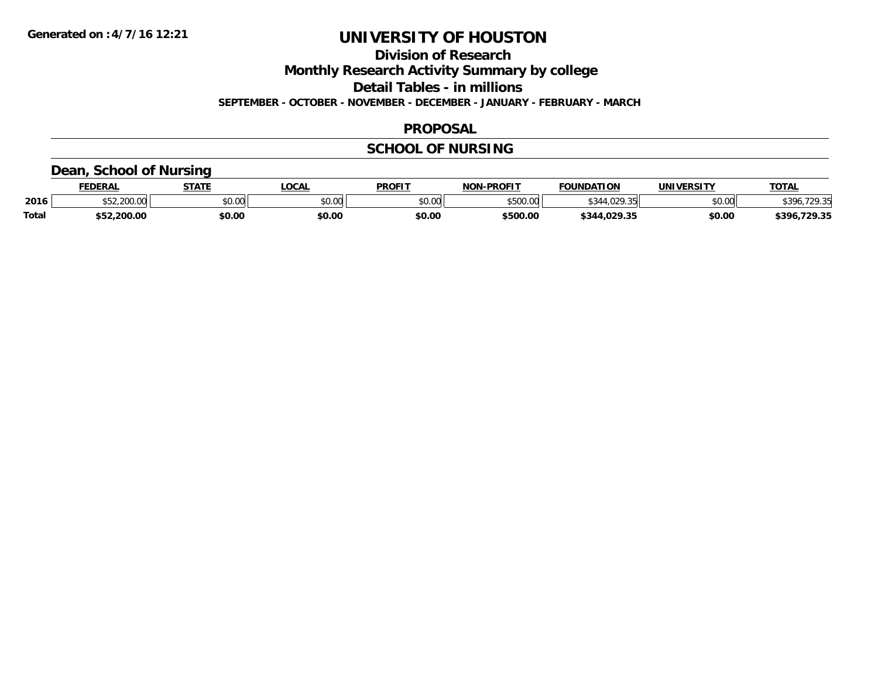**Division of Research**

**Monthly Research Activity Summary by college**

**Detail Tables - in millions**

**SEPTEMBER - OCTOBER - NOVEMBER - DECEMBER - JANUARY - FEBRUARY - MARCH**

### **PROPOSAL**

## **SCHOOL OF NURSING**

### **Dean, School of Nursing**

|              | <b>FEDERAL</b> | <b>STATE</b><br>"מ | <b>OCAL</b> | <b>PROFIT</b> | -PROFIT<br>NON.    | <b>FOUNDATION</b> | <b>UNIVERSITY</b> | <b>TOTAL</b>              |
|--------------|----------------|--------------------|-------------|---------------|--------------------|-------------------|-------------------|---------------------------|
| 2016         | .200.00        | \$0.00             | JU.UU       | \$0.00        | 0.50000<br>JJUU.UU | $ -$<br>. UZ      | \$0.00            | 20.25<br>120 <sub>h</sub> |
| <b>Total</b> | \$52,200.00    | \$0.00             | \$0.00      | \$0.00        | \$500.00           | \$344.029.35      | \$0.00            | .729.35<br>\$396,         |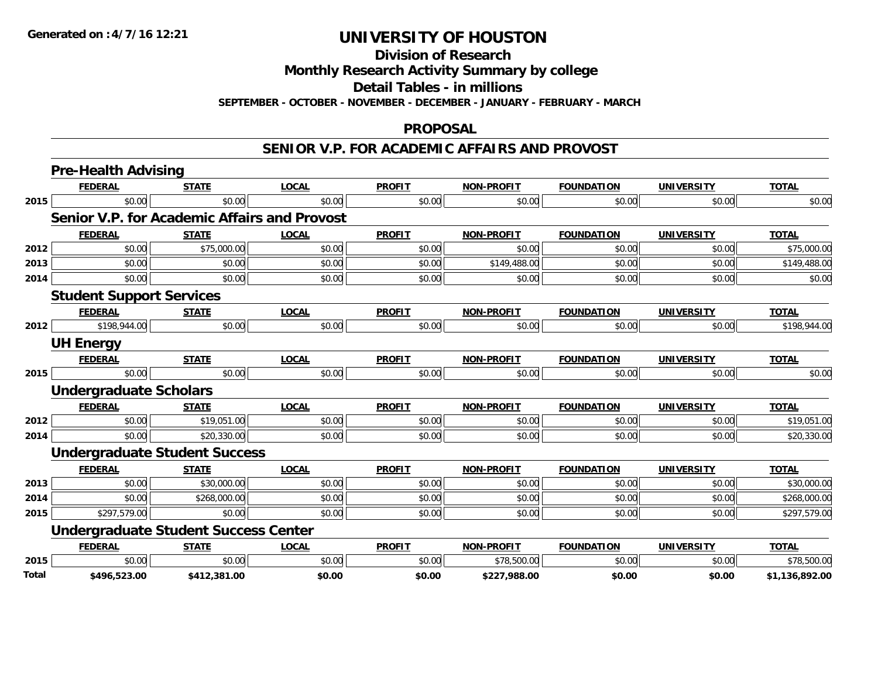**Division of Research**

**Monthly Research Activity Summary by college**

**Detail Tables - in millions**

**SEPTEMBER - OCTOBER - NOVEMBER - DECEMBER - JANUARY - FEBRUARY - MARCH**

#### **PROPOSAL**

#### **SENIOR V.P. FOR ACADEMIC AFFAIRS AND PROVOST**

|              | <b>Pre-Health Advising</b>                          |              |              |               |                   |                   |                   |                |
|--------------|-----------------------------------------------------|--------------|--------------|---------------|-------------------|-------------------|-------------------|----------------|
|              | <b>FEDERAL</b>                                      | <b>STATE</b> | <b>LOCAL</b> | <b>PROFIT</b> | <b>NON-PROFIT</b> | <b>FOUNDATION</b> | <b>UNIVERSITY</b> | <b>TOTAL</b>   |
| 2015         | \$0.00                                              | \$0.00       | \$0.00       | \$0.00        | \$0.00            | \$0.00            | \$0.00            | \$0.00         |
|              | <b>Senior V.P. for Academic Affairs and Provost</b> |              |              |               |                   |                   |                   |                |
|              | <b>FEDERAL</b>                                      | <b>STATE</b> | <b>LOCAL</b> | <b>PROFIT</b> | <b>NON-PROFIT</b> | <b>FOUNDATION</b> | <b>UNIVERSITY</b> | <b>TOTAL</b>   |
| 2012         | \$0.00                                              | \$75,000.00  | \$0.00       | \$0.00        | \$0.00            | \$0.00            | \$0.00            | \$75,000.00    |
| 2013         | \$0.00                                              | \$0.00       | \$0.00       | \$0.00        | \$149,488.00      | \$0.00            | \$0.00            | \$149,488.00   |
| 2014         | \$0.00                                              | \$0.00       | \$0.00       | \$0.00        | \$0.00            | \$0.00            | \$0.00            | \$0.00         |
|              | <b>Student Support Services</b>                     |              |              |               |                   |                   |                   |                |
|              | <b>FEDERAL</b>                                      | <b>STATE</b> | <b>LOCAL</b> | <b>PROFIT</b> | <b>NON-PROFIT</b> | <b>FOUNDATION</b> | <b>UNIVERSITY</b> | <b>TOTAL</b>   |
| 2012         | \$198,944.00                                        | \$0.00       | \$0.00       | \$0.00        | \$0.00            | \$0.00            | \$0.00            | \$198,944.00   |
|              | <b>UH Energy</b>                                    |              |              |               |                   |                   |                   |                |
|              | <b>FEDERAL</b>                                      | <b>STATE</b> | <b>LOCAL</b> | <b>PROFIT</b> | <b>NON-PROFIT</b> | <b>FOUNDATION</b> | <b>UNIVERSITY</b> | <b>TOTAL</b>   |
| 2015         | \$0.00                                              | \$0.00       | \$0.00       | \$0.00        | \$0.00            | \$0.00            | \$0.00            | \$0.00         |
|              | <b>Undergraduate Scholars</b>                       |              |              |               |                   |                   |                   |                |
|              | <b>FEDERAL</b>                                      | <b>STATE</b> | <b>LOCAL</b> | <b>PROFIT</b> | <b>NON-PROFIT</b> | <b>FOUNDATION</b> | <b>UNIVERSITY</b> | <b>TOTAL</b>   |
| 2012         | \$0.00                                              | \$19,051.00  | \$0.00       | \$0.00        | \$0.00            | \$0.00            | \$0.00            | \$19,051.00    |
| 2014         | \$0.00                                              | \$20,330.00  | \$0.00       | \$0.00        | \$0.00            | \$0.00            | \$0.00            | \$20,330.00    |
|              | <b>Undergraduate Student Success</b>                |              |              |               |                   |                   |                   |                |
|              | <b>FEDERAL</b>                                      | <b>STATE</b> | <b>LOCAL</b> | <b>PROFIT</b> | <b>NON-PROFIT</b> | <b>FOUNDATION</b> | <b>UNIVERSITY</b> | <b>TOTAL</b>   |
| 2013         | \$0.00                                              | \$30,000.00  | \$0.00       | \$0.00        | \$0.00            | \$0.00            | \$0.00            | \$30,000.00    |
| 2014         | \$0.00                                              | \$268,000.00 | \$0.00       | \$0.00        | \$0.00            | \$0.00            | \$0.00            | \$268,000.00   |
| 2015         | \$297,579.00                                        | \$0.00       | \$0.00       | \$0.00        | \$0.00            | \$0.00            | \$0.00            | \$297,579.00   |
|              | <b>Undergraduate Student Success Center</b>         |              |              |               |                   |                   |                   |                |
|              | <b>FEDERAL</b>                                      | <b>STATE</b> | <b>LOCAL</b> | <b>PROFIT</b> | <b>NON-PROFIT</b> | <b>FOUNDATION</b> | <b>UNIVERSITY</b> | <b>TOTAL</b>   |
| 2015         | \$0.00                                              | \$0.00       | \$0.00       | \$0.00        | \$78,500.00       | \$0.00            | \$0.00            | \$78,500.00    |
| <b>Total</b> | \$496,523.00                                        | \$412,381.00 | \$0.00       | \$0.00        | \$227,988.00      | \$0.00            | \$0.00            | \$1,136,892.00 |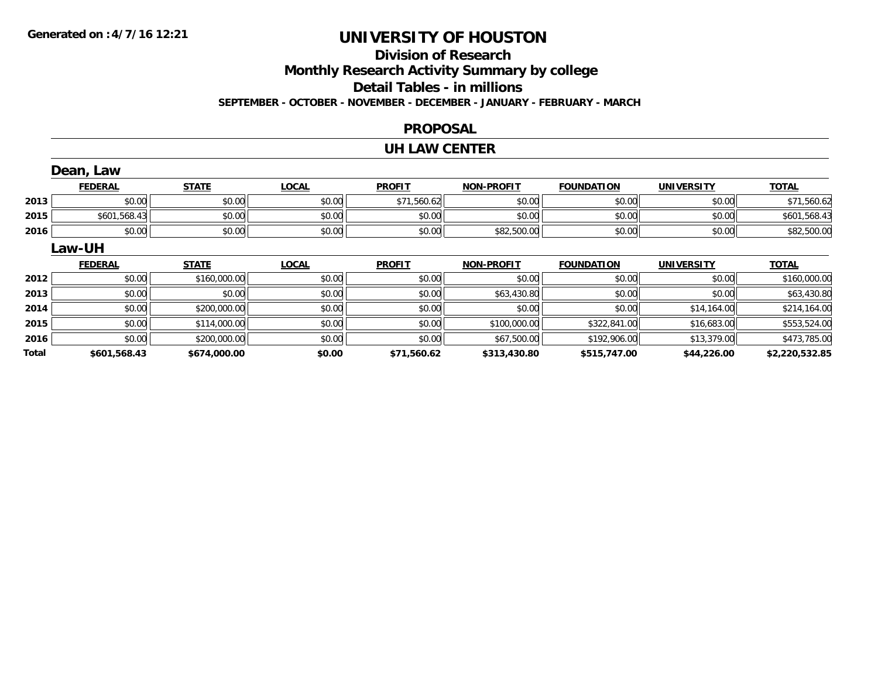## **Division of ResearchMonthly Research Activity Summary by college Detail Tables - in millions SEPTEMBER - OCTOBER - NOVEMBER - DECEMBER - JANUARY - FEBRUARY - MARCH**

#### **PROPOSAL**

#### **UH LAW CENTER**

|       | Dean, Law      |              |              |               |                   |                   |                   |                |
|-------|----------------|--------------|--------------|---------------|-------------------|-------------------|-------------------|----------------|
|       | <b>FEDERAL</b> | <b>STATE</b> | <b>LOCAL</b> | <b>PROFIT</b> | <b>NON-PROFIT</b> | <b>FOUNDATION</b> | <b>UNIVERSITY</b> | <b>TOTAL</b>   |
| 2013  | \$0.00         | \$0.00       | \$0.00       | \$71,560.62   | \$0.00            | \$0.00            | \$0.00            | \$71,560.62    |
| 2015  | \$601,568.43   | \$0.00       | \$0.00       | \$0.00        | \$0.00            | \$0.00            | \$0.00            | \$601,568.43   |
| 2016  | \$0.00         | \$0.00       | \$0.00       | \$0.00        | \$82,500.00       | \$0.00            | \$0.00            | \$82,500.00    |
|       | Law-UH         |              |              |               |                   |                   |                   |                |
|       | <b>FEDERAL</b> | <b>STATE</b> | <b>LOCAL</b> | <b>PROFIT</b> | <b>NON-PROFIT</b> | <b>FOUNDATION</b> | <b>UNIVERSITY</b> | <b>TOTAL</b>   |
| 2012  | \$0.00         | \$160,000.00 | \$0.00       | \$0.00        | \$0.00            | \$0.00            | \$0.00            | \$160,000.00   |
| 2013  | \$0.00         | \$0.00       | \$0.00       | \$0.00        | \$63,430.80       | \$0.00            | \$0.00            | \$63,430.80    |
| 2014  | \$0.00         | \$200,000.00 | \$0.00       | \$0.00        | \$0.00            | \$0.00            | \$14,164.00       | \$214,164.00   |
| 2015  | \$0.00         | \$114,000.00 | \$0.00       | \$0.00        | \$100,000.00      | \$322,841.00      | \$16,683.00       | \$553,524.00   |
| 2016  | \$0.00         | \$200,000.00 | \$0.00       | \$0.00        | \$67,500.00       | \$192,906.00      | \$13,379.00       | \$473,785.00   |
| Total | \$601,568.43   | \$674,000.00 | \$0.00       | \$71,560.62   | \$313,430.80      | \$515,747.00      | \$44,226.00       | \$2,220,532.85 |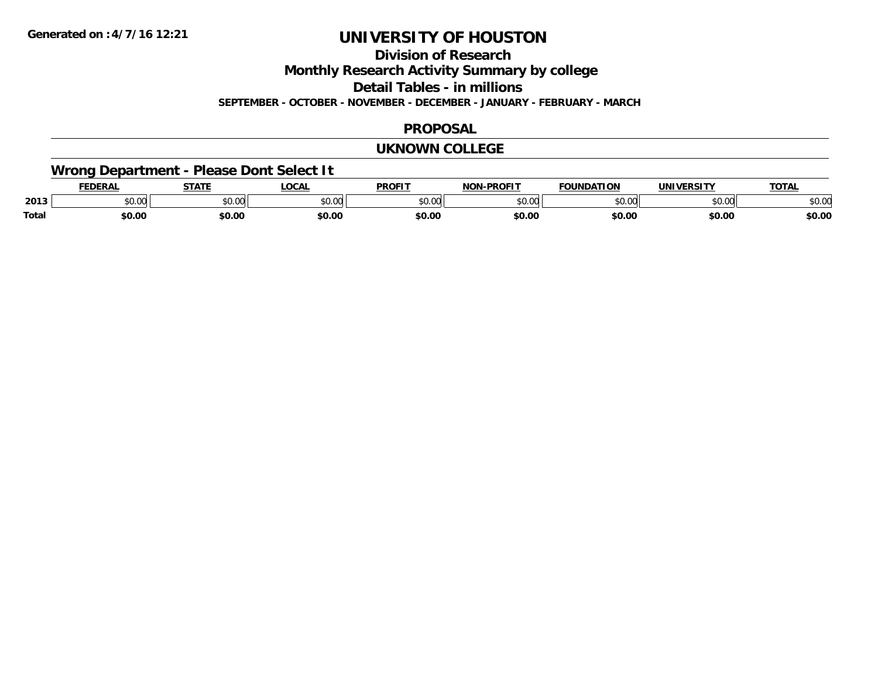**Division of Research**

**Monthly Research Activity Summary by college**

**Detail Tables - in millions**

**SEPTEMBER - OCTOBER - NOVEMBER - DECEMBER - JANUARY - FEBRUARY - MARCH**

### **PROPOSAL**

#### **UKNOWN COLLEGE**

# **Wrong Department - Please Dont Select It**

|              | FEDEDA | <b>STATE</b>  | LOCAI          | <b>PROFIT</b> | <b>PROFIT</b><br>ימו | FOUNDAT<br><b></b> | <b>INIVE</b>       | <b>TOTAL</b> |
|--------------|--------|---------------|----------------|---------------|----------------------|--------------------|--------------------|--------------|
| 2013         | JU.UU  | 0000<br>งบ.บเ | ტი იი<br>DU.UU | 0000<br>u.uu  | \$0.00               | ሐሴ ሰጠ              | $\sim$ 00<br>JU.UU | \$0.OC       |
| <b>Total</b> | \$0.00 | \$0.00        | \$0.00         | \$0.00        | \$0.00               | \$0.00             | \$0.00             | \$0.00       |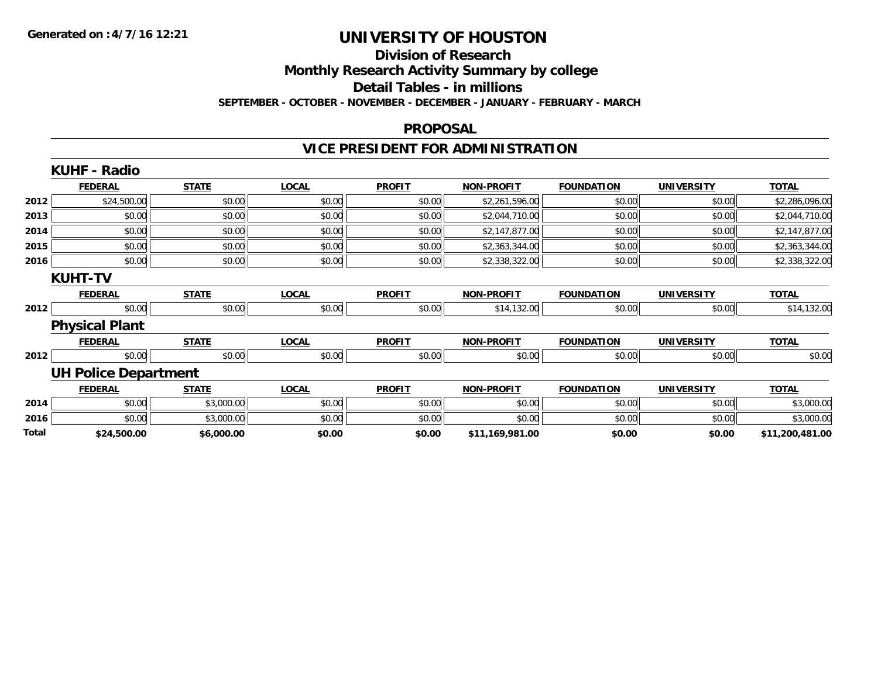# **Division of Research**

**Monthly Research Activity Summary by college**

**Detail Tables - in millions**

**SEPTEMBER - OCTOBER - NOVEMBER - DECEMBER - JANUARY - FEBRUARY - MARCH**

#### **PROPOSAL**

# **VICE PRESIDENT FOR ADMINISTRATION**

|       | <b>KUHF - Radio</b>         |              |              |               |                   |                   |                   |                 |
|-------|-----------------------------|--------------|--------------|---------------|-------------------|-------------------|-------------------|-----------------|
|       | <b>FEDERAL</b>              | <b>STATE</b> | <b>LOCAL</b> | <b>PROFIT</b> | <b>NON-PROFIT</b> | <b>FOUNDATION</b> | <b>UNIVERSITY</b> | <b>TOTAL</b>    |
| 2012  | \$24,500.00                 | \$0.00       | \$0.00       | \$0.00        | \$2,261,596.00    | \$0.00            | \$0.00            | \$2,286,096.00  |
| 2013  | \$0.00                      | \$0.00       | \$0.00       | \$0.00        | \$2,044,710.00    | \$0.00            | \$0.00            | \$2,044,710.00  |
| 2014  | \$0.00                      | \$0.00       | \$0.00       | \$0.00        | \$2,147,877.00    | \$0.00            | \$0.00            | \$2,147,877.00  |
| 2015  | \$0.00                      | \$0.00       | \$0.00       | \$0.00        | \$2,363,344.00    | \$0.00            | \$0.00            | \$2,363,344.00  |
| 2016  | \$0.00                      | \$0.00       | \$0.00       | \$0.00        | \$2,338,322.00    | \$0.00            | \$0.00            | \$2,338,322.00  |
|       | <b>KUHT-TV</b>              |              |              |               |                   |                   |                   |                 |
|       | <b>FEDERAL</b>              | <b>STATE</b> | <b>LOCAL</b> | <b>PROFIT</b> | <b>NON-PROFIT</b> | <b>FOUNDATION</b> | <b>UNIVERSITY</b> | <b>TOTAL</b>    |
| 2012  | \$0.00                      | \$0.00       | \$0.00       | \$0.00        | \$14,132.00       | \$0.00            | \$0.00            | \$14,132.00     |
|       | <b>Physical Plant</b>       |              |              |               |                   |                   |                   |                 |
|       | <b>FEDERAL</b>              | <b>STATE</b> | <b>LOCAL</b> | <b>PROFIT</b> | <b>NON-PROFIT</b> | <b>FOUNDATION</b> | <b>UNIVERSITY</b> | <b>TOTAL</b>    |
| 2012  | \$0.00                      | \$0.00       | \$0.00       | \$0.00        | \$0.00            | \$0.00            | \$0.00            | \$0.00          |
|       | <b>UH Police Department</b> |              |              |               |                   |                   |                   |                 |
|       | <b>FEDERAL</b>              | <b>STATE</b> | <b>LOCAL</b> | <b>PROFIT</b> | <b>NON-PROFIT</b> | <b>FOUNDATION</b> | <b>UNIVERSITY</b> | <b>TOTAL</b>    |
| 2014  | \$0.00                      | \$3,000.00   | \$0.00       | \$0.00        | \$0.00            | \$0.00            | \$0.00            | \$3,000.00      |
| 2016  | \$0.00                      | \$3,000.00   | \$0.00       | \$0.00        | \$0.00            | \$0.00            | \$0.00            | \$3,000.00      |
| Total | \$24,500.00                 | \$6,000.00   | \$0.00       | \$0.00        | \$11,169,981.00   | \$0.00            | \$0.00            | \$11,200,481.00 |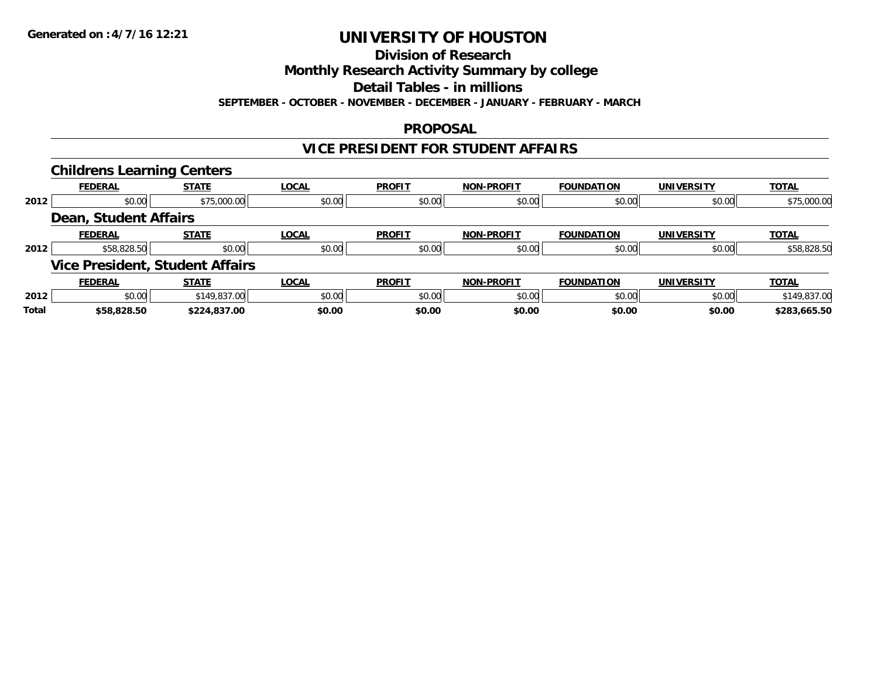**Division of Research**

**Monthly Research Activity Summary by college**

**Detail Tables - in millions**

**SEPTEMBER - OCTOBER - NOVEMBER - DECEMBER - JANUARY - FEBRUARY - MARCH**

### **PROPOSAL**

### **VICE PRESIDENT FOR STUDENT AFFAIRS**

|       | <b>Childrens Learning Centers</b> |                                        |              |               |                   |                   |                   |              |
|-------|-----------------------------------|----------------------------------------|--------------|---------------|-------------------|-------------------|-------------------|--------------|
|       | <b>FEDERAL</b>                    | <b>STATE</b>                           | <b>LOCAL</b> | <b>PROFIT</b> | <b>NON-PROFIT</b> | <b>FOUNDATION</b> | <b>UNIVERSITY</b> | <b>TOTAL</b> |
| 2012  | \$0.00                            | \$75,000.00                            | \$0.00       | \$0.00        | \$0.00            | \$0.00            | \$0.00            | \$75,000.00  |
|       | <b>Dean, Student Affairs</b>      |                                        |              |               |                   |                   |                   |              |
|       | <b>FEDERAL</b>                    | <b>STATE</b>                           | <b>LOCAL</b> | <b>PROFIT</b> | <b>NON-PROFIT</b> | <b>FOUNDATION</b> | <b>UNIVERSITY</b> | <b>TOTAL</b> |
| 2012  | \$58,828.50                       | \$0.00                                 | \$0.00       | \$0.00        | \$0.00            | \$0.00            | \$0.00            | \$58,828.50  |
|       |                                   | <b>Vice President, Student Affairs</b> |              |               |                   |                   |                   |              |
|       | <b>FEDERAL</b>                    | <b>STATE</b>                           | <b>LOCAL</b> | <b>PROFIT</b> | <b>NON-PROFIT</b> | <b>FOUNDATION</b> | <b>UNIVERSITY</b> | <b>TOTAL</b> |
| 2012  | \$0.00                            | \$149,837.00                           | \$0.00       | \$0.00        | \$0.00            | \$0.00            | \$0.00            | \$149,837.00 |
| Total | \$58,828.50                       | \$224,837.00                           | \$0.00       | \$0.00        | \$0.00            | \$0.00            | \$0.00            | \$283,665.50 |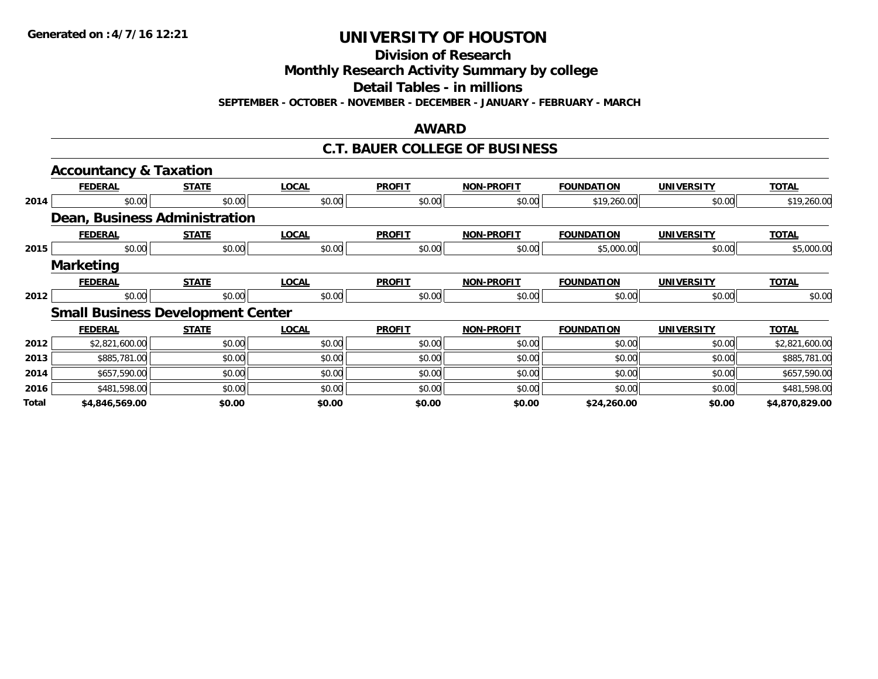**Division of Research**

**Monthly Research Activity Summary by college**

**Detail Tables - in millions**

**SEPTEMBER - OCTOBER - NOVEMBER - DECEMBER - JANUARY - FEBRUARY - MARCH**

### **AWARD**

#### **C.T. BAUER COLLEGE OF BUSINESS**

|       | <b>Accountancy &amp; Taxation</b>        |              |              |               |                   |                   |                   |                |
|-------|------------------------------------------|--------------|--------------|---------------|-------------------|-------------------|-------------------|----------------|
|       | <b>FEDERAL</b>                           | <b>STATE</b> | <b>LOCAL</b> | <b>PROFIT</b> | <b>NON-PROFIT</b> | <b>FOUNDATION</b> | <b>UNIVERSITY</b> | <b>TOTAL</b>   |
| 2014  | \$0.00                                   | \$0.00       | \$0.00       | \$0.00        | \$0.00            | \$19,260.00       | \$0.00            | \$19,260.00    |
|       | Dean, Business Administration            |              |              |               |                   |                   |                   |                |
|       | <b>FEDERAL</b>                           | <b>STATE</b> | <b>LOCAL</b> | <b>PROFIT</b> | <b>NON-PROFIT</b> | <b>FOUNDATION</b> | <b>UNIVERSITY</b> | <b>TOTAL</b>   |
| 2015  | \$0.00                                   | \$0.00       | \$0.00       | \$0.00        | \$0.00            | \$5,000.00        | \$0.00            | \$5,000.00     |
|       | <b>Marketing</b>                         |              |              |               |                   |                   |                   |                |
|       | <b>FEDERAL</b>                           | <b>STATE</b> | <b>LOCAL</b> | <b>PROFIT</b> | <b>NON-PROFIT</b> | <b>FOUNDATION</b> | <b>UNIVERSITY</b> | <b>TOTAL</b>   |
| 2012  | \$0.00                                   | \$0.00       | \$0.00       | \$0.00        | \$0.00            | \$0.00            | \$0.00            | \$0.00         |
|       | <b>Small Business Development Center</b> |              |              |               |                   |                   |                   |                |
|       | <b>FEDERAL</b>                           | <b>STATE</b> | <b>LOCAL</b> | <b>PROFIT</b> | <b>NON-PROFIT</b> | <b>FOUNDATION</b> | <b>UNIVERSITY</b> | <b>TOTAL</b>   |
| 2012  | \$2,821,600.00                           | \$0.00       | \$0.00       | \$0.00        | \$0.00            | \$0.00            | \$0.00            | \$2,821,600.00 |
| 2013  | \$885,781.00                             | \$0.00       | \$0.00       | \$0.00        | \$0.00            | \$0.00            | \$0.00            | \$885,781.00   |
| 2014  | \$657,590.00                             | \$0.00       | \$0.00       | \$0.00        | \$0.00            | \$0.00            | \$0.00            | \$657,590.00   |
| 2016  | \$481,598.00                             | \$0.00       | \$0.00       | \$0.00        | \$0.00            | \$0.00            | \$0.00            | \$481,598.00   |
| Total | \$4,846,569.00                           | \$0.00       | \$0.00       | \$0.00        | \$0.00            | \$24,260.00       | \$0.00            | \$4,870,829.00 |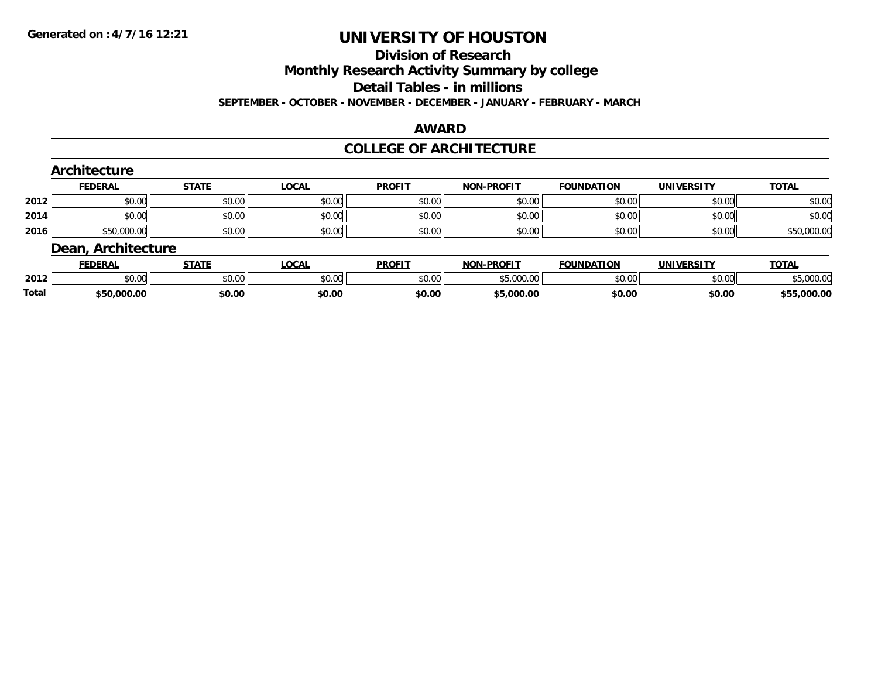#### **Division of Research**

**Monthly Research Activity Summary by college**

**Detail Tables - in millions**

**SEPTEMBER - OCTOBER - NOVEMBER - DECEMBER - JANUARY - FEBRUARY - MARCH**

#### **AWARD**

### **COLLEGE OF ARCHITECTURE**

|      | Architecture       |              |              |               |                   |                   |                   |              |
|------|--------------------|--------------|--------------|---------------|-------------------|-------------------|-------------------|--------------|
|      | <b>FEDERAL</b>     | <b>STATE</b> | <u>LOCAL</u> | <b>PROFIT</b> | <b>NON-PROFIT</b> | <b>FOUNDATION</b> | <b>UNIVERSITY</b> | <b>TOTAL</b> |
| 2012 | \$0.00             | \$0.00       | \$0.00       | \$0.00        | \$0.00            | \$0.00            | \$0.00            | \$0.00       |
| 2014 | \$0.00             | \$0.00       | \$0.00       | \$0.00        | \$0.00            | \$0.00            | \$0.00            | \$0.00       |
| 2016 | \$50,000.00        | \$0.00       | \$0.00       | \$0.00        | \$0.00            | \$0.00            | \$0.00            | \$50,000.00  |
|      | Dean, Architecture |              |              |               |                   |                   |                   |              |
|      | <b>FEDERAL</b>     | <b>STATE</b> | LOCAL        | <b>PROFIT</b> | <b>NON-PROFIT</b> | <b>FOUNDATION</b> | <b>UNIVERSITY</b> | <b>TOTAL</b> |

|       | レレレいハレ             | 3 I A I I | ๛๛                     | г I Чина II на 1990 година II на 1990 година <u>пр</u> | <br>FN VIII                            | <b>UUIVUATIUN</b> | <u>UNIVERJII</u> | $\sim$          |
|-------|--------------------|-----------|------------------------|--------------------------------------------------------|----------------------------------------|-------------------|------------------|-----------------|
| 2012  | $\sim$ 00<br>DU.UU | \$0.00    | $\sim$ $\sim$<br>vu.vu | \$0.00                                                 | $E_{C}$ 000.00<br>$\cdot$ u<br>טטס, טע | \$0.00            | \$0.00           | 000.00          |
| Total | \$50,000.00        | \$0.00    | \$0.00                 | \$0.00                                                 | 5,000.00                               | \$0.00            | \$0.00           | 000.00, ر<br>45 |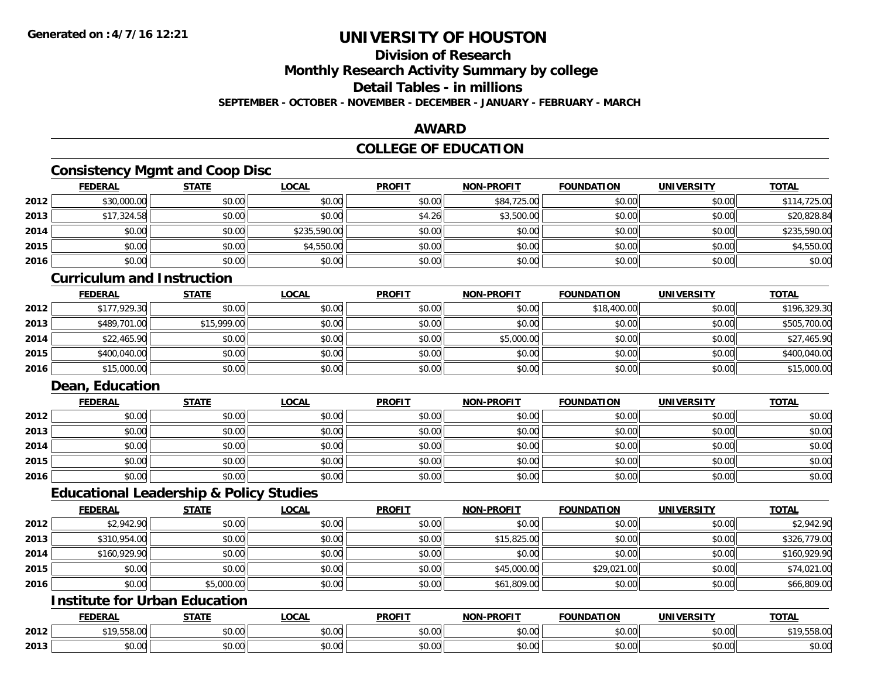# **Division of Research**

**Monthly Research Activity Summary by college**

**Detail Tables - in millions**

**SEPTEMBER - OCTOBER - NOVEMBER - DECEMBER - JANUARY - FEBRUARY - MARCH**

### **AWARD**

## **COLLEGE OF EDUCATION**

## **Consistency Mgmt and Coop Disc**

|      | <b>FEDERAL</b> | <b>STATE</b> | <u>LOCAL</u> | <b>PROFIT</b> | <b>NON-PROFIT</b> | <b>FOUNDATION</b> | <b>UNIVERSITY</b> | <b>TOTAL</b> |
|------|----------------|--------------|--------------|---------------|-------------------|-------------------|-------------------|--------------|
| 2012 | \$30,000.00    | \$0.00       | \$0.00       | \$0.00        | \$84,725.00       | \$0.00            | \$0.00            | \$114,725.00 |
| 2013 | \$17,324.58    | \$0.00       | \$0.00       | \$4.26        | \$3,500.00        | \$0.00            | \$0.00            | \$20,828.84  |
| 2014 | \$0.00         | \$0.00       | \$235,590.00 | \$0.00        | \$0.00            | \$0.00            | \$0.00            | \$235,590.00 |
| 2015 | \$0.00         | \$0.00       | \$4,550.00   | \$0.00        | \$0.00            | \$0.00            | \$0.00            | \$4,550.00   |
| 2016 | \$0.00         | \$0.00       | \$0.00       | \$0.00        | \$0.00            | \$0.00            | \$0.00            | \$0.00       |

#### **Curriculum and Instruction**

|      | <b>FEDERAL</b> | <b>STATE</b> | <u>LOCAL</u> | <b>PROFIT</b> | <b>NON-PROFIT</b> | <b>FOUNDATION</b> | <b>UNIVERSITY</b> | <b>TOTAL</b> |
|------|----------------|--------------|--------------|---------------|-------------------|-------------------|-------------------|--------------|
| 2012 | \$177,929.30   | \$0.00       | \$0.00       | \$0.00        | \$0.00            | \$18,400.00       | \$0.00            | \$196,329.30 |
| 2013 | \$489,701.00   | \$15,999.00  | \$0.00       | \$0.00        | \$0.00            | \$0.00            | \$0.00            | \$505,700.00 |
| 2014 | \$22,465.90    | \$0.00       | \$0.00       | \$0.00        | \$5,000.00        | \$0.00            | \$0.00            | \$27,465.90  |
| 2015 | \$400,040.00   | \$0.00       | \$0.00       | \$0.00        | \$0.00            | \$0.00            | \$0.00            | \$400,040.00 |
| 2016 | \$15,000.00    | \$0.00       | \$0.00       | \$0.00        | \$0.00            | \$0.00            | \$0.00            | \$15,000.00  |

# **Dean, Education**

|      | <b>FEDERAL</b> | <b>STATE</b> | <u>LOCAL</u> | <b>PROFIT</b> | <b>NON-PROFIT</b> | <b>FOUNDATION</b> | <b>UNIVERSITY</b> | <b>TOTAL</b> |
|------|----------------|--------------|--------------|---------------|-------------------|-------------------|-------------------|--------------|
| 2012 | \$0.00         | \$0.00       | \$0.00       | \$0.00        | \$0.00            | \$0.00            | \$0.00            | \$0.00       |
| 2013 | \$0.00         | \$0.00       | \$0.00       | \$0.00        | \$0.00            | \$0.00            | \$0.00            | \$0.00       |
| 2014 | \$0.00         | \$0.00       | \$0.00       | \$0.00        | \$0.00            | \$0.00            | \$0.00            | \$0.00       |
| 2015 | \$0.00         | \$0.00       | \$0.00       | \$0.00        | \$0.00            | \$0.00            | \$0.00            | \$0.00       |
| 2016 | \$0.00         | \$0.00       | \$0.00       | \$0.00        | \$0.00            | \$0.00            | \$0.00            | \$0.00       |

### **Educational Leadership & Policy Studies**

|      | <b>FEDERAL</b> | <b>STATE</b> | <u>LOCAL</u> | <b>PROFIT</b> | <b>NON-PROFIT</b> | <b>FOUNDATION</b> | <b>UNIVERSITY</b> | <b>TOTAL</b> |
|------|----------------|--------------|--------------|---------------|-------------------|-------------------|-------------------|--------------|
| 2012 | \$2,942.90     | \$0.00       | \$0.00       | \$0.00        | \$0.00            | \$0.00            | \$0.00            | \$2,942.90   |
| 2013 | \$310,954.00   | \$0.00       | \$0.00       | \$0.00        | \$15,825.00       | \$0.00            | \$0.00            | \$326,779.00 |
| 2014 | \$160,929.90   | \$0.00       | \$0.00       | \$0.00        | \$0.00            | \$0.00            | \$0.00            | \$160,929.90 |
| 2015 | \$0.00         | \$0.00       | \$0.00       | \$0.00        | \$45,000.00       | \$29,021.00       | \$0.00            | \$74,021.00  |
| 2016 | \$0.00         | \$5,000.00   | \$0.00       | \$0.00        | \$61,809.00       | \$0.00            | \$0.00            | \$66,809.00  |

### **Institute for Urban Education**

|      | <b>FEDERAL</b>                                | <b>CTATE</b> | LOCAL                          | <b>PROFIT</b>      | <b>M-PROF!</b><br><b>BIABI</b> | <b>FOUNDATION</b>    | <b>UNIVERSITY</b>                              | <b>TOTA</b><br>UIN |
|------|-----------------------------------------------|--------------|--------------------------------|--------------------|--------------------------------|----------------------|------------------------------------------------|--------------------|
| 2012 | <b>FFO</b><br><b>010</b><br>$\sim$<br>,JJO.UU | \$0.00       | $\sim$<br>0 t<br>70.UU         | $\sim$ 00<br>DU.UU | 0000<br>JU.UU                  | 0000<br><b>JU.UU</b> | $\mathfrak{c} \cap \mathfrak{c} \cap$<br>DU.UG | מה ה־<br>9,558.00  |
| 2013 | 0 <sub>0</sub><br>DU.UU                       | \$0.00       | $\triangle$<br>$\sim$<br>vv.vv | $\sim$ 00<br>DU.UU | 0000<br>PO.OO                  | 0000<br><b>JU.UU</b> | 0.001<br><b>DU.UU</b>                          | \$0.00             |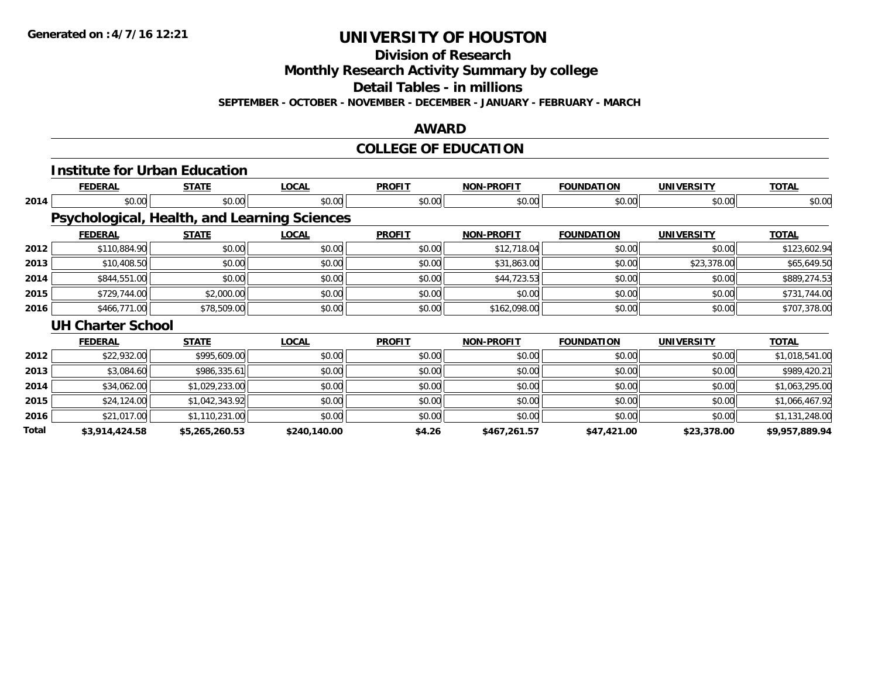**Division of Research**

**Monthly Research Activity Summary by college**

**Detail Tables - in millions**

**SEPTEMBER - OCTOBER - NOVEMBER - DECEMBER - JANUARY - FEBRUARY - MARCH**

### **AWARD**

# **COLLEGE OF EDUCATION**

|       |                                              | <b>Institute for Urban Education</b> |              |               |                   |                   |                   |                |
|-------|----------------------------------------------|--------------------------------------|--------------|---------------|-------------------|-------------------|-------------------|----------------|
|       | <b>FEDERAL</b>                               | <b>STATE</b>                         | <b>LOCAL</b> | <b>PROFIT</b> | <b>NON-PROFIT</b> | <b>FOUNDATION</b> | <b>UNIVERSITY</b> | <b>TOTAL</b>   |
| 2014  | \$0.00                                       | \$0.00                               | \$0.00       | \$0.00        | \$0.00            | \$0.00            | \$0.00            | \$0.00         |
|       | Psychological, Health, and Learning Sciences |                                      |              |               |                   |                   |                   |                |
|       | <b>FEDERAL</b>                               | <b>STATE</b>                         | <b>LOCAL</b> | <b>PROFIT</b> | <b>NON-PROFIT</b> | <b>FOUNDATION</b> | <b>UNIVERSITY</b> | <b>TOTAL</b>   |
| 2012  | \$110,884.90                                 | \$0.00                               | \$0.00       | \$0.00        | \$12,718.04       | \$0.00            | \$0.00            | \$123,602.94   |
| 2013  | \$10,408.50                                  | \$0.00                               | \$0.00       | \$0.00        | \$31,863.00       | \$0.00            | \$23,378.00       | \$65,649.50    |
| 2014  | \$844,551.00                                 | \$0.00                               | \$0.00       | \$0.00        | \$44,723.53       | \$0.00            | \$0.00            | \$889,274.53   |
| 2015  | \$729,744.00                                 | \$2,000.00                           | \$0.00       | \$0.00        | \$0.00            | \$0.00            | \$0.00            | \$731,744.00   |
| 2016  | \$466,771.00                                 | \$78,509.00                          | \$0.00       | \$0.00        | \$162,098.00      | \$0.00            | \$0.00            | \$707,378.00   |
|       | <b>UH Charter School</b>                     |                                      |              |               |                   |                   |                   |                |
|       | <b>FEDERAL</b>                               | <b>STATE</b>                         | <b>LOCAL</b> | <b>PROFIT</b> | <b>NON-PROFIT</b> | <b>FOUNDATION</b> | <b>UNIVERSITY</b> | <b>TOTAL</b>   |
| 2012  | \$22,932.00                                  | \$995,609.00                         | \$0.00       | \$0.00        | \$0.00            | \$0.00            | \$0.00            | \$1,018,541.00 |
| 2013  | \$3,084.60                                   | \$986,335.61                         | \$0.00       | \$0.00        | \$0.00            | \$0.00            | \$0.00            | \$989,420.21   |
| 2014  | \$34,062.00                                  | \$1,029,233.00                       | \$0.00       | \$0.00        | \$0.00            | \$0.00            | \$0.00            | \$1,063,295.00 |
| 2015  | \$24,124.00                                  | \$1,042,343.92                       | \$0.00       | \$0.00        | \$0.00            | \$0.00            | \$0.00            | \$1,066,467.92 |
| 2016  | \$21,017.00                                  | \$1,110,231.00                       | \$0.00       | \$0.00        | \$0.00            | \$0.00            | \$0.00            | \$1,131,248.00 |
| Total | \$3,914,424.58                               | \$5,265,260.53                       | \$240,140.00 | \$4.26        | \$467,261.57      | \$47,421.00       | \$23,378.00       | \$9,957,889.94 |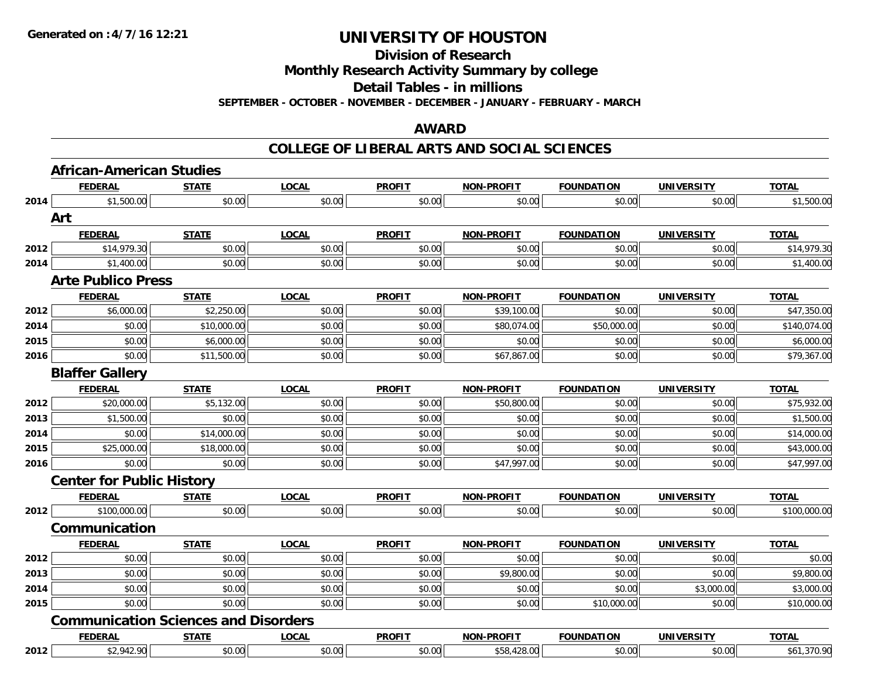**Division of Research**

**Monthly Research Activity Summary by college**

**Detail Tables - in millions**

**SEPTEMBER - OCTOBER - NOVEMBER - DECEMBER - JANUARY - FEBRUARY - MARCH**

#### **AWARD**

|      | <b>African-American Studies</b>             |              |              |               |                   |                   |                   |              |
|------|---------------------------------------------|--------------|--------------|---------------|-------------------|-------------------|-------------------|--------------|
|      | <b>FEDERAL</b>                              | <b>STATE</b> | <b>LOCAL</b> | <b>PROFIT</b> | <b>NON-PROFIT</b> | <b>FOUNDATION</b> | <b>UNIVERSITY</b> | <b>TOTAL</b> |
| 2014 | \$1,500.00                                  | \$0.00       | \$0.00       | \$0.00        | \$0.00            | \$0.00            | \$0.00            | \$1,500.00   |
|      | Art                                         |              |              |               |                   |                   |                   |              |
|      | <b>FEDERAL</b>                              | <b>STATE</b> | <b>LOCAL</b> | <b>PROFIT</b> | <b>NON-PROFIT</b> | <b>FOUNDATION</b> | <b>UNIVERSITY</b> | <b>TOTAL</b> |
| 2012 | \$14,979.30                                 | \$0.00       | \$0.00       | \$0.00        | \$0.00            | \$0.00            | \$0.00            | \$14,979.30  |
| 2014 | \$1,400.00                                  | \$0.00       | \$0.00       | \$0.00        | \$0.00            | \$0.00            | \$0.00            | \$1,400.00   |
|      | <b>Arte Publico Press</b>                   |              |              |               |                   |                   |                   |              |
|      | <b>FEDERAL</b>                              | <b>STATE</b> | <b>LOCAL</b> | <b>PROFIT</b> | <b>NON-PROFIT</b> | <b>FOUNDATION</b> | <b>UNIVERSITY</b> | <b>TOTAL</b> |
| 2012 | \$6,000.00                                  | \$2,250.00   | \$0.00       | \$0.00        | \$39,100.00       | \$0.00            | \$0.00            | \$47,350.00  |
| 2014 | \$0.00                                      | \$10,000.00  | \$0.00       | \$0.00        | \$80,074.00       | \$50,000.00       | \$0.00            | \$140,074.00 |
| 2015 | \$0.00                                      | \$6,000.00   | \$0.00       | \$0.00        | \$0.00            | \$0.00            | \$0.00            | \$6,000.00   |
| 2016 | \$0.00                                      | \$11,500.00  | \$0.00       | \$0.00        | \$67,867.00       | \$0.00            | \$0.00            | \$79,367.00  |
|      | <b>Blaffer Gallery</b>                      |              |              |               |                   |                   |                   |              |
|      | <b>FEDERAL</b>                              | <b>STATE</b> | <b>LOCAL</b> | <b>PROFIT</b> | <b>NON-PROFIT</b> | <b>FOUNDATION</b> | <b>UNIVERSITY</b> | <b>TOTAL</b> |
| 2012 | \$20,000.00                                 | \$5,132.00   | \$0.00       | \$0.00        | \$50,800.00       | \$0.00            | \$0.00            | \$75,932.00  |
| 2013 | \$1,500.00                                  | \$0.00       | \$0.00       | \$0.00        | \$0.00            | \$0.00            | \$0.00            | \$1,500.00   |
| 2014 | \$0.00                                      | \$14,000.00  | \$0.00       | \$0.00        | \$0.00            | \$0.00            | \$0.00            | \$14,000.00  |
| 2015 | \$25,000.00                                 | \$18,000.00  | \$0.00       | \$0.00        | \$0.00            | \$0.00            | \$0.00            | \$43,000.00  |
| 2016 | \$0.00                                      | \$0.00       | \$0.00       | \$0.00        | \$47,997.00       | \$0.00            | \$0.00            | \$47,997.00  |
|      | <b>Center for Public History</b>            |              |              |               |                   |                   |                   |              |
|      | <b>FEDERAL</b>                              | <b>STATE</b> | <b>LOCAL</b> | <b>PROFIT</b> | <b>NON-PROFIT</b> | <b>FOUNDATION</b> | <b>UNIVERSITY</b> | <b>TOTAL</b> |
| 2012 | \$100,000.00                                | \$0.00       | \$0.00       | \$0.00        | \$0.00            | \$0.00            | \$0.00            | \$100,000.00 |
|      | Communication                               |              |              |               |                   |                   |                   |              |
|      | <b>FEDERAL</b>                              | <b>STATE</b> | <b>LOCAL</b> | <b>PROFIT</b> | NON-PROFIT        | <b>FOUNDATION</b> | <b>UNIVERSITY</b> | <b>TOTAL</b> |
| 2012 | \$0.00                                      | \$0.00       | \$0.00       | \$0.00        | \$0.00            | \$0.00            | \$0.00            | \$0.00       |
| 2013 | \$0.00                                      | \$0.00       | \$0.00       | \$0.00        | \$9,800.00        | \$0.00            | \$0.00            | \$9,800.00   |
| 2014 | \$0.00                                      | \$0.00       | \$0.00       | \$0.00        | \$0.00            | \$0.00            | \$3,000.00        | \$3,000.00   |
| 2015 | \$0.00                                      | \$0.00       | \$0.00       | \$0.00        | \$0.00            | \$10,000.00       | \$0.00            | \$10,000.00  |
|      | <b>Communication Sciences and Disorders</b> |              |              |               |                   |                   |                   |              |
|      | <b>FEDERAL</b>                              | <b>STATE</b> | <b>LOCAL</b> | <b>PROFIT</b> | NON-PROFIT        | <b>FOUNDATION</b> | <b>UNIVERSITY</b> | <b>TOTAL</b> |
| 2012 | \$2,942.90                                  | \$0.00       | \$0.00       | \$0.00        | \$58,428.00       | \$0.00            | \$0.00            | \$61,370.90  |
|      |                                             |              |              |               |                   |                   |                   |              |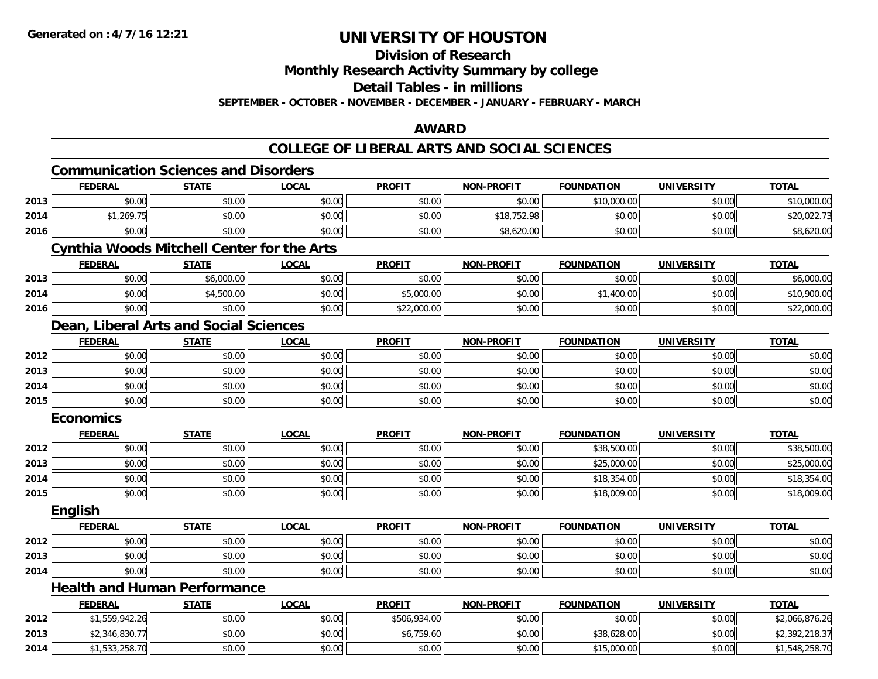**Division of Research**

**Monthly Research Activity Summary by college**

**Detail Tables - in millions**

**SEPTEMBER - OCTOBER - NOVEMBER - DECEMBER - JANUARY - FEBRUARY - MARCH**

### **AWARD**

|      |                  | <b>Communication Sciences and Disorders</b>       |              |               |                   |                   |                   |                |
|------|------------------|---------------------------------------------------|--------------|---------------|-------------------|-------------------|-------------------|----------------|
|      | <b>FEDERAL</b>   | <b>STATE</b>                                      | <b>LOCAL</b> | <b>PROFIT</b> | <b>NON-PROFIT</b> | <b>FOUNDATION</b> | <b>UNIVERSITY</b> | <b>TOTAL</b>   |
| 2013 | \$0.00           | \$0.00                                            | \$0.00       | \$0.00        | \$0.00            | \$10,000.00       | \$0.00            | \$10,000.00    |
| 2014 | \$1,269.75       | \$0.00                                            | \$0.00       | \$0.00        | \$18,752.98       | \$0.00            | \$0.00            | \$20,022.73    |
| 2016 | \$0.00           | \$0.00                                            | \$0.00       | \$0.00        | \$8,620.00        | \$0.00            | \$0.00            | \$8,620.00     |
|      |                  | <b>Cynthia Woods Mitchell Center for the Arts</b> |              |               |                   |                   |                   |                |
|      | <b>FEDERAL</b>   | <b>STATE</b>                                      | <b>LOCAL</b> | <b>PROFIT</b> | <b>NON-PROFIT</b> | <b>FOUNDATION</b> | <b>UNIVERSITY</b> | <b>TOTAL</b>   |
| 2013 | \$0.00           | \$6,000.00                                        | \$0.00       | \$0.00        | \$0.00            | \$0.00            | \$0.00            | \$6,000.00     |
| 2014 | \$0.00           | \$4,500.00                                        | \$0.00       | \$5,000.00    | \$0.00            | \$1,400.00        | \$0.00            | \$10,900.00    |
| 2016 | \$0.00           | \$0.00                                            | \$0.00       | \$22,000.00   | \$0.00            | \$0.00            | \$0.00            | \$22,000.00    |
|      |                  | Dean, Liberal Arts and Social Sciences            |              |               |                   |                   |                   |                |
|      | <b>FEDERAL</b>   | <b>STATE</b>                                      | <b>LOCAL</b> | <b>PROFIT</b> | <b>NON-PROFIT</b> | <b>FOUNDATION</b> | <b>UNIVERSITY</b> | <b>TOTAL</b>   |
| 2012 | \$0.00           | \$0.00                                            | \$0.00       | \$0.00        | \$0.00            | \$0.00            | \$0.00            | \$0.00         |
| 2013 | \$0.00           | \$0.00                                            | \$0.00       | \$0.00        | \$0.00            | \$0.00            | \$0.00            | \$0.00         |
| 2014 | \$0.00           | \$0.00                                            | \$0.00       | \$0.00        | \$0.00            | \$0.00            | \$0.00            | \$0.00         |
| 2015 | \$0.00           | \$0.00                                            | \$0.00       | \$0.00        | \$0.00            | \$0.00            | \$0.00            | \$0.00         |
|      | <b>Economics</b> |                                                   |              |               |                   |                   |                   |                |
|      | <b>FEDERAL</b>   | <b>STATE</b>                                      | <b>LOCAL</b> | <b>PROFIT</b> | <b>NON-PROFIT</b> | <b>FOUNDATION</b> | <b>UNIVERSITY</b> | <b>TOTAL</b>   |
| 2012 | \$0.00           | \$0.00                                            | \$0.00       | \$0.00        | \$0.00            | \$38,500.00       | \$0.00            | \$38,500.00    |
| 2013 | \$0.00           | \$0.00                                            | \$0.00       | \$0.00        | \$0.00            | \$25,000.00       | \$0.00            | \$25,000.00    |
| 2014 | \$0.00           | \$0.00                                            | \$0.00       | \$0.00        | \$0.00            | \$18,354.00       | \$0.00            | \$18,354.00    |
| 2015 | \$0.00           | \$0.00                                            | \$0.00       | \$0.00        | \$0.00            | \$18,009.00       | \$0.00            | \$18,009.00    |
|      | English          |                                                   |              |               |                   |                   |                   |                |
|      | <b>FEDERAL</b>   | <b>STATE</b>                                      | <b>LOCAL</b> | <b>PROFIT</b> | NON-PROFIT        | <b>FOUNDATION</b> | <b>UNIVERSITY</b> | <b>TOTAL</b>   |
| 2012 | \$0.00           | \$0.00                                            | \$0.00       | \$0.00        | \$0.00            | \$0.00            | \$0.00            | \$0.00         |
| 2013 | \$0.00           | \$0.00                                            | \$0.00       | \$0.00        | \$0.00            | \$0.00            | \$0.00            | \$0.00         |
| 2014 | \$0.00           | \$0.00                                            | \$0.00       | \$0.00        | \$0.00            | \$0.00            | \$0.00            | \$0.00         |
|      |                  | <b>Health and Human Performance</b>               |              |               |                   |                   |                   |                |
|      | <b>FEDERAL</b>   | <b>STATE</b>                                      | <b>LOCAL</b> | <b>PROFIT</b> | <b>NON-PROFIT</b> | <b>FOUNDATION</b> | <b>UNIVERSITY</b> | <b>TOTAL</b>   |
| 2012 | \$1,559,942.26   | \$0.00                                            | \$0.00       | \$506,934.00  | \$0.00            | \$0.00            | \$0.00            | \$2,066,876.26 |
| 2013 | \$2,346,830.77   | \$0.00                                            | \$0.00       | \$6,759.60    | \$0.00            | \$38,628.00       | \$0.00            | \$2,392,218.37 |
| 2014 | \$1,533,258.70   | \$0.00                                            | \$0.00       | \$0.00        | \$0.00            | \$15,000.00       | \$0.00            | \$1,548,258.70 |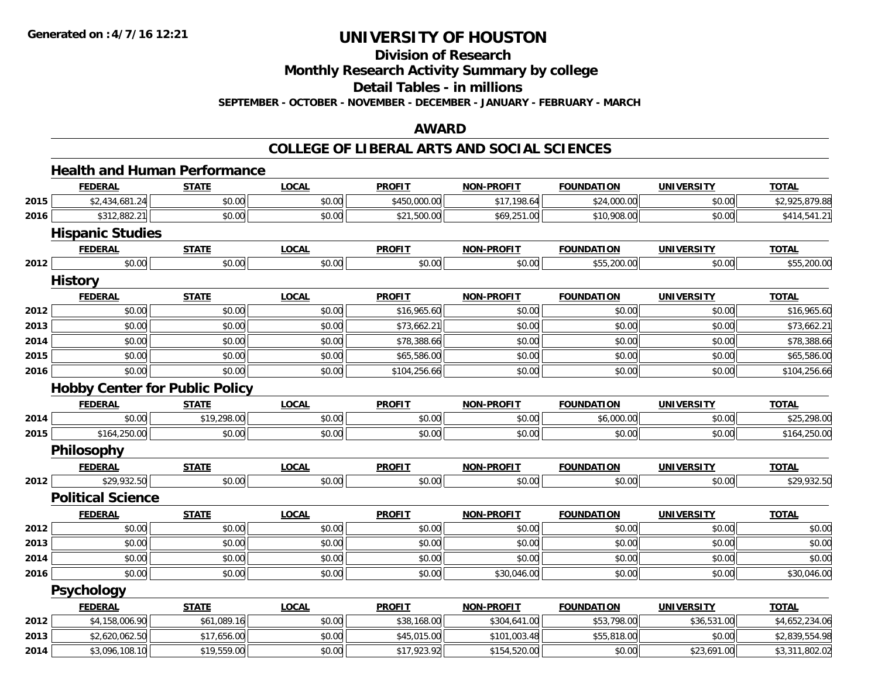**Division of Research**

**Monthly Research Activity Summary by college**

**Detail Tables - in millions**

**SEPTEMBER - OCTOBER - NOVEMBER - DECEMBER - JANUARY - FEBRUARY - MARCH**

#### **AWARD**

|      | <b>Health and Human Performance</b>   |              |              |               |                   |                   |                   |                |
|------|---------------------------------------|--------------|--------------|---------------|-------------------|-------------------|-------------------|----------------|
|      | <b>FEDERAL</b>                        | <b>STATE</b> | <b>LOCAL</b> | <b>PROFIT</b> | NON-PROFIT        | <b>FOUNDATION</b> | <b>UNIVERSITY</b> | <b>TOTAL</b>   |
| 2015 | \$2,434,681.24                        | \$0.00       | \$0.00       | \$450,000.00  | \$17,198.64       | \$24,000.00       | \$0.00            | \$2,925,879.88 |
| 2016 | \$312,882.21                          | \$0.00       | \$0.00       | \$21,500.00   | \$69,251.00       | \$10,908.00       | \$0.00            | \$414,541.21   |
|      | <b>Hispanic Studies</b>               |              |              |               |                   |                   |                   |                |
|      | <b>FEDERAL</b>                        | <b>STATE</b> | <b>LOCAL</b> | <b>PROFIT</b> | NON-PROFIT        | <b>FOUNDATION</b> | <b>UNIVERSITY</b> | <b>TOTAL</b>   |
| 2012 | \$0.00                                | \$0.00       | \$0.00       | \$0.00        | \$0.00            | \$55,200.00       | \$0.00            | \$55,200.00    |
|      | <b>History</b>                        |              |              |               |                   |                   |                   |                |
|      | <b>FEDERAL</b>                        | <b>STATE</b> | <b>LOCAL</b> | <b>PROFIT</b> | <b>NON-PROFIT</b> | <b>FOUNDATION</b> | <b>UNIVERSITY</b> | <b>TOTAL</b>   |
| 2012 | \$0.00                                | \$0.00       | \$0.00       | \$16,965.60   | \$0.00            | \$0.00            | \$0.00            | \$16,965.60    |
| 2013 | \$0.00                                | \$0.00       | \$0.00       | \$73,662.21   | \$0.00            | \$0.00            | \$0.00            | \$73,662.21    |
| 2014 | \$0.00                                | \$0.00       | \$0.00       | \$78,388.66   | \$0.00            | \$0.00            | \$0.00            | \$78,388.66    |
| 2015 | \$0.00                                | \$0.00       | \$0.00       | \$65,586.00   | \$0.00            | \$0.00            | \$0.00            | \$65,586.00    |
| 2016 | \$0.00                                | \$0.00       | \$0.00       | \$104,256.66  | \$0.00            | \$0.00            | \$0.00            | \$104,256.66   |
|      | <b>Hobby Center for Public Policy</b> |              |              |               |                   |                   |                   |                |
|      | <b>FEDERAL</b>                        | <b>STATE</b> | <b>LOCAL</b> | <b>PROFIT</b> | <b>NON-PROFIT</b> | <b>FOUNDATION</b> | <b>UNIVERSITY</b> | <b>TOTAL</b>   |
| 2014 | \$0.00                                | \$19,298.00  | \$0.00       | \$0.00        | \$0.00            | \$6,000.00        | \$0.00            | \$25,298.00    |
| 2015 | \$164,250.00                          | \$0.00       | \$0.00       | \$0.00        | \$0.00            | \$0.00            | \$0.00            | \$164,250.00   |
|      | Philosophy                            |              |              |               |                   |                   |                   |                |
|      | <b>FEDERAL</b>                        | <b>STATE</b> | <b>LOCAL</b> | <b>PROFIT</b> | <b>NON-PROFIT</b> | <b>FOUNDATION</b> | <b>UNIVERSITY</b> | <b>TOTAL</b>   |
| 2012 | \$29,932.50                           | \$0.00       | \$0.00       | \$0.00        | \$0.00            | \$0.00            | \$0.00            | \$29,932.50    |
|      | <b>Political Science</b>              |              |              |               |                   |                   |                   |                |
|      | <b>FEDERAL</b>                        | <b>STATE</b> | <b>LOCAL</b> | <b>PROFIT</b> | <b>NON-PROFIT</b> | <b>FOUNDATION</b> | <b>UNIVERSITY</b> | <b>TOTAL</b>   |
| 2012 | \$0.00                                | \$0.00       | \$0.00       | \$0.00        | \$0.00            | \$0.00            | \$0.00            | \$0.00         |
| 2013 | \$0.00                                | \$0.00       | \$0.00       | \$0.00        | \$0.00            | \$0.00            | \$0.00            | \$0.00         |
| 2014 | \$0.00                                | \$0.00       | \$0.00       | \$0.00        | \$0.00            | \$0.00            | \$0.00            | \$0.00         |
| 2016 | \$0.00                                | \$0.00       | \$0.00       | \$0.00        | \$30,046.00       | \$0.00            | \$0.00            | \$30,046.00    |
|      | <b>Psychology</b>                     |              |              |               |                   |                   |                   |                |
|      | <b>FEDERAL</b>                        | <b>STATE</b> | <b>LOCAL</b> | <b>PROFIT</b> | <b>NON-PROFIT</b> | <b>FOUNDATION</b> | <b>UNIVERSITY</b> | <b>TOTAL</b>   |
| 2012 | \$4,158,006.90                        | \$61,089.16  | \$0.00       | \$38,168.00   | \$304,641.00      | \$53,798.00       | \$36,531.00       | \$4,652,234.06 |
| 2013 | \$2,620,062.50                        | \$17,656.00  | \$0.00       | \$45,015.00   | \$101,003.48      | \$55,818.00       | \$0.00            | \$2,839,554.98 |
| 2014 | \$3,096,108.10                        | \$19,559.00  | \$0.00       | \$17,923.92   | \$154,520.00      | \$0.00            | \$23,691.00       | \$3,311,802.02 |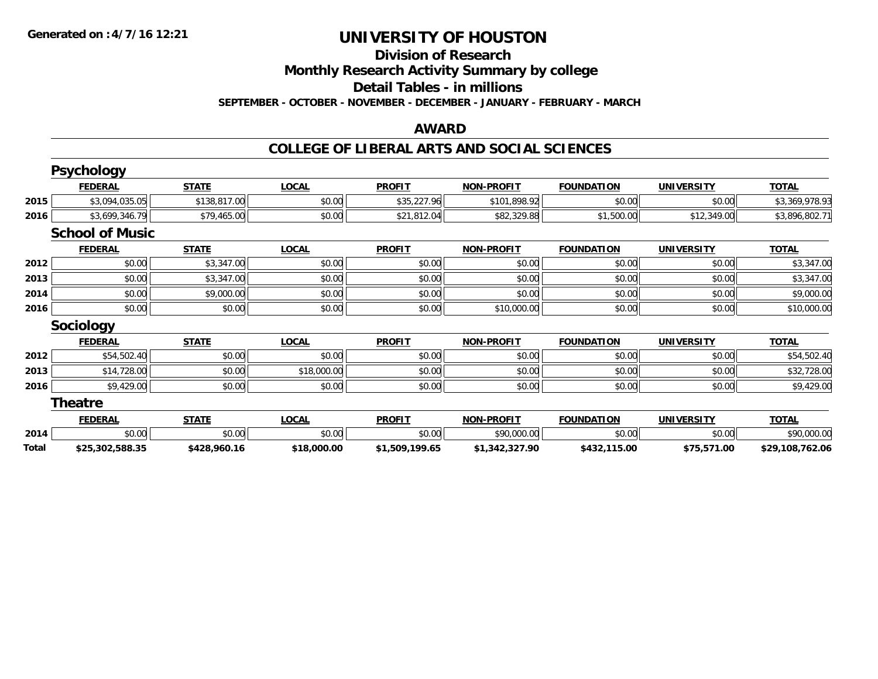#### **Division of Research Monthly Research Activity Summary by college**

**Detail Tables - in millions**

**SEPTEMBER - OCTOBER - NOVEMBER - DECEMBER - JANUARY - FEBRUARY - MARCH**

#### **AWARD**

|       | <b>Psychology</b>      |              |              |                |                   |                   |                   |                 |
|-------|------------------------|--------------|--------------|----------------|-------------------|-------------------|-------------------|-----------------|
|       | <b>FEDERAL</b>         | <b>STATE</b> | <b>LOCAL</b> | <b>PROFIT</b>  | <b>NON-PROFIT</b> | <b>FOUNDATION</b> | <b>UNIVERSITY</b> | <b>TOTAL</b>    |
| 2015  | \$3,094,035.05         | \$138,817.00 | \$0.00       | \$35,227.96    | \$101,898.92      | \$0.00            | \$0.00            | \$3,369,978.93  |
| 2016  | \$3,699,346.79         | \$79,465.00  | \$0.00       | \$21,812.04    | \$82,329.88       | \$1,500.00        | \$12,349.00       | \$3,896,802.71  |
|       | <b>School of Music</b> |              |              |                |                   |                   |                   |                 |
|       | <b>FEDERAL</b>         | <b>STATE</b> | <b>LOCAL</b> | <b>PROFIT</b>  | <b>NON-PROFIT</b> | <b>FOUNDATION</b> | <b>UNIVERSITY</b> | <b>TOTAL</b>    |
| 2012  | \$0.00                 | \$3,347.00   | \$0.00       | \$0.00         | \$0.00            | \$0.00            | \$0.00            | \$3,347.00      |
| 2013  | \$0.00                 | \$3,347.00   | \$0.00       | \$0.00         | \$0.00            | \$0.00            | \$0.00            | \$3,347.00      |
| 2014  | \$0.00                 | \$9,000.00   | \$0.00       | \$0.00         | \$0.00            | \$0.00            | \$0.00            | \$9,000.00      |
| 2016  | \$0.00                 | \$0.00       | \$0.00       | \$0.00         | \$10,000.00       | \$0.00            | \$0.00            | \$10,000.00     |
|       | <b>Sociology</b>       |              |              |                |                   |                   |                   |                 |
|       | <b>FEDERAL</b>         | <b>STATE</b> | <b>LOCAL</b> | <b>PROFIT</b>  | <b>NON-PROFIT</b> | <b>FOUNDATION</b> | <b>UNIVERSITY</b> | <b>TOTAL</b>    |
| 2012  | \$54,502.40            | \$0.00       | \$0.00       | \$0.00         | \$0.00            | \$0.00            | \$0.00            | \$54,502.40     |
| 2013  | \$14,728.00            | \$0.00       | \$18,000.00  | \$0.00         | \$0.00            | \$0.00            | \$0.00            | \$32,728.00     |
| 2016  | \$9,429.00             | \$0.00       | \$0.00       | \$0.00         | \$0.00            | \$0.00            | \$0.00            | \$9,429.00      |
|       | <b>Theatre</b>         |              |              |                |                   |                   |                   |                 |
|       | <b>FEDERAL</b>         | <b>STATE</b> | <b>LOCAL</b> | <b>PROFIT</b>  | <b>NON-PROFIT</b> | <b>FOUNDATION</b> | <b>UNIVERSITY</b> | <b>TOTAL</b>    |
| 2014  | \$0.00                 | \$0.00       | \$0.00       | \$0.00         | \$90,000.00       | \$0.00            | \$0.00            | \$90,000.00     |
| Total | \$25,302,588.35        | \$428,960.16 | \$18,000.00  | \$1,509,199.65 | \$1,342,327.90    | \$432,115.00      | \$75,571.00       | \$29,108,762.06 |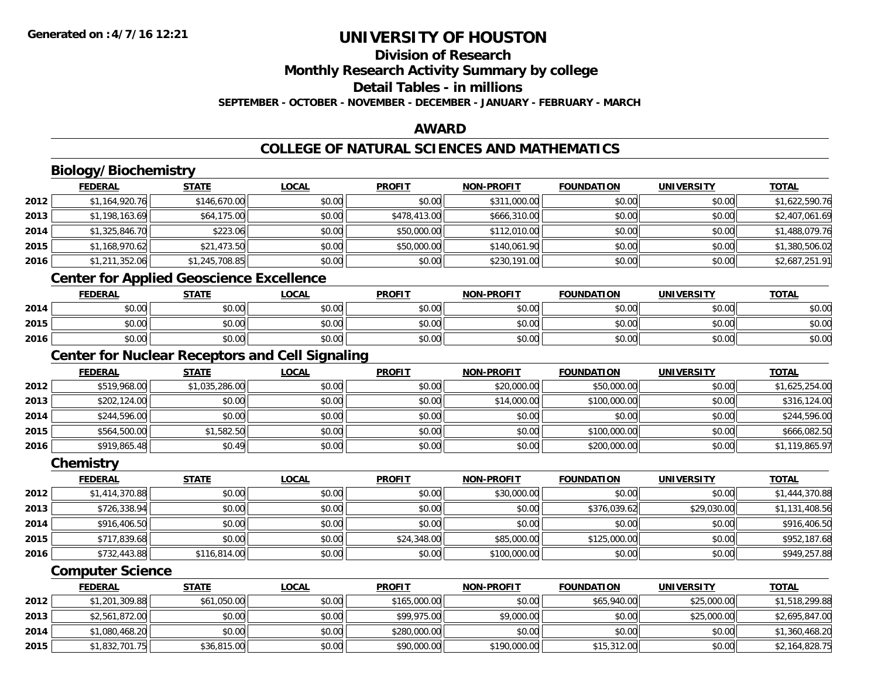## **Division of ResearchMonthly Research Activity Summary by college**

#### **Detail Tables - in millions**

**SEPTEMBER - OCTOBER - NOVEMBER - DECEMBER - JANUARY - FEBRUARY - MARCH**

### **AWARD**

### **COLLEGE OF NATURAL SCIENCES AND MATHEMATICS**

## **Biology/Biochemistry**

|      | <b>FEDERAL</b> | <b>STATE</b>   | <u>LOCAL</u> | <b>PROFIT</b> | <b>NON-PROFIT</b> | <b>FOUNDATION</b> | <b>UNIVERSITY</b> | <b>TOTAL</b>   |
|------|----------------|----------------|--------------|---------------|-------------------|-------------------|-------------------|----------------|
| 2012 | \$1,164,920.76 | \$146,670.00   | \$0.00       | \$0.00        | \$311,000.00      | \$0.00            | \$0.00            | \$1,622,590.76 |
| 2013 | \$1,198,163.69 | \$64,175.00    | \$0.00       | \$478,413.00  | \$666,310.00      | \$0.00            | \$0.00            | \$2,407,061.69 |
| 2014 | \$1,325,846.70 | \$223.06       | \$0.00       | \$50,000.00   | \$112,010.00      | \$0.00            | \$0.00            | \$1,488,079.76 |
| 2015 | \$1,168,970.62 | \$21,473.50    | \$0.00       | \$50,000.00   | \$140,061.90      | \$0.00            | \$0.00            | \$1,380,506.02 |
| 2016 | \$1,211,352.06 | \$1,245,708.85 | \$0.00       | \$0.00        | \$230,191.00      | \$0.00            | \$0.00            | \$2,687,251.91 |

### **Center for Applied Geoscience Excellence**

|      | <b>FEDERAL</b>      | <b>STATE</b> | <b>LOCAL</b> | <b>PROFIT</b> | <b>NON-PROFIT</b> | <b>FOUNDATION</b> | UNIVERSITY<br>ERJI | <b>TOTAL</b> |
|------|---------------------|--------------|--------------|---------------|-------------------|-------------------|--------------------|--------------|
| 2014 | <b>ተ ∩</b><br>vu.vu | \$0.00       | \$0.00       | \$0.00        | \$0.00            | \$0.00            | \$0.00             | \$0.00       |
| 2015 | ልስ ሰሰ<br>PU.UU      | \$0.00       | \$0.00       | \$0.00        | \$0.00            | \$0.00            | \$0.00             | \$0.00       |
| 2016 | ¢∩<br>DU.UG         | \$0.00       | \$0.00       | \$0.00        | \$0.00            | \$0.00            | \$0.00             | \$0.00       |

<u> 1980 - Johann Barn, fransk politik (d. 1980)</u>

### **Center for Nuclear Receptors and Cell Signaling**

|      | <b>FEDERAL</b> | <b>STATE</b>   | <u>LOCAL</u> | <b>PROFIT</b> | <b>NON-PROFIT</b> | <b>FOUNDATION</b> | <b>UNIVERSITY</b> | <b>TOTAL</b>   |
|------|----------------|----------------|--------------|---------------|-------------------|-------------------|-------------------|----------------|
| 2012 | \$519,968.00   | \$1,035,286.00 | \$0.00       | \$0.00        | \$20,000.00       | \$50,000.00       | \$0.00            | \$1,625,254.00 |
| 2013 | \$202,124.00   | \$0.00         | \$0.00       | \$0.00        | \$14,000.00       | \$100,000.00      | \$0.00            | \$316,124.00   |
| 2014 | \$244,596.00   | \$0.00         | \$0.00       | \$0.00        | \$0.00            | \$0.00            | \$0.00            | \$244,596.00   |
| 2015 | \$564,500.00   | \$1,582.50     | \$0.00       | \$0.00        | \$0.00            | \$100,000.00      | \$0.00            | \$666,082.50   |
| 2016 | \$919,865.48   | \$0.49         | \$0.00       | \$0.00        | \$0.00            | \$200,000.00      | \$0.00            | \$1,119,865.97 |

#### **Chemistry**

|      | <b>FEDERAL</b> | <u>STATE</u> | <b>LOCAL</b> | <b>PROFIT</b> | <b>NON-PROFIT</b> | <b>FOUNDATION</b> | <b>UNIVERSITY</b> | <b>TOTAL</b>   |
|------|----------------|--------------|--------------|---------------|-------------------|-------------------|-------------------|----------------|
| 2012 | \$1,414,370.88 | \$0.00       | \$0.00       | \$0.00        | \$30,000.00       | \$0.00            | \$0.00            | \$1,444,370.88 |
| 2013 | \$726,338.94   | \$0.00       | \$0.00       | \$0.00        | \$0.00            | \$376,039.62      | \$29,030.00       | \$1,131,408.56 |
| 2014 | \$916,406.50   | \$0.00       | \$0.00       | \$0.00        | \$0.00            | \$0.00            | \$0.00            | \$916,406.50   |
| 2015 | \$717,839.68   | \$0.00       | \$0.00       | \$24,348.00   | \$85,000.00       | \$125,000.00      | \$0.00            | \$952,187.68   |
| 2016 | \$732,443.88   | \$116,814.00 | \$0.00       | \$0.00        | \$100,000.00      | \$0.00            | \$0.00            | \$949,257.88   |

#### **Computer Science**

|      | <b>FEDERAL</b> | <u>STATE</u> | <u>LOCAL</u> | <b>PROFIT</b> | <b>NON-PROFIT</b> | <b>FOUNDATION</b> | UNIVERSITY  | <b>TOTAL</b>   |
|------|----------------|--------------|--------------|---------------|-------------------|-------------------|-------------|----------------|
| 2012 | \$1,201,309.88 | \$61,050.00  | \$0.00       | \$165,000.00  | \$0.00            | \$65,940,00       | \$25,000.00 | \$1,518,299.88 |
| 2013 | \$2,561,872.00 | \$0.00       | \$0.00       | \$99,975.00   | \$9,000.00        | \$0.00            | \$25,000.00 | \$2,695,847.00 |
| 2014 | \$1,080,468.20 | \$0.00       | \$0.00       | \$280,000.00  | \$0.00            | \$0.00            | \$0.00      | \$1,360,468.20 |
| 2015 | \$1,832,701.75 | \$36,815.00  | \$0.00       | \$90,000.00   | \$190,000.00      | \$15,312.00       | \$0.00      | \$2,164,828.75 |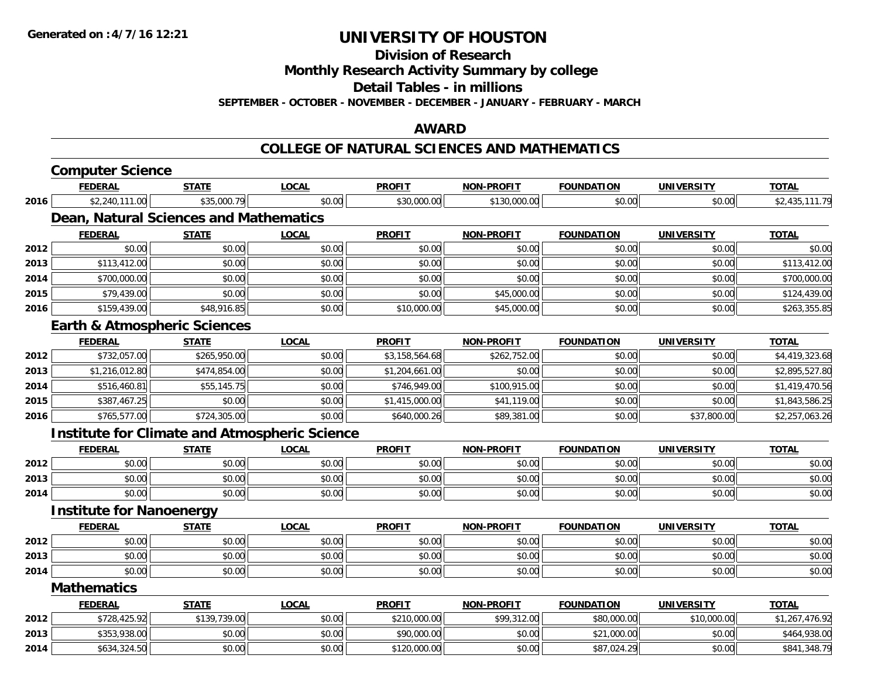**Division of Research**

**Monthly Research Activity Summary by college**

**Detail Tables - in millions**

**SEPTEMBER - OCTOBER - NOVEMBER - DECEMBER - JANUARY - FEBRUARY - MARCH**

#### **AWARD**

#### **COLLEGE OF NATURAL SCIENCES AND MATHEMATICS**

|      | <b>Computer Science</b>                              |              |              |                |                   |                   |                   |                |
|------|------------------------------------------------------|--------------|--------------|----------------|-------------------|-------------------|-------------------|----------------|
|      | <b>FEDERAL</b>                                       | <b>STATE</b> | <b>LOCAL</b> | <b>PROFIT</b>  | <b>NON-PROFIT</b> | <b>FOUNDATION</b> | <b>UNIVERSITY</b> | <b>TOTAL</b>   |
| 2016 | \$2,240,111.00                                       | \$35,000.79  | \$0.00       | \$30,000.00    | \$130,000.00      | \$0.00            | \$0.00            | \$2,435,111.79 |
|      | <b>Dean, Natural Sciences and Mathematics</b>        |              |              |                |                   |                   |                   |                |
|      | <b>FEDERAL</b>                                       | <b>STATE</b> | <b>LOCAL</b> | <b>PROFIT</b>  | <b>NON-PROFIT</b> | <b>FOUNDATION</b> | <b>UNIVERSITY</b> | <b>TOTAL</b>   |
| 2012 | \$0.00                                               | \$0.00       | \$0.00       | \$0.00         | \$0.00            | \$0.00            | \$0.00            | \$0.00         |
| 2013 | \$113,412.00                                         | \$0.00       | \$0.00       | \$0.00         | \$0.00            | \$0.00            | \$0.00            | \$113,412.00   |
| 2014 | \$700,000.00                                         | \$0.00       | \$0.00       | \$0.00         | \$0.00            | \$0.00            | \$0.00            | \$700,000.00   |
| 2015 | \$79,439.00                                          | \$0.00       | \$0.00       | \$0.00         | \$45,000.00       | \$0.00            | \$0.00            | \$124,439.00   |
| 2016 | \$159,439.00                                         | \$48,916.85  | \$0.00       | \$10,000.00    | \$45,000.00       | \$0.00            | \$0.00            | \$263,355.85   |
|      | <b>Earth &amp; Atmospheric Sciences</b>              |              |              |                |                   |                   |                   |                |
|      | <b>FEDERAL</b>                                       | <b>STATE</b> | <b>LOCAL</b> | <b>PROFIT</b>  | <b>NON-PROFIT</b> | <b>FOUNDATION</b> | <b>UNIVERSITY</b> | <b>TOTAL</b>   |
| 2012 | \$732,057.00                                         | \$265,950.00 | \$0.00       | \$3,158,564.68 | \$262,752.00      | \$0.00            | \$0.00            | \$4,419,323.68 |
| 2013 | \$1,216,012.80                                       | \$474,854.00 | \$0.00       | \$1,204,661.00 | \$0.00            | \$0.00            | \$0.00            | \$2,895,527.80 |
| 2014 | \$516,460.81                                         | \$55,145.75  | \$0.00       | \$746,949.00   | \$100,915.00      | \$0.00            | \$0.00            | \$1,419,470.56 |
| 2015 | \$387,467.25                                         | \$0.00       | \$0.00       | \$1,415,000.00 | \$41,119.00       | \$0.00            | \$0.00            | \$1,843,586.25 |
| 2016 | \$765,577.00                                         | \$724,305.00 | \$0.00       | \$640,000.26   | \$89,381.00       | \$0.00            | \$37,800.00       | \$2,257,063.26 |
|      | <b>Institute for Climate and Atmospheric Science</b> |              |              |                |                   |                   |                   |                |
|      | <b>FEDERAL</b>                                       | <b>STATE</b> | <b>LOCAL</b> | <b>PROFIT</b>  | <b>NON-PROFIT</b> | <b>FOUNDATION</b> | <b>UNIVERSITY</b> | <b>TOTAL</b>   |
| 2012 | \$0.00                                               | \$0.00       | \$0.00       | \$0.00         | \$0.00            | \$0.00            | \$0.00            | \$0.00         |
| 2013 | \$0.00                                               | \$0.00       | \$0.00       | \$0.00         | \$0.00            | \$0.00            | \$0.00            | \$0.00         |
| 2014 | \$0.00                                               | \$0.00       | \$0.00       | \$0.00         | \$0.00            | \$0.00            | \$0.00            | \$0.00         |
|      | <b>Institute for Nanoenergy</b>                      |              |              |                |                   |                   |                   |                |
|      | <b>FEDERAL</b>                                       | <b>STATE</b> | <b>LOCAL</b> | <b>PROFIT</b>  | <b>NON-PROFIT</b> | <b>FOUNDATION</b> | <b>UNIVERSITY</b> | <b>TOTAL</b>   |
| 2012 | \$0.00                                               | \$0.00       | \$0.00       | \$0.00         | \$0.00            | \$0.00            | \$0.00            | \$0.00         |
| 2013 | \$0.00                                               | \$0.00       | \$0.00       | \$0.00         | \$0.00            | \$0.00            | \$0.00            | \$0.00         |
| 2014 | \$0.00                                               | \$0.00       | \$0.00       | \$0.00         | \$0.00            | \$0.00            | \$0.00            | \$0.00         |
|      | <b>Mathematics</b>                                   |              |              |                |                   |                   |                   |                |
|      | <b>FEDERAL</b>                                       | <b>STATE</b> | <b>LOCAL</b> | <b>PROFIT</b>  | <b>NON-PROFIT</b> | <b>FOUNDATION</b> | <b>UNIVERSITY</b> | <b>TOTAL</b>   |
| 2012 | \$728,425.92                                         | \$139,739.00 | \$0.00       | \$210,000.00   | \$99,312.00       | \$80,000.00       | \$10,000.00       | \$1,267,476.92 |
| 2013 | \$353,938.00                                         | \$0.00       | \$0.00       | \$90,000.00    | \$0.00            | \$21,000.00       | \$0.00            | \$464,938.00   |
| 2014 | \$634,324.50                                         | \$0.00       | \$0.00       | \$120,000.00   | \$0.00            | \$87,024.29       | \$0.00            | \$841,348.79   |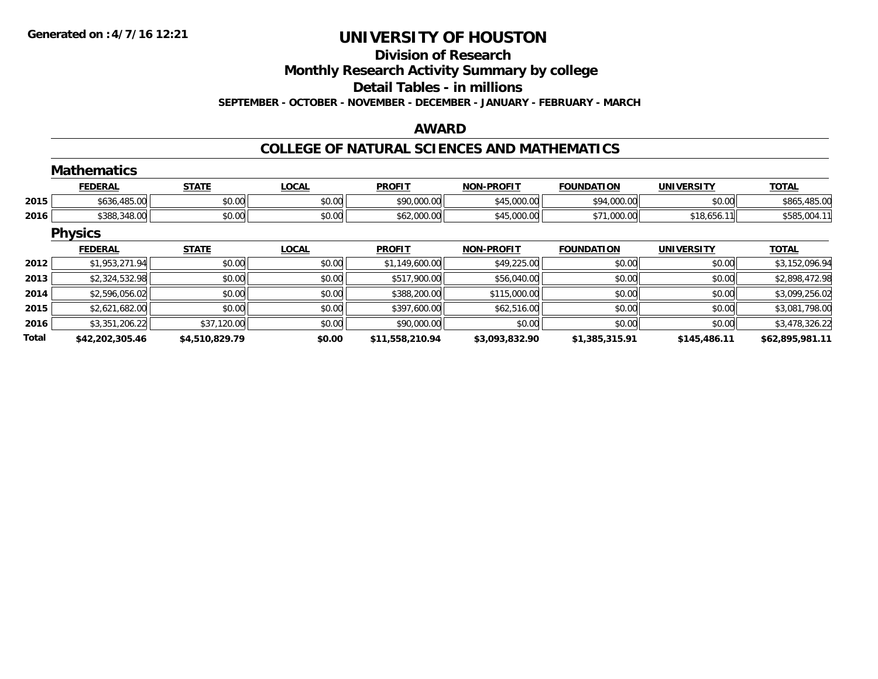# **Division of Research**

**Monthly Research Activity Summary by college**

**Detail Tables - in millions**

**SEPTEMBER - OCTOBER - NOVEMBER - DECEMBER - JANUARY - FEBRUARY - MARCH**

### **AWARD**

### **COLLEGE OF NATURAL SCIENCES AND MATHEMATICS**

|       | <b>Mathematics</b> |                |              |                 |                   |                   |                   |                 |
|-------|--------------------|----------------|--------------|-----------------|-------------------|-------------------|-------------------|-----------------|
|       | <b>FEDERAL</b>     | <b>STATE</b>   | <b>LOCAL</b> | <b>PROFIT</b>   | <b>NON-PROFIT</b> | <b>FOUNDATION</b> | <b>UNIVERSITY</b> | <b>TOTAL</b>    |
| 2015  | \$636,485.00       | \$0.00         | \$0.00       | \$90,000.00     | \$45,000.00       | \$94,000.00       | \$0.00            | \$865,485.00    |
| 2016  | \$388,348.00       | \$0.00         | \$0.00       | \$62,000.00     | \$45,000.00       | \$71,000.00       | \$18,656.11       | \$585,004.11    |
|       | <b>Physics</b>     |                |              |                 |                   |                   |                   |                 |
|       | <b>FEDERAL</b>     | <b>STATE</b>   | <b>LOCAL</b> | <b>PROFIT</b>   | <b>NON-PROFIT</b> | <b>FOUNDATION</b> | <b>UNIVERSITY</b> | <b>TOTAL</b>    |
| 2012  | \$1,953,271.94     | \$0.00         | \$0.00       | \$1,149,600.00  | \$49,225.00       | \$0.00            | \$0.00            | \$3,152,096.94  |
| 2013  | \$2,324,532.98     | \$0.00         | \$0.00       | \$517,900.00    | \$56,040.00       | \$0.00            | \$0.00            | \$2,898,472.98  |
| 2014  | \$2,596,056.02     | \$0.00         | \$0.00       | \$388,200.00    | \$115,000.00      | \$0.00            | \$0.00            | \$3,099,256.02  |
| 2015  | \$2,621,682.00     | \$0.00         | \$0.00       | \$397,600.00    | \$62,516.00       | \$0.00            | \$0.00            | \$3,081,798.00  |
| 2016  | \$3,351,206.22     | \$37,120.00    | \$0.00       | \$90,000.00     | \$0.00            | \$0.00            | \$0.00            | \$3,478,326.22  |
| Total | \$42,202,305.46    | \$4,510,829.79 | \$0.00       | \$11,558,210.94 | \$3,093,832.90    | \$1,385,315.91    | \$145,486.11      | \$62,895,981.11 |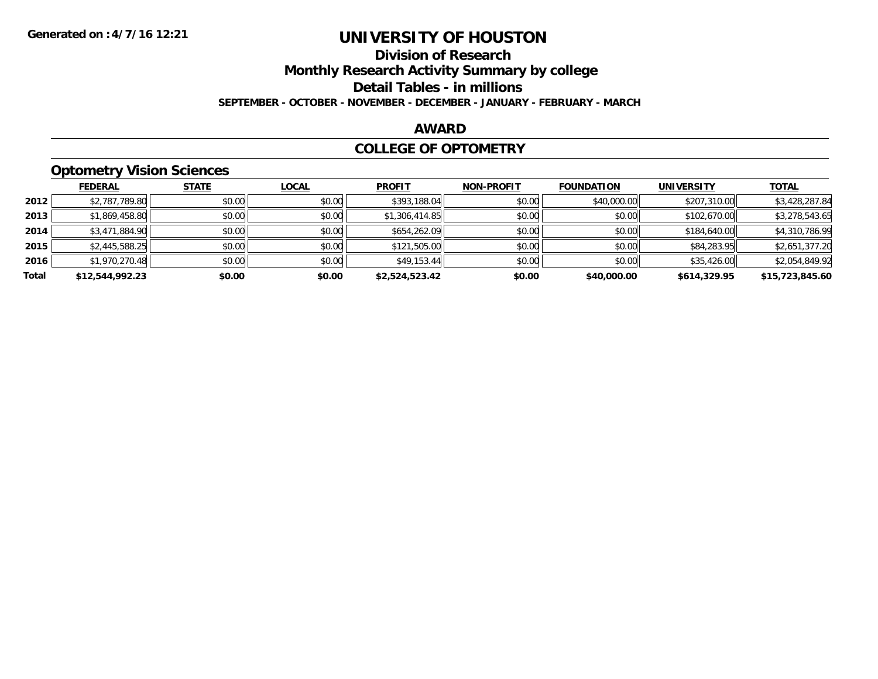## **Division of Research**

**Monthly Research Activity Summary by college**

**Detail Tables - in millions**

**SEPTEMBER - OCTOBER - NOVEMBER - DECEMBER - JANUARY - FEBRUARY - MARCH**

#### **AWARD**

#### **COLLEGE OF OPTOMETRY**

### **Optometry Vision Sciences**

|       | <b>FEDERAL</b>  | <b>STATE</b> | <b>LOCAL</b> | <b>PROFIT</b>  | <b>NON-PROFIT</b> | <b>FOUNDATION</b> | <b>UNIVERSITY</b> | <b>TOTAL</b>    |
|-------|-----------------|--------------|--------------|----------------|-------------------|-------------------|-------------------|-----------------|
| 2012  | \$2,787,789.80  | \$0.00       | \$0.00       | \$393,188.04   | \$0.00            | \$40,000.00       | \$207,310.00      | \$3,428,287.84  |
| 2013  | \$1,869,458.80  | \$0.00       | \$0.00       | \$1,306,414.85 | \$0.00            | \$0.00            | \$102,670.00      | \$3,278,543.65  |
| 2014  | \$3,471,884.90  | \$0.00       | \$0.00       | \$654,262.09   | \$0.00            | \$0.00            | \$184,640.00      | \$4,310,786.99  |
| 2015  | \$2,445,588.25  | \$0.00       | \$0.00       | \$121,505.00   | \$0.00            | \$0.00            | \$84,283.95       | \$2,651,377.20  |
| 2016  | \$1,970,270.48  | \$0.00       | \$0.00       | \$49,153.44    | \$0.00            | \$0.00            | \$35,426.00       | \$2,054,849.92  |
| Total | \$12,544,992.23 | \$0.00       | \$0.00       | \$2,524,523.42 | \$0.00            | \$40,000.00       | \$614,329.95      | \$15,723,845.60 |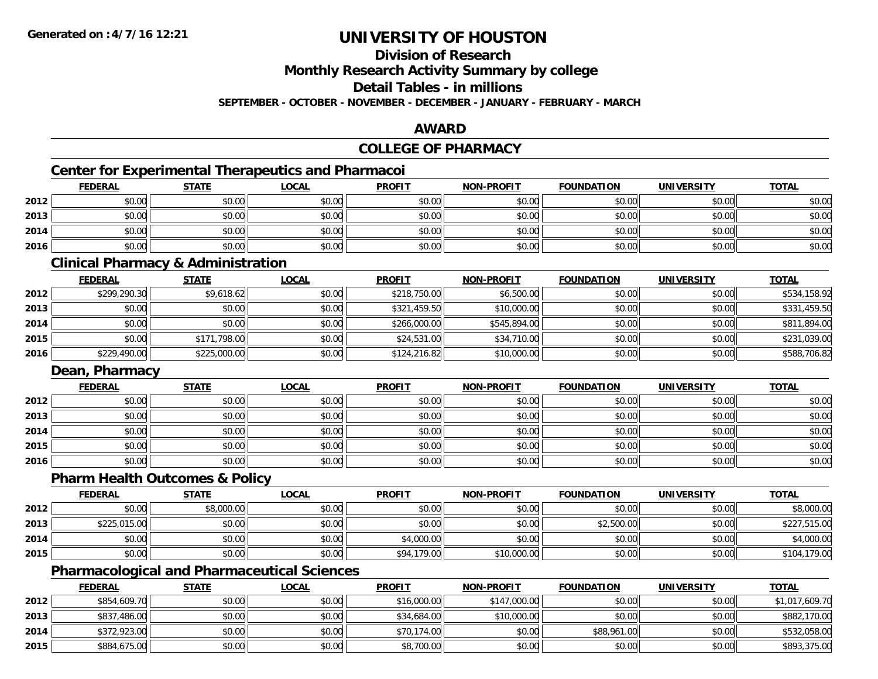### **Division of Research**

**Monthly Research Activity Summary by college**

**Detail Tables - in millions**

**SEPTEMBER - OCTOBER - NOVEMBER - DECEMBER - JANUARY - FEBRUARY - MARCH**

#### **AWARD**

### **COLLEGE OF PHARMACY**

### **Center for Experimental Therapeutics and Pharmacoi**

|      | <b>FEDERAL</b> | <b>STATE</b> | <u>LOCAL</u> | <b>PROFIT</b> | <b>NON-PROFIT</b> | <b>FOUNDATION</b> | <b>UNIVERSITY</b> | <b>TOTAL</b> |
|------|----------------|--------------|--------------|---------------|-------------------|-------------------|-------------------|--------------|
| 2012 | \$0.00         | \$0.00       | \$0.00       | \$0.00        | \$0.00            | \$0.00            | \$0.00            | \$0.00       |
| 2013 | \$0.00         | \$0.00       | \$0.00       | \$0.00        | \$0.00            | \$0.00            | \$0.00            | \$0.00       |
| 2014 | \$0.00         | \$0.00       | \$0.00       | \$0.00        | \$0.00            | \$0.00            | \$0.00            | \$0.00       |
| 2016 | \$0.00         | \$0.00       | \$0.00       | \$0.00        | \$0.00            | \$0.00            | \$0.00            | \$0.00       |

#### **Clinical Pharmacy & Administration**

|      | <u>FEDERAL</u> | <b>STATE</b> | <u>LOCAL</u> | <b>PROFIT</b> | <b>NON-PROFIT</b> | <b>FOUNDATION</b> | <b>UNIVERSITY</b> | <b>TOTAL</b> |
|------|----------------|--------------|--------------|---------------|-------------------|-------------------|-------------------|--------------|
| 2012 | \$299,290.30   | \$9,618.62   | \$0.00       | \$218,750.00  | \$6,500.00        | \$0.00            | \$0.00            | \$534,158.92 |
| 2013 | \$0.00         | \$0.00       | \$0.00       | \$321,459.50  | \$10,000.00       | \$0.00            | \$0.00            | \$331,459.50 |
| 2014 | \$0.00         | \$0.00       | \$0.00       | \$266,000.00  | \$545,894.00      | \$0.00            | \$0.00            | \$811,894.00 |
| 2015 | \$0.00         | \$171,798.00 | \$0.00       | \$24,531.00   | \$34,710.00       | \$0.00            | \$0.00            | \$231,039.00 |
| 2016 | \$229,490.00   | \$225,000.00 | \$0.00       | \$124.216.82  | \$10,000.00       | \$0.00            | \$0.00            | \$588,706.82 |

#### **Dean, Pharmacy**

|      | <u>FEDERAL</u> | <b>STATE</b> | <u>LOCAL</u> | <b>PROFIT</b> | <b>NON-PROFIT</b> | <b>FOUNDATION</b> | <b>UNIVERSITY</b> | <b>TOTAL</b> |
|------|----------------|--------------|--------------|---------------|-------------------|-------------------|-------------------|--------------|
| 2012 | \$0.00         | \$0.00       | \$0.00       | \$0.00        | \$0.00            | \$0.00            | \$0.00            | \$0.00       |
| 2013 | \$0.00         | \$0.00       | \$0.00       | \$0.00        | \$0.00            | \$0.00            | \$0.00            | \$0.00       |
| 2014 | \$0.00         | \$0.00       | \$0.00       | \$0.00        | \$0.00            | \$0.00            | \$0.00            | \$0.00       |
| 2015 | \$0.00         | \$0.00       | \$0.00       | \$0.00        | \$0.00            | \$0.00            | \$0.00            | \$0.00       |
| 2016 | \$0.00         | \$0.00       | \$0.00       | \$0.00        | \$0.00            | \$0.00            | \$0.00            | \$0.00       |

### **Pharm Health Outcomes & Policy**

|      | <b>FEDERAL</b> | <u>STATE</u> | <u>LOCAL</u> | <b>PROFIT</b> | <b>NON-PROFIT</b> | <b>FOUNDATION</b> | <b>UNIVERSITY</b> | <b>TOTAL</b> |
|------|----------------|--------------|--------------|---------------|-------------------|-------------------|-------------------|--------------|
| 2012 | \$0.00         | \$8,000.00   | \$0.00       | \$0.00        | \$0.00            | \$0.00            | \$0.00            | \$8,000.00   |
| 2013 | \$225,015.00   | \$0.00       | \$0.00       | \$0.00        | \$0.00            | \$2,500.00        | \$0.00            | \$227,515.00 |
| 2014 | \$0.00         | \$0.00       | \$0.00       | \$4,000.00    | \$0.00            | \$0.00            | \$0.00            | \$4,000.00   |
| 2015 | \$0.00         | \$0.00       | \$0.00       | \$94,179.00   | \$10,000.00       | \$0.00            | \$0.00            | \$104,179.00 |

### **Pharmacological and Pharmaceutical Sciences**

|      | <b>FEDERAL</b> | <b>STATE</b> | <u>LOCAL</u> | <b>PROFIT</b> | <b>NON-PROFIT</b> | <b>FOUNDATION</b> | UNIVERSITY | <b>TOTAL</b>   |
|------|----------------|--------------|--------------|---------------|-------------------|-------------------|------------|----------------|
| 2012 | \$854,609.70   | \$0.00       | \$0.00       | \$16,000.00   | \$147,000.00      | \$0.00            | \$0.00     | \$1,017,609.70 |
| 2013 | \$837,486.00   | \$0.00       | \$0.00       | \$34,684.00   | \$10,000.00       | \$0.00            | \$0.00     | \$882,170.00   |
| 2014 | \$372,923.00   | \$0.00       | \$0.00       | \$70,174.00   | \$0.00            | \$88,961.00       | \$0.00     | \$532,058.00   |
| 2015 | \$884,675.00   | \$0.00       | \$0.00       | \$8,700.00    | \$0.00            | \$0.00            | \$0.00     | \$893,375.00   |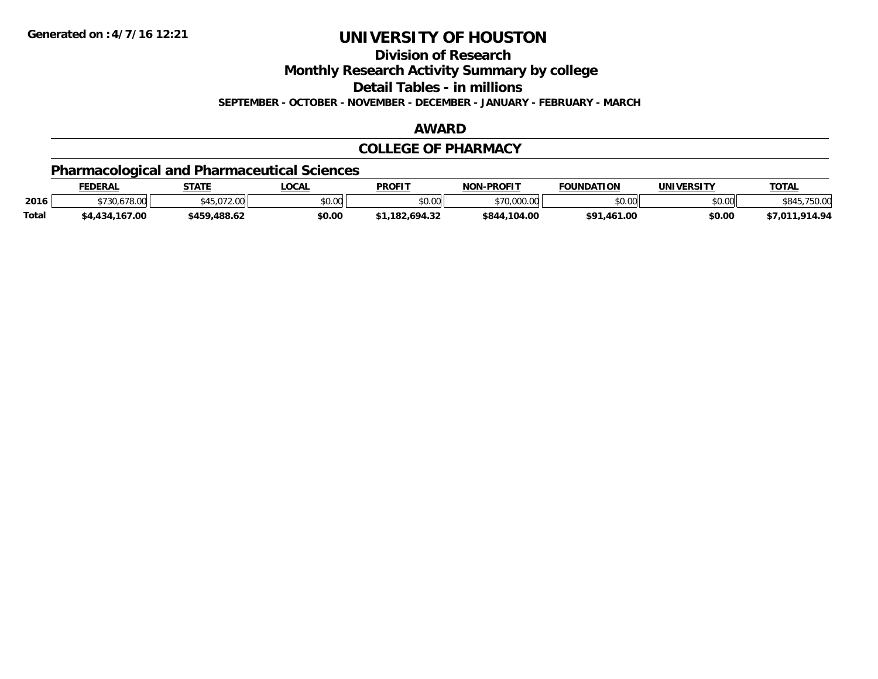**Division of Research**

**Monthly Research Activity Summary by college**

**Detail Tables - in millions**

**SEPTEMBER - OCTOBER - NOVEMBER - DECEMBER - JANUARY - FEBRUARY - MARCH**

#### **AWARD**

#### **COLLEGE OF PHARMACY**

### **Pharmacological and Pharmaceutical Sciences**

|              | <b>FEDERAL</b> | <b>STATE</b>                 | <b>OCAL</b> | <b>PROFIT</b> | <b>NON-PROFIT</b> | <b>FOUNDATION</b> | UNIVERSITY | T <u>OTAL</u>      |
|--------------|----------------|------------------------------|-------------|---------------|-------------------|-------------------|------------|--------------------|
| 2016         | \$730,678.00   | METO7200<br>JUU. 2 I U. C PC | \$0.00      | \$0.00        | \$70,000.00       | \$0.00            | \$0.00     | 75000<br>/0.UC     |
| <b>Total</b> | \$4,434,167.00 | \$459,488.62                 | \$0.00      | 1.182.694.32٪ | \$844,104.00      | \$91,461.00       | \$0.00     | .914.94<br>\$7,011 |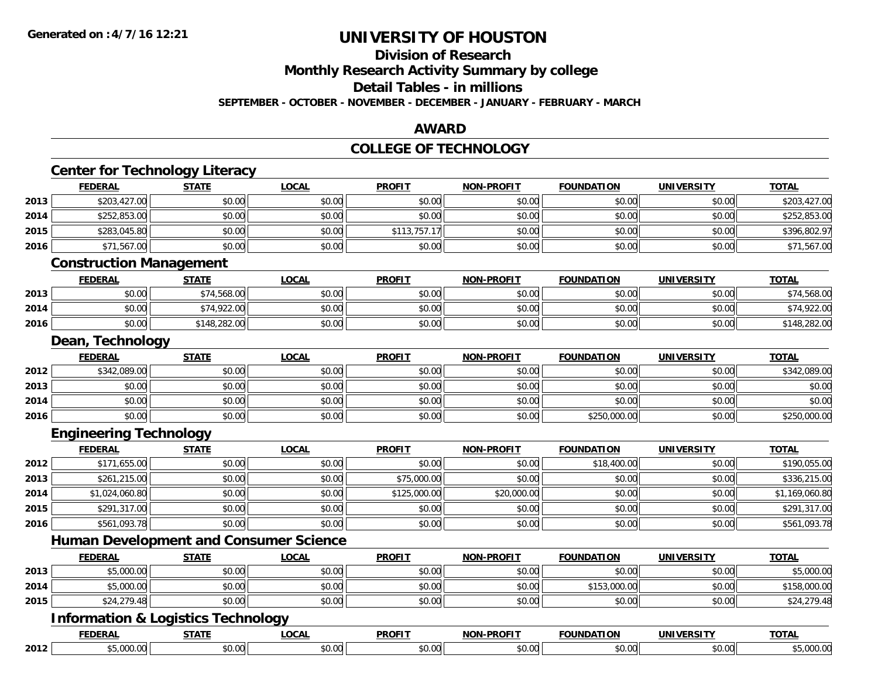#### **Division of Research**

**Monthly Research Activity Summary by college**

**Detail Tables - in millions**

**SEPTEMBER - OCTOBER - NOVEMBER - DECEMBER - JANUARY - FEBRUARY - MARCH**

#### **AWARD**

#### **COLLEGE OF TECHNOLOGY**

|      | <b>FEDERAL</b>                                | <b>STATE</b> | <b>LOCAL</b> | <b>PROFIT</b> | <b>NON-PROFIT</b> | <b>FOUNDATION</b> | <b>UNIVERSITY</b> | <b>TOTAL</b>   |
|------|-----------------------------------------------|--------------|--------------|---------------|-------------------|-------------------|-------------------|----------------|
| 2013 | \$203,427.00                                  | \$0.00       | \$0.00       | \$0.00        | \$0.00            | \$0.00            | \$0.00            | \$203,427.00   |
| 2014 | \$252,853.00                                  | \$0.00       | \$0.00       | \$0.00        | \$0.00            | \$0.00            | \$0.00            | \$252,853.00   |
| 2015 | \$283,045.80                                  | \$0.00       | \$0.00       | \$113,757.17  | \$0.00            | \$0.00            | \$0.00            | \$396,802.97   |
| 2016 | \$71,567.00                                   | \$0.00       | \$0.00       | \$0.00        | \$0.00            | \$0.00            | \$0.00            | \$71,567.00    |
|      | <b>Construction Management</b>                |              |              |               |                   |                   |                   |                |
|      | <b>FEDERAL</b>                                | <b>STATE</b> | <b>LOCAL</b> | <b>PROFIT</b> | <b>NON-PROFIT</b> | <b>FOUNDATION</b> | <b>UNIVERSITY</b> | <b>TOTAL</b>   |
| 2013 | \$0.00                                        | \$74,568.00  | \$0.00       | \$0.00        | \$0.00            | \$0.00            | \$0.00            | \$74,568.00    |
| 2014 | \$0.00                                        | \$74,922.00  | \$0.00       | \$0.00        | \$0.00            | \$0.00            | \$0.00            | \$74,922.00    |
| 2016 | \$0.00                                        | \$148,282.00 | \$0.00       | \$0.00        | \$0.00            | \$0.00            | \$0.00            | \$148,282.00   |
|      | Dean, Technology                              |              |              |               |                   |                   |                   |                |
|      | <b>FEDERAL</b>                                | <b>STATE</b> | <b>LOCAL</b> | <b>PROFIT</b> | NON-PROFIT        | <b>FOUNDATION</b> | <b>UNIVERSITY</b> | <b>TOTAL</b>   |
| 2012 | \$342,089.00                                  | \$0.00       | \$0.00       | \$0.00        | \$0.00            | \$0.00            | \$0.00            | \$342,089.00   |
| 2013 | \$0.00                                        | \$0.00       | \$0.00       | \$0.00        | \$0.00            | \$0.00            | \$0.00            | \$0.00         |
| 2014 | \$0.00                                        | \$0.00       | \$0.00       | \$0.00        | \$0.00            | \$0.00            | \$0.00            | \$0.00         |
| 2016 | \$0.00                                        | \$0.00       | \$0.00       | \$0.00        | \$0.00            | \$250,000.00      | \$0.00            | \$250,000.00   |
|      | <b>Engineering Technology</b>                 |              |              |               |                   |                   |                   |                |
|      | <b>FEDERAL</b>                                | <b>STATE</b> | <b>LOCAL</b> | <b>PROFIT</b> | NON-PROFIT        | <b>FOUNDATION</b> | <b>UNIVERSITY</b> | <b>TOTAL</b>   |
| 2012 | \$171,655.00                                  | \$0.00       | \$0.00       | \$0.00        | \$0.00            | \$18,400.00       | \$0.00            | \$190,055.00   |
| 2013 | \$261,215.00                                  | \$0.00       | \$0.00       | \$75,000.00   | \$0.00            | \$0.00            | \$0.00            | \$336,215.00   |
| 2014 | \$1,024,060.80                                | \$0.00       | \$0.00       | \$125,000.00  | \$20,000.00       | \$0.00            | \$0.00            | \$1,169,060.80 |
| 2015 | \$291,317.00                                  | \$0.00       | \$0.00       | \$0.00        | \$0.00            | \$0.00            | \$0.00            | \$291,317.00   |
| 2016 | \$561,093.78                                  | \$0.00       | \$0.00       | \$0.00        | \$0.00            | \$0.00            | \$0.00            | \$561,093.78   |
|      | <b>Human Development and Consumer Science</b> |              |              |               |                   |                   |                   |                |
|      | <b>FEDERAL</b>                                | <b>STATE</b> | <b>LOCAL</b> | <b>PROFIT</b> | <b>NON-PROFIT</b> | <b>FOUNDATION</b> | <b>UNIVERSITY</b> | <b>TOTAL</b>   |
| 2013 | \$5,000.00                                    | \$0.00       | \$0.00       | \$0.00        | \$0.00            | \$0.00            | \$0.00            | \$5,000.00     |
| 2014 | \$5,000.00                                    | \$0.00       | \$0.00       | \$0.00        | \$0.00            | \$153,000.00      | \$0.00            | \$158,000.00   |
| 2015 | \$24,279.48                                   | \$0.00       | \$0.00       | \$0.00        | \$0.00            | \$0.00            | \$0.00            | \$24,279.48    |
|      | <b>Information &amp; Logistics Technology</b> |              |              |               |                   |                   |                   |                |
|      | <b>FEDERAL</b>                                | <b>STATE</b> | <b>LOCAL</b> | <b>PROFIT</b> | <b>NON-PROFIT</b> | <b>FOUNDATION</b> | <b>UNIVERSITY</b> | <b>TOTAL</b>   |
| 2012 | \$5,000.00                                    | \$0.00       | \$0.00       | \$0.00        | \$0.00            | \$0.00            | \$0.00            | \$5,000.00     |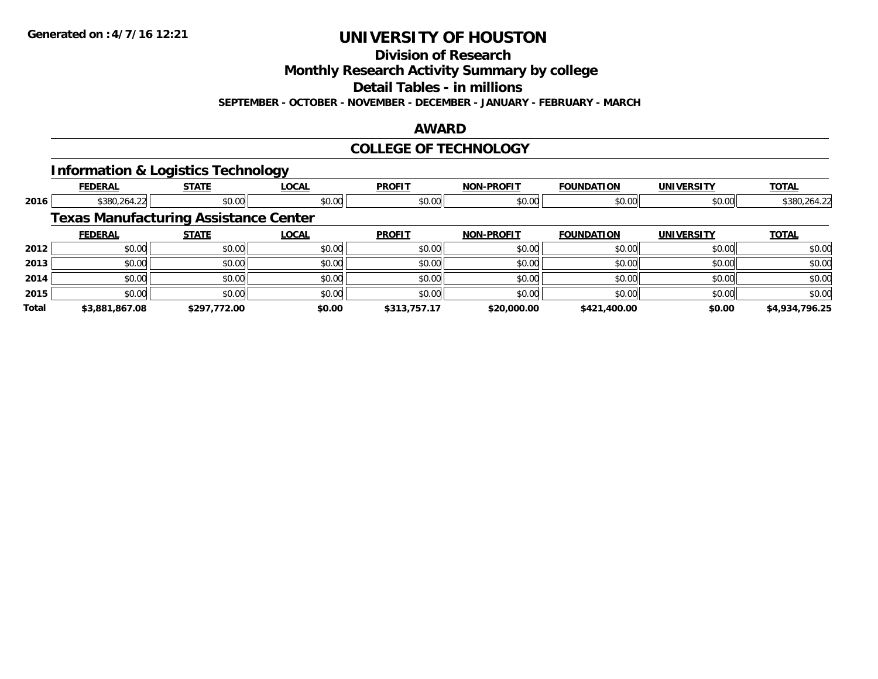**Division of Research**

**Monthly Research Activity Summary by college**

**Detail Tables - in millions**

**SEPTEMBER - OCTOBER - NOVEMBER - DECEMBER - JANUARY - FEBRUARY - MARCH**

#### **AWARD**

#### **COLLEGE OF TECHNOLOGY**

#### **Information & Logistics Technology**

|              | <b>FEDERAL</b>                               | <b>STATE</b> | <b>LOCAL</b> | <b>PROFIT</b> | <b>NON-PROFIT</b> | <b>FOUNDATION</b> | <b>UNIVERSITY</b> | <b>TOTAL</b>   |
|--------------|----------------------------------------------|--------------|--------------|---------------|-------------------|-------------------|-------------------|----------------|
| 2016         | \$380,264.22                                 | \$0.00       | \$0.00       | \$0.00        | \$0.00            | \$0.00            | \$0.00            | \$380,264.22   |
|              | <b>Texas Manufacturing Assistance Center</b> |              |              |               |                   |                   |                   |                |
|              | <b>FEDERAL</b>                               | <b>STATE</b> | <b>LOCAL</b> | <b>PROFIT</b> | <b>NON-PROFIT</b> | <b>FOUNDATION</b> | <b>UNIVERSITY</b> | <b>TOTAL</b>   |
| 2012         | \$0.00                                       | \$0.00       | \$0.00       | \$0.00        | \$0.00            | \$0.00            | \$0.00            | \$0.00         |
| 2013         | \$0.00                                       | \$0.00       | \$0.00       | \$0.00        | \$0.00            | \$0.00            | \$0.00            | \$0.00         |
| 2014         | \$0.00                                       | \$0.00       | \$0.00       | \$0.00        | \$0.00            | \$0.00            | \$0.00            | \$0.00         |
| 2015         | \$0.00                                       | \$0.00       | \$0.00       | \$0.00        | \$0.00            | \$0.00            | \$0.00            | \$0.00         |
| <b>Total</b> | \$3.881.867.08                               | \$297.772.00 | \$0.00       | \$313,757.17  | \$20,000.00       | \$421,400.00      | \$0.00            | \$4,934,796.25 |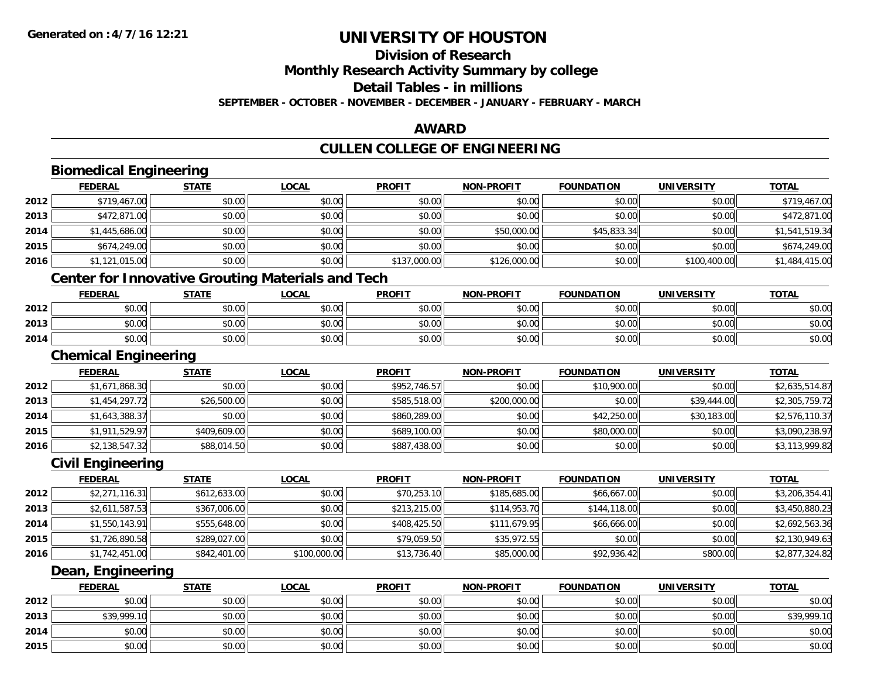**2015**

## **UNIVERSITY OF HOUSTON**

## **Division of Research**

**Monthly Research Activity Summary by college**

**Detail Tables - in millions**

**SEPTEMBER - OCTOBER - NOVEMBER - DECEMBER - JANUARY - FEBRUARY - MARCH**

#### **AWARD**

## **CULLEN COLLEGE OF ENGINEERING**

|      | <b>Biomedical Engineering</b>                            |              |              |               |                   |                   |                   |                |
|------|----------------------------------------------------------|--------------|--------------|---------------|-------------------|-------------------|-------------------|----------------|
|      | <b>FEDERAL</b>                                           | <b>STATE</b> | <b>LOCAL</b> | <b>PROFIT</b> | <b>NON-PROFIT</b> | <b>FOUNDATION</b> | <b>UNIVERSITY</b> | <b>TOTAL</b>   |
| 2012 | \$719,467.00                                             | \$0.00       | \$0.00       | \$0.00        | \$0.00            | \$0.00            | \$0.00            | \$719,467.00   |
| 2013 | \$472,871.00                                             | \$0.00       | \$0.00       | \$0.00        | \$0.00            | \$0.00            | \$0.00            | \$472,871.00   |
| 2014 | \$1,445,686.00                                           | \$0.00       | \$0.00       | \$0.00        | \$50,000.00       | \$45,833.34       | \$0.00            | \$1,541,519.34 |
| 2015 | \$674,249.00                                             | \$0.00       | \$0.00       | \$0.00        | \$0.00            | \$0.00            | \$0.00            | \$674,249.00   |
| 2016 | \$1,121,015.00                                           | \$0.00       | \$0.00       | \$137,000.00  | \$126,000.00      | \$0.00            | \$100,400.00      | \$1,484,415.00 |
|      | <b>Center for Innovative Grouting Materials and Tech</b> |              |              |               |                   |                   |                   |                |
|      | <b>FEDERAL</b>                                           | <b>STATE</b> | <b>LOCAL</b> | <b>PROFIT</b> | <b>NON-PROFIT</b> | <b>FOUNDATION</b> | <b>UNIVERSITY</b> | <b>TOTAL</b>   |
| 2012 | \$0.00                                                   | \$0.00       | \$0.00       | \$0.00        | \$0.00            | \$0.00            | \$0.00            | \$0.00         |
| 2013 | \$0.00                                                   | \$0.00       | \$0.00       | \$0.00        | \$0.00            | \$0.00            | \$0.00            | \$0.00         |
| 2014 | \$0.00                                                   | \$0.00       | \$0.00       | \$0.00        | \$0.00            | \$0.00            | \$0.00            | \$0.00         |
|      | <b>Chemical Engineering</b>                              |              |              |               |                   |                   |                   |                |
|      | <b>FEDERAL</b>                                           | <b>STATE</b> | <b>LOCAL</b> | <b>PROFIT</b> | <b>NON-PROFIT</b> | <b>FOUNDATION</b> | <b>UNIVERSITY</b> | <b>TOTAL</b>   |
| 2012 | \$1,671,868.30                                           | \$0.00       | \$0.00       | \$952,746.57  | \$0.00            | \$10,900.00       | \$0.00            | \$2,635,514.87 |
| 2013 | \$1,454,297.72                                           | \$26,500.00  | \$0.00       | \$585,518.00  | \$200,000.00      | \$0.00            | \$39,444.00       | \$2,305,759.72 |
| 2014 | \$1,643,388.37                                           | \$0.00       | \$0.00       | \$860,289.00  | \$0.00            | \$42,250.00       | \$30,183.00       | \$2,576,110.37 |
| 2015 | \$1,911,529.97                                           | \$409,609.00 | \$0.00       | \$689,100.00  | \$0.00            | \$80,000.00       | \$0.00            | \$3,090,238.97 |
| 2016 | \$2,138,547.32                                           | \$88,014.50  | \$0.00       | \$887,438.00  | \$0.00            | \$0.00            | \$0.00            | \$3,113,999.82 |
|      | <b>Civil Engineering</b>                                 |              |              |               |                   |                   |                   |                |
|      | <b>FEDERAL</b>                                           | <b>STATE</b> | <b>LOCAL</b> | <b>PROFIT</b> | <b>NON-PROFIT</b> | <b>FOUNDATION</b> | <b>UNIVERSITY</b> | <b>TOTAL</b>   |
| 2012 | \$2,271,116.31                                           | \$612,633.00 | \$0.00       | \$70,253.10   | \$185,685.00      | \$66,667.00       | \$0.00            | \$3,206,354.41 |
| 2013 | \$2,611,587.53                                           | \$367,006.00 | \$0.00       | \$213,215.00  | \$114,953.70      | \$144,118.00      | \$0.00            | \$3,450,880.23 |
| 2014 | \$1,550,143.91                                           | \$555,648.00 | \$0.00       | \$408,425.50  | \$111,679.95      | \$66,666.00       | \$0.00            | \$2,692,563.36 |
| 2015 | \$1,726,890.58                                           | \$289,027.00 | \$0.00       | \$79,059.50   | \$35,972.55       | \$0.00            | \$0.00            | \$2,130,949.63 |
| 2016 | \$1,742,451.00                                           | \$842,401.00 | \$100,000.00 | \$13,736.40   | \$85,000.00       | \$92,936.42       | \$800.00          | \$2,877,324.82 |
|      | Dean, Engineering                                        |              |              |               |                   |                   |                   |                |
|      | <b>FEDERAL</b>                                           | <b>STATE</b> | <b>LOCAL</b> | <b>PROFIT</b> | <b>NON-PROFIT</b> | <b>FOUNDATION</b> | <b>UNIVERSITY</b> | <b>TOTAL</b>   |
| 2012 | \$0.00                                                   | \$0.00       | \$0.00       | \$0.00        | \$0.00            | \$0.00            | \$0.00            | \$0.00         |
| 2013 | \$39,999.10                                              | \$0.00       | \$0.00       | \$0.00        | \$0.00            | \$0.00            | \$0.00            | \$39,999.10    |
| 2014 | \$0.00                                                   | \$0.00       | \$0.00       | \$0.00        | \$0.00            | \$0.00            | \$0.00            | \$0.00         |

\$0.00 \$0.00 \$0.00 \$0.00 \$0.00 \$0.00 \$0.00 \$0.00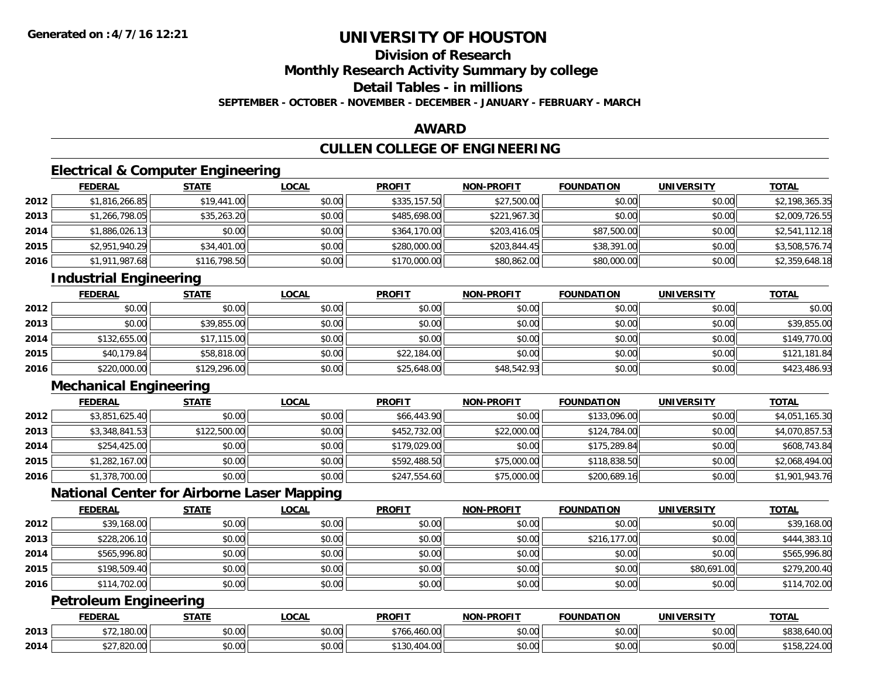## **Division of Research**

**Monthly Research Activity Summary by college**

**Detail Tables - in millions**

**SEPTEMBER - OCTOBER - NOVEMBER - DECEMBER - JANUARY - FEBRUARY - MARCH**

#### **AWARD**

### **CULLEN COLLEGE OF ENGINEERING**

### **Electrical & Computer Engineering**

|      | <b>FEDERAL</b> | <b>STATE</b> | <b>LOCAL</b> | <b>PROFIT</b> | <b>NON-PROFIT</b> | <b>FOUNDATION</b> | <b>UNIVERSITY</b> | <b>TOTAL</b>   |
|------|----------------|--------------|--------------|---------------|-------------------|-------------------|-------------------|----------------|
| 2012 | \$1,816,266.85 | \$19,441.00  | \$0.00       | \$335,157.50  | \$27,500.00       | \$0.00            | \$0.00            | \$2,198,365.35 |
| 2013 | \$1,266,798.05 | \$35,263.20  | \$0.00       | \$485,698.00  | \$221,967.30      | \$0.00            | \$0.00            | \$2,009,726.55 |
| 2014 | \$1,886,026.13 | \$0.00       | \$0.00       | \$364,170.00  | \$203,416.05      | \$87,500.00       | \$0.00            | \$2,541,112.18 |
| 2015 | \$2,951,940.29 | \$34,401.00  | \$0.00       | \$280,000.00  | \$203,844.45      | \$38,391.00       | \$0.00            | \$3,508,576.74 |
| 2016 | \$1,911,987.68 | \$116,798.50 | \$0.00       | \$170,000.00  | \$80,862.00       | \$80,000.00       | \$0.00            | \$2,359,648.18 |

### **Industrial Engineering**

|      | <u>FEDERAL</u> | <b>STATE</b> | <u>LOCAL</u> | <b>PROFIT</b> | <b>NON-PROFIT</b> | <b>FOUNDATION</b> | <b>UNIVERSITY</b> | <b>TOTAL</b> |
|------|----------------|--------------|--------------|---------------|-------------------|-------------------|-------------------|--------------|
| 2012 | \$0.00         | \$0.00       | \$0.00       | \$0.00        | \$0.00            | \$0.00            | \$0.00            | \$0.00       |
| 2013 | \$0.00         | \$39,855.00  | \$0.00       | \$0.00        | \$0.00            | \$0.00            | \$0.00            | \$39,855.00  |
| 2014 | \$132,655.00   | \$17,115.00  | \$0.00       | \$0.00        | \$0.00            | \$0.00            | \$0.00            | \$149,770.00 |
| 2015 | \$40,179.84    | \$58,818.00  | \$0.00       | \$22,184.00   | \$0.00            | \$0.00            | \$0.00            | \$121,181.84 |
| 2016 | \$220,000.00   | \$129,296.00 | \$0.00       | \$25,648.00   | \$48,542.93       | \$0.00            | \$0.00            | \$423,486.93 |

### **Mechanical Engineering**

|      | <b>FEDERAL</b> | <b>STATE</b> | <u>LOCAL</u> | <b>PROFIT</b> | <b>NON-PROFIT</b> | <b>FOUNDATION</b> | <b>UNIVERSITY</b> | <b>TOTAL</b>   |
|------|----------------|--------------|--------------|---------------|-------------------|-------------------|-------------------|----------------|
| 2012 | \$3,851,625.40 | \$0.00       | \$0.00       | \$66,443.90   | \$0.00            | \$133,096.00      | \$0.00            | \$4,051,165.30 |
| 2013 | \$3,348,841.53 | \$122,500.00 | \$0.00       | \$452,732.00  | \$22,000.00       | \$124,784.00      | \$0.00            | \$4,070,857.53 |
| 2014 | \$254,425.00   | \$0.00       | \$0.00       | \$179,029.00  | \$0.00            | \$175,289.84      | \$0.00            | \$608,743.84   |
| 2015 | \$1,282,167.00 | \$0.00       | \$0.00       | \$592,488.50  | \$75,000.00       | \$118,838.50      | \$0.00            | \$2,068,494.00 |
| 2016 | \$1,378,700.00 | \$0.00       | \$0.00       | \$247,554.60  | \$75,000.00       | \$200,689.16      | \$0.00            | \$1,901,943.76 |

### **National Center for Airborne Laser Mapping**

|      | <b>FEDERAL</b> | <b>STATE</b> | <u>LOCAL</u> | <b>PROFIT</b> | <b>NON-PROFIT</b> | <b>FOUNDATION</b> | <b>UNIVERSITY</b> | <b>TOTAL</b> |
|------|----------------|--------------|--------------|---------------|-------------------|-------------------|-------------------|--------------|
| 2012 | \$39,168.00    | \$0.00       | \$0.00       | \$0.00        | \$0.00            | \$0.00            | \$0.00            | \$39,168.00  |
| 2013 | \$228,206.10   | \$0.00       | \$0.00       | \$0.00        | \$0.00            | \$216,177,00      | \$0.00            | \$444,383.10 |
| 2014 | \$565,996.80   | \$0.00       | \$0.00       | \$0.00        | \$0.00            | \$0.00            | \$0.00            | \$565,996.80 |
| 2015 | \$198,509.40   | \$0.00       | \$0.00       | \$0.00        | \$0.00            | \$0.00            | \$80,691.00       | \$279,200.40 |
| 2016 | \$114,702.00   | \$0.00       | \$0.00       | \$0.00        | \$0.00            | \$0.00            | \$0.00            | \$114,702.00 |

### **Petroleum Engineering**

|      | <b>FEDERAL</b>                                | <b>STATE</b> | _OCAL              | <b>PROFIT</b>                        | J-PROFIT<br><b>NIONI</b> | <b>FOUNDATION</b> | <b>UNIVERSITY</b> | <b>TOTAL</b>                     |
|------|-----------------------------------------------|--------------|--------------------|--------------------------------------|--------------------------|-------------------|-------------------|----------------------------------|
| 2013 | 100.00<br>8V.V                                | \$0.00       | $\sim$ 00<br>70.UU | $+76$<br>$\sim$<br>700.00            | 0000<br>vv.vv            | \$0.00            | \$0.00            | よのつく<br>40.00<br>⊸∪აბ.∪∼'        |
| 2014 | $\sim$ $\sim$ $\sim$ $\sim$ $\sim$<br>,820.UU | \$0.00       | ቀስ ሰስ<br>JU.UU     | $\Lambda$ $\Lambda$<br>300<br>.v. .v | $\sim$ 00<br>JU.UU       | \$0.00            | \$0.00            | 0.100<br>ሐ ብ ጦ<br>› I ᲔᲒ. 224.UU |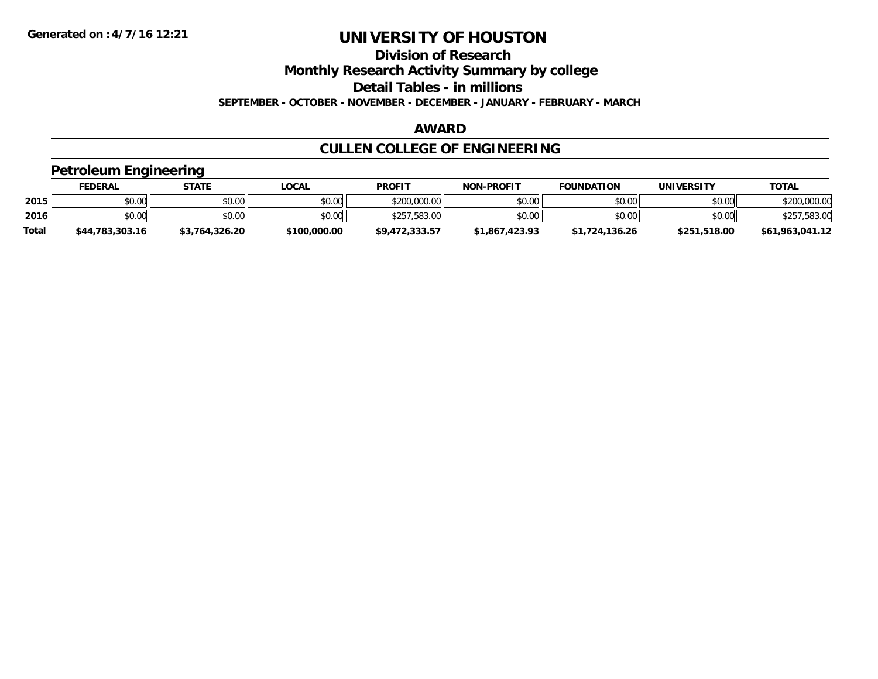**Division of Research**

**Monthly Research Activity Summary by college**

**Detail Tables - in millions**

**SEPTEMBER - OCTOBER - NOVEMBER - DECEMBER - JANUARY - FEBRUARY - MARCH**

#### **AWARD**

## **CULLEN COLLEGE OF ENGINEERING**

#### **Petroleum Engineering**

|              | <b>FEDERAL</b>  | STATE          | <b>LOCAL</b> | <b>PROFIT</b>  | <b>NON-PROFIT</b> | <b>FOUNDATION</b> | UNIVERSITY   | <b>TOTAL</b>      |
|--------------|-----------------|----------------|--------------|----------------|-------------------|-------------------|--------------|-------------------|
| 2015         | \$0.00          | \$0.00         | \$0.00       | \$200,000.00   | \$0.00            | \$0.00            | \$0.00       | \$200,000.00      |
| 2016         | \$0.00          | \$0.00         | \$0.00       | \$257,583,00   | \$0.00            | \$0.00            | \$0.00       | ,583.00<br>\$257. |
| <b>Total</b> | \$44,783,303.16 | \$3.764.326.20 | \$100,000.00 | \$9.472.333.57 | \$1,867,423,93    | \$1,724,136.26    | \$251,518.00 | \$61,963,041.12   |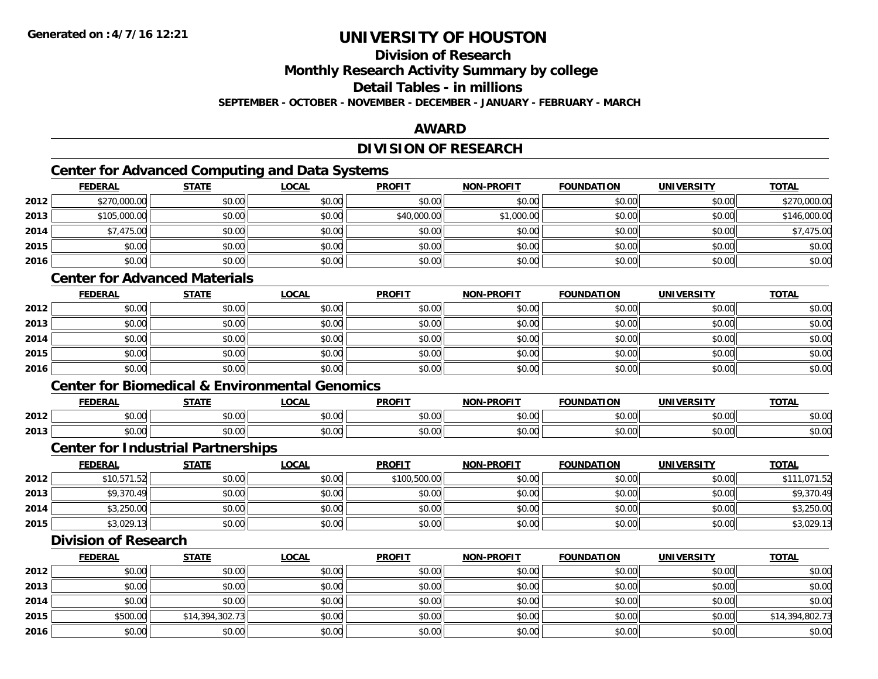### **Division of Research**

**Monthly Research Activity Summary by college**

**Detail Tables - in millions**

**SEPTEMBER - OCTOBER - NOVEMBER - DECEMBER - JANUARY - FEBRUARY - MARCH**

#### **AWARD**

### **DIVISION OF RESEARCH**

### **Center for Advanced Computing and Data Systems**

|      | Center for Advanced Computing and Data Systems |              |              |               |                   |                   |                   |              |  |  |  |
|------|------------------------------------------------|--------------|--------------|---------------|-------------------|-------------------|-------------------|--------------|--|--|--|
|      | <b>FEDERAL</b>                                 | <b>STATE</b> | <u>LOCAL</u> | <b>PROFIT</b> | <b>NON-PROFIT</b> | <b>FOUNDATION</b> | <b>UNIVERSITY</b> | <b>TOTAL</b> |  |  |  |
| 2012 | \$270,000.00                                   | \$0.00       | \$0.00       | \$0.00        | \$0.00            | \$0.00            | \$0.00            | \$270,000.00 |  |  |  |
| 2013 | \$105,000.00                                   | \$0.00       | \$0.00       | \$40,000.00   | \$1,000.00        | \$0.00            | \$0.00            | \$146,000.00 |  |  |  |
| 2014 | \$7,475.00                                     | \$0.00       | \$0.00       | \$0.00        | \$0.00            | \$0.00            | \$0.00            | \$7,475.00   |  |  |  |
| 2015 | \$0.00                                         | \$0.00       | \$0.00       | \$0.00        | \$0.00            | \$0.00            | \$0.00            | \$0.00       |  |  |  |
| 2016 | \$0.00                                         | \$0.00       | \$0.00       | \$0.00        | \$0.00            | \$0.00            | \$0.00            | \$0.00       |  |  |  |

#### **Center for Advanced Materials**

|      | <b>FEDERAL</b> | <b>STATE</b> | <u>LOCAL</u> | <b>PROFIT</b> | <b>NON-PROFIT</b> | <b>FOUNDATION</b> | <b>UNIVERSITY</b> | <b>TOTAL</b> |
|------|----------------|--------------|--------------|---------------|-------------------|-------------------|-------------------|--------------|
| 2012 | \$0.00         | \$0.00       | \$0.00       | \$0.00        | \$0.00            | \$0.00            | \$0.00            | \$0.00       |
| 2013 | \$0.00         | \$0.00       | \$0.00       | \$0.00        | \$0.00            | \$0.00            | \$0.00            | \$0.00       |
| 2014 | \$0.00         | \$0.00       | \$0.00       | \$0.00        | \$0.00            | \$0.00            | \$0.00            | \$0.00       |
| 2015 | \$0.00         | \$0.00       | \$0.00       | \$0.00        | \$0.00            | \$0.00            | \$0.00            | \$0.00       |
| 2016 | \$0.00         | \$0.00       | \$0.00       | \$0.00        | \$0.00            | \$0.00            | \$0.00            | \$0.00       |

#### **Center for Biomedical & Environmental Genomics**

|      | <b>FEDERAL</b> | <b>CTATE</b>        | .OCAI              | <b>PROFIT</b>                   | <b>PROFIT</b><br><b>NION</b> | דמחוחוה<br>ΓΙΟΝ | UNIVERSITY           | <b>TOTAL</b>  |
|------|----------------|---------------------|--------------------|---------------------------------|------------------------------|-----------------|----------------------|---------------|
| 2012 | 0000<br>טט.טע  | $\uparrow$<br>טט.טע | ሶስ ሰሰ<br>vu.vu     | $\sim$ $\sim$<br>$\cap$<br>ט.טע | 0000<br>งบ.บเ                | 0000<br>,u.uu   | 0000<br>JU.UU        | \$0.00        |
| 2013 | 0000<br>DU.UU  | $\sim$<br>JU.UU     | $\sim$ 00<br>JU.UU | \$0.00                          | \$0.00                       | \$0.00          | 0000<br><b>DU.UU</b> | 0000<br>งบ.บบ |

#### **Center for Industrial Partnerships**

|      | <b>FEDERAL</b> | STATE  | LOCAL  | <b>PROFIT</b> | <b>NON-PROFIT</b> | <b>FOUNDATION</b> | <b>UNIVERSITY</b> | <b>TOTAL</b> |
|------|----------------|--------|--------|---------------|-------------------|-------------------|-------------------|--------------|
| 2012 | \$10,571.52    | \$0.00 | \$0.00 | \$100,500.00  | \$0.00            | \$0.00            | \$0.00            | \$111,071.52 |
| 2013 | \$9,370.49     | \$0.00 | \$0.00 | \$0.00        | \$0.00            | \$0.00            | \$0.00            | \$9,370.49   |
| 2014 | \$3,250.00     | \$0.00 | \$0.00 | \$0.00        | \$0.00            | \$0.00            | \$0.00            | \$3,250.00   |
| 2015 | \$3,029.13     | \$0.00 | \$0.00 | \$0.00        | \$0.00            | \$0.00            | \$0.00            | \$3,029.13   |

#### **Division of Research**

|      | <b>FEDERAL</b> | <b>STATE</b>    | <u>LOCAL</u> | <b>PROFIT</b> | <b>NON-PROFIT</b> | <b>FOUNDATION</b> | <b>UNIVERSITY</b> | <b>TOTAL</b>    |
|------|----------------|-----------------|--------------|---------------|-------------------|-------------------|-------------------|-----------------|
| 2012 | \$0.00         | \$0.00          | \$0.00       | \$0.00        | \$0.00            | \$0.00            | \$0.00            | \$0.00          |
| 2013 | \$0.00         | \$0.00          | \$0.00       | \$0.00        | \$0.00            | \$0.00            | \$0.00            | \$0.00          |
| 2014 | \$0.00         | \$0.00          | \$0.00       | \$0.00        | \$0.00            | \$0.00            | \$0.00            | \$0.00          |
| 2015 | \$500.00       | \$14,394,302.73 | \$0.00       | \$0.00        | \$0.00            | \$0.00            | \$0.00            | \$14,394,802.73 |
| 2016 | \$0.00         | \$0.00          | \$0.00       | \$0.00        | \$0.00            | \$0.00            | \$0.00            | \$0.00          |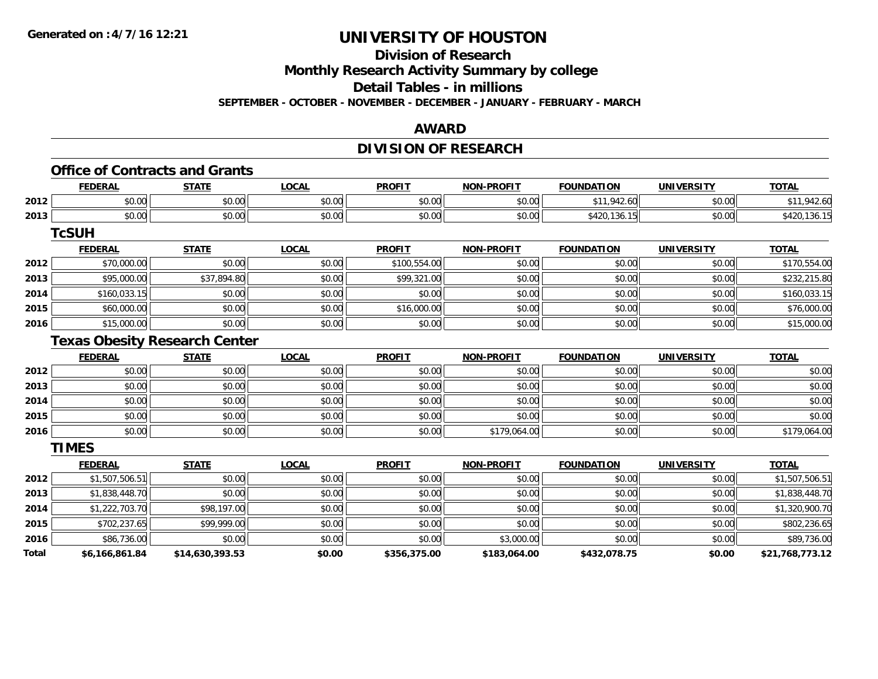**Division of Research**

**Monthly Research Activity Summary by college**

**Detail Tables - in millions**

**SEPTEMBER - OCTOBER - NOVEMBER - DECEMBER - JANUARY - FEBRUARY - MARCH**

#### **AWARD**

### **DIVISION OF RESEARCH**

## **Office of Contracts and Grants**

|      | <b>FEDERAL</b>         | <b>CTATE</b>      | <b>_OCAI</b>       | <b>PROFIT</b> | <b>PROFIT</b><br>NON- | <b>FOUNDATION</b> | UNIVERSITY            | $T$ $T$ $R$<br><b>OIA</b> |
|------|------------------------|-------------------|--------------------|---------------|-----------------------|-------------------|-----------------------|---------------------------|
| 2012 | 0000<br>vv.vu          | $\sim$ 00<br>70.C | 0000<br>vv.vv      | 0.00<br>JU.UU | 0000<br>vu.vu         |                   | 0.001<br><b>DU.UU</b> |                           |
| 2013 | $\sim$ $\sim$<br>DU.UU | $\sim$<br>JU.U    | $\sim$ 00<br>vv.vv | 0.00<br>JU.UU | 0000<br>PO.OO         | $\sim$            | \$0.00                |                           |

**TcSUH**

|      | <u>FEDERAL</u> | <b>STATE</b> | <b>LOCAL</b> | <b>PROFIT</b> | <b>NON-PROFIT</b> | <b>FOUNDATION</b> | <b>UNIVERSITY</b> | <b>TOTAL</b> |
|------|----------------|--------------|--------------|---------------|-------------------|-------------------|-------------------|--------------|
| 2012 | \$70,000.00    | \$0.00       | \$0.00       | \$100,554.00  | \$0.00            | \$0.00            | \$0.00            | \$170,554.00 |
| 2013 | \$95,000.00    | \$37,894.80  | \$0.00       | \$99,321.00   | \$0.00            | \$0.00            | \$0.00            | \$232,215.80 |
| 2014 | \$160,033.15   | \$0.00       | \$0.00       | \$0.00        | \$0.00            | \$0.00            | \$0.00            | \$160,033.15 |
| 2015 | \$60,000.00    | \$0.00       | \$0.00       | \$16,000.00   | \$0.00            | \$0.00            | \$0.00            | \$76,000.00  |
| 2016 | \$15,000.00    | \$0.00       | \$0.00       | \$0.00        | \$0.00            | \$0.00            | \$0.00            | \$15,000.00  |

### **Texas Obesity Research Center**

|      | <b>FEDERAL</b> | <b>STATE</b> | <b>LOCAL</b> | <b>PROFIT</b> | <b>NON-PROFIT</b> | <b>FOUNDATION</b> | <b>UNIVERSITY</b> | <b>TOTAL</b> |
|------|----------------|--------------|--------------|---------------|-------------------|-------------------|-------------------|--------------|
| 2012 | \$0.00         | \$0.00       | \$0.00       | \$0.00        | \$0.00            | \$0.00            | \$0.00            | \$0.00       |
| 2013 | \$0.00         | \$0.00       | \$0.00       | \$0.00        | \$0.00            | \$0.00            | \$0.00            | \$0.00       |
| 2014 | \$0.00         | \$0.00       | \$0.00       | \$0.00        | \$0.00            | \$0.00            | \$0.00            | \$0.00       |
| 2015 | \$0.00         | \$0.00       | \$0.00       | \$0.00        | \$0.00            | \$0.00            | \$0.00            | \$0.00       |
| 2016 | \$0.00         | \$0.00       | \$0.00       | \$0.00        | \$179,064.00      | \$0.00            | \$0.00            | \$179,064.00 |

**TIMES**

|              | <b>FEDERAL</b> | <b>STATE</b>    | <u>LOCAL</u> | <b>PROFIT</b> | <b>NON-PROFIT</b> | <b>FOUNDATION</b> | <b>UNIVERSITY</b> | <b>TOTAL</b>    |
|--------------|----------------|-----------------|--------------|---------------|-------------------|-------------------|-------------------|-----------------|
| 2012         | \$1,507,506.51 | \$0.00          | \$0.00       | \$0.00        | \$0.00            | \$0.00            | \$0.00            | \$1,507,506.51  |
| 2013         | \$1,838,448.70 | \$0.00          | \$0.00       | \$0.00        | \$0.00            | \$0.00            | \$0.00            | \$1,838,448.70  |
| 2014         | \$1,222,703.70 | \$98,197.00     | \$0.00       | \$0.00        | \$0.00            | \$0.00            | \$0.00            | \$1,320,900.70  |
| 2015         | \$702,237.65   | \$99,999.00     | \$0.00       | \$0.00        | \$0.00            | \$0.00            | \$0.00            | \$802,236.65    |
| 2016         | \$86,736.00    | \$0.00          | \$0.00       | \$0.00        | \$3,000.00        | \$0.00            | \$0.00            | \$89,736.00     |
| <b>Total</b> | \$6,166,861.84 | \$14,630,393.53 | \$0.00       | \$356,375.00  | \$183,064.00      | \$432,078.75      | \$0.00            | \$21,768,773.12 |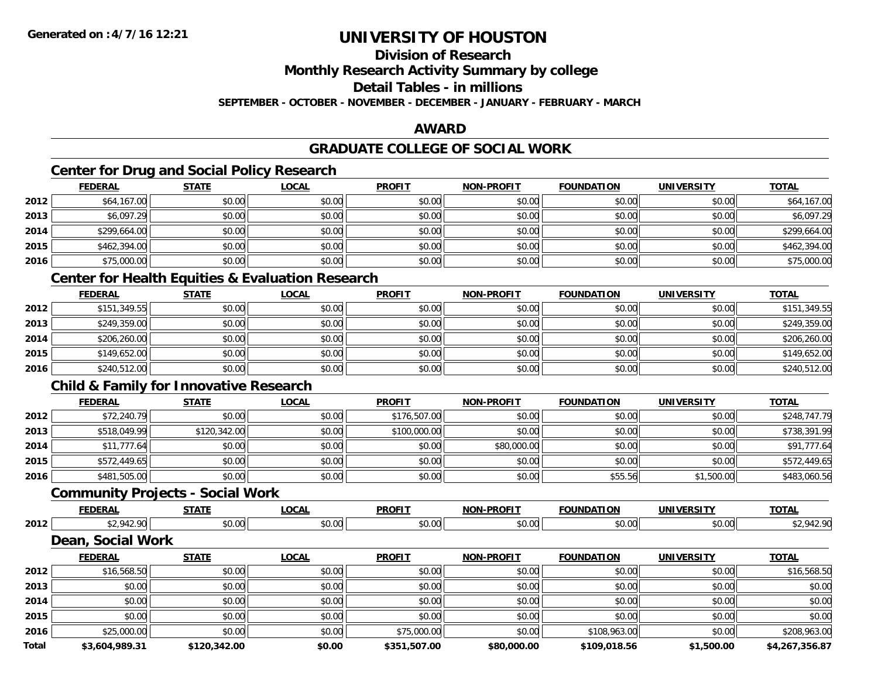### **Division of Research**

**Monthly Research Activity Summary by college**

**Detail Tables - in millions**

**SEPTEMBER - OCTOBER - NOVEMBER - DECEMBER - JANUARY - FEBRUARY - MARCH**

#### **AWARD**

#### **GRADUATE COLLEGE OF SOCIAL WORK**

### **Center for Drug and Social Policy Research**

|      | <b>FEDERAL</b> | <b>STATE</b> | <u>LOCAL</u> | <b>PROFIT</b> | <b>NON-PROFIT</b> | <b>FOUNDATION</b> | <b>UNIVERSITY</b> | <b>TOTAL</b> |
|------|----------------|--------------|--------------|---------------|-------------------|-------------------|-------------------|--------------|
| 2012 | \$64,167.00    | \$0.00       | \$0.00       | \$0.00        | \$0.00            | \$0.00            | \$0.00            | \$64,167.00  |
| 2013 | \$6,097.29     | \$0.00       | \$0.00       | \$0.00        | \$0.00            | \$0.00            | \$0.00            | \$6,097.29   |
| 2014 | \$299,664.00   | \$0.00       | \$0.00       | \$0.00        | \$0.00            | \$0.00            | \$0.00            | \$299,664.00 |
| 2015 | \$462,394.00   | \$0.00       | \$0.00       | \$0.00        | \$0.00            | \$0.00            | \$0.00            | \$462,394.00 |
| 2016 | \$75,000.00    | \$0.00       | \$0.00       | \$0.00        | \$0.00            | \$0.00            | \$0.00            | \$75,000.00  |

### **Center for Health Equities & Evaluation Research**

|      | <b>FEDERAL</b> | <b>STATE</b> | <b>LOCAL</b> | <b>PROFIT</b> | <b>NON-PROFIT</b> | <b>FOUNDATION</b> | <b>UNIVERSITY</b> | <b>TOTAL</b> |
|------|----------------|--------------|--------------|---------------|-------------------|-------------------|-------------------|--------------|
| 2012 | \$151,349.55   | \$0.00       | \$0.00       | \$0.00        | \$0.00            | \$0.00            | \$0.00            | \$151,349.55 |
| 2013 | \$249,359.00   | \$0.00       | \$0.00       | \$0.00        | \$0.00            | \$0.00            | \$0.00            | \$249,359.00 |
| 2014 | \$206,260.00   | \$0.00       | \$0.00       | \$0.00        | \$0.00            | \$0.00            | \$0.00            | \$206,260.00 |
| 2015 | \$149,652.00   | \$0.00       | \$0.00       | \$0.00        | \$0.00            | \$0.00            | \$0.00            | \$149,652.00 |
| 2016 | \$240,512.00   | \$0.00       | \$0.00       | \$0.00        | \$0.00            | \$0.00            | \$0.00            | \$240,512.00 |

### **Child & Family for Innovative Research**

|      | <b>FEDERAL</b> | <b>STATE</b> | <b>LOCAL</b> | <b>PROFIT</b> | <b>NON-PROFIT</b> | <b>FOUNDATION</b> | <b>UNIVERSITY</b> | <b>TOTAL</b> |
|------|----------------|--------------|--------------|---------------|-------------------|-------------------|-------------------|--------------|
| 2012 | \$72,240.79    | \$0.00       | \$0.00       | \$176,507.00  | \$0.00            | \$0.00            | \$0.00            | \$248,747.79 |
| 2013 | \$518,049.99   | \$120,342.00 | \$0.00       | \$100,000.00  | \$0.00            | \$0.00            | \$0.00            | \$738,391.99 |
| 2014 | \$11,777.64    | \$0.00       | \$0.00       | \$0.00        | \$80,000.00       | \$0.00            | \$0.00            | \$91,777.64  |
| 2015 | \$572,449.65   | \$0.00       | \$0.00       | \$0.00        | \$0.00            | \$0.00            | \$0.00            | \$572,449.65 |
| 2016 | \$481,505.00   | \$0.00       | \$0.00       | \$0.00        | \$0.00            | \$55.56           | \$1,500.00        | \$483,060.56 |

#### **Community Projects - Social Work**

|      | <b>EEDEDA</b><br>LIM | <b>CTATE</b>       | $\sim$<br>UUMI      | <b>PROFIT</b>   | PROFIT<br>. | <b>FOLINDAT</b> | <b>INIVEDSIT</b><br>JI | <b>TOTA</b> |
|------|----------------------|--------------------|---------------------|-----------------|-------------|-----------------|------------------------|-------------|
| 2012 | 010<br>-≖ ∠          | $\sim$ 00<br>וטטוע | $\sim$ 00<br>וטט.טע | $\sim$<br>JU.UU | vv.vv       | \$0.00          | JU.UU                  |             |

#### **Dean, Social Work**

|              | <b>FEDERAL</b> | <b>STATE</b> | <b>LOCAL</b> | <b>PROFIT</b> | <b>NON-PROFIT</b> | <b>FOUNDATION</b> | <b>UNIVERSITY</b> | <b>TOTAL</b>   |
|--------------|----------------|--------------|--------------|---------------|-------------------|-------------------|-------------------|----------------|
| 2012         | \$16,568.50    | \$0.00       | \$0.00       | \$0.00        | \$0.00            | \$0.00            | \$0.00            | \$16,568.50    |
| 2013         | \$0.00         | \$0.00       | \$0.00       | \$0.00        | \$0.00            | \$0.00            | \$0.00            | \$0.00         |
| 2014         | \$0.00         | \$0.00       | \$0.00       | \$0.00        | \$0.00            | \$0.00            | \$0.00            | \$0.00         |
| 2015         | \$0.00         | \$0.00       | \$0.00       | \$0.00        | \$0.00            | \$0.00            | \$0.00            | \$0.00         |
| 2016         | \$25,000.00    | \$0.00       | \$0.00       | \$75,000.00   | \$0.00            | \$108,963.00      | \$0.00            | \$208,963.00   |
| <b>Total</b> | \$3,604,989.31 | \$120,342.00 | \$0.00       | \$351,507.00  | \$80,000.00       | \$109,018.56      | \$1,500.00        | \$4,267,356.87 |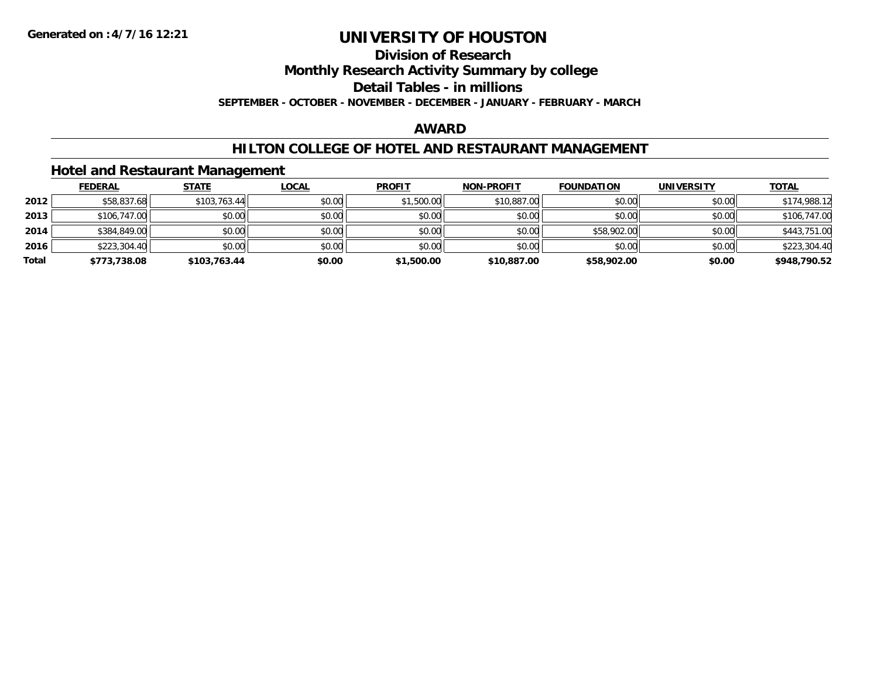#### **Division of Research**

**Monthly Research Activity Summary by college**

**Detail Tables - in millions**

**SEPTEMBER - OCTOBER - NOVEMBER - DECEMBER - JANUARY - FEBRUARY - MARCH**

#### **AWARD**

#### **HILTON COLLEGE OF HOTEL AND RESTAURANT MANAGEMENT**

#### **Hotel and Restaurant Management**

|       | <b>FEDERAL</b> | <b>STATE</b> | <u>LOCAL</u> | <b>PROFIT</b> | <b>NON-PROFIT</b> | <b>FOUNDATION</b> | <b>UNIVERSITY</b> | <b>TOTAL</b> |
|-------|----------------|--------------|--------------|---------------|-------------------|-------------------|-------------------|--------------|
| 2012  | \$58,837.68    | \$103,763.44 | \$0.00       | \$1,500.00    | \$10,887.00       | \$0.00            | \$0.00            | \$174,988.12 |
| 2013  | \$106,747.00   | \$0.00       | \$0.00       | \$0.00        | \$0.00            | \$0.00            | \$0.00            | \$106,747.00 |
| 2014  | \$384,849.00   | \$0.00       | \$0.00       | \$0.00        | \$0.00            | \$58,902.00       | \$0.00            | \$443,751.00 |
| 2016  | \$223,304.40   | \$0.00       | \$0.00       | \$0.00        | \$0.00            | \$0.00            | \$0.00            | \$223,304.40 |
| Total | \$773,738.08   | \$103,763.44 | \$0.00       | \$1,500.00    | \$10,887.00       | \$58,902.00       | \$0.00            | \$948,790.52 |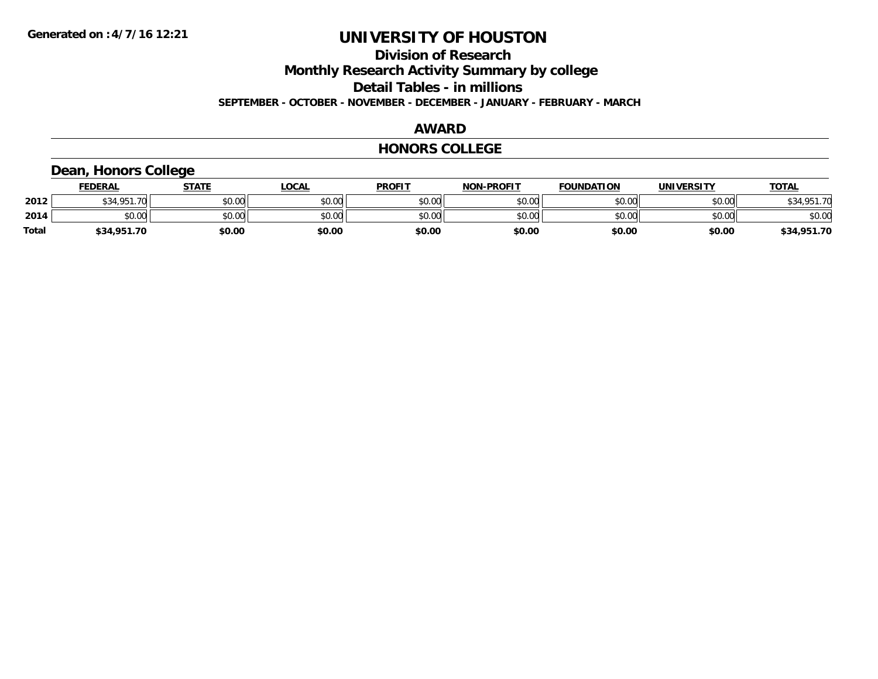#### **Division of Research Monthly Research Activity Summary by college Detail Tables - in millions SEPTEMBER - OCTOBER - NOVEMBER - DECEMBER - JANUARY - FEBRUARY - MARCH**

#### **AWARD**

#### **HONORS COLLEGE**

### **Dean, Honors College**

|       | <b>FEDERAL</b>     | STATE  | <u>LOCAL</u> | <b>PROFIT</b> | <b>NON-PROFIT</b> | <b>FOUNDATION</b> | <b>UNIVERSITY</b> | <b>TOTAL</b> |
|-------|--------------------|--------|--------------|---------------|-------------------|-------------------|-------------------|--------------|
| 2012  | \$34.951.70<br>აა4 | \$0.00 | \$0.00       | \$0.00        | \$0.00            | \$0.00            | \$0.00            | \$34,951.70  |
| 2014  | \$0.00             | \$0.00 | \$0.00       | \$0.00        | \$0.00            | \$0.00            | \$0.00            | \$0.00       |
| Total | \$34,951.70        | \$0.00 | \$0.00       | \$0.00        | \$0.00            | \$0.00            | \$0.00            | \$34,951.70  |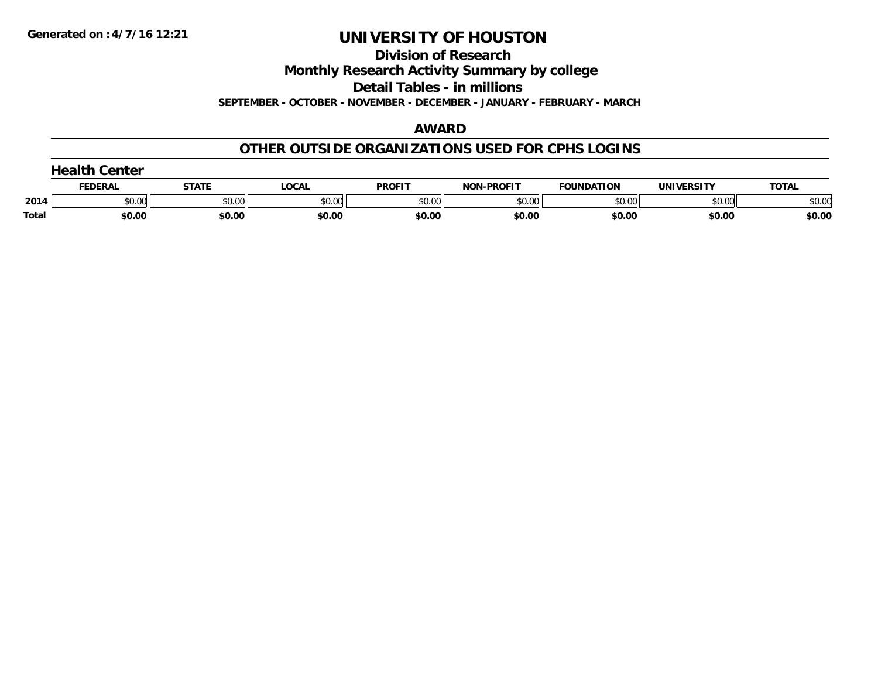**Division of Research**

**Monthly Research Activity Summary by college**

**Detail Tables - in millions**

**SEPTEMBER - OCTOBER - NOVEMBER - DECEMBER - JANUARY - FEBRUARY - MARCH**

#### **AWARD**

#### **OTHER OUTSIDE ORGANIZATIONS USED FOR CPHS LOGINS**

|       | Center<br>$\sim$ |              |        |               |                   |                   |                   |              |  |  |  |
|-------|------------------|--------------|--------|---------------|-------------------|-------------------|-------------------|--------------|--|--|--|
|       | <b>FEDERAL</b>   | <b>STATE</b> | LOCAL  | <b>PROFIT</b> | <b>NON-PROFIT</b> | <b>FOUNDATION</b> | <b>UNIVERSITY</b> | <b>TOTAL</b> |  |  |  |
| 2014  | \$0.00           | \$0.00       | \$0.00 | \$0.00        | \$0.00            | \$0.00            | \$0.00            | \$0.00       |  |  |  |
| Total | \$0.00           | \$0.00       | \$0.00 | \$0.00        | \$0.00            | \$0.00            | \$0.00            | \$0.00       |  |  |  |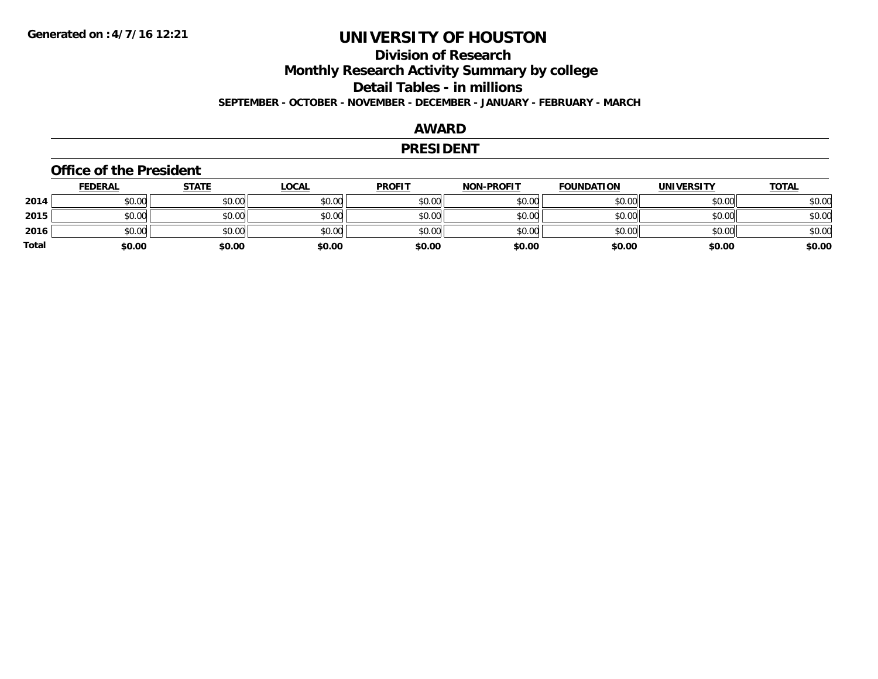### **Division of ResearchMonthly Research Activity Summary by college Detail Tables - in millions SEPTEMBER - OCTOBER - NOVEMBER - DECEMBER - JANUARY - FEBRUARY - MARCH**

#### **AWARD**

#### **PRESIDENT**

#### **Office of the President**

|       | <b>FEDERAL</b> | <u>STATE</u> | <b>LOCAL</b> | <b>PROFIT</b> | <b>NON-PROFIT</b> | <b>FOUNDATION</b> | <b>UNIVERSITY</b> | <u>TOTAL</u> |
|-------|----------------|--------------|--------------|---------------|-------------------|-------------------|-------------------|--------------|
| 2014  | \$0.00         | \$0.00       | \$0.00       | \$0.00        | \$0.00            | \$0.00            | \$0.00            | \$0.00       |
| 2015  | \$0.00         | \$0.00       | \$0.00       | \$0.00        | \$0.00            | \$0.00            | \$0.00            | \$0.00       |
| 2016  | \$0.00         | \$0.00       | \$0.00       | \$0.00        | \$0.00            | \$0.00            | \$0.00            | \$0.00       |
| Total | \$0.00         | \$0.00       | \$0.00       | \$0.00        | \$0.00            | \$0.00            | \$0.00            | \$0.00       |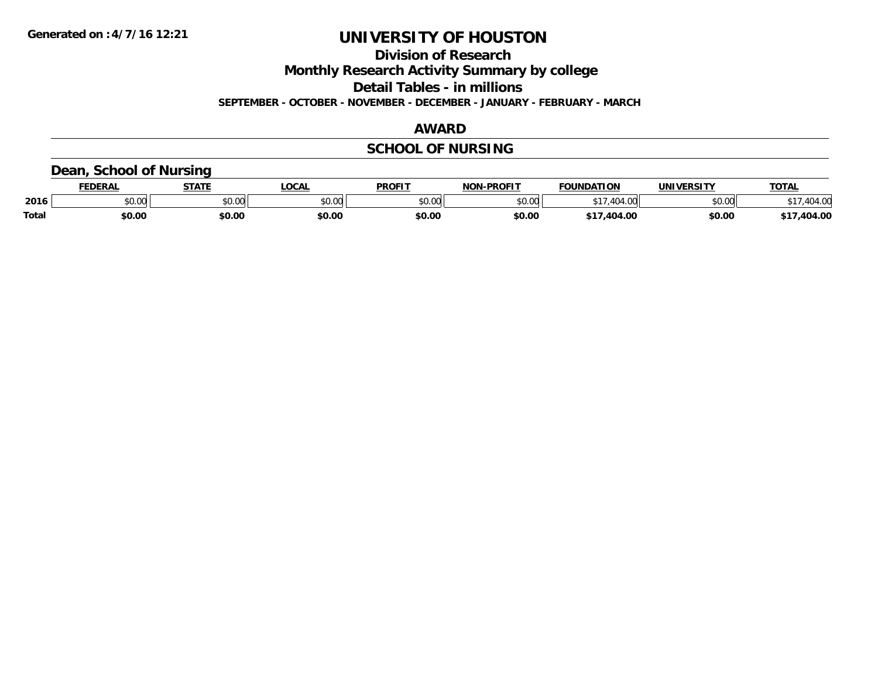**Division of Research**

**Monthly Research Activity Summary by college**

**Detail Tables - in millions**

**SEPTEMBER - OCTOBER - NOVEMBER - DECEMBER - JANUARY - FEBRUARY - MARCH**

### **AWARD**

### **SCHOOL OF NURSING**

#### **Dean, School of Nursing**

|              | <b>EDERAL</b> | <b>STATE</b>  | <b>OCAL</b>            | <b>PROFIT</b> | -PROFIT<br>NON- | <b>FOUNDATION</b> | <b>UNIVERSITY</b>                      | TOTA.   |
|--------------|---------------|---------------|------------------------|---------------|-----------------|-------------------|----------------------------------------|---------|
| 2016         | 0.00<br>JU.UU | 0.00<br>JU.UU | $\sim$ $\sim$<br>JU.UL | \$0.00        | 0000<br>vu.uu   |                   | $\mathfrak{g}$ $\mathfrak{g}$<br>pu.uu | $\sim$  |
| <b>Total</b> | \$0.00        | \$0.00        | \$0.00                 | \$0.00        | \$0.00          | 404.00            | \$0.00                                 | .404.0C |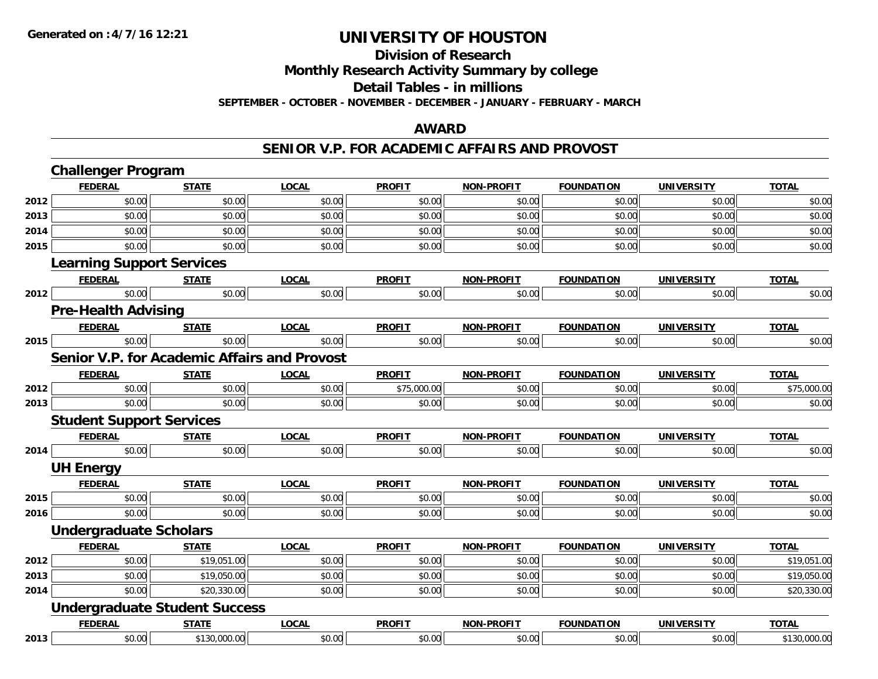## **Division of Research**

**Monthly Research Activity Summary by college**

**Detail Tables - in millions**

**SEPTEMBER - OCTOBER - NOVEMBER - DECEMBER - JANUARY - FEBRUARY - MARCH**

### **AWARD**

#### **SENIOR V.P. FOR ACADEMIC AFFAIRS AND PROVOST**

|      | <b>Challenger Program</b>                           |              |              |               |                   |                   |                   |              |
|------|-----------------------------------------------------|--------------|--------------|---------------|-------------------|-------------------|-------------------|--------------|
|      | <b>FEDERAL</b>                                      | <b>STATE</b> | <b>LOCAL</b> | <b>PROFIT</b> | NON-PROFIT        | <b>FOUNDATION</b> | <b>UNIVERSITY</b> | <b>TOTAL</b> |
| 2012 | \$0.00                                              | \$0.00       | \$0.00       | \$0.00        | \$0.00            | \$0.00            | \$0.00            | \$0.00       |
| 2013 | \$0.00                                              | \$0.00       | \$0.00       | \$0.00        | \$0.00            | \$0.00            | \$0.00            | \$0.00       |
| 2014 | \$0.00                                              | \$0.00       | \$0.00       | \$0.00        | \$0.00            | \$0.00            | \$0.00            | \$0.00       |
| 2015 | \$0.00                                              | \$0.00       | \$0.00       | \$0.00        | \$0.00            | \$0.00            | \$0.00            | \$0.00       |
|      | <b>Learning Support Services</b>                    |              |              |               |                   |                   |                   |              |
|      | <b>FEDERAL</b>                                      | <b>STATE</b> | <b>LOCAL</b> | <b>PROFIT</b> | <b>NON-PROFIT</b> | <b>FOUNDATION</b> | <b>UNIVERSITY</b> | <b>TOTAL</b> |
| 2012 | \$0.00                                              | \$0.00       | \$0.00       | \$0.00        | \$0.00            | \$0.00            | \$0.00            | \$0.00       |
|      | <b>Pre-Health Advising</b>                          |              |              |               |                   |                   |                   |              |
|      | <b>FEDERAL</b>                                      | <b>STATE</b> | <b>LOCAL</b> | <b>PROFIT</b> | <b>NON-PROFIT</b> | <b>FOUNDATION</b> | <b>UNIVERSITY</b> | <b>TOTAL</b> |
| 2015 | \$0.00                                              | \$0.00       | \$0.00       | \$0.00        | \$0.00            | \$0.00            | \$0.00            | \$0.00       |
|      | <b>Senior V.P. for Academic Affairs and Provost</b> |              |              |               |                   |                   |                   |              |
|      | <b>FEDERAL</b>                                      | <b>STATE</b> | <b>LOCAL</b> | <b>PROFIT</b> | <b>NON-PROFIT</b> | <b>FOUNDATION</b> | <b>UNIVERSITY</b> | <b>TOTAL</b> |
| 2012 | \$0.00                                              | \$0.00       | \$0.00       | \$75,000.00   | \$0.00            | \$0.00            | \$0.00            | \$75,000.00  |
| 2013 | \$0.00                                              | \$0.00       | \$0.00       | \$0.00        | \$0.00            | \$0.00            | \$0.00            | \$0.00       |
|      | <b>Student Support Services</b>                     |              |              |               |                   |                   |                   |              |
|      | <b>FEDERAL</b>                                      | <b>STATE</b> | <b>LOCAL</b> | <b>PROFIT</b> | <b>NON-PROFIT</b> | <b>FOUNDATION</b> | <b>UNIVERSITY</b> | <b>TOTAL</b> |
| 2014 | \$0.00                                              | \$0.00       | \$0.00       | \$0.00        | \$0.00            | \$0.00            | \$0.00            | \$0.00       |
|      | <b>UH Energy</b>                                    |              |              |               |                   |                   |                   |              |
|      | <b>FEDERAL</b>                                      | <b>STATE</b> | <b>LOCAL</b> | <b>PROFIT</b> | <b>NON-PROFIT</b> | <b>FOUNDATION</b> | <b>UNIVERSITY</b> | <b>TOTAL</b> |
| 2015 | \$0.00                                              | \$0.00       | \$0.00       | \$0.00        | \$0.00            | \$0.00            | \$0.00            | \$0.00       |
| 2016 | \$0.00                                              | \$0.00       | \$0.00       | \$0.00        | \$0.00            | \$0.00            | \$0.00            | \$0.00       |
|      | <b>Undergraduate Scholars</b>                       |              |              |               |                   |                   |                   |              |
|      | <b>FEDERAL</b>                                      | <b>STATE</b> | <b>LOCAL</b> | <b>PROFIT</b> | <b>NON-PROFIT</b> | <b>FOUNDATION</b> | <b>UNIVERSITY</b> | <b>TOTAL</b> |
| 2012 | \$0.00                                              | \$19,051.00  | \$0.00       | \$0.00        | \$0.00            | \$0.00            | \$0.00            | \$19,051.00  |
| 2013 | \$0.00                                              | \$19,050.00  | \$0.00       | \$0.00        | \$0.00            | \$0.00            | \$0.00            | \$19,050.00  |
| 2014 | \$0.00                                              | \$20,330.00  | \$0.00       | \$0.00        | \$0.00            | \$0.00            | \$0.00            | \$20,330.00  |
|      | <b>Undergraduate Student Success</b>                |              |              |               |                   |                   |                   |              |
|      | <b>FEDERAL</b>                                      | <b>STATE</b> | <b>LOCAL</b> | <b>PROFIT</b> | <b>NON-PROFIT</b> | <b>FOUNDATION</b> | <b>UNIVERSITY</b> | <b>TOTAL</b> |
| 2013 | \$0.00                                              | \$130,000.00 | \$0.00       | \$0.00        | \$0.00            | \$0.00            | \$0.00            | \$130,000.00 |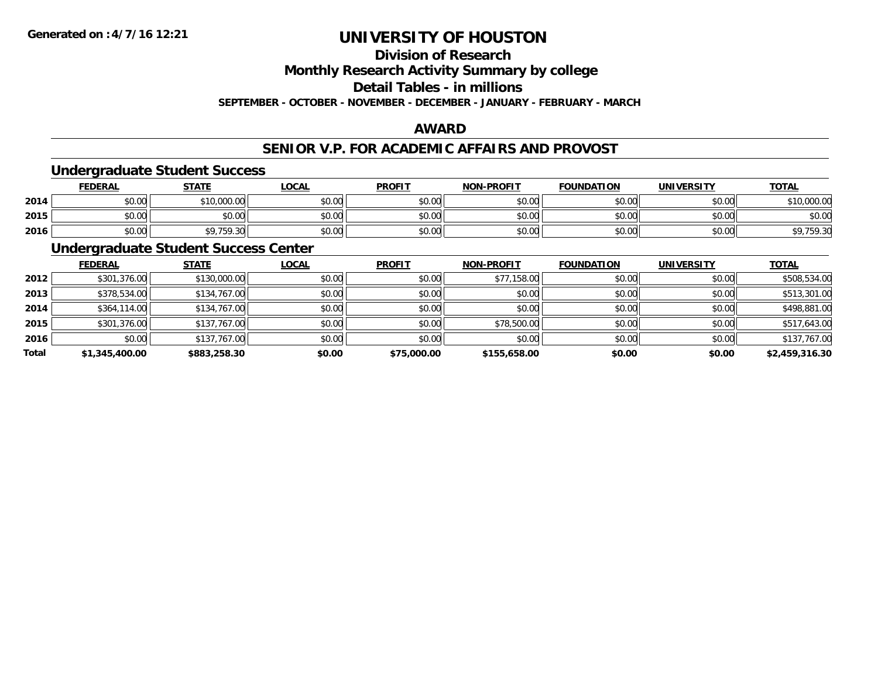## **Division of Research**

**Monthly Research Activity Summary by college**

**Detail Tables - in millions**

**SEPTEMBER - OCTOBER - NOVEMBER - DECEMBER - JANUARY - FEBRUARY - MARCH**

### **AWARD**

#### **SENIOR V.P. FOR ACADEMIC AFFAIRS AND PROVOST**

### **Undergraduate Student Success**

|      | <u>FEDERAL</u> | <b>STATE</b>      | <u>_OCAL</u>  | <b>PROFIT</b> | <b>NON-PROFIT</b> | <b>FOUNDATION</b> | UNIVERSITY<br>ERƏL | <b>TOTAL</b>        |
|------|----------------|-------------------|---------------|---------------|-------------------|-------------------|--------------------|---------------------|
| 2014 | \$0.00         | ,000.00<br>$*10.$ | 0000<br>DU.UU | \$0.00        | \$0.00            | \$0.00            | \$0.00             | \$10,000.00         |
| 2015 | \$0.00         | \$0.00            | \$0.00        | \$0.00        | \$0.00            | \$0.00            | \$0.00             | \$0.00              |
| 2016 | \$0.00         | \$9,759.30        | \$0.00        | \$0.00        | \$0.00            | \$0.00            | \$0.00             | 750 30<br>Y, 159.30 |

### **Undergraduate Student Success Center**

|       | <b>FEDERAL</b> | <b>STATE</b> | <b>LOCAL</b> | <b>PROFIT</b> | <b>NON-PROFIT</b> | <b>FOUNDATION</b> | <b>UNIVERSITY</b> | <b>TOTAL</b>   |
|-------|----------------|--------------|--------------|---------------|-------------------|-------------------|-------------------|----------------|
| 2012  | \$301,376.00   | \$130,000.00 | \$0.00       | \$0.00        | \$77,158.00       | \$0.00            | \$0.00            | \$508,534.00   |
| 2013  | \$378,534.00   | \$134,767.00 | \$0.00       | \$0.00        | \$0.00            | \$0.00            | \$0.00            | \$513,301.00   |
| 2014  | \$364,114.00   | \$134,767.00 | \$0.00       | \$0.00        | \$0.00            | \$0.00            | \$0.00            | \$498,881.00   |
| 2015  | \$301,376.00   | \$137,767.00 | \$0.00       | \$0.00        | \$78,500.00       | \$0.00            | \$0.00            | \$517,643.00   |
| 2016  | \$0.00         | \$137,767.00 | \$0.00       | \$0.00        | \$0.00            | \$0.00            | \$0.00            | \$137,767.00   |
| Total | \$1,345,400.00 | \$883,258.30 | \$0.00       | \$75,000.00   | \$155,658.00      | \$0.00            | \$0.00            | \$2,459,316.30 |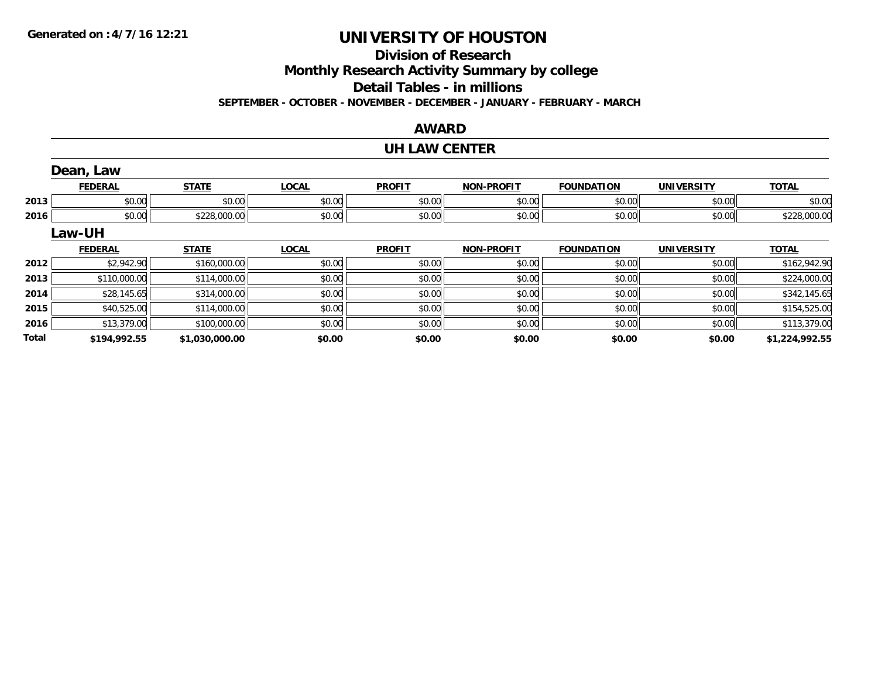## **Division of Research**

**Monthly Research Activity Summary by college**

**Detail Tables - in millions**

**SEPTEMBER - OCTOBER - NOVEMBER - DECEMBER - JANUARY - FEBRUARY - MARCH**

#### **AWARD**

## **UH LAW CENTER**

|              | Dean, Law      |                |              |               |                   |                   |                   |                |
|--------------|----------------|----------------|--------------|---------------|-------------------|-------------------|-------------------|----------------|
|              | <b>FEDERAL</b> | <b>STATE</b>   | <b>LOCAL</b> | <b>PROFIT</b> | <b>NON-PROFIT</b> | <b>FOUNDATION</b> | <b>UNIVERSITY</b> | <b>TOTAL</b>   |
| 2013         | \$0.00         | \$0.00         | \$0.00       | \$0.00        | \$0.00            | \$0.00            | \$0.00            | \$0.00         |
| 2016         | \$0.00         | \$228,000.00   | \$0.00       | \$0.00        | \$0.00            | \$0.00            | \$0.00            | \$228,000.00   |
|              | Law-UH         |                |              |               |                   |                   |                   |                |
|              | <b>FEDERAL</b> | <b>STATE</b>   | <b>LOCAL</b> | <b>PROFIT</b> | <b>NON-PROFIT</b> | <b>FOUNDATION</b> | <b>UNIVERSITY</b> | <b>TOTAL</b>   |
| 2012         | \$2,942.90     | \$160,000.00   | \$0.00       | \$0.00        | \$0.00            | \$0.00            | \$0.00            | \$162,942.90   |
| 2013         | \$110,000.00   | \$114,000.00   | \$0.00       | \$0.00        | \$0.00            | \$0.00            | \$0.00            | \$224,000.00   |
| 2014         | \$28,145.65    | \$314,000.00   | \$0.00       | \$0.00        | \$0.00            | \$0.00            | \$0.00            | \$342,145.65   |
| 2015         | \$40,525.00    | \$114,000.00   | \$0.00       | \$0.00        | \$0.00            | \$0.00            | \$0.00            | \$154,525.00   |
| 2016         | \$13,379.00    | \$100,000.00   | \$0.00       | \$0.00        | \$0.00            | \$0.00            | \$0.00            | \$113,379.00   |
| <b>Total</b> | \$194,992.55   | \$1,030,000.00 | \$0.00       | \$0.00        | \$0.00            | \$0.00            | \$0.00            | \$1,224,992.55 |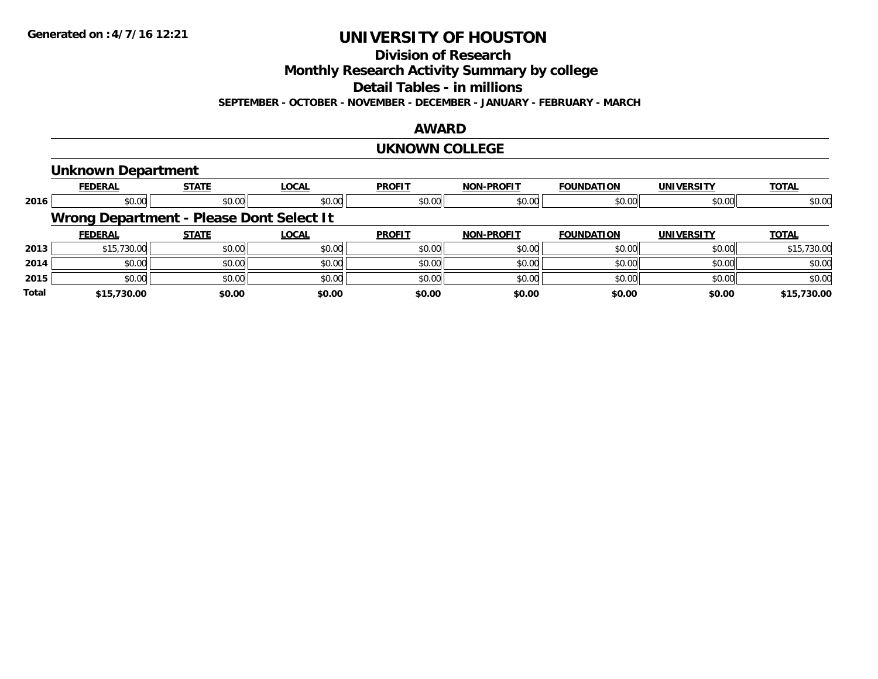### **Division of Research**

**Monthly Research Activity Summary by college**

**Detail Tables - in millions**

**SEPTEMBER - OCTOBER - NOVEMBER - DECEMBER - JANUARY - FEBRUARY - MARCH**

#### **AWARD**

#### **UKNOWN COLLEGE**

#### **Unknown Department**

|       | <b>FEDERAL</b> | <b>STATE</b>                             | LOCAL  | <b>PROFIT</b> | NON-PROFIT        | <b>FOUNDATION</b> | <b>UNIVERSITY</b> | <b>TOTAL</b> |
|-------|----------------|------------------------------------------|--------|---------------|-------------------|-------------------|-------------------|--------------|
| 2016  | \$0.00         | \$0.00                                   | \$0.00 | \$0.00        | \$0.00            | \$0.00            | \$0.00            | \$0.00       |
|       |                | Wrong Department - Please Dont Select It |        |               |                   |                   |                   |              |
|       | <b>FEDERAL</b> | <b>STATE</b>                             | LOCAL  | <b>PROFIT</b> | <b>NON-PROFIT</b> | <b>FOUNDATION</b> | <b>UNIVERSITY</b> | <b>TOTAL</b> |
| 2013  | \$15,730.00    | \$0.00                                   | \$0.00 | \$0.00        | \$0.00            | \$0.00            | \$0.00            | \$15,730.00  |
| 2014  | \$0.00         | \$0.00                                   | \$0.00 | \$0.00        | \$0.00            | \$0.00            | \$0.00            | \$0.00       |
| 2015  | \$0.00         | \$0.00                                   | \$0.00 | \$0.00        | \$0.00            | \$0.00            | \$0.00            | \$0.00       |
| Total | \$15,730.00    | \$0.00                                   | \$0.00 | \$0.00        | \$0.00            | \$0.00            | \$0.00            | \$15,730.00  |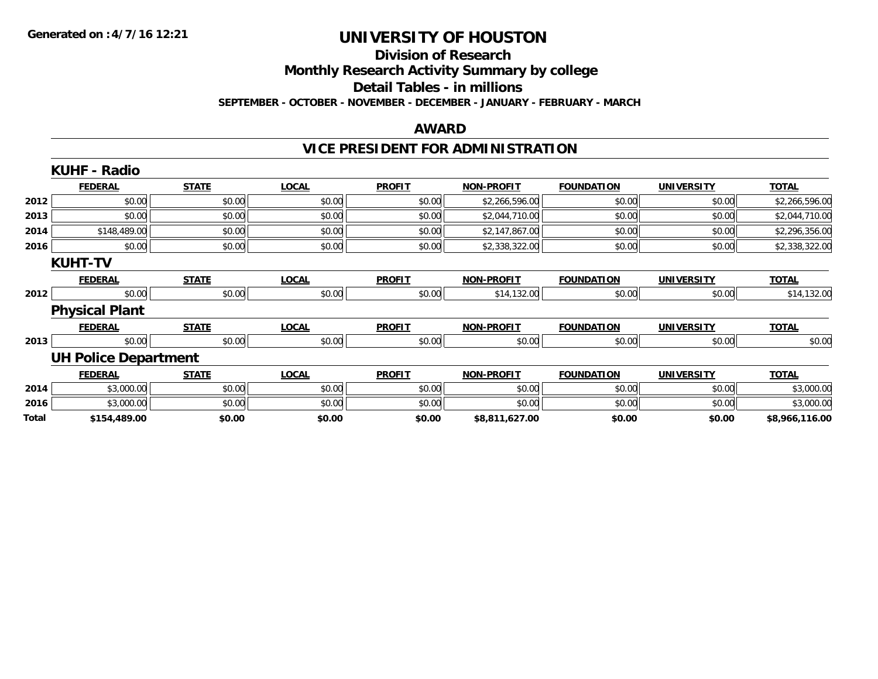#### **Division of Research**

**Monthly Research Activity Summary by college**

**Detail Tables - in millions**

**SEPTEMBER - OCTOBER - NOVEMBER - DECEMBER - JANUARY - FEBRUARY - MARCH**

#### **AWARD**

## **VICE PRESIDENT FOR ADMINISTRATION**

|       | <b>KUHF - Radio</b>         |              |              |               |                   |                   |                   |                |
|-------|-----------------------------|--------------|--------------|---------------|-------------------|-------------------|-------------------|----------------|
|       | <b>FEDERAL</b>              | <b>STATE</b> | <b>LOCAL</b> | <b>PROFIT</b> | <b>NON-PROFIT</b> | <b>FOUNDATION</b> | <b>UNIVERSITY</b> | <b>TOTAL</b>   |
| 2012  | \$0.00                      | \$0.00       | \$0.00       | \$0.00        | \$2,266,596.00    | \$0.00            | \$0.00            | \$2,266,596.00 |
| 2013  | \$0.00                      | \$0.00       | \$0.00       | \$0.00        | \$2,044,710.00    | \$0.00            | \$0.00            | \$2,044,710.00 |
| 2014  | \$148,489.00                | \$0.00       | \$0.00       | \$0.00        | \$2,147,867.00    | \$0.00            | \$0.00            | \$2,296,356.00 |
| 2016  | \$0.00                      | \$0.00       | \$0.00       | \$0.00        | \$2,338,322.00    | \$0.00            | \$0.00            | \$2,338,322.00 |
|       | <b>KUHT-TV</b>              |              |              |               |                   |                   |                   |                |
|       | <b>FEDERAL</b>              | <b>STATE</b> | <b>LOCAL</b> | <b>PROFIT</b> | <b>NON-PROFIT</b> | <b>FOUNDATION</b> | <b>UNIVERSITY</b> | <b>TOTAL</b>   |
| 2012  | \$0.00                      | \$0.00       | \$0.00       | \$0.00        | \$14,132.00       | \$0.00            | \$0.00            | \$14,132.00    |
|       | <b>Physical Plant</b>       |              |              |               |                   |                   |                   |                |
|       | <b>FEDERAL</b>              | <b>STATE</b> | <b>LOCAL</b> | <b>PROFIT</b> | <b>NON-PROFIT</b> | <b>FOUNDATION</b> | <b>UNIVERSITY</b> | <b>TOTAL</b>   |
| 2013  | \$0.00                      | \$0.00       | \$0.00       | \$0.00        | \$0.00            | \$0.00            | \$0.00            | \$0.00         |
|       | <b>UH Police Department</b> |              |              |               |                   |                   |                   |                |
|       | <b>FEDERAL</b>              | <b>STATE</b> | <b>LOCAL</b> | <b>PROFIT</b> | <b>NON-PROFIT</b> | <b>FOUNDATION</b> | <b>UNIVERSITY</b> | <b>TOTAL</b>   |
| 2014  | \$3,000.00                  | \$0.00       | \$0.00       | \$0.00        | \$0.00            | \$0.00            | \$0.00            | \$3,000.00     |
| 2016  | \$3,000.00                  | \$0.00       | \$0.00       | \$0.00        | \$0.00            | \$0.00            | \$0.00            | \$3,000.00     |
| Total | \$154,489.00                | \$0.00       | \$0.00       | \$0.00        | \$8,811,627.00    | \$0.00            | \$0.00            | \$8,966,116.00 |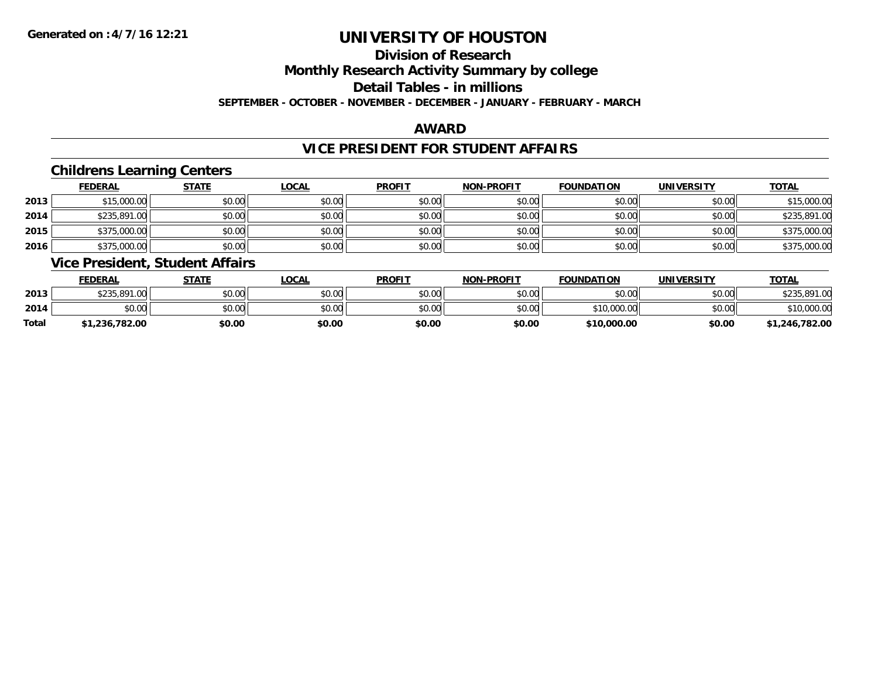## **Division of Research**

**Monthly Research Activity Summary by college**

**Detail Tables - in millions**

**SEPTEMBER - OCTOBER - NOVEMBER - DECEMBER - JANUARY - FEBRUARY - MARCH**

#### **AWARD**

#### **VICE PRESIDENT FOR STUDENT AFFAIRS**

#### **Childrens Learning Centers**

|      | <b>FEDERAL</b> | <b>STATE</b> | <u>LOCAL</u> | <b>PROFIT</b> | <b>NON-PROFIT</b> | <b>FOUNDATION</b> | <b>UNIVERSITY</b> | <b>TOTAL</b> |
|------|----------------|--------------|--------------|---------------|-------------------|-------------------|-------------------|--------------|
| 2013 | \$15,000.00    | \$0.00       | \$0.00       | \$0.00        | \$0.00            | \$0.00            | \$0.00            | \$15,000.00  |
| 2014 | \$235,891.00   | \$0.00       | \$0.00       | \$0.00        | \$0.00            | \$0.00            | \$0.00            | \$235,891.00 |
| 2015 | \$375,000.00   | \$0.00       | \$0.00       | \$0.00        | \$0.00            | \$0.00            | \$0.00            | \$375,000.00 |
| 2016 | \$375,000.00   | \$0.00       | \$0.00       | \$0.00        | \$0.00            | \$0.00            | \$0.00            | \$375,000.00 |

#### **Vice President, Student Affairs**

|              | <b>FEDERAL</b>      | STATE  | _OCAL  | <b>PROFIT</b> | <b>NON-PROFIT</b> | <b>FOUNDATION</b> | UNIVERSITY | <b>TOTAL</b>   |
|--------------|---------------------|--------|--------|---------------|-------------------|-------------------|------------|----------------|
| 2013         | \$235,891.<br>11.OO | \$0.00 | \$0.00 | \$0.00        | \$0.00            | \$0.00            | \$0.00     | \$235,891.00   |
| 2014         | \$0.00              | \$0.00 | \$0.00 | \$0.00        | \$0.00            | \$10,000.00       | \$0.00     | \$10,000.00    |
| <b>Total</b> | \$1,236,782.00      | \$0.00 | \$0.00 | \$0.00        | \$0.00            | \$10,000.00       | \$0.00     | \$1,246,782.00 |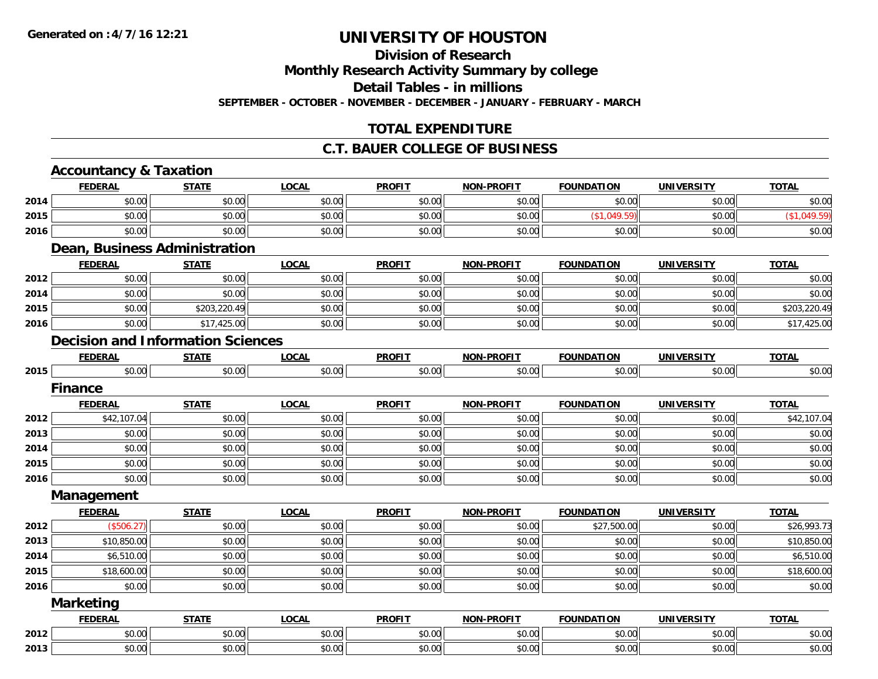#### **Division of Research**

**Monthly Research Activity Summary by college**

**Detail Tables - in millions**

**SEPTEMBER - OCTOBER - NOVEMBER - DECEMBER - JANUARY - FEBRUARY - MARCH**

### **TOTAL EXPENDITURE**

#### **C.T. BAUER COLLEGE OF BUSINESS**

|      | <b>Accountancy &amp; Taxation</b> |                                          |              |               |                   |                   |                   |              |
|------|-----------------------------------|------------------------------------------|--------------|---------------|-------------------|-------------------|-------------------|--------------|
|      | <b>FEDERAL</b>                    | <b>STATE</b>                             | <b>LOCAL</b> | <b>PROFIT</b> | <b>NON-PROFIT</b> | <b>FOUNDATION</b> | <b>UNIVERSITY</b> | <b>TOTAL</b> |
| 2014 | \$0.00                            | \$0.00                                   | \$0.00       | \$0.00        | \$0.00            | \$0.00            | \$0.00            | \$0.00       |
| 2015 | \$0.00                            | \$0.00                                   | \$0.00       | \$0.00        | \$0.00            | (\$1,049.59)      | \$0.00            | (\$1,049.59) |
| 2016 | \$0.00                            | \$0.00                                   | \$0.00       | \$0.00        | \$0.00            | \$0.00            | \$0.00            | \$0.00       |
|      |                                   | Dean, Business Administration            |              |               |                   |                   |                   |              |
|      | <b>FEDERAL</b>                    | <b>STATE</b>                             | <b>LOCAL</b> | <b>PROFIT</b> | <b>NON-PROFIT</b> | <b>FOUNDATION</b> | <b>UNIVERSITY</b> | <b>TOTAL</b> |
| 2012 | \$0.00                            | \$0.00                                   | \$0.00       | \$0.00        | \$0.00            | \$0.00            | \$0.00            | \$0.00       |
| 2014 | \$0.00                            | \$0.00                                   | \$0.00       | \$0.00        | \$0.00            | \$0.00            | \$0.00            | \$0.00       |
| 2015 | \$0.00                            | \$203,220.49                             | \$0.00       | \$0.00        | \$0.00            | \$0.00            | \$0.00            | \$203,220.49 |
| 2016 | \$0.00                            | \$17,425.00                              | \$0.00       | \$0.00        | \$0.00            | \$0.00            | \$0.00            | \$17,425.00  |
|      |                                   | <b>Decision and Information Sciences</b> |              |               |                   |                   |                   |              |
|      | <b>FEDERAL</b>                    | <b>STATE</b>                             | <b>LOCAL</b> | <b>PROFIT</b> | <b>NON-PROFIT</b> | <b>FOUNDATION</b> | <b>UNIVERSITY</b> | <b>TOTAL</b> |
| 2015 | \$0.00                            | \$0.00                                   | \$0.00       | \$0.00        | \$0.00            | \$0.00            | \$0.00            | \$0.00       |
|      | <b>Finance</b>                    |                                          |              |               |                   |                   |                   |              |
|      | <b>FEDERAL</b>                    | <b>STATE</b>                             | <b>LOCAL</b> | <b>PROFIT</b> | <b>NON-PROFIT</b> | <b>FOUNDATION</b> | <b>UNIVERSITY</b> | <b>TOTAL</b> |
| 2012 | \$42,107.04                       | \$0.00                                   | \$0.00       | \$0.00        | \$0.00            | \$0.00            | \$0.00            | \$42,107.04  |
| 2013 | \$0.00                            | \$0.00                                   | \$0.00       | \$0.00        | \$0.00            | \$0.00            | \$0.00            | \$0.00       |
| 2014 | \$0.00                            | \$0.00                                   | \$0.00       | \$0.00        | \$0.00            | \$0.00            | \$0.00            | \$0.00       |
| 2015 | \$0.00                            | \$0.00                                   | \$0.00       | \$0.00        | \$0.00            | \$0.00            | \$0.00            | \$0.00       |
| 2016 | \$0.00                            | \$0.00                                   | \$0.00       | \$0.00        | \$0.00            | \$0.00            | \$0.00            | \$0.00       |
|      | Management                        |                                          |              |               |                   |                   |                   |              |
|      | <b>FEDERAL</b>                    | <b>STATE</b>                             | <b>LOCAL</b> | <b>PROFIT</b> | <b>NON-PROFIT</b> | <b>FOUNDATION</b> | <b>UNIVERSITY</b> | <b>TOTAL</b> |
| 2012 | (\$506.27)                        | \$0.00                                   | \$0.00       | \$0.00        | \$0.00            | \$27,500.00       | \$0.00            | \$26,993.73  |
| 2013 | \$10,850.00                       | \$0.00                                   | \$0.00       | \$0.00        | \$0.00            | \$0.00            | \$0.00            | \$10,850.00  |
| 2014 | \$6,510.00                        | \$0.00                                   | \$0.00       | \$0.00        | \$0.00            | \$0.00            | \$0.00            | \$6,510.00   |
| 2015 | \$18,600.00                       | \$0.00                                   | \$0.00       | \$0.00        | \$0.00            | \$0.00            | \$0.00            | \$18,600.00  |
| 2016 | \$0.00                            | \$0.00                                   | \$0.00       | \$0.00        | \$0.00            | \$0.00            | \$0.00            | \$0.00       |
|      | <b>Marketing</b>                  |                                          |              |               |                   |                   |                   |              |
|      | <b>FEDERAL</b>                    | <b>STATE</b>                             | <b>LOCAL</b> | <b>PROFIT</b> | <b>NON-PROFIT</b> | <b>FOUNDATION</b> | <b>UNIVERSITY</b> | <b>TOTAL</b> |
| 2012 | \$0.00                            | \$0.00                                   | \$0.00       | \$0.00        | \$0.00            | \$0.00            | \$0.00            | \$0.00       |
| 2013 | \$0.00                            | \$0.00                                   | \$0.00       | \$0.00        | \$0.00            | \$0.00            | \$0.00            | \$0.00       |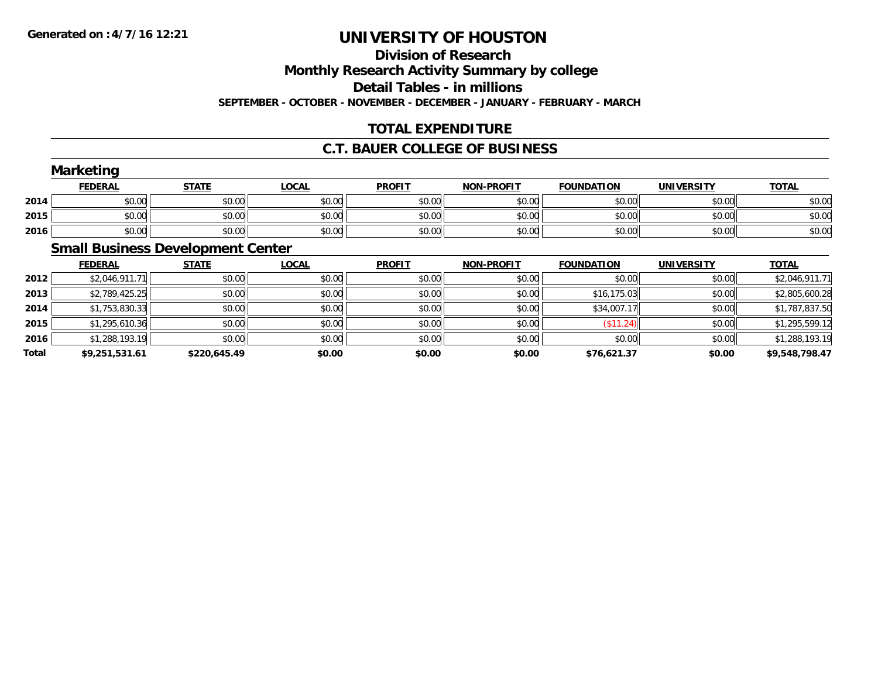### **Division of ResearchMonthly Research Activity Summary by college Detail Tables - in millions SEPTEMBER - OCTOBER - NOVEMBER - DECEMBER - JANUARY - FEBRUARY - MARCH**

### **TOTAL EXPENDITURE**

### **C.T. BAUER COLLEGE OF BUSINESS**

|      | <b>Marketing</b> |              |              |               |                   |                   |                   |              |
|------|------------------|--------------|--------------|---------------|-------------------|-------------------|-------------------|--------------|
|      | <b>FEDERAL</b>   | <b>STATE</b> | <u>LOCAL</u> | <b>PROFIT</b> | <b>NON-PROFIT</b> | <b>FOUNDATION</b> | <b>UNIVERSITY</b> | <b>TOTAL</b> |
| 2014 | \$0.00           | \$0.00       | \$0.00       | \$0.00        | \$0.00            | \$0.00            | \$0.00            | \$0.00       |
| 2015 | \$0.00           | \$0.00       | \$0.00       | \$0.00        | \$0.00            | \$0.00            | \$0.00            | \$0.00       |
| 2016 | \$0.00           | \$0.00       | \$0.00       | \$0.00        | \$0.00            | \$0.00            | \$0.00            | \$0.00       |
|      |                  |              |              |               |                   |                   |                   |              |

### **Small Business Development Center**

|       | <b>FEDERAL</b> | <b>STATE</b> | <b>LOCAL</b> | <b>PROFIT</b> | <b>NON-PROFIT</b> | <b>FOUNDATION</b> | <b>UNIVERSITY</b> | <b>TOTAL</b>   |
|-------|----------------|--------------|--------------|---------------|-------------------|-------------------|-------------------|----------------|
| 2012  | \$2,046,911.71 | \$0.00       | \$0.00       | \$0.00        | \$0.00            | \$0.00            | \$0.00            | \$2,046,911.71 |
| 2013  | \$2,789,425.25 | \$0.00       | \$0.00       | \$0.00        | \$0.00            | \$16,175.03       | \$0.00            | \$2,805,600.28 |
| 2014  | \$1,753,830.33 | \$0.00       | \$0.00       | \$0.00        | \$0.00            | \$34,007.17       | \$0.00            | \$1,787,837.50 |
| 2015  | \$1,295,610.36 | \$0.00       | \$0.00       | \$0.00        | \$0.00            | $($ \$11.24) $ $  | \$0.00            | \$1,295,599.12 |
| 2016  | \$1,288,193.19 | \$0.00       | \$0.00       | \$0.00        | \$0.00            | \$0.00            | \$0.00            | \$1,288,193.19 |
| Total | \$9,251,531.61 | \$220,645.49 | \$0.00       | \$0.00        | \$0.00            | \$76,621.37       | \$0.00            | \$9,548,798.47 |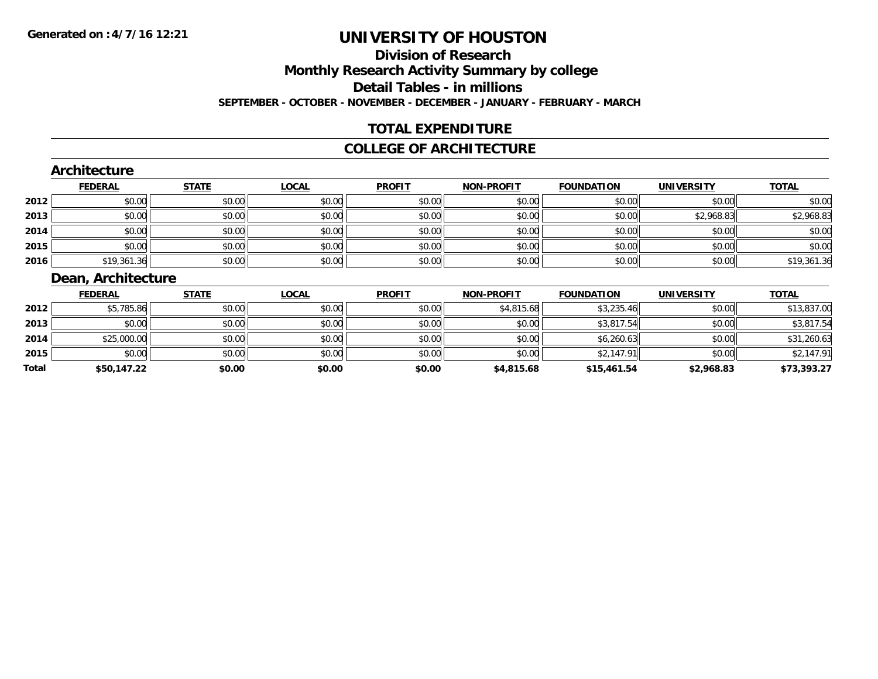### **Division of ResearchMonthly Research Activity Summary by college Detail Tables - in millions SEPTEMBER - OCTOBER - NOVEMBER - DECEMBER - JANUARY - FEBRUARY - MARCH**

#### **TOTAL EXPENDITURE**

#### **COLLEGE OF ARCHITECTURE**

#### **Architecture**

|      | <b>FEDERAL</b> | <b>STATE</b> | <u>LOCAL</u> | <b>PROFIT</b> | <b>NON-PROFIT</b> | <b>FOUNDATION</b> | <b>UNIVERSITY</b> | <b>TOTAL</b> |
|------|----------------|--------------|--------------|---------------|-------------------|-------------------|-------------------|--------------|
| 2012 | \$0.00         | \$0.00       | \$0.00       | \$0.00        | \$0.00            | \$0.00            | \$0.00            | \$0.00       |
| 2013 | \$0.00         | \$0.00       | \$0.00       | \$0.00        | \$0.00            | \$0.00            | \$2,968.83        | \$2,968.83   |
| 2014 | \$0.00         | \$0.00       | \$0.00       | \$0.00        | \$0.00            | \$0.00            | \$0.00            | \$0.00       |
| 2015 | \$0.00         | \$0.00       | \$0.00       | \$0.00        | \$0.00            | \$0.00            | \$0.00            | \$0.00       |
| 2016 | \$19,361.36    | \$0.00       | \$0.00       | \$0.00        | \$0.00            | \$0.00            | \$0.00            | \$19,361.36  |

### **Dean, Architecture**

|       | <b>FEDERAL</b> | <b>STATE</b> | <b>LOCAL</b> | <b>PROFIT</b> | <b>NON-PROFIT</b> | <b>FOUNDATION</b> | <b>UNIVERSITY</b> | <b>TOTAL</b> |
|-------|----------------|--------------|--------------|---------------|-------------------|-------------------|-------------------|--------------|
| 2012  | \$5,785.86     | \$0.00       | \$0.00       | \$0.00        | \$4,815.68        | \$3,235.46        | \$0.00            | \$13,837.00  |
| 2013  | \$0.00         | \$0.00       | \$0.00       | \$0.00        | \$0.00            | \$3,817.54        | \$0.00            | \$3,817.54   |
| 2014  | \$25,000.00    | \$0.00       | \$0.00       | \$0.00        | \$0.00            | \$6,260.63        | \$0.00            | \$31,260.63  |
| 2015  | \$0.00         | \$0.00       | \$0.00       | \$0.00        | \$0.00            | \$2,147.91        | \$0.00            | \$2,147.91   |
| Total | \$50,147.22    | \$0.00       | \$0.00       | \$0.00        | \$4,815.68        | \$15,461.54       | \$2,968.83        | \$73,393.27  |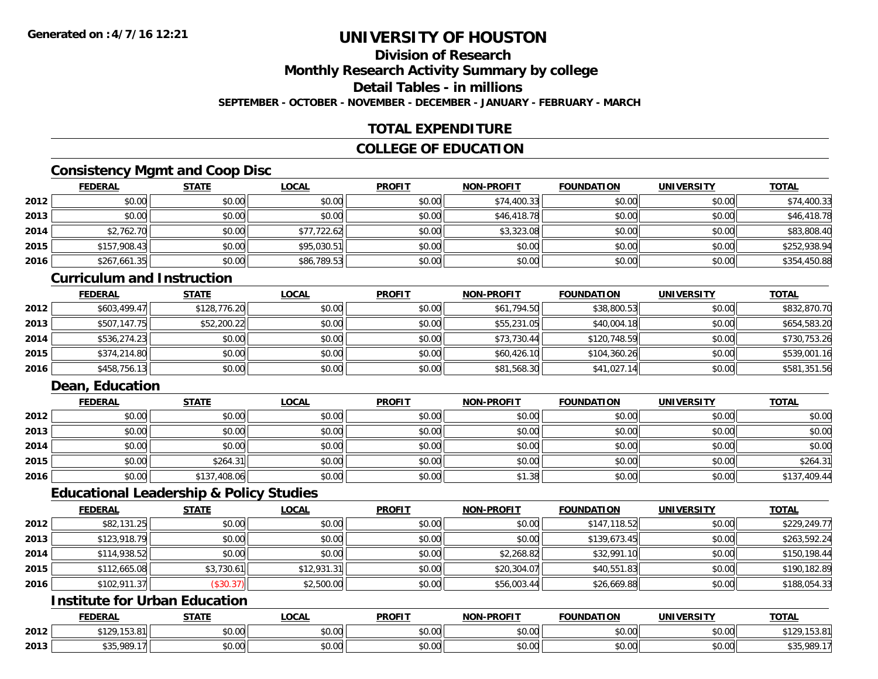### **Division of ResearchMonthly Research Activity Summary by college Detail Tables - in millionsSEPTEMBER - OCTOBER - NOVEMBER - DECEMBER - JANUARY - FEBRUARY - MARCH**

### **TOTAL EXPENDITURE**

### **COLLEGE OF EDUCATION**

### **Consistency Mgmt and Coop Disc**

|      | <b>FEDERAL</b> | <b>STATE</b> | <u>LOCAL</u> | <b>PROFIT</b> | <b>NON-PROFIT</b> | <b>FOUNDATION</b> | <b>UNIVERSITY</b> | <b>TOTAL</b> |
|------|----------------|--------------|--------------|---------------|-------------------|-------------------|-------------------|--------------|
| 2012 | \$0.00         | \$0.00       | \$0.00       | \$0.00        | \$74,400.33       | \$0.00            | \$0.00            | \$74,400.33  |
| 2013 | \$0.00         | \$0.00       | \$0.00       | \$0.00        | \$46,418.78       | \$0.00            | \$0.00            | \$46,418.78  |
| 2014 | \$2,762.70     | \$0.00       | \$77,722.62  | \$0.00        | \$3,323.08        | \$0.00            | \$0.00            | \$83,808.40  |
| 2015 | \$157,908.43   | \$0.00       | \$95,030.51  | \$0.00        | \$0.00            | \$0.00            | \$0.00            | \$252,938.94 |
| 2016 | \$267,661.35   | \$0.00       | \$86,789.53  | \$0.00        | \$0.00            | \$0.00            | \$0.00            | \$354,450.88 |

#### **Curriculum and Instruction**

|      | <b>FEDERAL</b> | <b>STATE</b> | <b>LOCAL</b> | <b>PROFIT</b> | <b>NON-PROFIT</b> | <b>FOUNDATION</b> | <b>UNIVERSITY</b> | <b>TOTAL</b> |
|------|----------------|--------------|--------------|---------------|-------------------|-------------------|-------------------|--------------|
| 2012 | \$603,499.47   | \$128,776.20 | \$0.00       | \$0.00        | \$61,794.50       | \$38,800.53       | \$0.00            | \$832,870.70 |
| 2013 | \$507,147.75   | \$52,200.22  | \$0.00       | \$0.00        | \$55,231.05       | \$40,004.18       | \$0.00            | \$654,583.20 |
| 2014 | \$536,274.23   | \$0.00       | \$0.00       | \$0.00        | \$73,730.44       | \$120,748.59      | \$0.00            | \$730,753.26 |
| 2015 | \$374,214.80   | \$0.00       | \$0.00       | \$0.00        | \$60,426.10       | \$104,360.26      | \$0.00            | \$539,001.16 |
| 2016 | \$458,756.13   | \$0.00       | \$0.00       | \$0.00        | \$81,568.30       | \$41,027.14       | \$0.00            | \$581,351.56 |

### **Dean, Education**

|      | <u>FEDERAL</u> | <b>STATE</b> | <u>LOCAL</u> | <b>PROFIT</b> | <b>NON-PROFIT</b> | <b>FOUNDATION</b> | <b>UNIVERSITY</b> | <b>TOTAL</b> |
|------|----------------|--------------|--------------|---------------|-------------------|-------------------|-------------------|--------------|
| 2012 | \$0.00         | \$0.00       | \$0.00       | \$0.00        | \$0.00            | \$0.00            | \$0.00            | \$0.00       |
| 2013 | \$0.00         | \$0.00       | \$0.00       | \$0.00        | \$0.00            | \$0.00            | \$0.00            | \$0.00       |
| 2014 | \$0.00         | \$0.00       | \$0.00       | \$0.00        | \$0.00            | \$0.00            | \$0.00            | \$0.00       |
| 2015 | \$0.00         | \$264.31     | \$0.00       | \$0.00        | \$0.00            | \$0.00            | \$0.00            | \$264.31     |
| 2016 | \$0.00         | \$137,408.06 | \$0.00       | \$0.00        | \$1.38            | \$0.00            | \$0.00            | \$137,409.44 |

#### **Educational Leadership & Policy Studies**

|      | <b>FEDERAL</b> | <b>STATE</b> | <u>LOCAL</u> | <b>PROFIT</b> | <b>NON-PROFIT</b> | <b>FOUNDATION</b> | <b>UNIVERSITY</b> | <b>TOTAL</b> |
|------|----------------|--------------|--------------|---------------|-------------------|-------------------|-------------------|--------------|
| 2012 | \$82,131.25    | \$0.00       | \$0.00       | \$0.00        | \$0.00            | \$147,118.52      | \$0.00            | \$229,249.77 |
| 2013 | \$123,918.79   | \$0.00       | \$0.00       | \$0.00        | \$0.00            | \$139,673.45      | \$0.00            | \$263,592.24 |
| 2014 | \$114,938.52   | \$0.00       | \$0.00       | \$0.00        | \$2,268.82        | \$32,991.10       | \$0.00            | \$150,198.44 |
| 2015 | \$112,665.08   | \$3,730.61   | \$12,931.31  | \$0.00        | \$20,304.07       | \$40,551.83       | \$0.00            | \$190,182.89 |
| 2016 | \$102,911.37   | (\$30.37)    | \$2,500.00   | \$0.00        | \$56,003.44       | \$26,669.88       | \$0.00            | \$188,054.33 |

## **Institute for Urban Education**

|      | <b>FEDERAL</b>                        | $- - - - -$             | ne n<br>.vuni             | <b>PROFIT</b>  | <b>DDAEL</b><br><b>AION</b> | <b>ATION</b><br>эΔ | <b>UNIVERSITY</b>                          | <b>TOTAL</b> |
|------|---------------------------------------|-------------------------|---------------------------|----------------|-----------------------------|--------------------|--------------------------------------------|--------------|
| 2012 | <b>¢120152</b>                        | \$0.00                  | $\sim$ 00<br>₽∪.∪∪        | 0000<br>PO.OO  | 0.00<br>pu.uu               | 0.00<br>JU.UU      | $\sim$ 00<br><b>JU.UU</b>                  | ວວ.໐<br>$-$  |
| 2013 | 0001<br>$A \cap F$<br>,,,,,<br>- 707. | <b>A</b> $\sim$<br>0.00 | $\sim$<br>$\sim$<br>DU.UU | ტი იი<br>JU.UU | 0.00<br>JU.UU               | 0.00<br>JU.UU      | $\mathfrak{g} \cap \mathfrak{g}$<br>PU.UU. | .989<br>ມປປ  |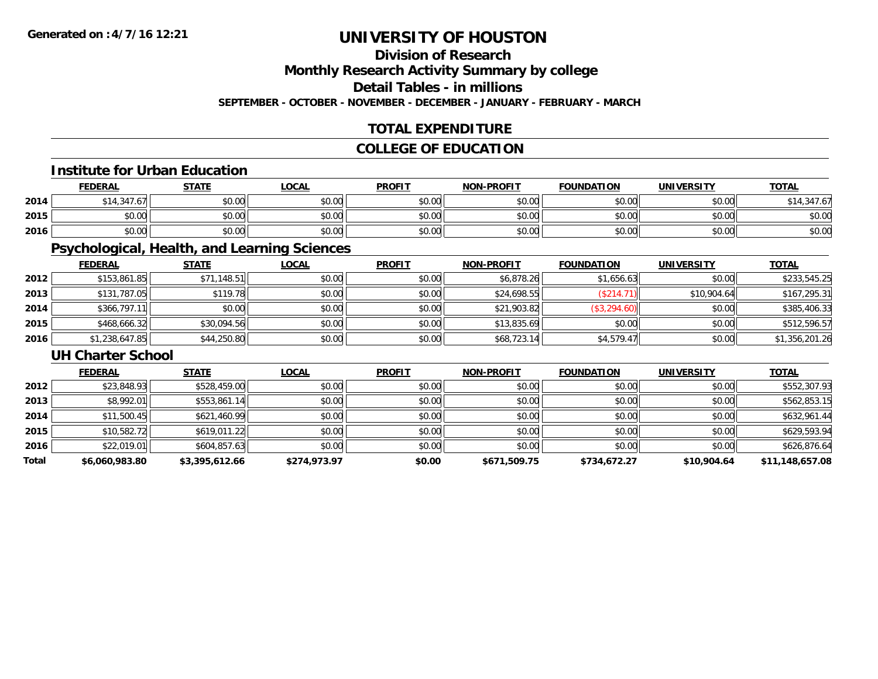## **Division of Research**

**Monthly Research Activity Summary by college**

**Detail Tables - in millions**

**SEPTEMBER - OCTOBER - NOVEMBER - DECEMBER - JANUARY - FEBRUARY - MARCH**

### **TOTAL EXPENDITURE**

### **COLLEGE OF EDUCATION**

#### **Institute for Urban Education**

|      | <b>FEDERAL</b>      | <b>STATE</b> | <b>OCAL</b> | <b>PROFIT</b> | <b>NON-PROFIT</b> | <b>FOUNDATION</b> | <b>UNIVERSITY</b> | <b>TOTAL</b> |
|------|---------------------|--------------|-------------|---------------|-------------------|-------------------|-------------------|--------------|
| 2014 | 1.21<br>.01<br>- د. | \$0.00       | \$0.00      | \$0.00        | \$0.00            | \$0.00            | \$0.00            | \$14.347.67  |
| 2015 | ስስ ስስ<br>DU.UG      | \$0.00       | \$0.00      | \$0.00        | \$0.00            | \$0.00            | \$0.00            | \$0.00       |
| 2016 | \$0.00              | \$0.00       | \$0.00      | \$0.00        | \$0.00            | \$0.00            | \$0.00            | \$0.00       |

### **Psychological, Health, and Learning Sciences**

|      | <b>FEDERAL</b> | <b>STATE</b> | <u>LOCAL</u> | <b>PROFIT</b> | <b>NON-PROFIT</b> | <b>FOUNDATION</b> | <b>UNIVERSITY</b> | <b>TOTAL</b>   |
|------|----------------|--------------|--------------|---------------|-------------------|-------------------|-------------------|----------------|
| 2012 | \$153,861.85   | \$71,148.51  | \$0.00       | \$0.00        | \$6,878.26        | \$1,656.63        | \$0.00            | \$233,545.25   |
| 2013 | \$131,787.05   | \$119.78     | \$0.00       | \$0.00        | \$24,698.55       | (\$214.71)        | \$10,904.64       | \$167,295.31   |
| 2014 | \$366,797.11   | \$0.00       | \$0.00       | \$0.00        | \$21,903.82       | (\$3,294.60)      | \$0.00            | \$385,406.33   |
| 2015 | \$468,666.32   | \$30,094.56  | \$0.00       | \$0.00        | \$13,835.69       | \$0.00            | \$0.00            | \$512,596.57   |
| 2016 | \$1,238,647.85 | \$44,250.80  | \$0.00       | \$0.00        | \$68,723.14       | \$4,579.47        | \$0.00            | \$1,356,201.26 |

#### **UH Charter School**

|       | <b>FEDERAL</b> | <b>STATE</b>   | <b>LOCAL</b> | <b>PROFIT</b> | <b>NON-PROFIT</b> | <b>FOUNDATION</b> | <b>UNIVERSITY</b> | <b>TOTAL</b>    |
|-------|----------------|----------------|--------------|---------------|-------------------|-------------------|-------------------|-----------------|
| 2012  | \$23,848.93    | \$528,459.00   | \$0.00       | \$0.00        | \$0.00            | \$0.00            | \$0.00            | \$552,307.93    |
| 2013  | \$8,992.01     | \$553,861.14   | \$0.00       | \$0.00        | \$0.00            | \$0.00            | \$0.00            | \$562,853.15    |
| 2014  | \$11,500.45    | \$621,460.99   | \$0.00       | \$0.00        | \$0.00            | \$0.00            | \$0.00            | \$632,961.44    |
| 2015  | \$10,582.72    | \$619,011.22   | \$0.00       | \$0.00        | \$0.00            | \$0.00            | \$0.00            | \$629,593.94    |
| 2016  | \$22,019.01    | \$604,857.63   | \$0.00       | \$0.00        | \$0.00            | \$0.00            | \$0.00            | \$626,876.64    |
| Total | \$6,060,983.80 | \$3,395,612.66 | \$274,973.97 | \$0.00        | \$671,509.75      | \$734,672.27      | \$10,904.64       | \$11,148,657.08 |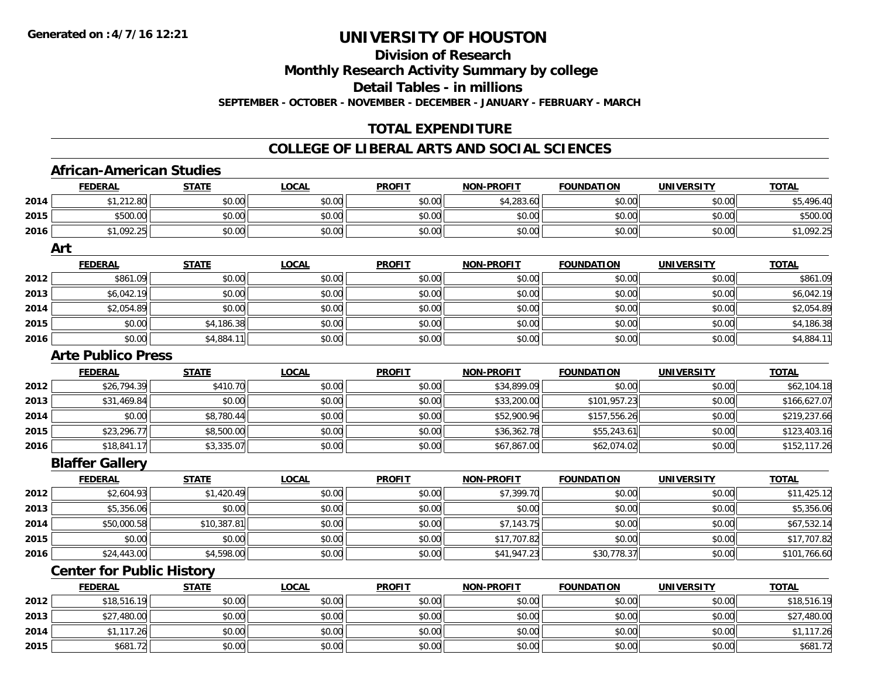## **Division of Research**

**Monthly Research Activity Summary by college**

**Detail Tables - in millions**

**SEPTEMBER - OCTOBER - NOVEMBER - DECEMBER - JANUARY - FEBRUARY - MARCH**

### **TOTAL EXPENDITURE**

#### **COLLEGE OF LIBERAL ARTS AND SOCIAL SCIENCES**

### **African-American Studies**

|      | <b>FEDERAL</b>                   | <b>STATE</b> | <b>LOCAL</b> | <b>PROFIT</b> | <b>NON-PROFIT</b> | <b>FOUNDATION</b> | <b>UNIVERSITY</b> | <b>TOTAL</b> |
|------|----------------------------------|--------------|--------------|---------------|-------------------|-------------------|-------------------|--------------|
| 2014 | \$1,212.80                       | \$0.00       | \$0.00       | \$0.00        | \$4,283.60        | \$0.00            | \$0.00            | \$5,496.40   |
| 2015 | \$500.00                         | \$0.00       | \$0.00       | \$0.00        | \$0.00            | \$0.00            | \$0.00            | \$500.00     |
| 2016 | \$1,092.25                       | \$0.00       | \$0.00       | \$0.00        | \$0.00            | \$0.00            | \$0.00            | \$1,092.25   |
|      | Art                              |              |              |               |                   |                   |                   |              |
|      | <b>FEDERAL</b>                   | <b>STATE</b> | <b>LOCAL</b> | <b>PROFIT</b> | <b>NON-PROFIT</b> | <b>FOUNDATION</b> | <b>UNIVERSITY</b> | <b>TOTAL</b> |
| 2012 | \$861.09                         | \$0.00       | \$0.00       | \$0.00        | \$0.00            | \$0.00            | \$0.00            | \$861.09     |
| 2013 | \$6,042.19                       | \$0.00       | \$0.00       | \$0.00        | \$0.00            | \$0.00            | \$0.00            | \$6,042.19   |
| 2014 | \$2,054.89                       | \$0.00       | \$0.00       | \$0.00        | \$0.00            | \$0.00            | \$0.00            | \$2,054.89   |
| 2015 | \$0.00                           | \$4,186.38   | \$0.00       | \$0.00        | \$0.00            | \$0.00            | \$0.00            | \$4,186.38   |
| 2016 | \$0.00                           | \$4,884.11   | \$0.00       | \$0.00        | \$0.00            | \$0.00            | \$0.00            | \$4,884.11   |
|      | <b>Arte Publico Press</b>        |              |              |               |                   |                   |                   |              |
|      | <b>FEDERAL</b>                   | <b>STATE</b> | <b>LOCAL</b> | <b>PROFIT</b> | <b>NON-PROFIT</b> | <b>FOUNDATION</b> | <b>UNIVERSITY</b> | <b>TOTAL</b> |
| 2012 | \$26,794.39                      | \$410.70     | \$0.00       | \$0.00        | \$34,899.09       | \$0.00            | \$0.00            | \$62,104.18  |
| 2013 | \$31,469.84                      | \$0.00       | \$0.00       | \$0.00        | \$33,200.00       | \$101,957.23      | \$0.00            | \$166,627.07 |
| 2014 | \$0.00                           | \$8,780.44   | \$0.00       | \$0.00        | \$52,900.96       | \$157,556.26      | \$0.00            | \$219,237.66 |
| 2015 | \$23,296.77                      | \$8,500.00   | \$0.00       | \$0.00        | \$36,362.78       | \$55,243.61       | \$0.00            | \$123,403.16 |
| 2016 | \$18,841.17                      | \$3,335.07   | \$0.00       | \$0.00        | \$67,867.00       | \$62,074.02       | \$0.00            | \$152,117.26 |
|      | <b>Blaffer Gallery</b>           |              |              |               |                   |                   |                   |              |
|      | <b>FEDERAL</b>                   | <b>STATE</b> | <b>LOCAL</b> | <b>PROFIT</b> | <b>NON-PROFIT</b> | <b>FOUNDATION</b> | <b>UNIVERSITY</b> | <b>TOTAL</b> |
| 2012 | \$2,604.93                       | \$1,420.49   | \$0.00       | \$0.00        | \$7,399.70        | \$0.00            | \$0.00            | \$11,425.12  |
| 2013 | \$5,356.06                       | \$0.00       | \$0.00       | \$0.00        | \$0.00            | \$0.00            | \$0.00            | \$5,356.06   |
| 2014 | \$50,000.58                      | \$10,387.81  | \$0.00       | \$0.00        | \$7,143.75        | \$0.00            | \$0.00            | \$67,532.14  |
| 2015 | \$0.00                           | \$0.00       | \$0.00       | \$0.00        | \$17,707.82       | \$0.00            | \$0.00            | \$17,707.82  |
| 2016 | \$24,443.00                      | \$4,598.00   | \$0.00       | \$0.00        | \$41,947.23       | \$30,778.37       | \$0.00            | \$101,766.60 |
|      | <b>Center for Public History</b> |              |              |               |                   |                   |                   |              |
|      | <b>FEDERAL</b>                   | <b>STATE</b> | <b>LOCAL</b> | <b>PROFIT</b> | <b>NON-PROFIT</b> | <b>FOUNDATION</b> | <b>UNIVERSITY</b> | <b>TOTAL</b> |
|      |                                  |              |              |               |                   |                   |                   |              |

|      | <u>ILDLNAL</u> | <u>JIAIL</u> | LUUNL  | <b>FNVIII</b> | <b>IVOIV-FROITI</b> | ייטויוסטיו | <b>UNIVLRJIII</b> | 1017L       |
|------|----------------|--------------|--------|---------------|---------------------|------------|-------------------|-------------|
| 2012 | \$18,516.19    | \$0.00       | \$0.00 | \$0.00        | \$0.00              | \$0.00     | \$0.00            | \$18,516.19 |
| 2013 | \$27,480.00    | \$0.00       | \$0.00 | \$0.00        | \$0.00              | \$0.00     | \$0.00            | \$27,480.00 |
| 2014 | .117.26        | \$0.00       | \$0.00 | \$0.00        | \$0.00              | \$0.00     | \$0.00            | 1,117.26    |
| 2015 | \$681.72       | \$0.00       | \$0.00 | \$0.00        | \$0.00              | \$0.00     | \$0.00            | \$681.72    |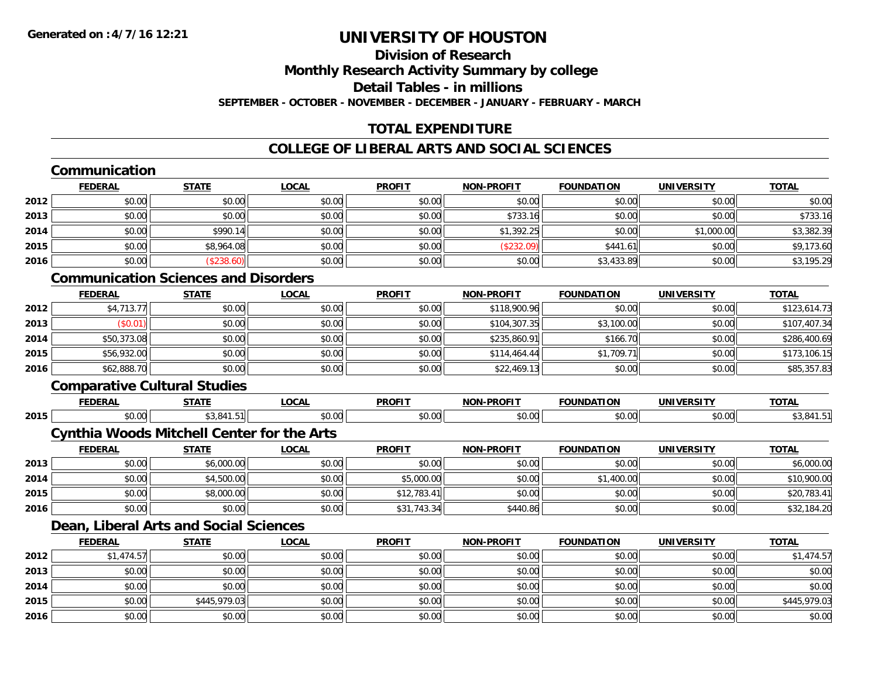#### **Division of ResearchMonthly Research Activity Summary by college**

**Detail Tables - in millions**

**SEPTEMBER - OCTOBER - NOVEMBER - DECEMBER - JANUARY - FEBRUARY - MARCH**

## **TOTAL EXPENDITURE**

### **COLLEGE OF LIBERAL ARTS AND SOCIAL SCIENCES**

## **Communication**

|      | <u>FEDERAL</u> | <b>STATE</b> | <u>LOCAL</u> | <b>PROFIT</b> | <b>NON-PROFIT</b> | <b>FOUNDATION</b> | <b>UNIVERSITY</b> | <b>TOTAL</b> |
|------|----------------|--------------|--------------|---------------|-------------------|-------------------|-------------------|--------------|
| 2012 | \$0.00         | \$0.00       | \$0.00       | \$0.00        | \$0.00            | \$0.00            | \$0.00            | \$0.00       |
| 2013 | \$0.00         | \$0.00       | \$0.00       | \$0.00        | \$733.16          | \$0.00            | \$0.00            | \$733.16     |
| 2014 | \$0.00         | \$990.14     | \$0.00       | \$0.00        | \$1,392.25        | \$0.00            | \$1,000.00        | \$3,382.39   |
| 2015 | \$0.00         | \$8,964.08   | \$0.00       | \$0.00        | (\$232.09)        | \$441.61          | \$0.00            | \$9,173.60   |
| 2016 | \$0.00         | (\$238.60)   | \$0.00       | \$0.00        | \$0.00            | \$3,433.89        | \$0.00            | \$3,195.29   |

### **Communication Sciences and Disorders**

|      | <b>FEDERAL</b> | <b>STATE</b> | <b>LOCAL</b> | <b>PROFIT</b> | <b>NON-PROFIT</b> | <b>FOUNDATION</b> | <b>UNIVERSITY</b> | <b>TOTAL</b> |
|------|----------------|--------------|--------------|---------------|-------------------|-------------------|-------------------|--------------|
| 2012 | \$4,713.77     | \$0.00       | \$0.00       | \$0.00        | \$118,900.96      | \$0.00            | \$0.00            | \$123,614.73 |
| 2013 | \$0.01         | \$0.00       | \$0.00       | \$0.00        | \$104,307.35      | \$3,100.00        | \$0.00            | \$107,407.34 |
| 2014 | \$50,373.08    | \$0.00       | \$0.00       | \$0.00        | \$235,860.91      | \$166.70          | \$0.00            | \$286,400.69 |
| 2015 | \$56,932.00    | \$0.00       | \$0.00       | \$0.00        | \$114,464.44      | \$1,709.71        | \$0.00            | \$173,106.15 |
| 2016 | \$62,888.70    | \$0.00       | \$0.00       | \$0.00        | \$22,469.13       | \$0.00            | \$0.00            | \$85,357.83  |

### **Comparative Cultural Studies**

|      | <b>FEBER</b>  | ---- | - - -  | <b>DDOEIT</b>     |                                       |             | INII                    | $T^{\sim}$ |
|------|---------------|------|--------|-------------------|---------------------------------------|-------------|-------------------------|------------|
| 2015 | $\sim$ $\sim$ |      | $\sim$ | $*$ $\cap$ $\cap$ | $\sim$ $\sim$<br>$\hat{v}$<br>, , , , | $\sim$ 0.00 | $\sim$ 00 $\sim$<br>.UU |            |

#### **Cynthia Woods Mitchell Center for the Arts**

|      | <b>FEDERAL</b> | STATE      | <u>LOCAL</u> | <b>PROFIT</b> | <b>NON-PROFIT</b> | <b>FOUNDATION</b> | <b>UNIVERSITY</b> | <b>TOTAL</b> |
|------|----------------|------------|--------------|---------------|-------------------|-------------------|-------------------|--------------|
| 2013 | \$0.00         | \$6,000.00 | \$0.00       | \$0.00        | \$0.00            | \$0.00            | \$0.00            | \$6,000.00   |
| 2014 | \$0.00         | \$4,500.00 | \$0.00       | \$5,000.00    | \$0.00            | \$1,400.00        | \$0.00            | \$10,900.00  |
| 2015 | \$0.00         | \$8,000.00 | \$0.00       | \$12,783.41   | \$0.00            | \$0.00            | \$0.00            | \$20,783.41  |
| 2016 | \$0.00         | \$0.00     | \$0.00       | \$31,743.34   | \$440.86          | \$0.00            | \$0.00            | \$32,184.20  |

#### **Dean, Liberal Arts and Social Sciences**

|      | <b>FEDERAL</b> | <b>STATE</b> | <b>LOCAL</b> | <b>PROFIT</b> | <b>NON-PROFIT</b> | <b>FOUNDATION</b> | <b>UNIVERSITY</b> | <b>TOTAL</b> |
|------|----------------|--------------|--------------|---------------|-------------------|-------------------|-------------------|--------------|
| 2012 | \$1,474.57     | \$0.00       | \$0.00       | \$0.00        | \$0.00            | \$0.00            | \$0.00            | \$1,474.57   |
| 2013 | \$0.00         | \$0.00       | \$0.00       | \$0.00        | \$0.00            | \$0.00            | \$0.00            | \$0.00       |
| 2014 | \$0.00         | \$0.00       | \$0.00       | \$0.00        | \$0.00            | \$0.00            | \$0.00            | \$0.00       |
| 2015 | \$0.00         | \$445,979.03 | \$0.00       | \$0.00        | \$0.00            | \$0.00            | \$0.00            | \$445,979.03 |
| 2016 | \$0.00         | \$0.00       | \$0.00       | \$0.00        | \$0.00            | \$0.00            | \$0.00            | \$0.00       |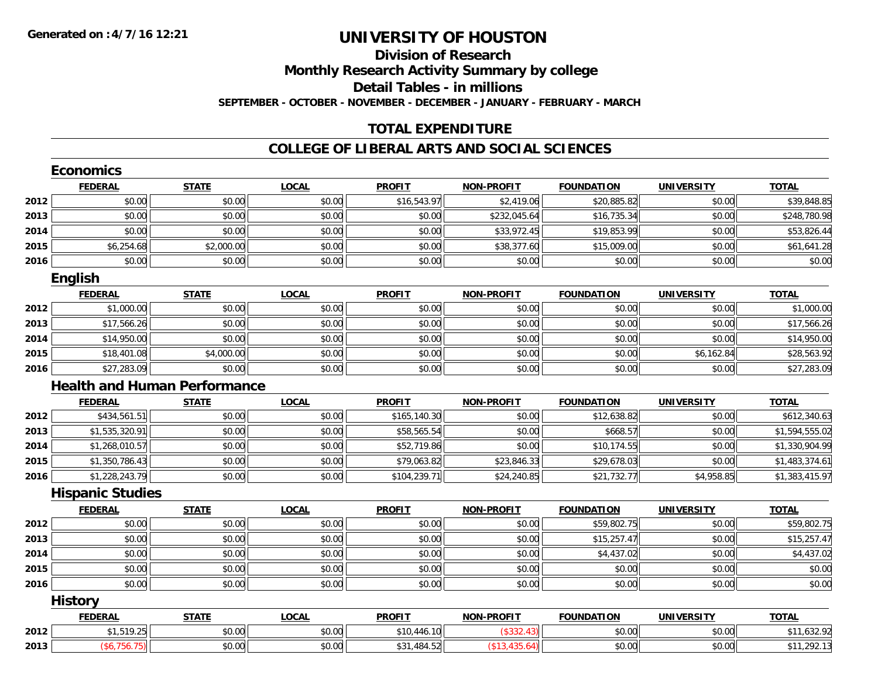# **Division of Research**

**Monthly Research Activity Summary by college**

**Detail Tables - in millions**

**SEPTEMBER - OCTOBER - NOVEMBER - DECEMBER - JANUARY - FEBRUARY - MARCH**

# **TOTAL EXPENDITURE**

### **COLLEGE OF LIBERAL ARTS AND SOCIAL SCIENCES**

|      | <b>Economics</b>        |                                     |              |               |                   |                   |                   |                |
|------|-------------------------|-------------------------------------|--------------|---------------|-------------------|-------------------|-------------------|----------------|
|      | <b>FEDERAL</b>          | <b>STATE</b>                        | <b>LOCAL</b> | <b>PROFIT</b> | <b>NON-PROFIT</b> | <b>FOUNDATION</b> | <b>UNIVERSITY</b> | <b>TOTAL</b>   |
| 2012 | \$0.00                  | \$0.00                              | \$0.00       | \$16,543.97   | \$2,419.06        | \$20,885.82       | \$0.00            | \$39,848.85    |
| 2013 | \$0.00                  | \$0.00                              | \$0.00       | \$0.00        | \$232,045.64      | \$16,735.34       | \$0.00            | \$248,780.98   |
| 2014 | \$0.00                  | \$0.00                              | \$0.00       | \$0.00        | \$33,972.45       | \$19,853.99       | \$0.00            | \$53,826.44    |
| 2015 | \$6,254.68              | \$2,000.00                          | \$0.00       | \$0.00        | \$38,377.60       | \$15,009.00       | \$0.00            | \$61,641.28    |
| 2016 | \$0.00                  | \$0.00                              | \$0.00       | \$0.00        | \$0.00            | \$0.00            | \$0.00            | \$0.00         |
|      | English                 |                                     |              |               |                   |                   |                   |                |
|      | <b>FEDERAL</b>          | <b>STATE</b>                        | <b>LOCAL</b> | <b>PROFIT</b> | <b>NON-PROFIT</b> | <b>FOUNDATION</b> | <b>UNIVERSITY</b> | <b>TOTAL</b>   |
| 2012 | \$1,000.00              | \$0.00                              | \$0.00       | \$0.00        | \$0.00            | \$0.00            | \$0.00            | \$1,000.00     |
| 2013 | \$17,566.26             | \$0.00                              | \$0.00       | \$0.00        | \$0.00            | \$0.00            | \$0.00            | \$17,566.26    |
| 2014 | \$14,950.00             | \$0.00                              | \$0.00       | \$0.00        | \$0.00            | \$0.00            | \$0.00            | \$14,950.00    |
| 2015 | \$18,401.08             | \$4,000.00                          | \$0.00       | \$0.00        | \$0.00            | \$0.00            | \$6,162.84        | \$28,563.92    |
| 2016 | \$27,283.09             | \$0.00                              | \$0.00       | \$0.00        | \$0.00            | \$0.00            | \$0.00            | \$27,283.09    |
|      |                         | <b>Health and Human Performance</b> |              |               |                   |                   |                   |                |
|      | <b>FEDERAL</b>          | <b>STATE</b>                        | <b>LOCAL</b> | <b>PROFIT</b> | <b>NON-PROFIT</b> | <b>FOUNDATION</b> | <b>UNIVERSITY</b> | <b>TOTAL</b>   |
| 2012 | \$434,561.51            | \$0.00                              | \$0.00       | \$165,140.30  | \$0.00            | \$12,638.82       | \$0.00            | \$612,340.63   |
| 2013 | \$1,535,320.91          | \$0.00                              | \$0.00       | \$58,565.54   | \$0.00            | \$668.57          | \$0.00            | \$1,594,555.02 |
| 2014 | \$1,268,010.57          | \$0.00                              | \$0.00       | \$52,719.86   | \$0.00            | \$10,174.55       | \$0.00            | \$1,330,904.99 |
| 2015 | \$1,350,786.43          | \$0.00                              | \$0.00       | \$79,063.82   | \$23,846.33       | \$29,678.03       | \$0.00            | \$1,483,374.61 |
| 2016 | \$1,228,243.79          | \$0.00                              | \$0.00       | \$104,239.71  | \$24,240.85       | \$21,732.77       | \$4,958.85        | \$1,383,415.97 |
|      | <b>Hispanic Studies</b> |                                     |              |               |                   |                   |                   |                |
|      | <b>FEDERAL</b>          | <b>STATE</b>                        | <b>LOCAL</b> | <b>PROFIT</b> | <b>NON-PROFIT</b> | <b>FOUNDATION</b> | <b>UNIVERSITY</b> | <b>TOTAL</b>   |
| 2012 | \$0.00                  | \$0.00                              | \$0.00       | \$0.00        | \$0.00            | \$59,802.75       | \$0.00            | \$59,802.75    |
| 2013 | \$0.00                  | \$0.00                              | \$0.00       | \$0.00        | \$0.00            | \$15,257.47       | \$0.00            | \$15,257.47    |
| 2014 | \$0.00                  | \$0.00                              | \$0.00       | \$0.00        | \$0.00            | \$4,437.02        | \$0.00            | \$4,437.02     |
| 2015 | \$0.00                  | \$0.00                              | \$0.00       | \$0.00        | \$0.00            | \$0.00            | \$0.00            | \$0.00         |
| 2016 | \$0.00                  | \$0.00                              | \$0.00       | \$0.00        | \$0.00            | \$0.00            | \$0.00            | \$0.00         |
|      | <b>History</b>          |                                     |              |               |                   |                   |                   |                |
|      | <b>FEDERAL</b>          | <b>STATE</b>                        | <b>LOCAL</b> | <b>PROFIT</b> | <b>NON-PROFIT</b> | <b>FOUNDATION</b> | <b>UNIVERSITY</b> | <b>TOTAL</b>   |
| 2012 | \$1,519.25              | \$0.00                              | \$0.00       | \$10,446.10   | (\$332.43)        | \$0.00            | \$0.00            | \$11,632.92    |
| 2013 | (\$6,756.75)            | \$0.00                              | \$0.00       | \$31,484.52   | (\$13,435.64)     | \$0.00            | \$0.00            | \$11,292.13    |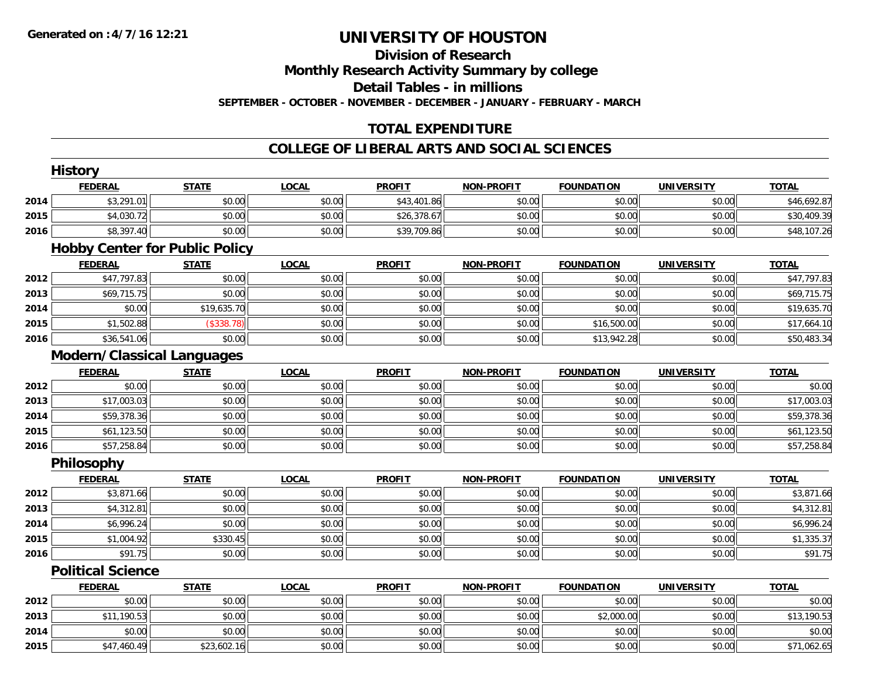# **Division of Research**

**Monthly Research Activity Summary by college**

**Detail Tables - in millions**

**SEPTEMBER - OCTOBER - NOVEMBER - DECEMBER - JANUARY - FEBRUARY - MARCH**

# **TOTAL EXPENDITURE**

#### **COLLEGE OF LIBERAL ARTS AND SOCIAL SCIENCES**

|      | <b>History</b>                    |                                       |              |               |                   |                   |                   |              |
|------|-----------------------------------|---------------------------------------|--------------|---------------|-------------------|-------------------|-------------------|--------------|
|      | <b>FEDERAL</b>                    | <b>STATE</b>                          | <b>LOCAL</b> | <b>PROFIT</b> | <b>NON-PROFIT</b> | <b>FOUNDATION</b> | <b>UNIVERSITY</b> | <b>TOTAL</b> |
| 2014 | \$3,291.01                        | \$0.00                                | \$0.00       | \$43,401.86   | \$0.00            | \$0.00            | \$0.00            | \$46,692.87  |
| 2015 | \$4,030.72                        | \$0.00                                | \$0.00       | \$26,378.67   | \$0.00            | \$0.00            | \$0.00            | \$30,409.39  |
| 2016 | \$8,397.40                        | \$0.00                                | \$0.00       | \$39,709.86   | \$0.00            | \$0.00            | \$0.00            | \$48,107.26  |
|      |                                   | <b>Hobby Center for Public Policy</b> |              |               |                   |                   |                   |              |
|      | <b>FEDERAL</b>                    | <b>STATE</b>                          | <b>LOCAL</b> | <b>PROFIT</b> | <b>NON-PROFIT</b> | <b>FOUNDATION</b> | <b>UNIVERSITY</b> | <b>TOTAL</b> |
| 2012 | \$47,797.83                       | \$0.00                                | \$0.00       | \$0.00        | \$0.00            | \$0.00            | \$0.00            | \$47,797.83  |
| 2013 | \$69,715.75                       | \$0.00                                | \$0.00       | \$0.00        | \$0.00            | \$0.00            | \$0.00            | \$69,715.75  |
| 2014 | \$0.00                            | \$19,635.70                           | \$0.00       | \$0.00        | \$0.00            | \$0.00            | \$0.00            | \$19,635.70  |
| 2015 | \$1,502.88                        | (\$338.78)                            | \$0.00       | \$0.00        | \$0.00            | \$16,500.00       | \$0.00            | \$17,664.10  |
| 2016 | \$36,541.06                       | \$0.00                                | \$0.00       | \$0.00        | \$0.00            | \$13,942.28       | \$0.00            | \$50,483.34  |
|      | <b>Modern/Classical Languages</b> |                                       |              |               |                   |                   |                   |              |
|      | <b>FEDERAL</b>                    | <b>STATE</b>                          | <b>LOCAL</b> | <b>PROFIT</b> | <b>NON-PROFIT</b> | <b>FOUNDATION</b> | <b>UNIVERSITY</b> | <b>TOTAL</b> |
| 2012 | \$0.00                            | \$0.00                                | \$0.00       | \$0.00        | \$0.00            | \$0.00            | \$0.00            | \$0.00       |
| 2013 | \$17,003.03                       | \$0.00                                | \$0.00       | \$0.00        | \$0.00            | \$0.00            | \$0.00            | \$17,003.03  |
| 2014 | \$59,378.36                       | \$0.00                                | \$0.00       | \$0.00        | \$0.00            | \$0.00            | \$0.00            | \$59,378.36  |
| 2015 | \$61,123.50                       | \$0.00                                | \$0.00       | \$0.00        | \$0.00            | \$0.00            | \$0.00            | \$61,123.50  |
| 2016 | \$57,258.84                       | \$0.00                                | \$0.00       | \$0.00        | \$0.00            | \$0.00            | \$0.00            | \$57,258.84  |
|      | Philosophy                        |                                       |              |               |                   |                   |                   |              |
|      | <b>FEDERAL</b>                    | <b>STATE</b>                          | <b>LOCAL</b> | <b>PROFIT</b> | <b>NON-PROFIT</b> | <b>FOUNDATION</b> | <b>UNIVERSITY</b> | <b>TOTAL</b> |
| 2012 | \$3,871.66                        | \$0.00                                | \$0.00       | \$0.00        | \$0.00            | \$0.00            | \$0.00            | \$3,871.66   |
| 2013 | \$4,312.81                        | \$0.00                                | \$0.00       | \$0.00        | \$0.00            | \$0.00            | \$0.00            | \$4,312.81   |
| 2014 | \$6,996.24                        | \$0.00                                | \$0.00       | \$0.00        | \$0.00            | \$0.00            | \$0.00            | \$6,996.24   |
| 2015 | \$1,004.92                        | \$330.45                              | \$0.00       | \$0.00        | \$0.00            | \$0.00            | \$0.00            | \$1,335.37   |
| 2016 | \$91.75                           | \$0.00                                | \$0.00       | \$0.00        | \$0.00            | \$0.00            | \$0.00            | \$91.75      |
|      | <b>Political Science</b>          |                                       |              |               |                   |                   |                   |              |
|      | <b>FEDERAL</b>                    | <b>STATE</b>                          | <b>LOCAL</b> | <b>PROFIT</b> | <b>NON-PROFIT</b> | <b>FOUNDATION</b> | <b>UNIVERSITY</b> | <b>TOTAL</b> |
| 2012 | \$0.00                            | \$0.00                                | \$0.00       | \$0.00        | \$0.00            | \$0.00            | \$0.00            | \$0.00       |
| 2013 | \$11,190.53                       | \$0.00                                | \$0.00       | \$0.00        | \$0.00            | \$2,000.00        | \$0.00            | \$13,190.53  |
| 2014 | \$0.00                            | \$0.00                                | \$0.00       | \$0.00        | \$0.00            | \$0.00            | \$0.00            | \$0.00       |
| 2015 | \$47,460.49                       | \$23,602.16                           | \$0.00       | \$0.00        | \$0.00            | \$0.00            | \$0.00            | \$71,062.65  |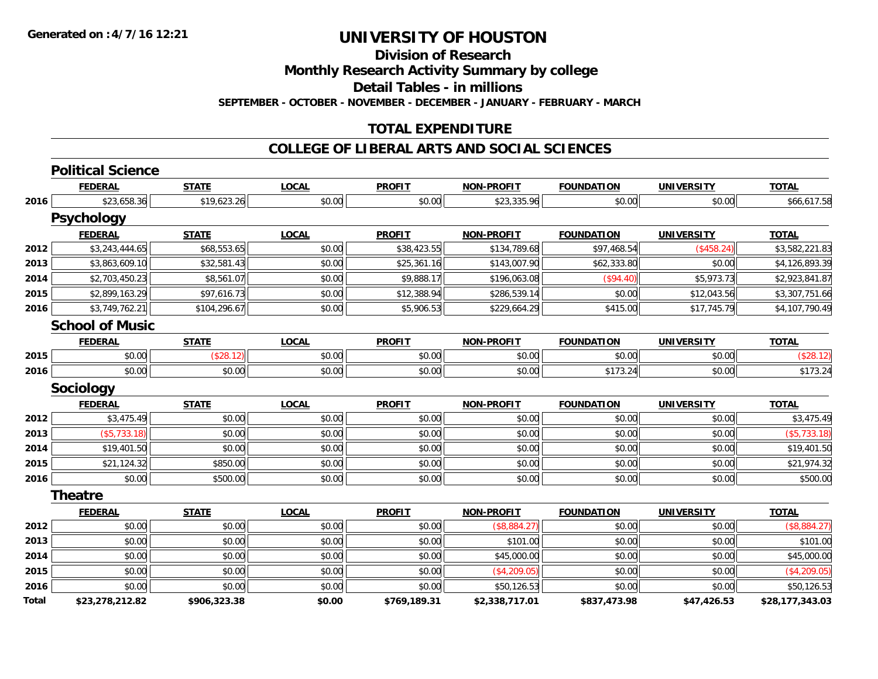**Division of Research**

**Monthly Research Activity Summary by college**

**Detail Tables - in millions**

**SEPTEMBER - OCTOBER - NOVEMBER - DECEMBER - JANUARY - FEBRUARY - MARCH**

### **TOTAL EXPENDITURE**

#### **COLLEGE OF LIBERAL ARTS AND SOCIAL SCIENCES**

|              | <b>Political Science</b> |              |              |               |                   |                   |                   |                 |
|--------------|--------------------------|--------------|--------------|---------------|-------------------|-------------------|-------------------|-----------------|
|              | <b>FEDERAL</b>           | <b>STATE</b> | <b>LOCAL</b> | <b>PROFIT</b> | <b>NON-PROFIT</b> | <b>FOUNDATION</b> | <b>UNIVERSITY</b> | <b>TOTAL</b>    |
| 2016         | \$23,658.36              | \$19,623.26  | \$0.00       | \$0.00        | \$23,335.96       | \$0.00            | \$0.00            | \$66,617.58     |
|              | <b>Psychology</b>        |              |              |               |                   |                   |                   |                 |
|              | <b>FEDERAL</b>           | <b>STATE</b> | <b>LOCAL</b> | <b>PROFIT</b> | <b>NON-PROFIT</b> | <b>FOUNDATION</b> | <b>UNIVERSITY</b> | <b>TOTAL</b>    |
| 2012         | \$3,243,444.65           | \$68,553.65  | \$0.00       | \$38,423.55   | \$134,789.68      | \$97,468.54       | (\$458.24)        | \$3,582,221.83  |
| 2013         | \$3,863,609.10           | \$32,581.43  | \$0.00       | \$25,361.16   | \$143,007.90      | \$62,333.80       | \$0.00            | \$4,126,893.39  |
| 2014         | \$2,703,450.23           | \$8,561.07   | \$0.00       | \$9,888.17    | \$196,063.08      | (\$94.40)         | \$5,973.73        | \$2,923,841.87  |
| 2015         | \$2,899,163.29           | \$97,616.73  | \$0.00       | \$12,388.94   | \$286,539.14      | \$0.00            | \$12,043.56       | \$3,307,751.66  |
| 2016         | \$3,749,762.21           | \$104,296.67 | \$0.00       | \$5,906.53    | \$229,664.29      | \$415.00          | \$17,745.79       | \$4,107,790.49  |
|              | <b>School of Music</b>   |              |              |               |                   |                   |                   |                 |
|              | <b>FEDERAL</b>           | <b>STATE</b> | <b>LOCAL</b> | <b>PROFIT</b> | <b>NON-PROFIT</b> | <b>FOUNDATION</b> | <b>UNIVERSITY</b> | <b>TOTAL</b>    |
| 2015         | \$0.00                   | (\$28.12)    | \$0.00       | \$0.00        | \$0.00            | \$0.00            | \$0.00            | (\$28.12)       |
| 2016         | \$0.00                   | \$0.00       | \$0.00       | \$0.00        | \$0.00            | \$173.24          | \$0.00            | \$173.24        |
|              | <b>Sociology</b>         |              |              |               |                   |                   |                   |                 |
|              | <b>FEDERAL</b>           | <b>STATE</b> | <b>LOCAL</b> | <b>PROFIT</b> | <b>NON-PROFIT</b> | <b>FOUNDATION</b> | <b>UNIVERSITY</b> | <b>TOTAL</b>    |
| 2012         | \$3,475.49               | \$0.00       | \$0.00       | \$0.00        | \$0.00            | \$0.00            | \$0.00            | \$3,475.49      |
| 2013         | ( \$5,733.18)            | \$0.00       | \$0.00       | \$0.00        | \$0.00            | \$0.00            | \$0.00            | (\$5,733.18)    |
| 2014         | \$19,401.50              | \$0.00       | \$0.00       | \$0.00        | \$0.00            | \$0.00            | \$0.00            | \$19,401.50     |
| 2015         | \$21,124.32              | \$850.00     | \$0.00       | \$0.00        | \$0.00            | \$0.00            | \$0.00            | \$21,974.32     |
| 2016         | \$0.00                   | \$500.00     | \$0.00       | \$0.00        | \$0.00            | \$0.00            | \$0.00            | \$500.00        |
|              | <b>Theatre</b>           |              |              |               |                   |                   |                   |                 |
|              | <b>FEDERAL</b>           | <b>STATE</b> | <b>LOCAL</b> | <b>PROFIT</b> | <b>NON-PROFIT</b> | <b>FOUNDATION</b> | <b>UNIVERSITY</b> | <b>TOTAL</b>    |
| 2012         | \$0.00                   | \$0.00       | \$0.00       | \$0.00        | (\$8,884.27)      | \$0.00            | \$0.00            | (\$8,884.27)    |
| 2013         | \$0.00                   | \$0.00       | \$0.00       | \$0.00        | \$101.00          | \$0.00            | \$0.00            | \$101.00        |
| 2014         | \$0.00                   | \$0.00       | \$0.00       | \$0.00        | \$45,000.00       | \$0.00            | \$0.00            | \$45,000.00     |
| 2015         | \$0.00                   | \$0.00       | \$0.00       | \$0.00        | (\$4, 209.05)     | \$0.00            | \$0.00            | (\$4,209.05)    |
| 2016         | \$0.00                   | \$0.00       | \$0.00       | \$0.00        | \$50,126.53       | \$0.00            | \$0.00            | \$50,126.53     |
| <b>Total</b> | \$23,278,212.82          | \$906,323.38 | \$0.00       | \$769,189.31  | \$2,338,717.01    | \$837,473.98      | \$47,426.53       | \$28,177,343.03 |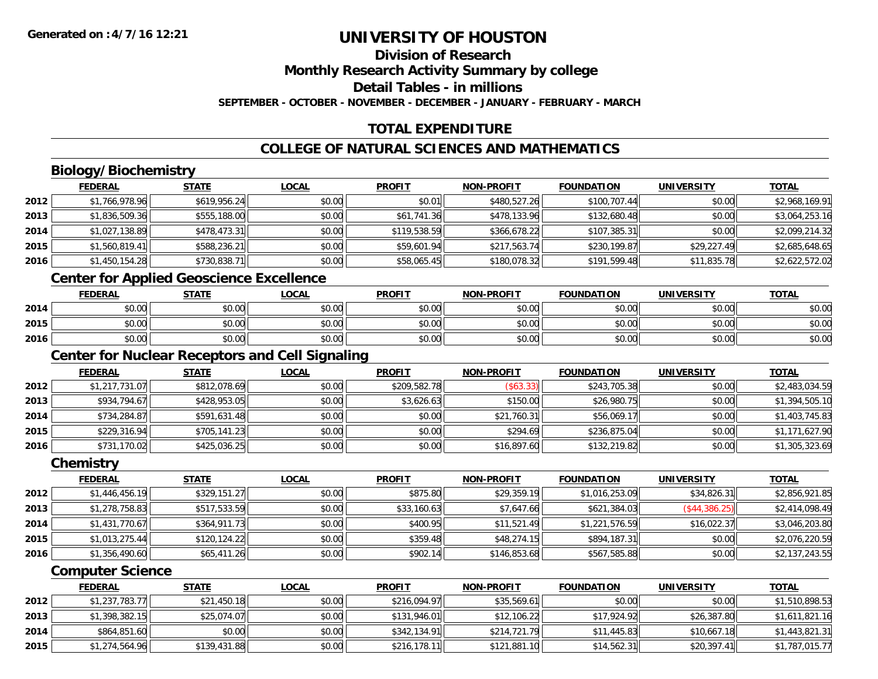# **Division of Research**

**Monthly Research Activity Summary by college**

**Detail Tables - in millions**

**SEPTEMBER - OCTOBER - NOVEMBER - DECEMBER - JANUARY - FEBRUARY - MARCH**

# **TOTAL EXPENDITURE**

# **COLLEGE OF NATURAL SCIENCES AND MATHEMATICS**

# **Biology/Biochemistry**

|      | <b>FEDERAL</b> | <u>STATE</u> | <u>LOCAL</u> | <b>PROFIT</b> | <b>NON-PROFIT</b> | <b>FOUNDATION</b> | <b>UNIVERSITY</b> | <b>TOTAL</b>   |
|------|----------------|--------------|--------------|---------------|-------------------|-------------------|-------------------|----------------|
| 2012 | \$1,766,978.96 | \$619.956.24 | \$0.00       | \$0.01        | \$480,527.26      | \$100,707.44      | \$0.00            | \$2,968,169.91 |
| 2013 | \$1,836,509.36 | \$555,188.00 | \$0.00       | \$61,741.36   | \$478,133.96      | \$132,680.48      | \$0.00            | \$3,064,253.16 |
| 2014 | \$1,027,138.89 | \$478,473.31 | \$0.00       | \$119,538.59  | \$366,678.22      | \$107,385.31      | \$0.00            | \$2,099,214.32 |
| 2015 | \$1,560,819.41 | \$588,236.21 | \$0.00       | \$59,601.94   | \$217,563.74      | \$230,199.87      | \$29,227.49       | \$2,685,648.65 |
| 2016 | \$1,450,154.28 | \$730,838.71 | \$0.00       | \$58,065.45   | \$180,078.32      | \$191,599.48      | \$11,835.78       | \$2,622,572.02 |

<u> 1989 - Johann Stoff, amerikansk politiker (d. 1989)</u>

# **Center for Applied Geoscience Excellence**

|      | <b>FEDERAL</b>         | <b>STATE</b> | <b>LOCAL</b> | <b>PROFIT</b> | <b>NON-PROFIT</b> | <b>FOUNDATION</b> | UNIVERSITY | <b>TOTAL</b> |
|------|------------------------|--------------|--------------|---------------|-------------------|-------------------|------------|--------------|
| 2014 | ÷∩.<br>$\cap$<br>DU.UG | \$0.00       | \$0.00       | \$0.00        | \$0.00            | \$0.00            | \$0.00     | \$0.00       |
| 2015 | \$0.00                 | \$0.00       | \$0.00       | \$0.00        | \$0.00            | \$0.00            | \$0.00     | \$0.00       |
| 2016 | \$0.00                 | \$0.00       | \$0.00       | \$0.00        | \$0.00            | \$0.00            | \$0.00     | \$0.00       |

<u> 1980 - Johann Barn, fransk politik (d. 1980)</u>

# **Center for Nuclear Receptors and Cell Signaling**

|      | <b>FEDERAL</b> | <b>STATE</b> | <u>LOCAL</u> | <b>PROFIT</b> | <b>NON-PROFIT</b> | <b>FOUNDATION</b> | <b>UNIVERSITY</b> | <b>TOTAL</b>   |
|------|----------------|--------------|--------------|---------------|-------------------|-------------------|-------------------|----------------|
| 2012 | \$1,217,731.07 | \$812,078.69 | \$0.00       | \$209,582.78  | \$63.33           | \$243,705.38      | \$0.00            | \$2,483,034.59 |
| 2013 | \$934,794.67   | \$428,953.05 | \$0.00       | \$3,626.63    | \$150.00          | \$26,980.75       | \$0.00            | \$1,394,505.10 |
| 2014 | \$734,284.87   | \$591,631.48 | \$0.00       | \$0.00        | \$21,760.31       | \$56,069.17       | \$0.00            | \$1,403,745.83 |
| 2015 | \$229,316.94   | \$705,141.23 | \$0.00       | \$0.00        | \$294.69          | \$236.875.04      | \$0.00            | \$1,171,627.90 |
| 2016 | \$731,170.02   | \$425,036.25 | \$0.00       | \$0.00        | \$16,897.60       | \$132,219.82      | \$0.00            | \$1,305,323.69 |

#### **Chemistry**

|      | <b>FEDERAL</b> | <b>STATE</b> | <b>LOCAL</b> | <b>PROFIT</b> | <b>NON-PROFIT</b> | <b>FOUNDATION</b> | <b>UNIVERSITY</b> | <b>TOTAL</b>   |
|------|----------------|--------------|--------------|---------------|-------------------|-------------------|-------------------|----------------|
| 2012 | \$1,446,456.19 | \$329,151.27 | \$0.00       | \$875.80      | \$29,359.19       | \$1,016,253.09    | \$34,826.31       | \$2,856,921.85 |
| 2013 | \$1,278,758.83 | \$517,533.59 | \$0.00       | \$33,160.63   | \$7,647.66        | \$621,384.03      | (S44, 386.25)     | \$2,414,098.49 |
| 2014 | \$1,431,770.67 | \$364,911.73 | \$0.00       | \$400.95      | \$11,521.49       | \$1,221,576.59    | \$16,022.37       | \$3,046,203.80 |
| 2015 | \$1,013,275.44 | \$120,124.22 | \$0.00       | \$359.48      | \$48,274.15       | \$894,187.31      | \$0.00            | \$2,076,220.59 |
| 2016 | \$1,356,490.60 | \$65,411.26  | \$0.00       | \$902.14      | \$146,853.68      | \$567,585.88      | \$0.00            | \$2,137,243.55 |

#### **Computer Science**

|      | <b>FEDERAL</b> | <u>STATE</u> | <b>LOCAL</b> | <b>PROFIT</b> | <b>NON-PROFIT</b> | <b>FOUNDATION</b> | UNIVERSITY  | <b>TOTAL</b>   |
|------|----------------|--------------|--------------|---------------|-------------------|-------------------|-------------|----------------|
| 2012 | \$1,237,783.77 | \$21,450.18  | \$0.00       | \$216.094.97  | \$35,569.61       | \$0.00            | \$0.00      | \$1,510,898.53 |
| 2013 | \$1,398,382.15 | \$25,074.07  | \$0.00       | \$131,946.01  | \$12,106.22       | \$17,924.92       | \$26,387.80 | \$1,611,821.16 |
| 2014 | \$864,851,60   | \$0.00       | \$0.00       | \$342.134.91  | \$214,721.79      | \$11,445.83       | \$10.667.18 | \$1,443,821.31 |
| 2015 | \$1,274,564.96 | \$139,431.88 | \$0.00       | \$216,178.11  | \$121,881.10      | \$14,562.31       | \$20,397.41 | \$1,787,015.77 |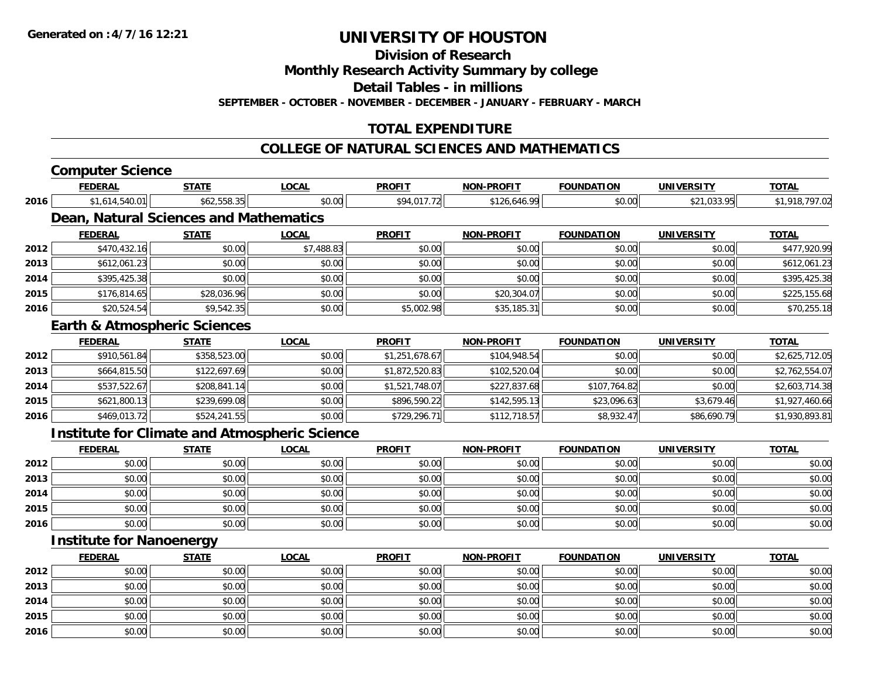**Division of Research**

**Monthly Research Activity Summary by college**

**Detail Tables - in millions**

**SEPTEMBER - OCTOBER - NOVEMBER - DECEMBER - JANUARY - FEBRUARY - MARCH**

# **TOTAL EXPENDITURE**

#### **COLLEGE OF NATURAL SCIENCES AND MATHEMATICS**

| <b>FEDERAL</b><br><b>STATE</b><br><b>LOCAL</b><br>\$62,558.35<br>\$1,614,540.01<br>\$0.00<br>2016<br>Dean, Natural Sciences and Mathematics<br><b>FEDERAL</b><br><b>STATE</b><br><b>LOCAL</b><br>\$470,432.16<br>\$0.00<br>\$7,488.83<br>2012<br>2013<br>\$0.00<br>\$612,061.23<br>\$0.00<br>2014<br>\$0.00<br>\$0.00<br>\$395,425.38<br>\$28,036.96<br>2015<br>\$176,814.65<br>\$0.00<br>\$20,524.54<br>\$9,542.35<br>2016<br>\$0.00<br><b>Earth &amp; Atmospheric Sciences</b><br><b>FEDERAL</b><br><b>LOCAL</b><br><b>STATE</b><br>\$910,561.84<br>\$358,523.00<br>\$0.00<br>2012<br>2013<br>\$664,815.50<br>\$122,697.69<br>\$0.00<br>\$537,522.67<br>\$208,841.14<br>2014<br>\$0.00<br>\$239,699.08<br>2015<br>\$621,800.13<br>\$0.00<br>\$469,013.72<br>\$524,241.55<br>\$0.00<br>2016<br><b>Institute for Climate and Atmospheric Science</b><br><b>FEDERAL</b><br><b>LOCAL</b><br><b>STATE</b> | <b>PROFIT</b><br>\$94,017.72<br><b>PROFIT</b><br>\$0.00<br>\$0.00<br>\$0.00<br>\$0.00<br>\$5,002.98<br><b>PROFIT</b><br>\$1,251,678.67<br>\$1,872,520.83<br>\$1,521,748.07<br>\$896,590.22 | <b>NON-PROFIT</b><br>\$126,646.99<br><b>NON-PROFIT</b><br>\$0.00<br>\$0.00<br>\$0.00<br>\$20,304.07<br>\$35,185.31<br><b>NON-PROFIT</b><br>\$104,948.54<br>\$102,520.04<br>\$227,837.68 | <b>FOUNDATION</b><br>\$0.00<br><b>FOUNDATION</b><br>\$0.00<br>\$0.00<br>\$0.00<br>\$0.00<br>\$0.00<br><b>FOUNDATION</b><br>\$0.00<br>\$0.00<br>\$107,764.82 | <b>UNIVERSITY</b><br>\$21,033.95<br><b>UNIVERSITY</b><br>\$0.00<br>\$0.00<br>\$0.00<br>\$0.00<br>\$0.00<br><b>UNIVERSITY</b><br>\$0.00<br>\$0.00<br>\$0.00 | <b>TOTAL</b><br><b>TOTAL</b><br><b>TOTAL</b>                                                                                                        |
|--------------------------------------------------------------------------------------------------------------------------------------------------------------------------------------------------------------------------------------------------------------------------------------------------------------------------------------------------------------------------------------------------------------------------------------------------------------------------------------------------------------------------------------------------------------------------------------------------------------------------------------------------------------------------------------------------------------------------------------------------------------------------------------------------------------------------------------------------------------------------------------------------------|--------------------------------------------------------------------------------------------------------------------------------------------------------------------------------------------|-----------------------------------------------------------------------------------------------------------------------------------------------------------------------------------------|-------------------------------------------------------------------------------------------------------------------------------------------------------------|------------------------------------------------------------------------------------------------------------------------------------------------------------|-----------------------------------------------------------------------------------------------------------------------------------------------------|
|                                                                                                                                                                                                                                                                                                                                                                                                                                                                                                                                                                                                                                                                                                                                                                                                                                                                                                        |                                                                                                                                                                                            |                                                                                                                                                                                         |                                                                                                                                                             |                                                                                                                                                            | \$1,918,797.02<br>\$477,920.99<br>\$612,061.23<br>\$395,425.38<br>\$225,155.68<br>\$70,255.18<br>\$2,625,712.05<br>\$2,762,554.07<br>\$2,603,714.38 |
|                                                                                                                                                                                                                                                                                                                                                                                                                                                                                                                                                                                                                                                                                                                                                                                                                                                                                                        |                                                                                                                                                                                            |                                                                                                                                                                                         |                                                                                                                                                             |                                                                                                                                                            |                                                                                                                                                     |
|                                                                                                                                                                                                                                                                                                                                                                                                                                                                                                                                                                                                                                                                                                                                                                                                                                                                                                        |                                                                                                                                                                                            |                                                                                                                                                                                         |                                                                                                                                                             |                                                                                                                                                            |                                                                                                                                                     |
|                                                                                                                                                                                                                                                                                                                                                                                                                                                                                                                                                                                                                                                                                                                                                                                                                                                                                                        |                                                                                                                                                                                            |                                                                                                                                                                                         |                                                                                                                                                             |                                                                                                                                                            |                                                                                                                                                     |
|                                                                                                                                                                                                                                                                                                                                                                                                                                                                                                                                                                                                                                                                                                                                                                                                                                                                                                        |                                                                                                                                                                                            |                                                                                                                                                                                         |                                                                                                                                                             |                                                                                                                                                            |                                                                                                                                                     |
|                                                                                                                                                                                                                                                                                                                                                                                                                                                                                                                                                                                                                                                                                                                                                                                                                                                                                                        |                                                                                                                                                                                            |                                                                                                                                                                                         |                                                                                                                                                             |                                                                                                                                                            |                                                                                                                                                     |
|                                                                                                                                                                                                                                                                                                                                                                                                                                                                                                                                                                                                                                                                                                                                                                                                                                                                                                        |                                                                                                                                                                                            |                                                                                                                                                                                         |                                                                                                                                                             |                                                                                                                                                            |                                                                                                                                                     |
|                                                                                                                                                                                                                                                                                                                                                                                                                                                                                                                                                                                                                                                                                                                                                                                                                                                                                                        |                                                                                                                                                                                            |                                                                                                                                                                                         |                                                                                                                                                             |                                                                                                                                                            |                                                                                                                                                     |
|                                                                                                                                                                                                                                                                                                                                                                                                                                                                                                                                                                                                                                                                                                                                                                                                                                                                                                        |                                                                                                                                                                                            |                                                                                                                                                                                         |                                                                                                                                                             |                                                                                                                                                            |                                                                                                                                                     |
|                                                                                                                                                                                                                                                                                                                                                                                                                                                                                                                                                                                                                                                                                                                                                                                                                                                                                                        |                                                                                                                                                                                            |                                                                                                                                                                                         |                                                                                                                                                             |                                                                                                                                                            |                                                                                                                                                     |
|                                                                                                                                                                                                                                                                                                                                                                                                                                                                                                                                                                                                                                                                                                                                                                                                                                                                                                        |                                                                                                                                                                                            |                                                                                                                                                                                         |                                                                                                                                                             |                                                                                                                                                            |                                                                                                                                                     |
|                                                                                                                                                                                                                                                                                                                                                                                                                                                                                                                                                                                                                                                                                                                                                                                                                                                                                                        |                                                                                                                                                                                            |                                                                                                                                                                                         |                                                                                                                                                             |                                                                                                                                                            |                                                                                                                                                     |
|                                                                                                                                                                                                                                                                                                                                                                                                                                                                                                                                                                                                                                                                                                                                                                                                                                                                                                        |                                                                                                                                                                                            |                                                                                                                                                                                         |                                                                                                                                                             |                                                                                                                                                            |                                                                                                                                                     |
|                                                                                                                                                                                                                                                                                                                                                                                                                                                                                                                                                                                                                                                                                                                                                                                                                                                                                                        |                                                                                                                                                                                            |                                                                                                                                                                                         |                                                                                                                                                             |                                                                                                                                                            |                                                                                                                                                     |
|                                                                                                                                                                                                                                                                                                                                                                                                                                                                                                                                                                                                                                                                                                                                                                                                                                                                                                        |                                                                                                                                                                                            | \$142,595.13                                                                                                                                                                            | \$23,096.63                                                                                                                                                 | \$3,679.46                                                                                                                                                 | \$1,927,460.66                                                                                                                                      |
|                                                                                                                                                                                                                                                                                                                                                                                                                                                                                                                                                                                                                                                                                                                                                                                                                                                                                                        | \$729,296.71                                                                                                                                                                               | \$112,718.57                                                                                                                                                                            | \$8,932.47                                                                                                                                                  | \$86,690.79                                                                                                                                                | \$1,930,893.81                                                                                                                                      |
|                                                                                                                                                                                                                                                                                                                                                                                                                                                                                                                                                                                                                                                                                                                                                                                                                                                                                                        |                                                                                                                                                                                            |                                                                                                                                                                                         |                                                                                                                                                             |                                                                                                                                                            |                                                                                                                                                     |
|                                                                                                                                                                                                                                                                                                                                                                                                                                                                                                                                                                                                                                                                                                                                                                                                                                                                                                        | <b>PROFIT</b>                                                                                                                                                                              | <b>NON-PROFIT</b>                                                                                                                                                                       | <b>FOUNDATION</b>                                                                                                                                           | <b>UNIVERSITY</b>                                                                                                                                          | <b>TOTAL</b>                                                                                                                                        |
| 2012<br>\$0.00<br>\$0.00<br>\$0.00                                                                                                                                                                                                                                                                                                                                                                                                                                                                                                                                                                                                                                                                                                                                                                                                                                                                     | \$0.00                                                                                                                                                                                     | \$0.00                                                                                                                                                                                  | \$0.00                                                                                                                                                      | \$0.00                                                                                                                                                     | \$0.00                                                                                                                                              |
| 2013<br>\$0.00<br>\$0.00<br>\$0.00                                                                                                                                                                                                                                                                                                                                                                                                                                                                                                                                                                                                                                                                                                                                                                                                                                                                     | \$0.00                                                                                                                                                                                     | \$0.00                                                                                                                                                                                  | \$0.00                                                                                                                                                      | \$0.00                                                                                                                                                     | \$0.00                                                                                                                                              |
| \$0.00<br>2014<br>\$0.00<br>\$0.00                                                                                                                                                                                                                                                                                                                                                                                                                                                                                                                                                                                                                                                                                                                                                                                                                                                                     | \$0.00                                                                                                                                                                                     | \$0.00                                                                                                                                                                                  | \$0.00                                                                                                                                                      | \$0.00                                                                                                                                                     | \$0.00                                                                                                                                              |
| 2015<br>\$0.00<br>\$0.00<br>\$0.00                                                                                                                                                                                                                                                                                                                                                                                                                                                                                                                                                                                                                                                                                                                                                                                                                                                                     | \$0.00                                                                                                                                                                                     | \$0.00                                                                                                                                                                                  | \$0.00                                                                                                                                                      | \$0.00                                                                                                                                                     | \$0.00                                                                                                                                              |
| 2016<br>\$0.00<br>\$0.00<br>\$0.00                                                                                                                                                                                                                                                                                                                                                                                                                                                                                                                                                                                                                                                                                                                                                                                                                                                                     | \$0.00                                                                                                                                                                                     | \$0.00                                                                                                                                                                                  | \$0.00                                                                                                                                                      | \$0.00                                                                                                                                                     | \$0.00                                                                                                                                              |
| <b>Institute for Nanoenergy</b>                                                                                                                                                                                                                                                                                                                                                                                                                                                                                                                                                                                                                                                                                                                                                                                                                                                                        |                                                                                                                                                                                            |                                                                                                                                                                                         |                                                                                                                                                             |                                                                                                                                                            |                                                                                                                                                     |
| <b>FEDERAL</b><br><b>LOCAL</b><br><b>STATE</b>                                                                                                                                                                                                                                                                                                                                                                                                                                                                                                                                                                                                                                                                                                                                                                                                                                                         |                                                                                                                                                                                            | <b>NON-PROFIT</b>                                                                                                                                                                       | <b>FOUNDATION</b>                                                                                                                                           | <b>UNIVERSITY</b>                                                                                                                                          | <b>TOTAL</b>                                                                                                                                        |

|      | <b>FEDERAL</b> | <u>SIAIL</u> | <u>LUCAL</u> | <u>PROFIT</u> | <b>NON-PROFIL</b> | <b>FOUNDATION</b> | UNIVERSITY | <u>IOIAL</u> |
|------|----------------|--------------|--------------|---------------|-------------------|-------------------|------------|--------------|
| 2012 | \$0.00         | \$0.00       | \$0.00       | \$0.00        | \$0.00            | \$0.00            | \$0.00     | \$0.00       |
| 2013 | \$0.00         | \$0.00       | \$0.00       | \$0.00        | \$0.00            | \$0.00            | \$0.00     | \$0.00       |
| 2014 | \$0.00         | \$0.00       | \$0.00       | \$0.00        | \$0.00            | \$0.00            | \$0.00     | \$0.00       |
| 2015 | \$0.00         | \$0.00       | \$0.00       | \$0.00        | \$0.00            | \$0.00            | \$0.00     | \$0.00       |
| 2016 | \$0.00         | \$0.00       | \$0.00       | \$0.00        | \$0.00            | \$0.00            | \$0.00     | \$0.00       |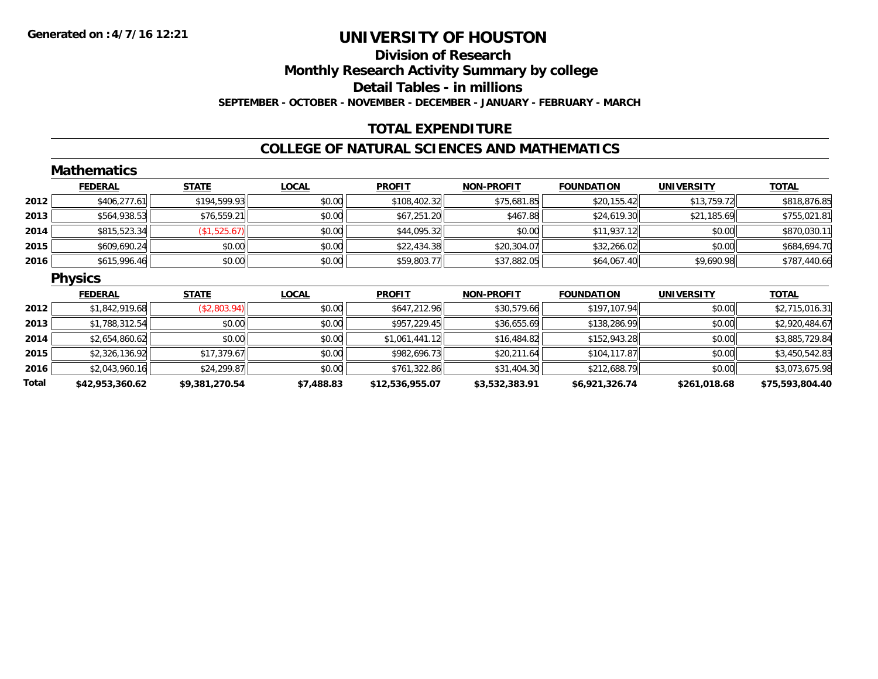# **Division of ResearchMonthly Research Activity Summary by college Detail Tables - in millions SEPTEMBER - OCTOBER - NOVEMBER - DECEMBER - JANUARY - FEBRUARY - MARCH**

### **TOTAL EXPENDITURE**

### **COLLEGE OF NATURAL SCIENCES AND MATHEMATICS**

|       | <b>Mathematics</b> |                |              |                 |                   |                   |                   |                 |
|-------|--------------------|----------------|--------------|-----------------|-------------------|-------------------|-------------------|-----------------|
|       | <b>FEDERAL</b>     | <b>STATE</b>   | <b>LOCAL</b> | <b>PROFIT</b>   | <b>NON-PROFIT</b> | <b>FOUNDATION</b> | <b>UNIVERSITY</b> | <b>TOTAL</b>    |
| 2012  | \$406,277.61       | \$194,599.93   | \$0.00       | \$108,402.32    | \$75,681.85       | \$20,155.42       | \$13,759.72       | \$818,876.85    |
| 2013  | \$564,938.53       | \$76,559.21    | \$0.00       | \$67,251.20     | \$467.88          | \$24,619.30       | \$21,185.69       | \$755,021.81    |
| 2014  | \$815,523.34       | (\$1,525.67)   | \$0.00       | \$44,095.32     | \$0.00            | \$11,937.12       | \$0.00            | \$870,030.11    |
| 2015  | \$609,690.24       | \$0.00         | \$0.00       | \$22,434.38     | \$20,304.07       | \$32,266.02       | \$0.00            | \$684,694.70    |
| 2016  | \$615,996.46       | \$0.00         | \$0.00       | \$59,803.77     | \$37,882.05       | \$64,067.40       | \$9,690.98        | \$787,440.66    |
|       | <b>Physics</b>     |                |              |                 |                   |                   |                   |                 |
|       | <b>FEDERAL</b>     | <b>STATE</b>   | <b>LOCAL</b> | <b>PROFIT</b>   | <b>NON-PROFIT</b> | <b>FOUNDATION</b> | <b>UNIVERSITY</b> | <b>TOTAL</b>    |
| 2012  | \$1,842,919.68     | (\$2,803.94)   | \$0.00       | \$647,212.96    | \$30,579.66       | \$197,107.94      | \$0.00            | \$2,715,016.31  |
| 2013  | \$1,788,312.54     | \$0.00         | \$0.00       | \$957,229.45    | \$36,655.69       | \$138,286.99      | \$0.00            | \$2,920,484.67  |
| 2014  | \$2,654,860.62     | \$0.00         | \$0.00       | \$1,061,441.12  | \$16,484.82       | \$152,943.28      | \$0.00            | \$3,885,729.84  |
| 2015  | \$2,326,136.92     | \$17,379.67    | \$0.00       | \$982,696.73    | \$20,211.64       | \$104,117.87      | \$0.00            | \$3,450,542.83  |
| 2016  | \$2,043,960.16     | \$24,299.87    | \$0.00       | \$761,322.86    | \$31,404.30       | \$212,688.79      | \$0.00            | \$3,073,675.98  |
| Total | \$42,953,360.62    | \$9,381,270.54 | \$7,488.83   | \$12,536,955.07 | \$3,532,383.91    | \$6,921,326.74    | \$261,018.68      | \$75,593,804.40 |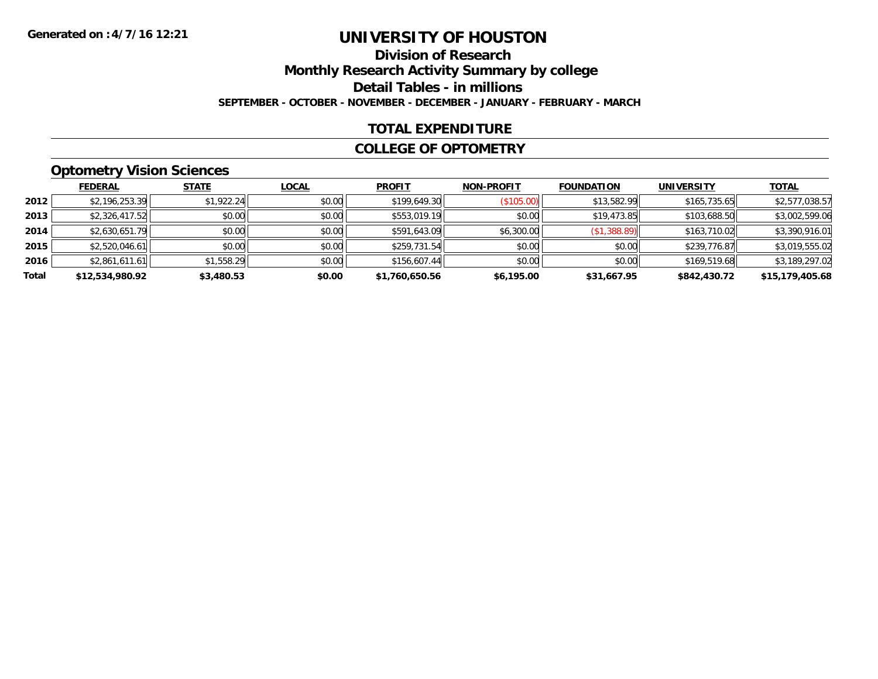# **Division of ResearchMonthly Research Activity Summary by college Detail Tables - in millions SEPTEMBER - OCTOBER - NOVEMBER - DECEMBER - JANUARY - FEBRUARY - MARCH**

### **TOTAL EXPENDITURE**

#### **COLLEGE OF OPTOMETRY**

# **Optometry Vision Sciences**

|       | <b>FEDERAL</b>  | <b>STATE</b> | <b>LOCAL</b> | <b>PROFIT</b>  | <b>NON-PROFIT</b> | <b>FOUNDATION</b> | <b>UNIVERSITY</b> | <b>TOTAL</b>    |
|-------|-----------------|--------------|--------------|----------------|-------------------|-------------------|-------------------|-----------------|
| 2012  | \$2,196,253.39  | \$1,922.24   | \$0.00       | \$199,649.30   | (S105.00)         | \$13,582.99       | \$165,735.65      | \$2,577,038.57  |
| 2013  | \$2,326,417.52  | \$0.00       | \$0.00       | \$553,019.19   | \$0.00            | \$19,473.85       | \$103,688.50      | \$3,002,599.06  |
| 2014  | \$2,630,651.79  | \$0.00       | \$0.00       | \$591,643.09   | \$6,300.00        | (\$1,388.89)      | \$163,710.02      | \$3,390,916.01  |
| 2015  | \$2,520,046.61  | \$0.00       | \$0.00       | \$259,731.54   | \$0.00            | \$0.00            | \$239,776.87      | \$3,019,555.02  |
| 2016  | \$2,861,611.61  | \$1,558.29   | \$0.00       | \$156,607.44   | \$0.00            | \$0.00            | \$169,519.68      | \$3,189,297.02  |
| Total | \$12,534,980.92 | \$3,480.53   | \$0.00       | \$1,760,650.56 | \$6,195.00        | \$31,667.95       | \$842,430.72      | \$15,179,405.68 |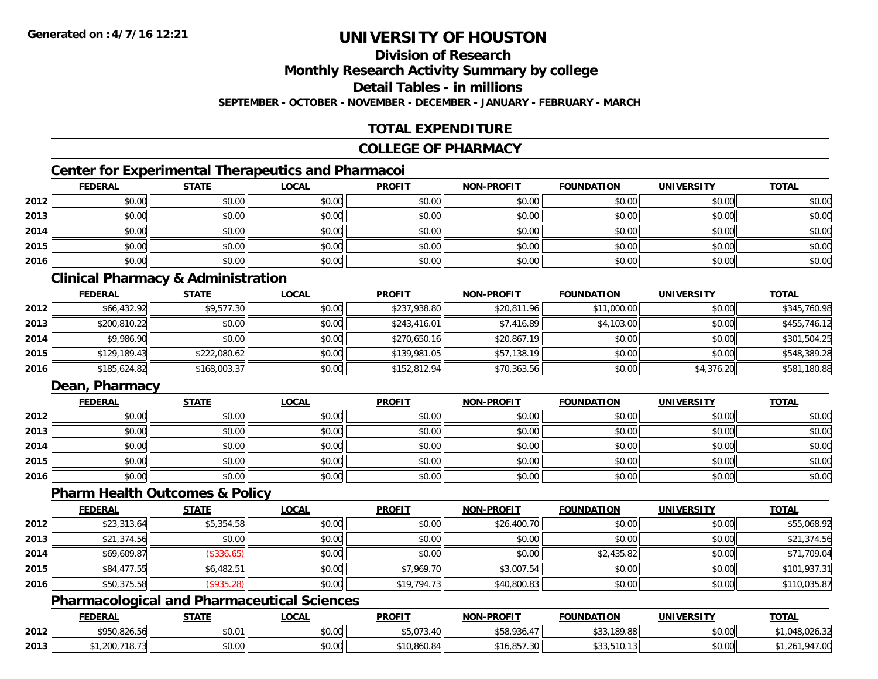# **Division of Research**

**Monthly Research Activity Summary by college**

**Detail Tables - in millions**

**SEPTEMBER - OCTOBER - NOVEMBER - DECEMBER - JANUARY - FEBRUARY - MARCH**

# **TOTAL EXPENDITURE**

#### **COLLEGE OF PHARMACY**

# **Center for Experimental Therapeutics and Pharmacoi**

|      | <b>FEDERAL</b> | <b>STATE</b> | <b>LOCAL</b> | <b>PROFIT</b> | <b>NON-PROFIT</b> | <b>FOUNDATION</b> | <b>UNIVERSITY</b> | <b>TOTAL</b> |
|------|----------------|--------------|--------------|---------------|-------------------|-------------------|-------------------|--------------|
| 2012 | \$0.00         | \$0.00       | \$0.00       | \$0.00        | \$0.00            | \$0.00            | \$0.00            | \$0.00       |
| 2013 | \$0.00         | \$0.00       | \$0.00       | \$0.00        | \$0.00            | \$0.00            | \$0.00            | \$0.00       |
| 2014 | \$0.00         | \$0.00       | \$0.00       | \$0.00        | \$0.00            | \$0.00            | \$0.00            | \$0.00       |
| 2015 | \$0.00         | \$0.00       | \$0.00       | \$0.00        | \$0.00            | \$0.00            | \$0.00            | \$0.00       |
| 2016 | \$0.00         | \$0.00       | \$0.00       | \$0.00        | \$0.00            | \$0.00            | \$0.00            | \$0.00       |

### **Clinical Pharmacy & Administration**

|      | <b>FEDERAL</b> | <u>STATE</u> | <u>LOCAL</u> | <b>PROFIT</b> | <b>NON-PROFIT</b> | <b>FOUNDATION</b> | <b>UNIVERSITY</b> | <b>TOTAL</b> |
|------|----------------|--------------|--------------|---------------|-------------------|-------------------|-------------------|--------------|
| 2012 | \$66,432.92    | \$9,577.30   | \$0.00       | \$237,938.80  | \$20,811.96       | \$11,000.00       | \$0.00            | \$345,760.98 |
| 2013 | \$200,810.22   | \$0.00       | \$0.00       | \$243.416.01  | \$7,416.89        | \$4,103.00        | \$0.00            | \$455,746.12 |
| 2014 | \$9,986.90     | \$0.00       | \$0.00       | \$270,650.16  | \$20,867.19       | \$0.00            | \$0.00            | \$301,504.25 |
| 2015 | \$129,189.43   | \$222,080.62 | \$0.00       | \$139,981.05  | \$57,138.19       | \$0.00            | \$0.00            | \$548,389.28 |
| 2016 | \$185,624.82   | \$168,003.37 | \$0.00       | \$152,812.94  | \$70,363.56       | \$0.00            | \$4,376.20        | \$581,180.88 |

# **Dean, Pharmacy**

|      | <b>FEDERAL</b> | <u>STATE</u> | <u>LOCAL</u> | <b>PROFIT</b> | <b>NON-PROFIT</b> | <b>FOUNDATION</b> | <b>UNIVERSITY</b> | <b>TOTAL</b> |
|------|----------------|--------------|--------------|---------------|-------------------|-------------------|-------------------|--------------|
| 2012 | \$0.00         | \$0.00       | \$0.00       | \$0.00        | \$0.00            | \$0.00            | \$0.00            | \$0.00       |
| 2013 | \$0.00         | \$0.00       | \$0.00       | \$0.00        | \$0.00            | \$0.00            | \$0.00            | \$0.00       |
| 2014 | \$0.00         | \$0.00       | \$0.00       | \$0.00        | \$0.00            | \$0.00            | \$0.00            | \$0.00       |
| 2015 | \$0.00         | \$0.00       | \$0.00       | \$0.00        | \$0.00            | \$0.00            | \$0.00            | \$0.00       |
| 2016 | \$0.00         | \$0.00       | \$0.00       | \$0.00        | \$0.00            | \$0.00            | \$0.00            | \$0.00       |

#### **Pharm Health Outcomes & Policy**

|      | <b>FEDERAL</b> | <b>STATE</b> | <u>LOCAL</u> | <b>PROFIT</b> | <b>NON-PROFIT</b> | <b>FOUNDATION</b> | <b>UNIVERSITY</b> | <b>TOTAL</b> |
|------|----------------|--------------|--------------|---------------|-------------------|-------------------|-------------------|--------------|
| 2012 | \$23,313.64    | \$5,354.58   | \$0.00       | \$0.00        | \$26,400.70       | \$0.00            | \$0.00            | \$55,068.92  |
| 2013 | \$21,374.56    | \$0.00       | \$0.00       | \$0.00        | \$0.00            | \$0.00            | \$0.00            | \$21,374.56  |
| 2014 | \$69,609.87    | (\$336.65)   | \$0.00       | \$0.00        | \$0.00            | \$2,435.82        | \$0.00            | \$71,709.04  |
| 2015 | \$84,477.55    | \$6,482.51   | \$0.00       | \$7,969.70    | \$3,007.54        | \$0.00            | \$0.00            | \$101,937.31 |
| 2016 | \$50,375.58    | (\$935.28)   | \$0.00       | \$19,794.73   | \$40,800.83       | \$0.00            | \$0.00            | \$110,035.87 |

### **Pharmacological and Pharmaceutical Sciences**

|      | <b>FEDERAL</b>                 | <b>STATE</b> | <b>LOCAL</b>          | <b>PROFIT</b>          | <b>NON-PROFIT</b>    | <b>FOUNDATION</b> | <b>UNIVERSITY</b> | <b>TOTAL</b>                      |
|------|--------------------------------|--------------|-----------------------|------------------------|----------------------|-------------------|-------------------|-----------------------------------|
| 2012 | \$950,826.56                   | \$0.01       | 0.00<br>DU.UG         | $+$ $  -$<br>3.U / J.F | \$58,936.            | .189.88           | \$0.00            | $\sim$ 0.0<br>0.10<br>ــد.020,040 |
| 2013 | 200.710.72<br>1,200,<br>10.731 | \$0.00       | ሰሰ<br>$\sim$<br>JU.UU | \$10,860.84            | 0.57.20<br>16.857.30 | \$33,510.13       | \$0.00            | 01700<br>.747.UU<br>1.201         |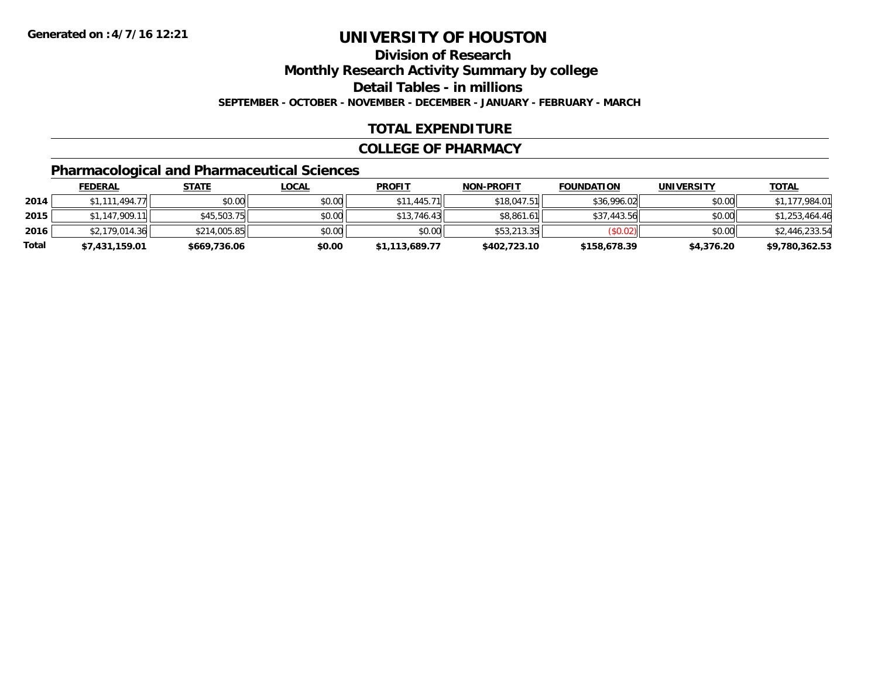# **Division of ResearchMonthly Research Activity Summary by college**

**Detail Tables - in millions**

**SEPTEMBER - OCTOBER - NOVEMBER - DECEMBER - JANUARY - FEBRUARY - MARCH**

# **TOTAL EXPENDITURE**

### **COLLEGE OF PHARMACY**

# **Pharmacological and Pharmaceutical Sciences**

|       | <b>FEDERAL</b> | <u>STATE</u> | <u>LOCAL</u> | <b>PROFIT</b>  | <b>NON-PROFIT</b> | <b>FOUNDATION</b> | UNIVERSITY | <b>TOTAL</b>   |
|-------|----------------|--------------|--------------|----------------|-------------------|-------------------|------------|----------------|
| 2014  | \$1,111,494.77 | \$0.00       | \$0.00       | \$11,445.71    | \$18,047.51       | \$36,996.02       | \$0.00     | \$1,177,984.01 |
| 2015  | \$1.147.909.11 | \$45,503.75  | \$0.00       | \$13,746.43    | \$8,861.61        | \$37,443.56       | \$0.00     | \$1,253,464.46 |
| 2016  | \$2,179,014.36 | \$214,005.85 | \$0.00       | \$0.00         | \$53,213.35       | (S0.02)           | \$0.00     | \$2,446,233.54 |
| Total | \$7,431,159.01 | \$669,736.06 | \$0.00       | \$1,113,689.77 | \$402,723.10      | \$158,678.39      | \$4,376.20 | \$9,780,362.53 |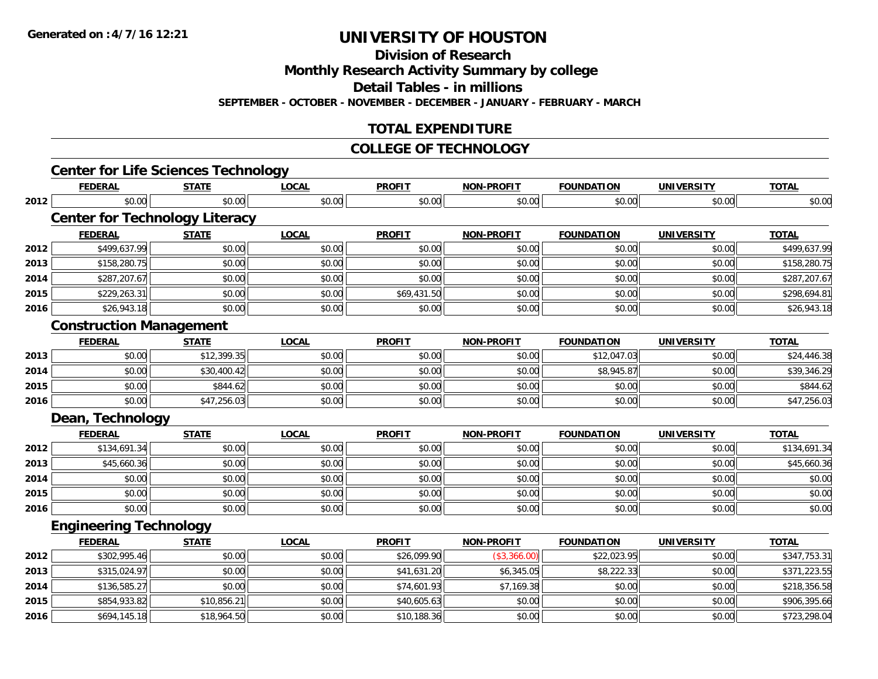**Division of Research**

**Monthly Research Activity Summary by college**

**Detail Tables - in millions**

**SEPTEMBER - OCTOBER - NOVEMBER - DECEMBER - JANUARY - FEBRUARY - MARCH**

# **TOTAL EXPENDITURE**

#### **COLLEGE OF TECHNOLOGY**

|      | <b>Center for Life Sciences Technology</b> |              |              |               |                   |                   |                   |              |
|------|--------------------------------------------|--------------|--------------|---------------|-------------------|-------------------|-------------------|--------------|
|      | <b>FEDERAL</b>                             | <b>STATE</b> | <b>LOCAL</b> | <b>PROFIT</b> | <b>NON-PROFIT</b> | <b>FOUNDATION</b> | <b>UNIVERSITY</b> | <b>TOTAL</b> |
| 2012 | \$0.00                                     | \$0.00       | \$0.00       | \$0.00        | \$0.00            | \$0.00            | \$0.00            | \$0.00       |
|      | <b>Center for Technology Literacy</b>      |              |              |               |                   |                   |                   |              |
|      | <b>FEDERAL</b>                             | <b>STATE</b> | <b>LOCAL</b> | <b>PROFIT</b> | <b>NON-PROFIT</b> | <b>FOUNDATION</b> | <b>UNIVERSITY</b> | <b>TOTAL</b> |
| 2012 | \$499,637.99                               | \$0.00       | \$0.00       | \$0.00        | \$0.00            | \$0.00            | \$0.00            | \$499,637.99 |
| 2013 | \$158,280.75                               | \$0.00       | \$0.00       | \$0.00        | \$0.00            | \$0.00            | \$0.00            | \$158,280.75 |
| 2014 | \$287,207.67                               | \$0.00       | \$0.00       | \$0.00        | \$0.00            | \$0.00            | \$0.00            | \$287,207.67 |
| 2015 | \$229,263.31                               | \$0.00       | \$0.00       | \$69,431.50   | \$0.00            | \$0.00            | \$0.00            | \$298,694.81 |
| 2016 | \$26,943.18                                | \$0.00       | \$0.00       | \$0.00        | \$0.00            | \$0.00            | \$0.00            | \$26,943.18  |
|      | <b>Construction Management</b>             |              |              |               |                   |                   |                   |              |
|      | <b>FEDERAL</b>                             | <b>STATE</b> | <b>LOCAL</b> | <b>PROFIT</b> | <b>NON-PROFIT</b> | <b>FOUNDATION</b> | <b>UNIVERSITY</b> | <b>TOTAL</b> |
| 2013 | \$0.00                                     | \$12,399.35  | \$0.00       | \$0.00        | \$0.00            | \$12,047.03       | \$0.00            | \$24,446.38  |
| 2014 | \$0.00                                     | \$30,400.42  | \$0.00       | \$0.00        | \$0.00            | \$8,945.87        | \$0.00            | \$39,346.29  |
| 2015 | \$0.00                                     | \$844.62     | \$0.00       | \$0.00        | \$0.00            | \$0.00            | \$0.00            | \$844.62     |
| 2016 | \$0.00                                     | \$47,256.03  | \$0.00       | \$0.00        | \$0.00            | \$0.00            | \$0.00            | \$47,256.03  |
|      | Dean, Technology                           |              |              |               |                   |                   |                   |              |
|      | <b>FEDERAL</b>                             | <b>STATE</b> | <b>LOCAL</b> | <b>PROFIT</b> | <b>NON-PROFIT</b> | <b>FOUNDATION</b> | <b>UNIVERSITY</b> | <b>TOTAL</b> |
| 2012 | \$134,691.34                               | \$0.00       | \$0.00       | \$0.00        | \$0.00            | \$0.00            | \$0.00            | \$134,691.34 |
| 2013 | \$45,660.36                                | \$0.00       | \$0.00       | \$0.00        | \$0.00            | \$0.00            | \$0.00            | \$45,660.36  |
| 2014 | \$0.00                                     | \$0.00       | \$0.00       | \$0.00        | \$0.00            | \$0.00            | \$0.00            | \$0.00       |
| 2015 | \$0.00                                     | \$0.00       | \$0.00       | \$0.00        | \$0.00            | \$0.00            | \$0.00            | \$0.00       |
| 2016 | \$0.00                                     | \$0.00       | \$0.00       | \$0.00        | \$0.00            | \$0.00            | \$0.00            | \$0.00       |
|      | <b>Engineering Technology</b>              |              |              |               |                   |                   |                   |              |
|      | <b>FEDERAL</b>                             | <b>STATE</b> | <b>LOCAL</b> | <b>PROFIT</b> | <b>NON-PROFIT</b> | <b>FOUNDATION</b> | <b>UNIVERSITY</b> | <b>TOTAL</b> |
| 2012 | \$302,995.46                               | \$0.00       | \$0.00       | \$26,099.90   | (\$3,366.00)      | \$22,023.95       | \$0.00            | \$347,753.31 |
| 2013 | \$315,024.97                               | \$0.00       | \$0.00       | \$41,631.20   | \$6,345.05        | \$8,222.33        | \$0.00            | \$371,223.55 |
| 2014 | \$136,585.27                               | \$0.00       | \$0.00       | \$74,601.93   | \$7,169.38        | \$0.00            | \$0.00            | \$218,356.58 |
| 2015 | \$854,933.82                               | \$10,856.21  | \$0.00       | \$40,605.63   | \$0.00            | \$0.00            | \$0.00            | \$906,395.66 |
| 2016 | \$694,145.18                               | \$18,964.50  | \$0.00       | \$10,188.36   | \$0.00            | \$0.00            | \$0.00            | \$723,298.04 |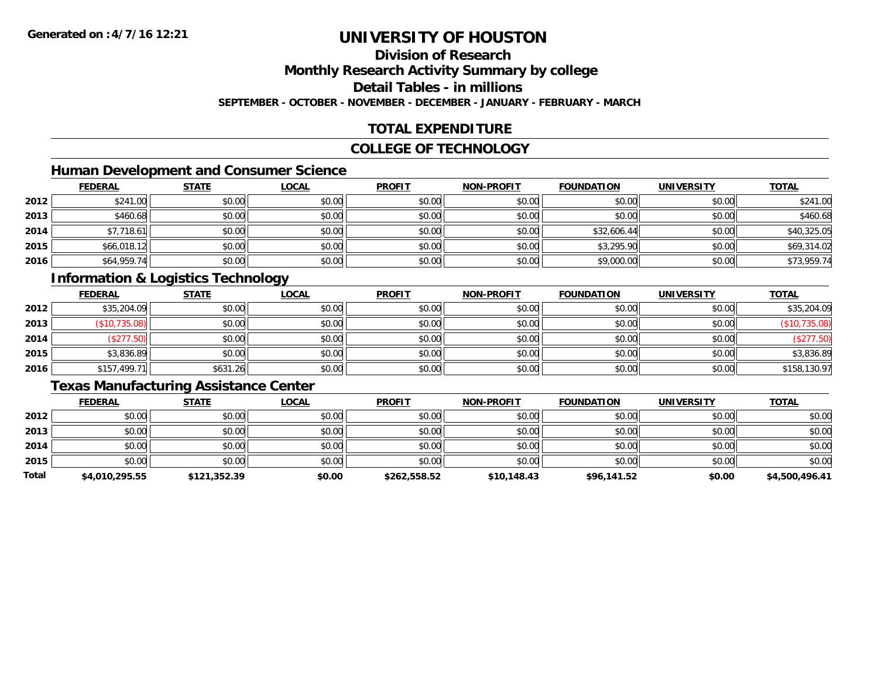# **Division of Research**

**Monthly Research Activity Summary by college**

**Detail Tables - in millions**

**SEPTEMBER - OCTOBER - NOVEMBER - DECEMBER - JANUARY - FEBRUARY - MARCH**

# **TOTAL EXPENDITURE**

### **COLLEGE OF TECHNOLOGY**

# **Human Development and Consumer Science**

|      | <b>FEDERAL</b> | <b>STATE</b> | <b>LOCAL</b> | <b>PROFIT</b> | <b>NON-PROFIT</b> | <b>FOUNDATION</b> | <b>UNIVERSITY</b> | <b>TOTAL</b> |
|------|----------------|--------------|--------------|---------------|-------------------|-------------------|-------------------|--------------|
| 2012 | \$241.00       | \$0.00       | \$0.00       | \$0.00        | \$0.00            | \$0.00            | \$0.00            | \$241.00     |
| 2013 | \$460.68       | \$0.00       | \$0.00       | \$0.00        | \$0.00            | \$0.00            | \$0.00            | \$460.68     |
| 2014 | \$7,718.61     | \$0.00       | \$0.00       | \$0.00        | \$0.00            | \$32,606.44       | \$0.00            | \$40,325.05  |
| 2015 | \$66,018.12    | \$0.00       | \$0.00       | \$0.00        | \$0.00            | \$3,295.90        | \$0.00            | \$69,314.02  |
| 2016 | \$64,959.74    | \$0.00       | \$0.00       | \$0.00        | \$0.00            | \$9,000.00        | \$0.00            | \$73,959.74  |

# **Information & Logistics Technology**

|      | <b>FEDERAL</b> | <b>STATE</b> | <u>LOCAL</u> | <b>PROFIT</b> | <b>NON-PROFIT</b> | <b>FOUNDATION</b> | <b>UNIVERSITY</b> | <b>TOTAL</b>  |
|------|----------------|--------------|--------------|---------------|-------------------|-------------------|-------------------|---------------|
| 2012 | \$35,204.09    | \$0.00       | \$0.00       | \$0.00        | \$0.00            | \$0.00            | \$0.00            | \$35,204.09   |
| 2013 | \$10,735.08    | \$0.00       | \$0.00       | \$0.00        | \$0.00            | \$0.00            | \$0.00            | (\$10,735.08) |
| 2014 | (\$277.50)     | \$0.00       | \$0.00       | \$0.00        | \$0.00            | \$0.00            | \$0.00            | \$277.50      |
| 2015 | \$3,836.89     | \$0.00       | \$0.00       | \$0.00        | \$0.00            | \$0.00            | \$0.00            | \$3,836.89    |
| 2016 | \$157,499.71   | \$631.26     | \$0.00       | \$0.00        | \$0.00            | \$0.00            | \$0.00            | \$158,130.97  |

### **Texas Manufacturing Assistance Center**

|       | <b>FEDERAL</b> | <b>STATE</b> | <b>LOCAL</b> | <b>PROFIT</b> | <b>NON-PROFIT</b> | <b>FOUNDATION</b> | <b>UNIVERSITY</b> | <b>TOTAL</b>   |
|-------|----------------|--------------|--------------|---------------|-------------------|-------------------|-------------------|----------------|
| 2012  | \$0.00         | \$0.00       | \$0.00       | \$0.00        | \$0.00            | \$0.00            | \$0.00            | \$0.00         |
| 2013  | \$0.00         | \$0.00       | \$0.00       | \$0.00        | \$0.00            | \$0.00            | \$0.00            | \$0.00         |
| 2014  | \$0.00         | \$0.00       | \$0.00       | \$0.00        | \$0.00            | \$0.00            | \$0.00            | \$0.00         |
| 2015  | \$0.00         | \$0.00       | \$0.00       | \$0.00        | \$0.00            | \$0.00            | \$0.00            | \$0.00         |
| Total | \$4,010,295.55 | \$121,352.39 | \$0.00       | \$262,558.52  | \$10,148.43       | \$96,141.52       | \$0.00            | \$4,500,496.41 |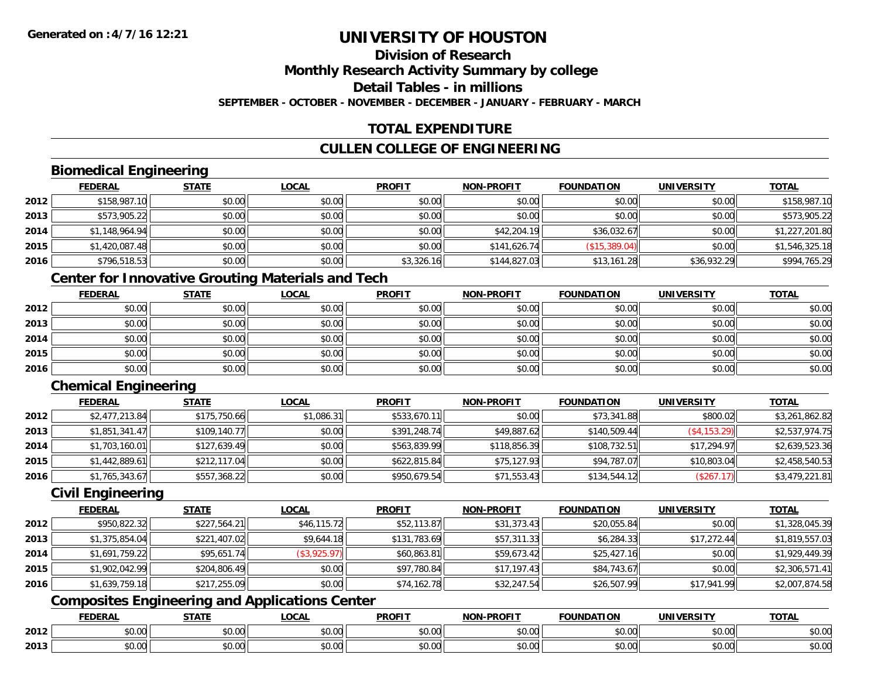### **Division of ResearchMonthly Research Activity Summary by college Detail Tables - in millionsSEPTEMBER - OCTOBER - NOVEMBER - DECEMBER - JANUARY - FEBRUARY - MARCH**

# **TOTAL EXPENDITURE**

# **CULLEN COLLEGE OF ENGINEERING**

# **Biomedical Engineering**

|      | <b>FEDERAL</b> | <b>STATE</b> | <b>LOCAL</b> | <b>PROFIT</b> | <b>NON-PROFIT</b> | <b>FOUNDATION</b> | <b>UNIVERSITY</b> | <b>TOTAL</b>   |
|------|----------------|--------------|--------------|---------------|-------------------|-------------------|-------------------|----------------|
| 2012 | \$158,987.10   | \$0.00       | \$0.00       | \$0.00        | \$0.00            | \$0.00            | \$0.00            | \$158,987.10   |
| 2013 | \$573,905.22   | \$0.00       | \$0.00       | \$0.00        | \$0.00            | \$0.00            | \$0.00            | \$573,905.22   |
| 2014 | \$1,148,964.94 | \$0.00       | \$0.00       | \$0.00        | \$42,204.19       | \$36,032.67       | \$0.00            | \$1,227,201.80 |
| 2015 | \$1,420,087.48 | \$0.00       | \$0.00       | \$0.00        | \$141,626.74      | (\$15,389.04)     | \$0.00            | \$1,546,325.18 |
| 2016 | \$796,518.53   | \$0.00       | \$0.00       | \$3,326.16    | \$144,827.03      | \$13,161.28       | \$36,932.29       | \$994,765.29   |

# **Center for Innovative Grouting Materials and Tech**

|      | <u>FEDERAL</u> | <b>STATE</b> | <u>LOCAL</u> | <b>PROFIT</b> | <b>NON-PROFIT</b> | <b>FOUNDATION</b> | <b>UNIVERSITY</b> | <b>TOTAL</b> |
|------|----------------|--------------|--------------|---------------|-------------------|-------------------|-------------------|--------------|
| 2012 | \$0.00         | \$0.00       | \$0.00       | \$0.00        | \$0.00            | \$0.00            | \$0.00            | \$0.00       |
| 2013 | \$0.00         | \$0.00       | \$0.00       | \$0.00        | \$0.00            | \$0.00            | \$0.00            | \$0.00       |
| 2014 | \$0.00         | \$0.00       | \$0.00       | \$0.00        | \$0.00            | \$0.00            | \$0.00            | \$0.00       |
| 2015 | \$0.00         | \$0.00       | \$0.00       | \$0.00        | \$0.00            | \$0.00            | \$0.00            | \$0.00       |
| 2016 | \$0.00         | \$0.00       | \$0.00       | \$0.00        | \$0.00            | \$0.00            | \$0.00            | \$0.00       |

# **Chemical Engineering**

|      | <b>FEDERAL</b> | <b>STATE</b> | <b>LOCAL</b> | <b>PROFIT</b> | <b>NON-PROFIT</b> | <b>FOUNDATION</b> | <b>UNIVERSITY</b> | <b>TOTAL</b>   |
|------|----------------|--------------|--------------|---------------|-------------------|-------------------|-------------------|----------------|
| 2012 | \$2,477,213.84 | \$175,750.66 | \$1,086.31   | \$533,670.11  | \$0.00            | \$73,341.88       | \$800.02          | \$3,261,862.82 |
| 2013 | \$1,851,341.47 | \$109,140.77 | \$0.00       | \$391,248.74  | \$49,887.62       | \$140,509.44      | (\$4,153.29)      | \$2,537,974.75 |
| 2014 | \$1,703,160.01 | \$127,639.49 | \$0.00       | \$563,839.99  | \$118,856.39      | \$108,732.51      | \$17,294.97       | \$2,639,523.36 |
| 2015 | \$1,442,889.61 | \$212,117.04 | \$0.00       | \$622,815.84  | \$75,127.93       | \$94,787.07       | \$10,803.04       | \$2,458,540.53 |
| 2016 | \$1,765,343.67 | \$557,368.22 | \$0.00       | \$950,679.54  | \$71,553.43       | \$134,544.12      | (\$267.17)        | \$3,479,221.81 |

### **Civil Engineering**

|      | <b>FEDERAL</b> | <b>STATE</b> | <b>LOCAL</b>   | <b>PROFIT</b> | <b>NON-PROFIT</b> | <b>FOUNDATION</b> | <b>UNIVERSITY</b> | <b>TOTAL</b>   |
|------|----------------|--------------|----------------|---------------|-------------------|-------------------|-------------------|----------------|
| 2012 | \$950,822.32   | \$227,564.21 | \$46,115.72    | \$52,113.87   | \$31,373.43       | \$20,055.84       | \$0.00            | \$1,328,045.39 |
| 2013 | \$1,375,854.04 | \$221,407.02 | \$9,644.18     | \$131,783.69  | \$57,311.33       | \$6,284.33        | \$17,272.44       | \$1,819,557.03 |
| 2014 | \$1,691,759.22 | \$95,651.74  | $(\$3,925.97)$ | \$60,863.81   | \$59,673.42       | \$25,427.16       | \$0.00            | \$1,929,449.39 |
| 2015 | \$1,902,042.99 | \$204,806.49 | \$0.00         | \$97,780.84   | \$17.197.43       | \$84,743.67       | \$0.00            | \$2,306,571.41 |
| 2016 | \$1,639,759.18 | \$217,255.09 | \$0.00         | \$74,162.78   | \$32,247.54       | \$26,507.99       | \$17,941.99       | \$2,007,874.58 |

# **Composites Engineering and Applications Center**

|      | <b>DERAL</b>                     | <b>CTATI</b>          | $\bigcap$<br>.OCAI     | <b>PROFIT</b>         | <b>DDAEIT</b><br><b>NION</b> | .<br>ב נוחו<br>LION | - R.J.         | <b>TOTAL</b>   |
|------|----------------------------------|-----------------------|------------------------|-----------------------|------------------------------|---------------------|----------------|----------------|
| 2012 | $\sim$<br>$. \cup . \cup \cup$   | $\overline{ }$<br>ט.ט | $\sim$ 00<br>pu.uu     | $\sim$ 00<br>ັ⊎ບ.ບບ,  | 0.00<br>PO.OO                | vv.vv               | 0.001<br>vv.vv | 0000<br>\$U.UU |
| 2013 | $\sim$ $\sim$<br>$\sim$<br>,u.uu | しいい                   | $\sim$ $\sim$<br>vu.uu | $\sim$ 00<br>ັ້ນບ.ບເ∞ | 0.00<br>PO.OO                | JU.UU               | 0.00<br>PO.OO  | ስ ለሰ<br>JU.UU  |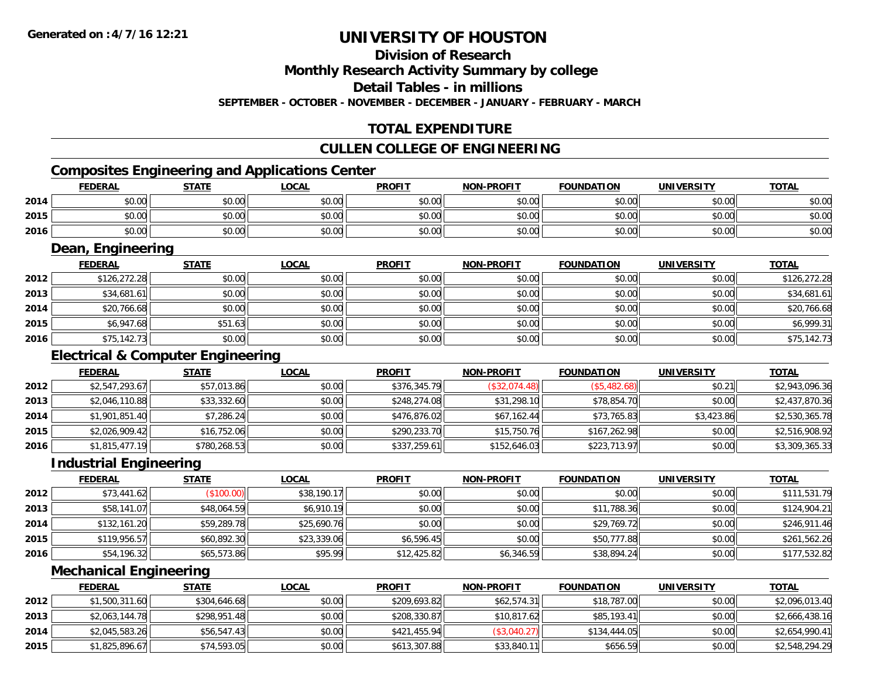## **Division of Research**

**Monthly Research Activity Summary by college**

**Detail Tables - in millions**

**SEPTEMBER - OCTOBER - NOVEMBER - DECEMBER - JANUARY - FEBRUARY - MARCH**

# **TOTAL EXPENDITURE**

#### **CULLEN COLLEGE OF ENGINEERING**

# **Composites Engineering and Applications Center**

|      | <b>FEDERAL</b> | <b>STATE</b>   | LOCAL  | <b>PROFIT</b> | <b>NON-PROFIT</b> | <b>FOUNDATION</b> | <b>UNIVERSITY</b> | <b>TOTAL</b> |
|------|----------------|----------------|--------|---------------|-------------------|-------------------|-------------------|--------------|
| 2014 | \$0.00         | t∩ ∪v<br>JU.UU | \$0.00 | \$0.00        | \$0.00            | \$0.00            | \$0.00            | \$0.00       |
| 2015 | \$0.00         | \$0.00         | \$0.00 | \$0.00        | \$0.00            | \$0.00            | \$0.00            | \$0.00       |
| 2016 | \$0.00         | ≮N UU<br>JU.UU | \$0.00 | \$0.00        | \$0.00            | \$0.00            | \$0.00            | \$0.00       |

<u> 1989 - Johann Stoff, deutscher Stoffen und der Stoffen und der Stoffen und der Stoffen und der Stoffen und der</u>

### **Dean, Engineering**

|      | <b>FEDERAL</b> | <b>STATE</b> | <b>LOCAL</b> | <b>PROFIT</b> | <b>NON-PROFIT</b> | <b>FOUNDATION</b> | <b>UNIVERSITY</b> | <b>TOTAL</b> |
|------|----------------|--------------|--------------|---------------|-------------------|-------------------|-------------------|--------------|
| 2012 | \$126,272.28   | \$0.00       | \$0.00       | \$0.00        | \$0.00            | \$0.00            | \$0.00            | \$126,272.28 |
| 2013 | \$34,681.61    | \$0.00       | \$0.00       | \$0.00        | \$0.00            | \$0.00            | \$0.00            | \$34,681.61  |
| 2014 | \$20,766.68    | \$0.00       | \$0.00       | \$0.00        | \$0.00            | \$0.00            | \$0.00            | \$20,766.68  |
| 2015 | \$6,947.68     | \$51.63      | \$0.00       | \$0.00        | \$0.00            | \$0.00            | \$0.00            | \$6,999.31   |
| 2016 | \$75,142.73    | \$0.00       | \$0.00       | \$0.00        | \$0.00            | \$0.00            | \$0.00            | \$75,142.73  |

### **Electrical & Computer Engineering**

|      | <b>FEDERAL</b> | <b>STATE</b> | <b>LOCAL</b> | <b>PROFIT</b> | <b>NON-PROFIT</b> | <b>FOUNDATION</b> | <b>UNIVERSITY</b> | <b>TOTAL</b>   |
|------|----------------|--------------|--------------|---------------|-------------------|-------------------|-------------------|----------------|
| 2012 | \$2,547,293.67 | \$57,013.86  | \$0.00       | \$376,345.79  | (S32, 074.48)     | (\$5,482.68)      | \$0.21            | \$2,943,096.36 |
| 2013 | \$2,046,110.88 | \$33,332.60  | \$0.00       | \$248,274.08  | \$31,298.10       | \$78,854.70       | \$0.00            | \$2,437,870.36 |
| 2014 | \$1,901,851.40 | \$7,286.24   | \$0.00       | \$476,876.02  | \$67,162.44       | \$73,765.83       | \$3,423.86        | \$2,530,365.78 |
| 2015 | \$2,026,909.42 | \$16,752.06  | \$0.00       | \$290,233.70  | \$15,750.76       | \$167,262.98      | \$0.00            | \$2,516,908.92 |
| 2016 | \$1,815,477.19 | \$780,268.53 | \$0.00       | \$337,259.61  | \$152,646.03      | \$223,713.97      | \$0.00            | \$3,309,365.33 |

#### **Industrial Engineering**

|      | <b>FEDERAL</b> | <b>STATE</b> | <u>LOCAL</u> | <b>PROFIT</b> | <b>NON-PROFIT</b> | <b>FOUNDATION</b> | <b>UNIVERSITY</b> | <b>TOTAL</b> |
|------|----------------|--------------|--------------|---------------|-------------------|-------------------|-------------------|--------------|
| 2012 | \$73,441.62    | (\$100.00)   | \$38,190.17  | \$0.00        | \$0.00            | \$0.00            | \$0.00            | \$111,531.79 |
| 2013 | \$58,141.07    | \$48,064.59  | \$6,910.19   | \$0.00        | \$0.00            | \$11,788.36       | \$0.00            | \$124,904.21 |
| 2014 | \$132,161.20   | \$59,289.78  | \$25,690.76  | \$0.00        | \$0.00            | \$29,769.72       | \$0.00            | \$246,911.46 |
| 2015 | \$119,956.57   | \$60,892.30  | \$23,339.06  | \$6,596.45    | \$0.00            | \$50,777.88       | \$0.00            | \$261,562.26 |
| 2016 | \$54,196.32    | \$65,573.86  | \$95.99      | \$12,425.82   | \$6,346.59        | \$38,894.24       | \$0.00            | \$177,532.82 |

#### **Mechanical Engineering**

|      | <b>FEDERAL</b> | <b>STATE</b> | <u>LOCAL</u> | <b>PROFIT</b> | <b>NON-PROFIT</b> | <b>FOUNDATION</b> | <b>UNIVERSITY</b> | <b>TOTAL</b>   |
|------|----------------|--------------|--------------|---------------|-------------------|-------------------|-------------------|----------------|
| 2012 | \$1,500,311.60 | \$304,646.68 | \$0.00       | \$209,693.82  | \$62,574.31       | \$18,787.00       | \$0.00            | \$2,096,013.40 |
| 2013 | \$2,063,144.78 | \$298,951.48 | \$0.00       | \$208,330.87  | \$10,817.62       | \$85,193,41       | \$0.00            | \$2,666,438.16 |
| 2014 | \$2,045,583.26 | \$56,547.43  | \$0.00       | \$421,455.94  | (\$3,040.27)      | \$134,444.05      | \$0.00            | \$2,654,990.41 |
| 2015 | \$1,825,896.67 | \$74,593.05  | \$0.00       | \$613,307.88  | \$33,840.11       | \$656.59          | \$0.00            | \$2,548,294.29 |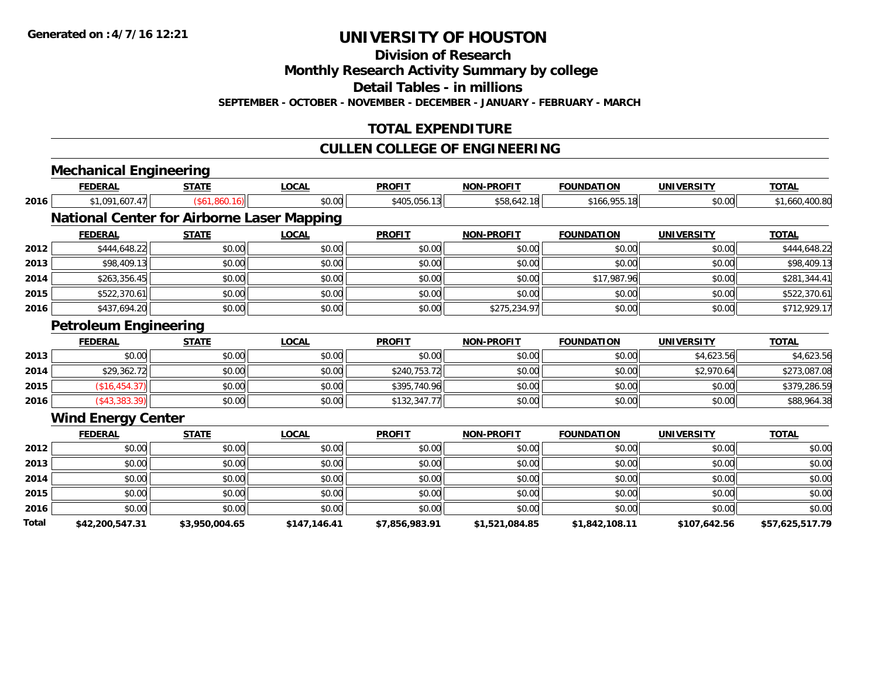**Division of Research**

**Monthly Research Activity Summary by college**

**Detail Tables - in millions**

**SEPTEMBER - OCTOBER - NOVEMBER - DECEMBER - JANUARY - FEBRUARY - MARCH**

# **TOTAL EXPENDITURE**

### **CULLEN COLLEGE OF ENGINEERING**

|       | <b>Mechanical Engineering</b> |                                                   |              |                |                   |                   |                   |                 |
|-------|-------------------------------|---------------------------------------------------|--------------|----------------|-------------------|-------------------|-------------------|-----------------|
|       | <b>FEDERAL</b>                | <b>STATE</b>                                      | LOCAL        | <b>PROFIT</b>  | <b>NON-PROFIT</b> | <b>FOUNDATION</b> | <b>UNIVERSITY</b> | <b>TOTAL</b>    |
| 2016  | \$1,091,607.47                | (\$61,860.16)                                     | \$0.00       | \$405,056.13   | \$58,642.18       | \$166,955.18      | \$0.00            | \$1,660,400.80  |
|       |                               | <b>National Center for Airborne Laser Mapping</b> |              |                |                   |                   |                   |                 |
|       | <b>FEDERAL</b>                | <b>STATE</b>                                      | <b>LOCAL</b> | <b>PROFIT</b>  | <b>NON-PROFIT</b> | <b>FOUNDATION</b> | <b>UNIVERSITY</b> | <b>TOTAL</b>    |
| 2012  | \$444,648.22                  | \$0.00                                            | \$0.00       | \$0.00         | \$0.00            | \$0.00            | \$0.00            | \$444,648.22    |
| 2013  | \$98,409.13                   | \$0.00                                            | \$0.00       | \$0.00         | \$0.00            | \$0.00            | \$0.00            | \$98,409.13     |
| 2014  | \$263,356.45                  | \$0.00                                            | \$0.00       | \$0.00         | \$0.00            | \$17,987.96       | \$0.00            | \$281,344.41    |
| 2015  | \$522,370.61                  | \$0.00                                            | \$0.00       | \$0.00         | \$0.00            | \$0.00            | \$0.00            | \$522,370.61    |
| 2016  | \$437,694.20                  | \$0.00                                            | \$0.00       | \$0.00         | \$275,234.97      | \$0.00            | \$0.00            | \$712,929.17    |
|       | <b>Petroleum Engineering</b>  |                                                   |              |                |                   |                   |                   |                 |
|       | <b>FEDERAL</b>                | <b>STATE</b>                                      | <b>LOCAL</b> | <b>PROFIT</b>  | <b>NON-PROFIT</b> | <b>FOUNDATION</b> | <b>UNIVERSITY</b> | <b>TOTAL</b>    |
| 2013  | \$0.00                        | \$0.00                                            | \$0.00       | \$0.00         | \$0.00            | \$0.00            | \$4,623.56        | \$4,623.56      |
| 2014  | \$29,362.72                   | \$0.00                                            | \$0.00       | \$240,753.72   | \$0.00            | \$0.00            | \$2,970.64        | \$273,087.08    |
| 2015  | (\$16,454.37)                 | \$0.00                                            | \$0.00       | \$395,740.96   | \$0.00            | \$0.00            | \$0.00            | \$379,286.59    |
| 2016  | $(*43,383.39)$                | \$0.00                                            | \$0.00       | \$132,347.77   | \$0.00            | \$0.00            | \$0.00            | \$88,964.38     |
|       | <b>Wind Energy Center</b>     |                                                   |              |                |                   |                   |                   |                 |
|       | <b>FEDERAL</b>                | <b>STATE</b>                                      | <b>LOCAL</b> | <b>PROFIT</b>  | <b>NON-PROFIT</b> | <b>FOUNDATION</b> | <b>UNIVERSITY</b> | <b>TOTAL</b>    |
| 2012  | \$0.00                        | \$0.00                                            | \$0.00       | \$0.00         | \$0.00            | \$0.00            | \$0.00            | \$0.00          |
| 2013  | \$0.00                        | \$0.00                                            | \$0.00       | \$0.00         | \$0.00            | \$0.00            | \$0.00            | \$0.00          |
| 2014  | \$0.00                        | \$0.00                                            | \$0.00       | \$0.00         | \$0.00            | \$0.00            | \$0.00            | \$0.00          |
| 2015  | \$0.00                        | \$0.00                                            | \$0.00       | \$0.00         | \$0.00            | \$0.00            | \$0.00            | \$0.00          |
| 2016  | \$0.00                        | \$0.00                                            | \$0.00       | \$0.00         | \$0.00            | \$0.00            | \$0.00            | \$0.00          |
| Total | \$42,200,547.31               | \$3,950,004.65                                    | \$147,146.41 | \$7,856,983.91 | \$1,521,084.85    | \$1,842,108.11    | \$107,642.56      | \$57,625,517.79 |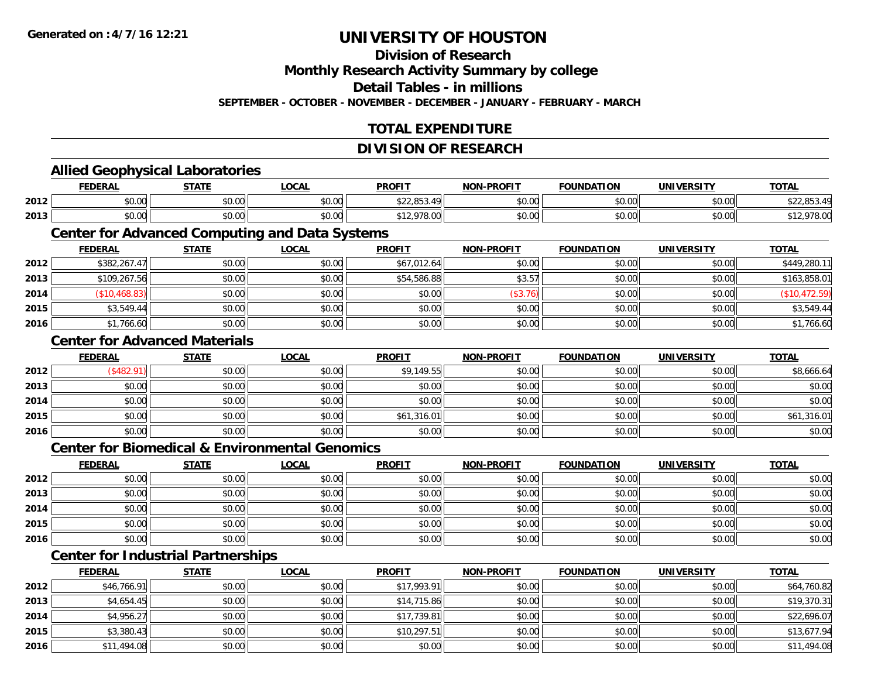### **Division of Research**

**Monthly Research Activity Summary by college**

**Detail Tables - in millions**

**SEPTEMBER - OCTOBER - NOVEMBER - DECEMBER - JANUARY - FEBRUARY - MARCH**

# **TOTAL EXPENDITURE**

#### **DIVISION OF RESEARCH**

#### **Allied Geophysical Laboratories FEDERAL STATE LOCAL PROFIT NON-PROFIT FOUNDATION UNIVERSITY TOTALTOTAL 2012**2 | \$0.00 \$0.00 \$0.00 \$0.00 \$0.00 \$0.00 \$0.00 \$22,853.49 \$0.00 \$0.00 \$0.00 \$0.00 \$0.00 \$22,853.49 **2013** \$0.00 \$0.00 \$0.00 \$12,978.00 \$0.00 \$0.00 \$0.00 \$12,978.00 **Center for Advanced Computing and Data Systems FEDERAL STATE LOCAL PROFIT NON-PROFIT FOUNDATION UNIVERSITY TOTALTOTAL 2012**2 \$382,267.47 \$0.00 \$0.00 \$0.00 \$0.00 \$0.00 \$67,012.64 \$67,012.64 \$0.00 \$0.00 \$0.00 \$0.00 \$0.00 \$449,280.11 **2013** $\textbf{3} \quad \textbf{\textcolor{blue}{\textbf{3}}} \quad \textbf{\textcolor{blue}{\textbf{5}}} \quad \textbf{\textcolor{blue}{\textbf{5}}} \quad \textbf{\textcolor{blue}{\textbf{5}}} \quad \textbf{\textcolor{blue}{\textbf{5}}} \quad \textbf{\textcolor{blue}{\textbf{5}}} \quad \textbf{\textcolor{blue}{\textbf{5}}} \quad \textbf{\textcolor{blue}{\textbf{5}}} \quad \textbf{\textcolor{blue}{\textbf{5}}} \quad \textbf{\textcolor{blue}{\textbf{5}}} \quad \textbf{\textcolor{blue}{\textbf{5}}} \quad \textbf{\textcolor{blue}{\textbf{5}}} \quad \textbf{\textcolor{blue$ **2014** (\$10,468.83) \$0.00 \$0.00 \$0.00 (\$3.76) \$0.00 \$0.00 (\$10,472.59) **2015** \$3,549.44 \$0.00 \$0.00 \$0.00 \$0.00 \$0.00 \$0.00 \$3,549.44 **2016**6 \$1,766.60 \$0.00 \$0.00 \$0.00 \$0.00 \$0.00 \$0.00 \$0.00 \$0.00 \$0.00 \$0.00 \$0.00 \$1,766.60 **Center for Advanced MaterialsFEDERAL STATE LOCAL PROFIT NON-PROFIT FOUNDATION UNIVERSITY TOTAL2012**2 | (\$482.91)|| \$0.00|| \$0.00|| \$9,149.55|| \$0.00|| \$0.00|| \$8,666.64 **2013** $\textbf{3} \mid \textbf{3} \mid \textbf{5} \mid \textbf{5} \mid \textbf{6} \mid \textbf{7} \mid \textbf{8} \mid \textbf{1} \mid \textbf{1} \mid \textbf{1} \mid \textbf{1} \mid \textbf{1} \mid \textbf{1} \mid \textbf{1} \mid \textbf{1} \mid \textbf{1} \mid \textbf{1} \mid \textbf{1} \mid \textbf{1} \mid \textbf{1} \mid \textbf{1} \mid \textbf{1} \mid \textbf{1} \mid \textbf{1} \mid \textbf{1} \mid \textbf{1} \mid \textbf{1} \mid \textbf{$ **2014**4 \$0.00 \$0.00 \$0.00 \$0.00 \$0.00 \$0.00 \$0.00 \$0.00 \$0.00 \$0.00 \$0.00 \$0.00 \$0.00 \$0.00 \$0.00 \$0.00 \$0.00 \$0.00 **2015** \$0.00 \$0.00 \$0.00 \$61,316.01 \$0.00 \$0.00 \$0.00 \$61,316.01 **2016** \$0.00 \$0.00 \$0.00 \$0.00 \$0.00 \$0.00 \$0.00 \$0.00 **Center for Biomedical & Environmental GenomicsFEDERAL STATE LOCAL PROFIT NON-PROFIT FOUNDATION UNIVERSITY TOTALTOTAL 2012**2 | \$0.00 \$0.00 \$0.00 \$0.00 \$0.00 \$0.00 \$0.00 \$0.00 \$0.00 \$0.00 \$0.00 \$0.00 \$0.00 \$0.00 \$0.00 \$0.00 \$0.00 \$0.0 **2013**3 \$0.00 | \$0.00 | \$0.00 | \$0.00 | \$0.00 | \$0.00 | \$0.00 | \$0.00 **2014**4 \$0.00 \$0.00 \$0.00 \$0.00 \$0.00 \$0.00 \$0.00 \$0.00 \$0.00 \$0.00 \$0.00 \$0.00 \$0.00 \$0.00 \$0.00 \$0.00 \$0.00 \$0.00 **2015** \$0.00 \$0.00 \$0.00 \$0.00 \$0.00 \$0.00 \$0.00 \$0.00 **2016**6 \$0.00 \$0.00 \$0.00 \$0.00 \$0.00 \$0.00 \$0.00 \$0.00 \$0.00 \$0.00 \$0.00 \$0.00 \$0.00 \$0.00 \$0.00 \$0.00 \$0.00 \$0.00 **Center for Industrial Partnerships FEDERAL STATE LOCAL PROFIT NON-PROFIT FOUNDATION UNIVERSITY TOTAL2012**\$46,766.91 \$0.00 \$0.00 \$17,993.91 \$0.00 \$0.00 \$0.00 \$64,760.82

| 2012 | \$46,766.91 | \$0.00 | \$0.00 | \$17,993.91 | \$0.00 | \$0.00 | \$0.00 | \$64,760.82 |
|------|-------------|--------|--------|-------------|--------|--------|--------|-------------|
| 2013 | \$4,654.45  | \$0.00 | \$0.00 | \$14,715.86 | \$0.00 | \$0.00 | \$0.00 | \$19,370.31 |
| 2014 | \$4,956.27  | \$0.00 | \$0.00 | \$17,739.81 | \$0.00 | \$0.00 | \$0.00 | \$22,696.07 |
| 2015 | \$3,380.43  | \$0.00 | \$0.00 | \$10,297.51 | \$0.00 | \$0.00 | \$0.00 | \$13,677.94 |
| 2016 | \$11,494.08 | \$0.00 | \$0.00 | \$0.00      | \$0.00 | \$0.00 | \$0.00 | \$11,494.08 |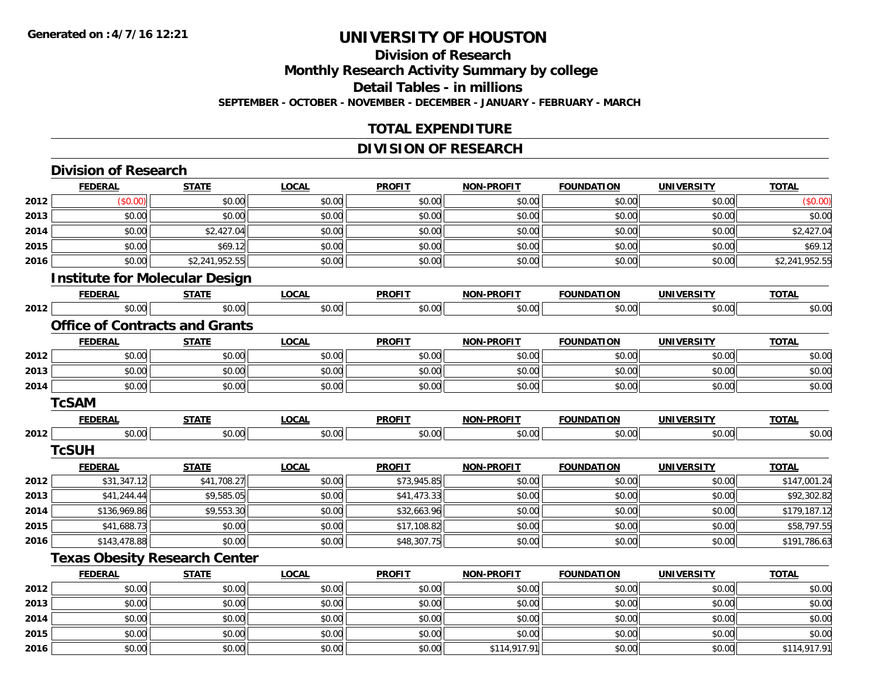**2015**

**2016**

# **UNIVERSITY OF HOUSTON**

### **Division of ResearchMonthly Research Activity Summary by college Detail Tables - in millions SEPTEMBER - OCTOBER - NOVEMBER - DECEMBER - JANUARY - FEBRUARY - MARCH**

### **TOTAL EXPENDITURE**

### **DIVISION OF RESEARCH**

|      | <b>Division of Research</b>           |                |              |               |                   |                   |                   |                |
|------|---------------------------------------|----------------|--------------|---------------|-------------------|-------------------|-------------------|----------------|
|      | <b>FEDERAL</b>                        | <b>STATE</b>   | <b>LOCAL</b> | <b>PROFIT</b> | <b>NON-PROFIT</b> | <b>FOUNDATION</b> | <b>UNIVERSITY</b> | <b>TOTAL</b>   |
| 2012 | (\$0.00)                              | \$0.00         | \$0.00       | \$0.00        | \$0.00            | \$0.00            | \$0.00            | (\$0.00)       |
| 2013 | \$0.00                                | \$0.00         | \$0.00       | \$0.00        | \$0.00            | \$0.00            | \$0.00            | \$0.00         |
| 2014 | \$0.00                                | \$2,427.04     | \$0.00       | \$0.00        | \$0.00            | \$0.00            | \$0.00            | \$2,427.04     |
| 2015 | \$0.00                                | \$69.12        | \$0.00       | \$0.00        | \$0.00            | \$0.00            | \$0.00            | \$69.12        |
| 2016 | \$0.00                                | \$2,241,952.55 | \$0.00       | \$0.00        | \$0.00            | \$0.00            | \$0.00            | \$2,241,952.55 |
|      | <b>Institute for Molecular Design</b> |                |              |               |                   |                   |                   |                |
|      | <b>FEDERAL</b>                        | <b>STATE</b>   | <b>LOCAL</b> | <b>PROFIT</b> | <b>NON-PROFIT</b> | <b>FOUNDATION</b> | <b>UNIVERSITY</b> | <b>TOTAL</b>   |
| 2012 | \$0.00                                | \$0.00         | \$0.00       | \$0.00        | \$0.00            | \$0.00            | \$0.00            | \$0.00         |
|      | <b>Office of Contracts and Grants</b> |                |              |               |                   |                   |                   |                |
|      | <b>FEDERAL</b>                        | <b>STATE</b>   | <b>LOCAL</b> | <b>PROFIT</b> | <b>NON-PROFIT</b> | <b>FOUNDATION</b> | <b>UNIVERSITY</b> | <b>TOTAL</b>   |
| 2012 | \$0.00                                | \$0.00         | \$0.00       | \$0.00        | \$0.00            | \$0.00            | \$0.00            | \$0.00         |
| 2013 | \$0.00                                | \$0.00         | \$0.00       | \$0.00        | \$0.00            | \$0.00            | \$0.00            | \$0.00         |
| 2014 | \$0.00                                | \$0.00         | \$0.00       | \$0.00        | \$0.00            | \$0.00            | \$0.00            | \$0.00         |
|      | <b>TcSAM</b>                          |                |              |               |                   |                   |                   |                |
|      | <b>FEDERAL</b>                        | <b>STATE</b>   | <b>LOCAL</b> | <b>PROFIT</b> | <b>NON-PROFIT</b> | <b>FOUNDATION</b> | <b>UNIVERSITY</b> | <b>TOTAL</b>   |
| 2012 | \$0.00                                | \$0.00         | \$0.00       | \$0.00        | \$0.00            | \$0.00            | \$0.00            | \$0.00         |
|      | <b>TcSUH</b>                          |                |              |               |                   |                   |                   |                |
|      | <b>FEDERAL</b>                        | <b>STATE</b>   | <b>LOCAL</b> | <b>PROFIT</b> | <b>NON-PROFIT</b> | <b>FOUNDATION</b> | <b>UNIVERSITY</b> | <b>TOTAL</b>   |
| 2012 | \$31,347.12                           | \$41,708.27    | \$0.00       | \$73,945.85   | \$0.00            | \$0.00            | \$0.00            | \$147,001.24   |
| 2013 | \$41,244.44                           | \$9,585.05     | \$0.00       | \$41,473.33   | \$0.00            | \$0.00            | \$0.00            | \$92,302.82    |
| 2014 | \$136,969.86                          | \$9,553.30     | \$0.00       | \$32,663.96   | \$0.00            | \$0.00            | \$0.00            | \$179,187.12   |
| 2015 | \$41,688.73                           | \$0.00         | \$0.00       | \$17,108.82   | \$0.00            | \$0.00            | \$0.00            | \$58,797.55    |
| 2016 | \$143,478.88                          | \$0.00         | \$0.00       | \$48,307.75   | \$0.00            | \$0.00            | \$0.00            | \$191,786.63   |
|      | <b>Texas Obesity Research Center</b>  |                |              |               |                   |                   |                   |                |
|      | <b>FEDERAL</b>                        | <b>STATE</b>   | <b>LOCAL</b> | <b>PROFIT</b> | <b>NON-PROFIT</b> | <b>FOUNDATION</b> | <b>UNIVERSITY</b> | <b>TOTAL</b>   |
| 2012 | \$0.00                                | \$0.00         | \$0.00       | \$0.00        | \$0.00            | \$0.00            | \$0.00            | \$0.00         |
| 2013 | \$0.00                                | \$0.00         | \$0.00       | \$0.00        | \$0.00            | \$0.00            | \$0.00            | \$0.00         |
| 2014 | \$0.00                                | \$0.00         | \$0.00       | \$0.00        | \$0.00            | \$0.00            | \$0.00            | \$0.00         |

\$0.00 \$0.00 \$0.00 \$0.00 \$0.00 \$0.00 \$0.00 \$0.00

6 \$0.00 \$0.00 \$0.00 \$0.00 \$0.00 \$0.00 \$0.00 \$0.00 \$0.00 \$114,917.91 \$0.00 \$0.00 \$0.00 \$114,917.91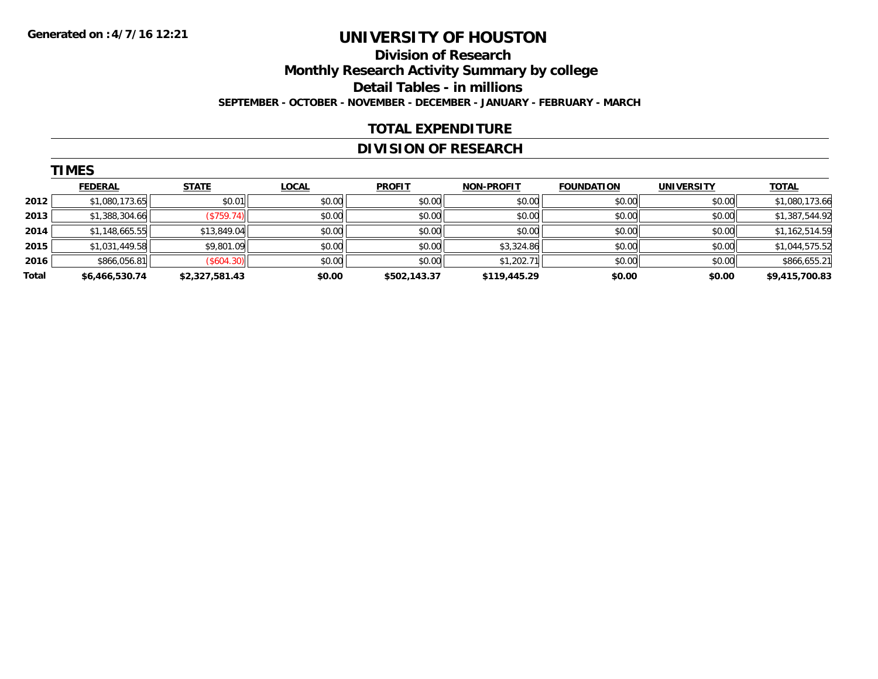### **Division of Research Monthly Research Activity Summary by college Detail Tables - in millions SEPTEMBER - OCTOBER - NOVEMBER - DECEMBER - JANUARY - FEBRUARY - MARCH**

#### **TOTAL EXPENDITURE**

### **DIVISION OF RESEARCH**

|       | <b>TIMES</b>   |                |              |               |                   |                   |                   |                |  |  |  |  |
|-------|----------------|----------------|--------------|---------------|-------------------|-------------------|-------------------|----------------|--|--|--|--|
|       | <b>FEDERAL</b> | <b>STATE</b>   | <b>LOCAL</b> | <b>PROFIT</b> | <b>NON-PROFIT</b> | <b>FOUNDATION</b> | <b>UNIVERSITY</b> | <b>TOTAL</b>   |  |  |  |  |
| 2012  | \$1,080,173.65 | \$0.01         | \$0.00       | \$0.00        | \$0.00            | \$0.00            | \$0.00            | \$1,080,173.66 |  |  |  |  |
| 2013  | \$1,388,304.66 | (\$759.74)     | \$0.00       | \$0.00        | \$0.00            | \$0.00            | \$0.00            | \$1,387,544.92 |  |  |  |  |
| 2014  | \$1,148,665.55 | \$13,849.04    | \$0.00       | \$0.00        | \$0.00            | \$0.00            | \$0.00            | \$1,162,514.59 |  |  |  |  |
| 2015  | \$1,031,449.58 | \$9,801.09     | \$0.00       | \$0.00        | \$3,324.86        | \$0.00            | \$0.00            | \$1,044,575.52 |  |  |  |  |
| 2016  | \$866,056.81   | (\$604.30)     | \$0.00       | \$0.00        | \$1,202.71        | \$0.00            | \$0.00            | \$866,655.21   |  |  |  |  |
| Total | \$6,466,530.74 | \$2,327,581.43 | \$0.00       | \$502,143.37  | \$119,445.29      | \$0.00            | \$0.00            | \$9,415,700.83 |  |  |  |  |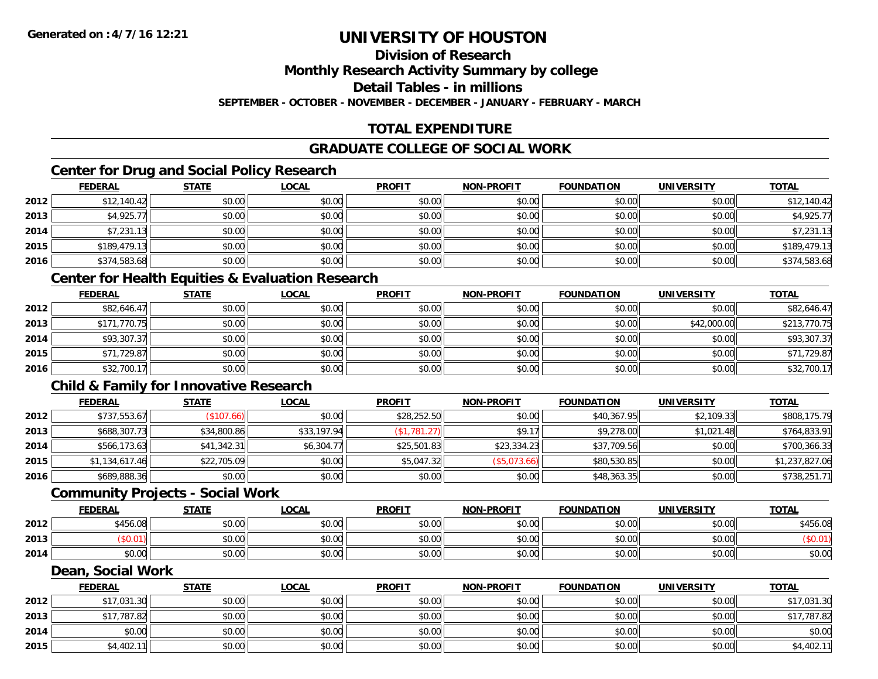# **Division of Research**

**Monthly Research Activity Summary by college**

**Detail Tables - in millions**

**SEPTEMBER - OCTOBER - NOVEMBER - DECEMBER - JANUARY - FEBRUARY - MARCH**

# **TOTAL EXPENDITURE**

### **GRADUATE COLLEGE OF SOCIAL WORK**

# **Center for Drug and Social Policy Research**

|      | <b>FEDERAL</b> | <b>STATE</b> | <b>LOCAL</b> | <b>PROFIT</b> | <b>NON-PROFIT</b> | <b>FOUNDATION</b> | <b>UNIVERSITY</b> | <b>TOTAL</b> |
|------|----------------|--------------|--------------|---------------|-------------------|-------------------|-------------------|--------------|
| 2012 | \$12,140.42    | \$0.00       | \$0.00       | \$0.00        | \$0.00            | \$0.00            | \$0.00            | \$12,140.42  |
| 2013 | \$4,925.77     | \$0.00       | \$0.00       | \$0.00        | \$0.00            | \$0.00            | \$0.00            | \$4,925.77   |
| 2014 | \$7,231.13     | \$0.00       | \$0.00       | \$0.00        | \$0.00            | \$0.00            | \$0.00            | \$7,231.13   |
| 2015 | \$189,479.13   | \$0.00       | \$0.00       | \$0.00        | \$0.00            | \$0.00            | \$0.00            | \$189,479.13 |
| 2016 | \$374,583.68   | \$0.00       | \$0.00       | \$0.00        | \$0.00            | \$0.00            | \$0.00            | \$374,583.68 |

### **Center for Health Equities & Evaluation Research**

|      | <b>FEDERAL</b> | <b>STATE</b> | <u>LOCAL</u> | <b>PROFIT</b> | <b>NON-PROFIT</b> | <b>FOUNDATION</b> | <b>UNIVERSITY</b> | <b>TOTAL</b> |
|------|----------------|--------------|--------------|---------------|-------------------|-------------------|-------------------|--------------|
| 2012 | \$82,646.47    | \$0.00       | \$0.00       | \$0.00        | \$0.00            | \$0.00            | \$0.00            | \$82,646.47  |
| 2013 | \$171,770.75   | \$0.00       | \$0.00       | \$0.00        | \$0.00            | \$0.00            | \$42,000.00       | \$213,770.75 |
| 2014 | \$93,307.37    | \$0.00       | \$0.00       | \$0.00        | \$0.00            | \$0.00            | \$0.00            | \$93,307.37  |
| 2015 | \$71,729.87    | \$0.00       | \$0.00       | \$0.00        | \$0.00            | \$0.00            | \$0.00            | \$71,729.87  |
| 2016 | \$32,700.17    | \$0.00       | \$0.00       | \$0.00        | \$0.00            | \$0.00            | \$0.00            | \$32,700.17  |

### **Child & Family for Innovative Research**

|      | <b>FEDERAL</b> | <b>STATE</b> | <u>LOCAL</u> | <b>PROFIT</b> | <b>NON-PROFIT</b> | <b>FOUNDATION</b> | <b>UNIVERSITY</b> | <b>TOTAL</b>   |
|------|----------------|--------------|--------------|---------------|-------------------|-------------------|-------------------|----------------|
| 2012 | \$737,553.67   | \$107.66     | \$0.00       | \$28,252.50   | \$0.00            | \$40,367.95       | \$2,109.33        | \$808,175.79   |
| 2013 | \$688,307.73   | \$34,800.86  | \$33,197.94  | (\$1,781.27)  | \$9.17            | \$9,278.00        | \$1,021.48        | \$764,833.91   |
| 2014 | \$566,173.63   | \$41,342.31  | \$6,304.77   | \$25,501.83   | \$23,334.23       | \$37,709.56       | \$0.00            | \$700,366.33   |
| 2015 | \$1,134,617.46 | \$22,705.09  | \$0.00       | \$5,047.32    | (\$5,073.66)      | \$80,530.85       | \$0.00            | \$1,237,827.06 |
| 2016 | \$689,888.36   | \$0.00       | \$0.00       | \$0.00        | \$0.00            | \$48,363.35       | \$0.00            | \$738,251.71   |

#### **Community Projects - Social Work**

|      | <b>FEDERAL</b> | <b>STATE</b> | LOCAL  | <b>PROFIT</b> | <b>NON-PROFIT</b> | <b>FOUNDATION</b> | <b>UNIVERSITY</b> | <u>TOTAL</u> |
|------|----------------|--------------|--------|---------------|-------------------|-------------------|-------------------|--------------|
| 2012 | \$456.08<br>no | \$0.00       | \$0.00 | \$0.00        | \$0.00            | \$0.00            | \$0.00            | \$456.08     |
| 2013 |                | \$0.00       | \$0.00 | \$0.00        | \$0.00            | \$0.00            | \$0.00            | JV.V         |
| 2014 | ልስ ስስ<br>DU.UU | \$0.00       | \$0.00 | \$0.00        | \$0.00            | \$0.00            | \$0.00            | \$0.00       |

#### **Dean, Social Work**

|      | <b>FEDERAL</b> | <b>STATE</b> | <u>LOCAL</u> | <b>PROFIT</b> | <b>NON-PROFIT</b> | <b>FOUNDATION</b> | UNIVERSITY | <b>TOTAL</b> |
|------|----------------|--------------|--------------|---------------|-------------------|-------------------|------------|--------------|
| 2012 | \$17,031.30    | \$0.00       | \$0.00       | \$0.00        | \$0.00            | \$0.00            | \$0.00     | \$17,031.30  |
| 2013 | \$17,787.82    | \$0.00       | \$0.00       | \$0.00        | \$0.00            | \$0.00            | \$0.00     | \$17,787.82  |
| 2014 | \$0.00         | \$0.00       | \$0.00       | \$0.00        | \$0.00            | \$0.00            | \$0.00     | \$0.00       |
| 2015 | \$4,402.11     | \$0.00       | \$0.00       | \$0.00        | \$0.00            | \$0.00            | \$0.00     | \$4,402.11   |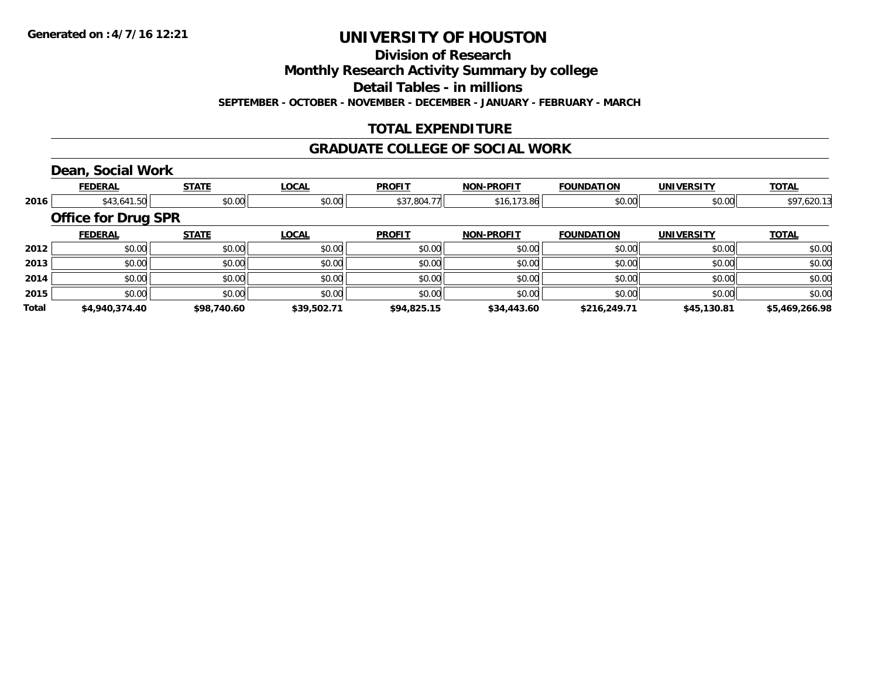**Division of Research**

**Monthly Research Activity Summary by college**

**Detail Tables - in millions**

**SEPTEMBER - OCTOBER - NOVEMBER - DECEMBER - JANUARY - FEBRUARY - MARCH**

### **TOTAL EXPENDITURE**

#### **GRADUATE COLLEGE OF SOCIAL WORK**

### **Dean, Social Work**

|              | <b>FEDERAL</b>             | <b>STATE</b> | <b>LOCAL</b> | <b>PROFIT</b> | <b>NON-PROFIT</b> | <b>FOUNDATION</b> | <b>UNIVERSITY</b> | <b>TOTAL</b>   |
|--------------|----------------------------|--------------|--------------|---------------|-------------------|-------------------|-------------------|----------------|
| 2016         | \$43,641.50                | \$0.00       | \$0.00       | \$37,804.77   | \$16,173.86       | \$0.00            | \$0.00            | \$97,620.13    |
|              | <b>Office for Drug SPR</b> |              |              |               |                   |                   |                   |                |
|              | <b>FEDERAL</b>             | <b>STATE</b> | <b>LOCAL</b> | <b>PROFIT</b> | <b>NON-PROFIT</b> | <b>FOUNDATION</b> | <b>UNIVERSITY</b> | <b>TOTAL</b>   |
| 2012         | \$0.00                     | \$0.00       | \$0.00       | \$0.00        | \$0.00            | \$0.00            | \$0.00            | \$0.00         |
| 2013         | \$0.00                     | \$0.00       | \$0.00       | \$0.00        | \$0.00            | \$0.00            | \$0.00            | \$0.00         |
| 2014         | \$0.00                     | \$0.00       | \$0.00       | \$0.00        | \$0.00            | \$0.00            | \$0.00            | \$0.00         |
| 2015         | \$0.00                     | \$0.00       | \$0.00       | \$0.00        | \$0.00            | \$0.00            | \$0.00            | \$0.00         |
| <b>Total</b> | \$4,940,374.40             | \$98,740.60  | \$39,502.71  | \$94,825.15   | \$34,443.60       | \$216,249.71      | \$45,130.81       | \$5,469,266.98 |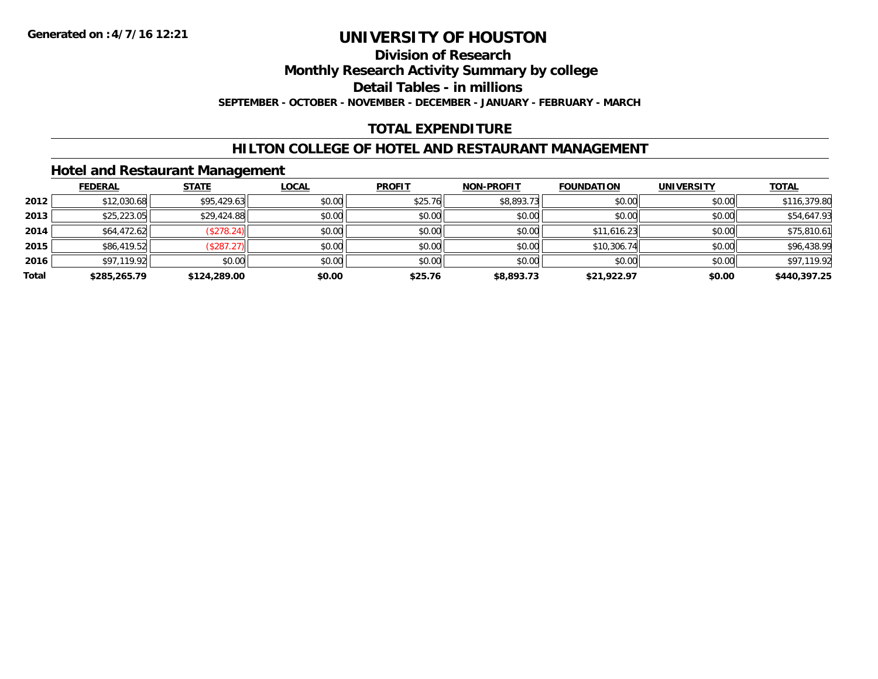# **Division of Research**

**Monthly Research Activity Summary by college**

**Detail Tables - in millions**

**SEPTEMBER - OCTOBER - NOVEMBER - DECEMBER - JANUARY - FEBRUARY - MARCH**

# **TOTAL EXPENDITURE**

### **HILTON COLLEGE OF HOTEL AND RESTAURANT MANAGEMENT**

### **Hotel and Restaurant Management**

|       | <b>FEDERAL</b> | <b>STATE</b> | <u>LOCAL</u> | <b>PROFIT</b> | <b>NON-PROFIT</b> | <b>FOUNDATION</b> | <b>UNIVERSITY</b> | <b>TOTAL</b> |
|-------|----------------|--------------|--------------|---------------|-------------------|-------------------|-------------------|--------------|
| 2012  | \$12,030.68    | \$95,429.63  | \$0.00       | \$25.76       | \$8,893.73        | \$0.00            | \$0.00            | \$116,379.80 |
| 2013  | \$25,223.05    | \$29,424.88  | \$0.00       | \$0.00        | \$0.00            | \$0.00            | \$0.00            | \$54,647.93  |
| 2014  | \$64,472.62    | (\$278.24)   | \$0.00       | \$0.00        | \$0.00            | \$11,616.23       | \$0.00            | \$75,810.61  |
| 2015  | \$86,419.52    | (\$287.27)   | \$0.00       | \$0.00        | \$0.00            | \$10,306.74       | \$0.00            | \$96,438.99  |
| 2016  | \$97,119.92    | \$0.00       | \$0.00       | \$0.00        | \$0.00            | \$0.00            | \$0.00            | \$97,119.92  |
| Total | \$285,265.79   | \$124,289.00 | \$0.00       | \$25.76       | \$8,893.73        | \$21,922.97       | \$0.00            | \$440,397.25 |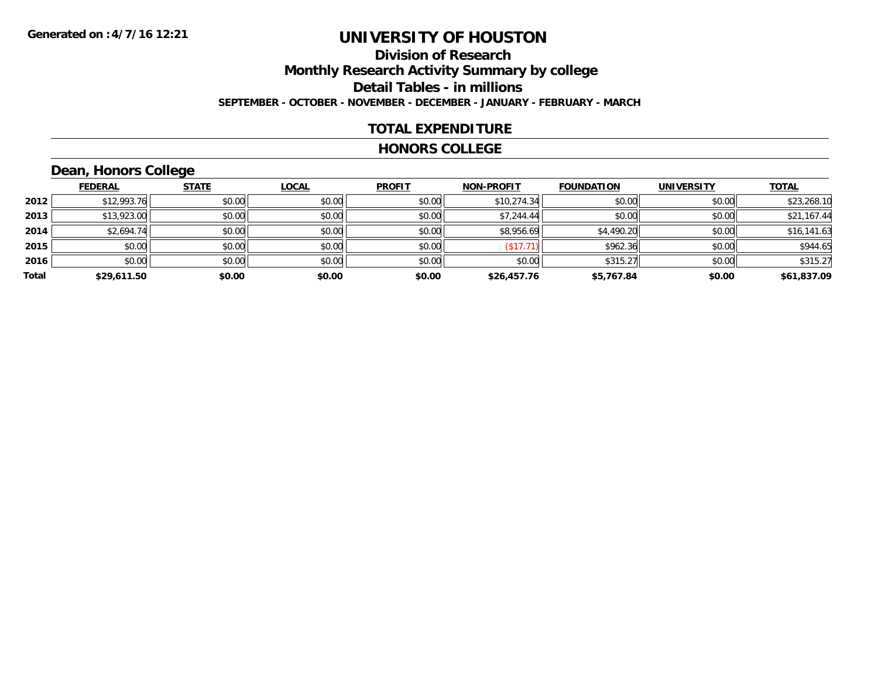# **Division of ResearchMonthly Research Activity Summary by college Detail Tables - in millions SEPTEMBER - OCTOBER - NOVEMBER - DECEMBER - JANUARY - FEBRUARY - MARCH**

### **TOTAL EXPENDITURE**

#### **HONORS COLLEGE**

# **Dean, Honors College**

|       | <b>FEDERAL</b> | <b>STATE</b> | <b>LOCAL</b> | <b>PROFIT</b> | <b>NON-PROFIT</b> | <b>FOUNDATION</b> | <b>UNIVERSITY</b> | <b>TOTAL</b> |
|-------|----------------|--------------|--------------|---------------|-------------------|-------------------|-------------------|--------------|
| 2012  | \$12,993.76    | \$0.00       | \$0.00       | \$0.00        | \$10,274.34       | \$0.00            | \$0.00            | \$23,268.10  |
| 2013  | \$13,923.00    | \$0.00       | \$0.00       | \$0.00        | \$7,244.44        | \$0.00            | \$0.00            | \$21,167.44  |
| 2014  | \$2,694.74     | \$0.00       | \$0.00       | \$0.00        | \$8,956.69        | \$4,490.20        | \$0.00            | \$16,141.63  |
| 2015  | \$0.00         | \$0.00       | \$0.00       | \$0.00        | (\$17.71)         | \$962.36          | \$0.00            | \$944.65     |
| 2016  | \$0.00         | \$0.00       | \$0.00       | \$0.00        | \$0.00            | \$315.27          | \$0.00            | \$315.27     |
| Total | \$29,611.50    | \$0.00       | \$0.00       | \$0.00        | \$26,457.76       | \$5,767.84        | \$0.00            | \$61,837.09  |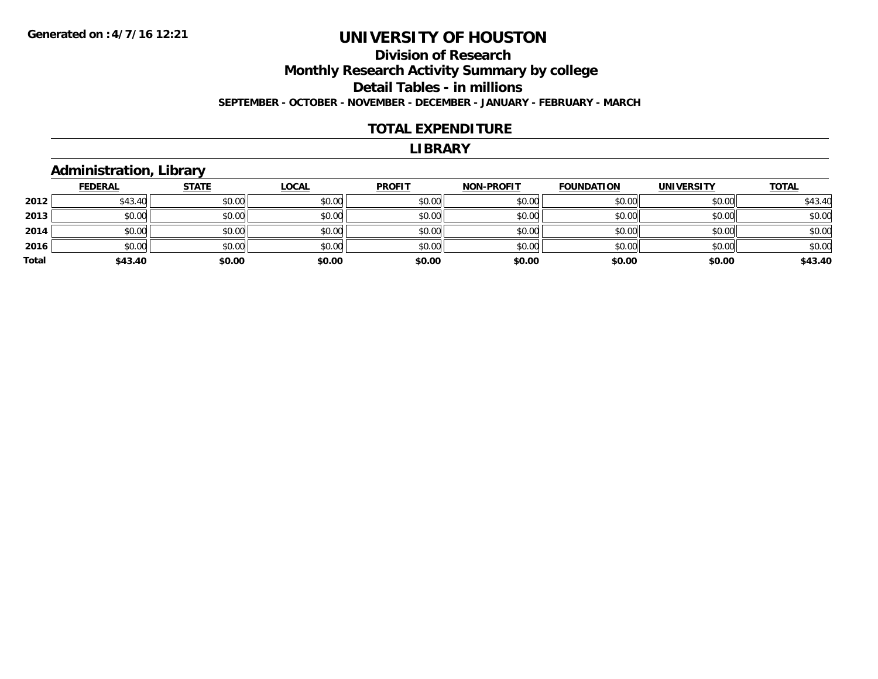### **Division of Research Monthly Research Activity Summary by college Detail Tables - in millions SEPTEMBER - OCTOBER - NOVEMBER - DECEMBER - JANUARY - FEBRUARY - MARCH**

#### **TOTAL EXPENDITURE**

#### **LIBRARY**

### **Administration, Library**

|       | <b>FEDERAL</b> | <b>STATE</b> | <b>LOCAL</b> | <b>PROFIT</b> | <b>NON-PROFIT</b> | <b>FOUNDATION</b> | <b>UNIVERSITY</b> | <b>TOTAL</b> |
|-------|----------------|--------------|--------------|---------------|-------------------|-------------------|-------------------|--------------|
| 2012  | \$43.40        | \$0.00       | \$0.00       | \$0.00        | \$0.00            | \$0.00            | \$0.00            | \$43.40      |
| 2013  | \$0.00         | \$0.00       | \$0.00       | \$0.00        | \$0.00            | \$0.00            | \$0.00            | \$0.00       |
| 2014  | \$0.00         | \$0.00       | \$0.00       | \$0.00        | \$0.00            | \$0.00            | \$0.00            | \$0.00       |
| 2016  | \$0.00         | \$0.00       | \$0.00       | \$0.00        | \$0.00            | \$0.00            | \$0.00            | \$0.00       |
| Total | \$43.40        | \$0.00       | \$0.00       | \$0.00        | \$0.00            | \$0.00            | \$0.00            | \$43.40      |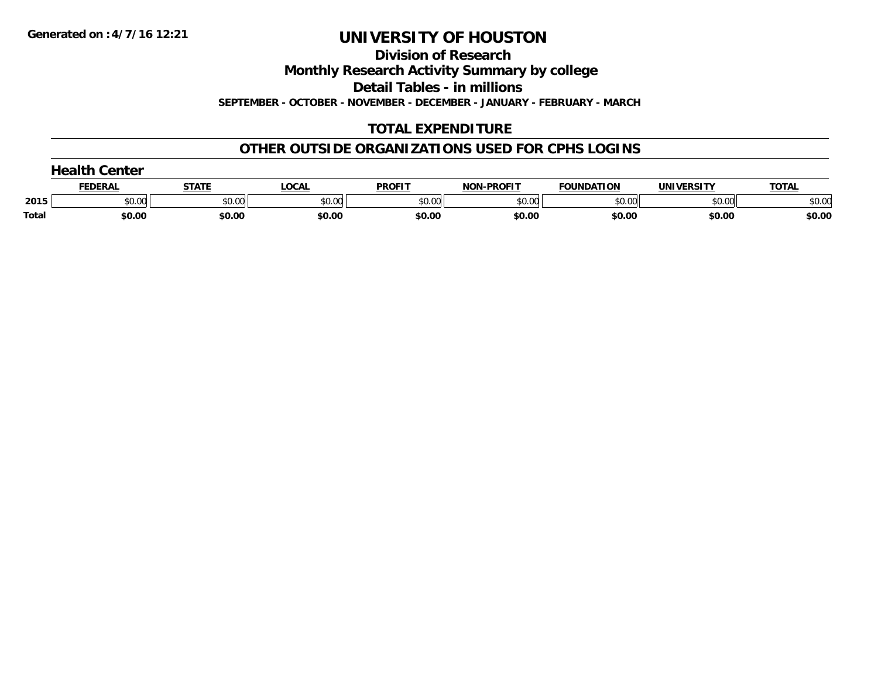**Division of Research**

**Monthly Research Activity Summary by college**

**Detail Tables - in millions**

**SEPTEMBER - OCTOBER - NOVEMBER - DECEMBER - JANUARY - FEBRUARY - MARCH**

# **TOTAL EXPENDITURE**

### **OTHER OUTSIDE ORGANIZATIONS USED FOR CPHS LOGINS**

|       | コつっけト<br>Center |        |        |               |                   |                   |                   |              |  |
|-------|-----------------|--------|--------|---------------|-------------------|-------------------|-------------------|--------------|--|
|       | <b>FEDERAL</b>  | STATI  | LOCAL  | <b>PROFIT</b> | <b>NON-PROFIT</b> | <b>FOUNDATION</b> | <b>UNIVERSITY</b> | <b>TOTAL</b> |  |
| 2015  | \$0.00          | \$0.00 | \$0.00 | \$0.00        | \$0.00            | \$0.00            | \$0.00            | \$0.00       |  |
| Total | \$0.00          | \$0.00 | \$0.00 | \$0.00        | \$0.00            | \$0.00            | \$0.00            | \$0.00       |  |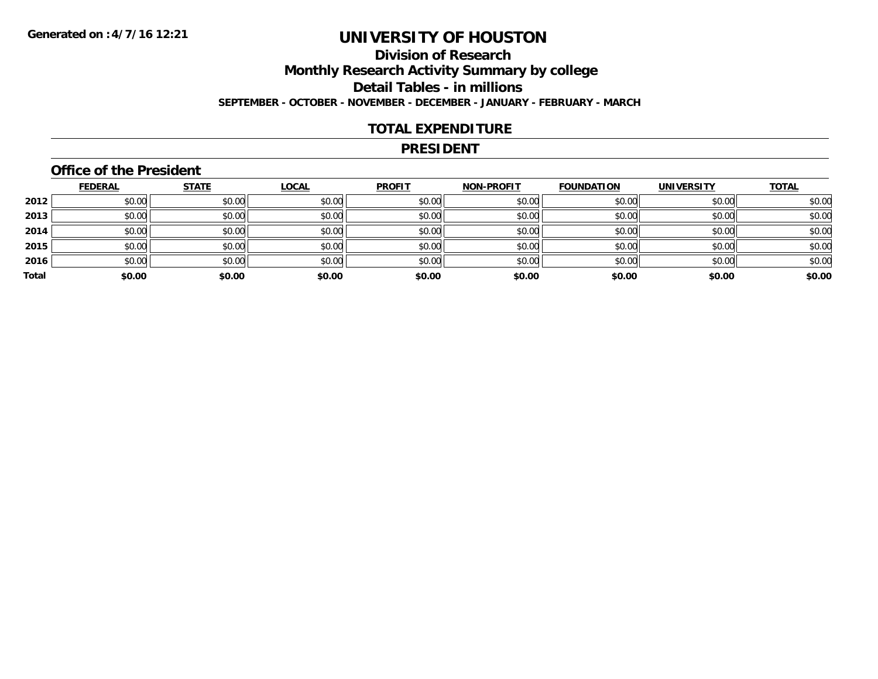# **Division of ResearchMonthly Research Activity Summary by college Detail Tables - in millions SEPTEMBER - OCTOBER - NOVEMBER - DECEMBER - JANUARY - FEBRUARY - MARCH**

#### **TOTAL EXPENDITURE**

#### **PRESIDENT**

### **Office of the President**

|       | <b>FEDERAL</b> | <b>STATE</b> | <b>LOCAL</b> | <b>PROFIT</b> | <b>NON-PROFIT</b> | <b>FOUNDATION</b> | <b>UNIVERSITY</b> | <b>TOTAL</b> |
|-------|----------------|--------------|--------------|---------------|-------------------|-------------------|-------------------|--------------|
| 2012  | \$0.00         | \$0.00       | \$0.00       | \$0.00        | \$0.00            | \$0.00            | \$0.00            | \$0.00       |
| 2013  | \$0.00         | \$0.00       | \$0.00       | \$0.00        | \$0.00            | \$0.00            | \$0.00            | \$0.00       |
| 2014  | \$0.00         | \$0.00       | \$0.00       | \$0.00        | \$0.00            | \$0.00            | \$0.00            | \$0.00       |
| 2015  | \$0.00         | \$0.00       | \$0.00       | \$0.00        | \$0.00            | \$0.00            | \$0.00            | \$0.00       |
| 2016  | \$0.00         | \$0.00       | \$0.00       | \$0.00        | \$0.00            | \$0.00            | \$0.00            | \$0.00       |
| Total | \$0.00         | \$0.00       | \$0.00       | \$0.00        | \$0.00            | \$0.00            | \$0.00            | \$0.00       |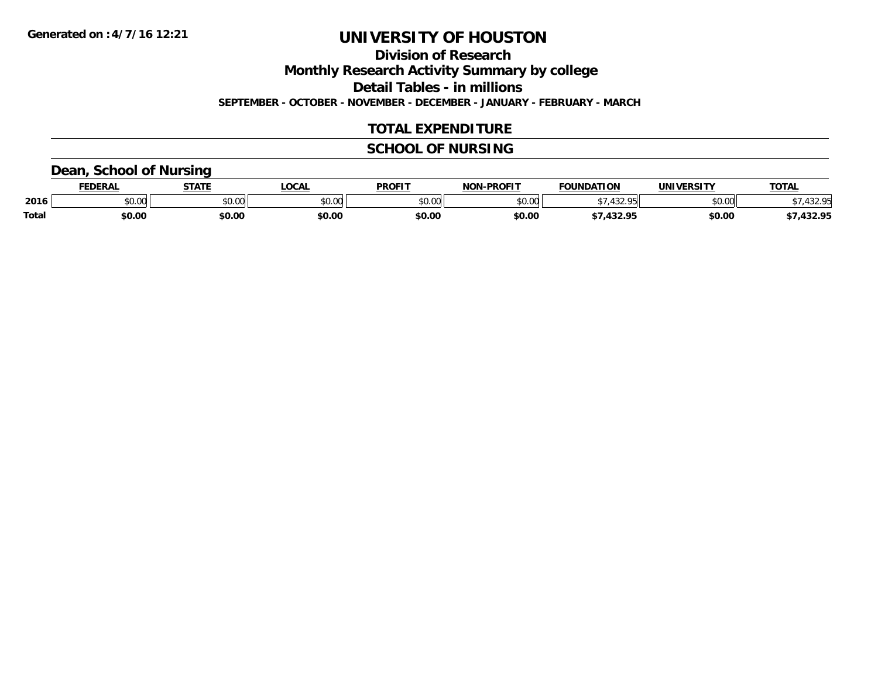**Division of Research**

**Monthly Research Activity Summary by college**

**Detail Tables - in millions**

**SEPTEMBER - OCTOBER - NOVEMBER - DECEMBER - JANUARY - FEBRUARY - MARCH**

### **TOTAL EXPENDITURE**

# **SCHOOL OF NURSING**

### **Dean, School of Nursing**

|              | <b>FEDERAL</b> | <b>STATE</b> | <b>OCAL</b>   | <b>PROFIT</b>                  | <b>J-PROFIT</b><br><b>NON</b> | <b>FOUNDATION</b> | <b>UNIVERSITY</b> | <b>TOTAL</b>     |
|--------------|----------------|--------------|---------------|--------------------------------|-------------------------------|-------------------|-------------------|------------------|
| 2016         | vv.vv          | \$0.00       | 0000<br>PU.UU | $\circ$ $\circ$ $\circ$<br>,uu | \$0.00                        | 10000<br>᠇…       | \$0.00            | 1 2 2 D.E        |
| <b>Total</b> | \$0.00         | \$0.00       | \$0.OC        | \$0.00                         | \$0.00                        | 422.OF            | \$0.00            | 122 OK<br>492.75 |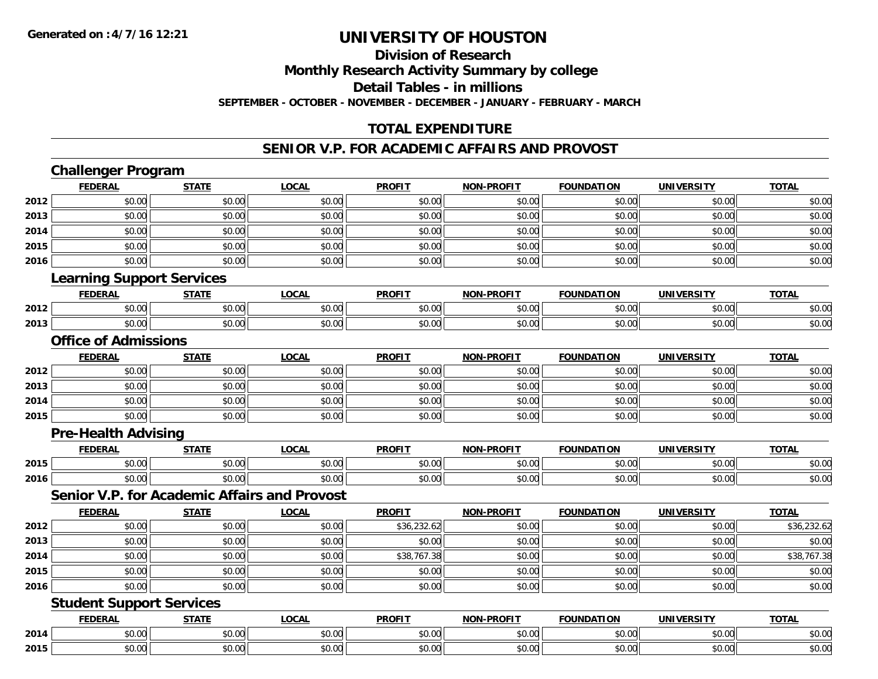### **Division of ResearchMonthly Research Activity Summary by college Detail Tables - in millions SEPTEMBER - OCTOBER - NOVEMBER - DECEMBER - JANUARY - FEBRUARY - MARCH**

# **TOTAL EXPENDITURE**

### **SENIOR V.P. FOR ACADEMIC AFFAIRS AND PROVOST**

|      | <b>Challenger Program</b>                           |              |              |               |                   |                   |                   |              |  |
|------|-----------------------------------------------------|--------------|--------------|---------------|-------------------|-------------------|-------------------|--------------|--|
|      | <b>FEDERAL</b>                                      | <b>STATE</b> | <b>LOCAL</b> | <b>PROFIT</b> | <b>NON-PROFIT</b> | <b>FOUNDATION</b> | <b>UNIVERSITY</b> | <b>TOTAL</b> |  |
| 2012 | \$0.00                                              | \$0.00       | \$0.00       | \$0.00        | \$0.00            | \$0.00            | \$0.00            | \$0.00       |  |
| 2013 | \$0.00                                              | \$0.00       | \$0.00       | \$0.00        | \$0.00            | \$0.00            | \$0.00            | \$0.00       |  |
| 2014 | \$0.00                                              | \$0.00       | \$0.00       | \$0.00        | \$0.00            | \$0.00            | \$0.00            | \$0.00       |  |
| 2015 | \$0.00                                              | \$0.00       | \$0.00       | \$0.00        | \$0.00            | \$0.00            | \$0.00            | \$0.00       |  |
| 2016 | \$0.00                                              | \$0.00       | \$0.00       | \$0.00        | \$0.00            | \$0.00            | \$0.00            | \$0.00       |  |
|      | <b>Learning Support Services</b>                    |              |              |               |                   |                   |                   |              |  |
|      | <b>FEDERAL</b>                                      | <b>STATE</b> | <b>LOCAL</b> | <b>PROFIT</b> | <b>NON-PROFIT</b> | <b>FOUNDATION</b> | <b>UNIVERSITY</b> | <b>TOTAL</b> |  |
| 2012 | \$0.00                                              | \$0.00       | \$0.00       | \$0.00        | \$0.00            | \$0.00            | \$0.00            | \$0.00       |  |
| 2013 | \$0.00                                              | \$0.00       | \$0.00       | \$0.00        | \$0.00            | \$0.00            | \$0.00            | \$0.00       |  |
|      | <b>Office of Admissions</b>                         |              |              |               |                   |                   |                   |              |  |
|      | <b>FEDERAL</b>                                      | <b>STATE</b> | <b>LOCAL</b> | <b>PROFIT</b> | NON-PROFIT        | <b>FOUNDATION</b> | <b>UNIVERSITY</b> | <b>TOTAL</b> |  |
| 2012 | \$0.00                                              | \$0.00       | \$0.00       | \$0.00        | \$0.00            | \$0.00            | \$0.00            | \$0.00       |  |
| 2013 | \$0.00                                              | \$0.00       | \$0.00       | \$0.00        | \$0.00            | \$0.00            | \$0.00            | \$0.00       |  |
| 2014 | \$0.00                                              | \$0.00       | \$0.00       | \$0.00        | \$0.00            | \$0.00            | \$0.00            | \$0.00       |  |
| 2015 | \$0.00                                              | \$0.00       | \$0.00       | \$0.00        | \$0.00            | \$0.00            | \$0.00            | \$0.00       |  |
|      | <b>Pre-Health Advising</b>                          |              |              |               |                   |                   |                   |              |  |
|      | <b>FEDERAL</b>                                      | <b>STATE</b> | <b>LOCAL</b> | <b>PROFIT</b> | <b>NON-PROFIT</b> | <b>FOUNDATION</b> | <b>UNIVERSITY</b> | <b>TOTAL</b> |  |
| 2015 | \$0.00                                              | \$0.00       | \$0.00       | \$0.00        | \$0.00            | \$0.00            | \$0.00            | \$0.00       |  |
| 2016 | \$0.00                                              | \$0.00       | \$0.00       | \$0.00        | \$0.00            | \$0.00            | \$0.00            | \$0.00       |  |
|      | <b>Senior V.P. for Academic Affairs and Provost</b> |              |              |               |                   |                   |                   |              |  |
|      | <b>FEDERAL</b>                                      | <b>STATE</b> | <b>LOCAL</b> | <b>PROFIT</b> | NON-PROFIT        | <b>FOUNDATION</b> | <b>UNIVERSITY</b> | <b>TOTAL</b> |  |
| 2012 | \$0.00                                              | \$0.00       | \$0.00       | \$36,232.62   | \$0.00            | \$0.00            | \$0.00            | \$36,232.62  |  |
| 2013 | \$0.00                                              | \$0.00       | \$0.00       | \$0.00        | \$0.00            | \$0.00            | \$0.00            | \$0.00       |  |
| 2014 | \$0.00                                              | \$0.00       | \$0.00       | \$38,767.38   | \$0.00            | \$0.00            | \$0.00            | \$38,767.38  |  |
| 2015 | \$0.00                                              | \$0.00       | \$0.00       | \$0.00        | \$0.00            | \$0.00            | \$0.00            | \$0.00       |  |
| 2016 | \$0.00                                              | \$0.00       | \$0.00       | \$0.00        | \$0.00            | \$0.00            | \$0.00            | \$0.00       |  |
|      | <b>Student Support Services</b>                     |              |              |               |                   |                   |                   |              |  |
|      | <b>FEDERAL</b>                                      | <b>STATE</b> | <b>LOCAL</b> | <b>PROFIT</b> | NON-PROFIT        | <b>FOUNDATION</b> | <b>UNIVERSITY</b> | <b>TOTAL</b> |  |
| 2014 | \$0.00                                              | \$0.00       | \$0.00       | \$0.00        | \$0.00            | \$0.00            | \$0.00            | \$0.00       |  |
| 2015 | \$0.00                                              | \$0.00       | \$0.00       | \$0.00        | \$0.00            | \$0.00            | \$0.00            | \$0.00       |  |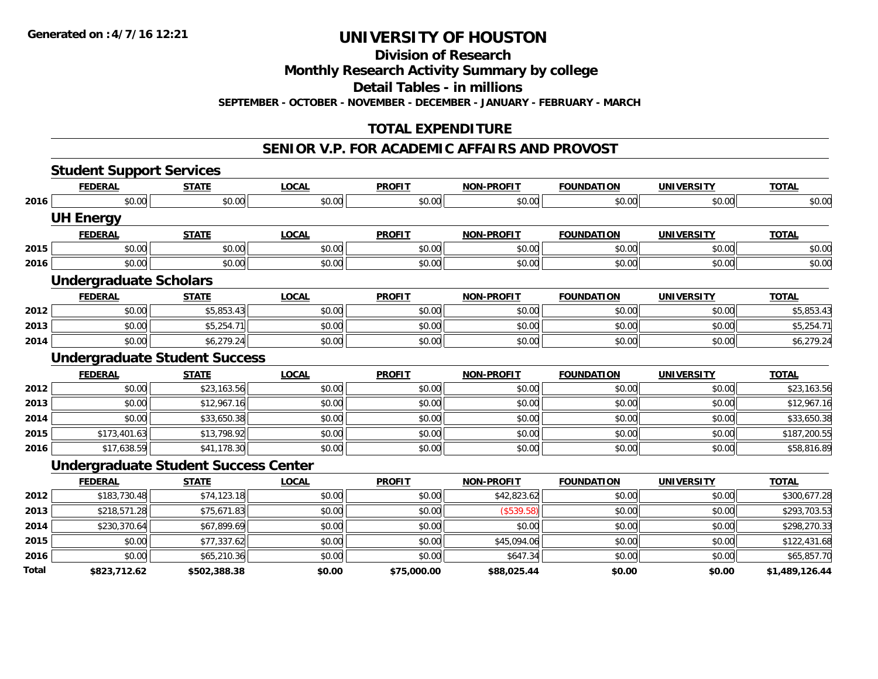**Division of Research**

**Monthly Research Activity Summary by college**

**Detail Tables - in millions**

**SEPTEMBER - OCTOBER - NOVEMBER - DECEMBER - JANUARY - FEBRUARY - MARCH**

# **TOTAL EXPENDITURE**

#### **SENIOR V.P. FOR ACADEMIC AFFAIRS AND PROVOST**

|       | <b>Student Support Services</b>             |              |              |               |                   |                   |                   |                |
|-------|---------------------------------------------|--------------|--------------|---------------|-------------------|-------------------|-------------------|----------------|
|       | <b>FEDERAL</b>                              | <b>STATE</b> | <b>LOCAL</b> | <b>PROFIT</b> | <b>NON-PROFIT</b> | <b>FOUNDATION</b> | <b>UNIVERSITY</b> | <b>TOTAL</b>   |
| 2016  | \$0.00                                      | \$0.00       | \$0.00       | \$0.00        | \$0.00            | \$0.00            | \$0.00            | \$0.00         |
|       | <b>UH Energy</b>                            |              |              |               |                   |                   |                   |                |
|       | <b>FEDERAL</b>                              | <b>STATE</b> | <b>LOCAL</b> | <b>PROFIT</b> | <b>NON-PROFIT</b> | <b>FOUNDATION</b> | <b>UNIVERSITY</b> | <b>TOTAL</b>   |
| 2015  | \$0.00                                      | \$0.00       | \$0.00       | \$0.00        | \$0.00            | \$0.00            | \$0.00            | \$0.00         |
| 2016  | \$0.00                                      | \$0.00       | \$0.00       | \$0.00        | \$0.00            | \$0.00            | \$0.00            | \$0.00         |
|       | <b>Undergraduate Scholars</b>               |              |              |               |                   |                   |                   |                |
|       | <b>FEDERAL</b>                              | <b>STATE</b> | <b>LOCAL</b> | <b>PROFIT</b> | <b>NON-PROFIT</b> | <b>FOUNDATION</b> | <b>UNIVERSITY</b> | <b>TOTAL</b>   |
| 2012  | \$0.00                                      | \$5,853.43   | \$0.00       | \$0.00        | \$0.00            | \$0.00            | \$0.00            | \$5,853.43     |
| 2013  | \$0.00                                      | \$5,254.71   | \$0.00       | \$0.00        | \$0.00            | \$0.00            | \$0.00            | \$5,254.71     |
| 2014  | \$0.00                                      | \$6,279.24   | \$0.00       | \$0.00        | \$0.00            | \$0.00            | \$0.00            | \$6,279.24     |
|       | <b>Undergraduate Student Success</b>        |              |              |               |                   |                   |                   |                |
|       | <b>FEDERAL</b>                              | <b>STATE</b> | <b>LOCAL</b> | <b>PROFIT</b> | <b>NON-PROFIT</b> | <b>FOUNDATION</b> | <b>UNIVERSITY</b> | <b>TOTAL</b>   |
| 2012  | \$0.00                                      | \$23,163.56  | \$0.00       | \$0.00        | \$0.00            | \$0.00            | \$0.00            | \$23,163.56    |
| 2013  | \$0.00                                      | \$12,967.16  | \$0.00       | \$0.00        | \$0.00            | \$0.00            | \$0.00            | \$12,967.16    |
| 2014  | \$0.00                                      | \$33,650.38  | \$0.00       | \$0.00        | \$0.00            | \$0.00            | \$0.00            | \$33,650.38    |
| 2015  | \$173,401.63                                | \$13,798.92  | \$0.00       | \$0.00        | \$0.00            | \$0.00            | \$0.00            | \$187,200.55   |
| 2016  | \$17,638.59                                 | \$41,178.30  | \$0.00       | \$0.00        | \$0.00            | \$0.00            | \$0.00            | \$58,816.89    |
|       | <b>Undergraduate Student Success Center</b> |              |              |               |                   |                   |                   |                |
|       | <b>FEDERAL</b>                              | <b>STATE</b> | <b>LOCAL</b> | <b>PROFIT</b> | <b>NON-PROFIT</b> | <b>FOUNDATION</b> | <b>UNIVERSITY</b> | <b>TOTAL</b>   |
| 2012  | \$183,730.48                                | \$74,123.18  | \$0.00       | \$0.00        | \$42,823.62       | \$0.00            | \$0.00            | \$300,677.28   |
| 2013  | \$218,571.28                                | \$75,671.83  | \$0.00       | \$0.00        | (\$539.58)        | \$0.00            | \$0.00            | \$293,703.53   |
| 2014  | \$230,370.64                                | \$67,899.69  | \$0.00       | \$0.00        | \$0.00            | \$0.00            | \$0.00            | \$298,270.33   |
| 2015  | \$0.00                                      | \$77,337.62  | \$0.00       | \$0.00        | \$45,094.06       | \$0.00            | \$0.00            | \$122,431.68   |
| 2016  | \$0.00                                      | \$65,210.36  | \$0.00       | \$0.00        | \$647.34          | \$0.00            | \$0.00            | \$65,857.70    |
| Total | \$823,712.62                                | \$502,388.38 | \$0.00       | \$75,000.00   | \$88,025.44       | \$0.00            | \$0.00            | \$1,489,126.44 |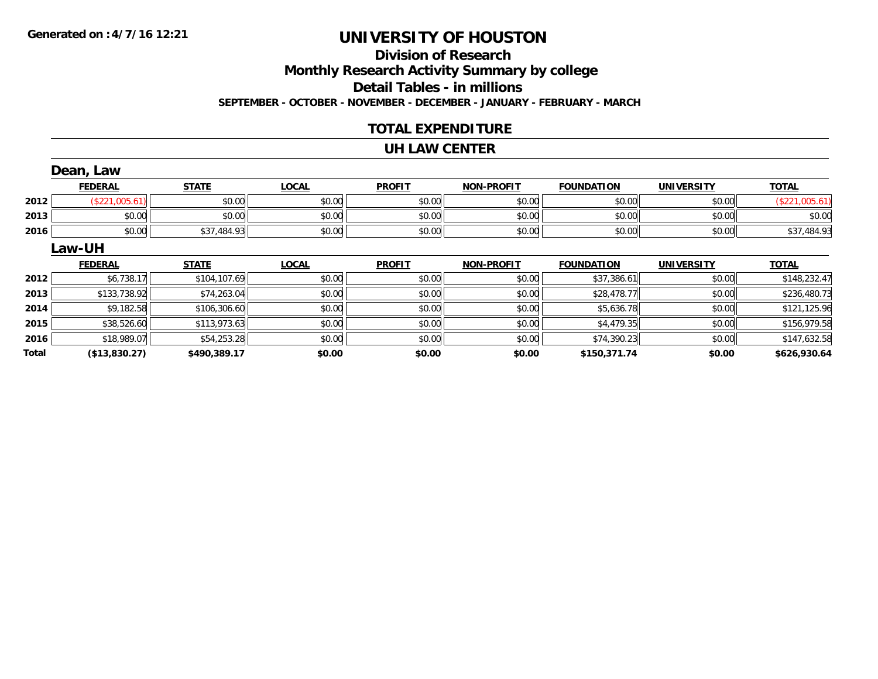# **Division of ResearchMonthly Research Activity Summary by college Detail Tables - in millions SEPTEMBER - OCTOBER - NOVEMBER - DECEMBER - JANUARY - FEBRUARY - MARCH**

#### **TOTAL EXPENDITURE**

#### **UH LAW CENTER**

|              | Dean, Law      |              |              |               |                   |                   |                   |                |
|--------------|----------------|--------------|--------------|---------------|-------------------|-------------------|-------------------|----------------|
|              | <b>FEDERAL</b> | <b>STATE</b> | <b>LOCAL</b> | <b>PROFIT</b> | <b>NON-PROFIT</b> | <b>FOUNDATION</b> | <b>UNIVERSITY</b> | <b>TOTAL</b>   |
| 2012         | (\$221,005.61) | \$0.00       | \$0.00       | \$0.00        | \$0.00            | \$0.00            | \$0.00            | (\$221,005.61) |
| 2013         | \$0.00         | \$0.00       | \$0.00       | \$0.00        | \$0.00            | \$0.00            | \$0.00            | \$0.00         |
| 2016         | \$0.00         | \$37,484.93  | \$0.00       | \$0.00        | \$0.00            | \$0.00            | \$0.00            | \$37,484.93    |
|              | Law-UH         |              |              |               |                   |                   |                   |                |
|              | <b>FEDERAL</b> | <b>STATE</b> | <b>LOCAL</b> | <b>PROFIT</b> | <b>NON-PROFIT</b> | <b>FOUNDATION</b> | <b>UNIVERSITY</b> | <b>TOTAL</b>   |
| 2012         | \$6,738.17     | \$104,107.69 | \$0.00       | \$0.00        | \$0.00            | \$37,386.61       | \$0.00            | \$148,232.47   |
| 2013         | \$133,738.92   | \$74,263.04  | \$0.00       | \$0.00        | \$0.00            | \$28,478.77       | \$0.00            | \$236,480.73   |
| 2014         | \$9,182.58     | \$106,306.60 | \$0.00       | \$0.00        | \$0.00            | \$5,636.78        | \$0.00            | \$121,125.96   |
| 2015         | \$38,526.60    | \$113,973.63 | \$0.00       | \$0.00        | \$0.00            | \$4,479.35        | \$0.00            | \$156,979.58   |
| 2016         | \$18,989.07    | \$54,253.28  | \$0.00       | \$0.00        | \$0.00            | \$74,390.23       | \$0.00            | \$147,632.58   |
| <b>Total</b> | (\$13,830.27)  | \$490,389.17 | \$0.00       | \$0.00        | \$0.00            | \$150,371.74      | \$0.00            | \$626,930.64   |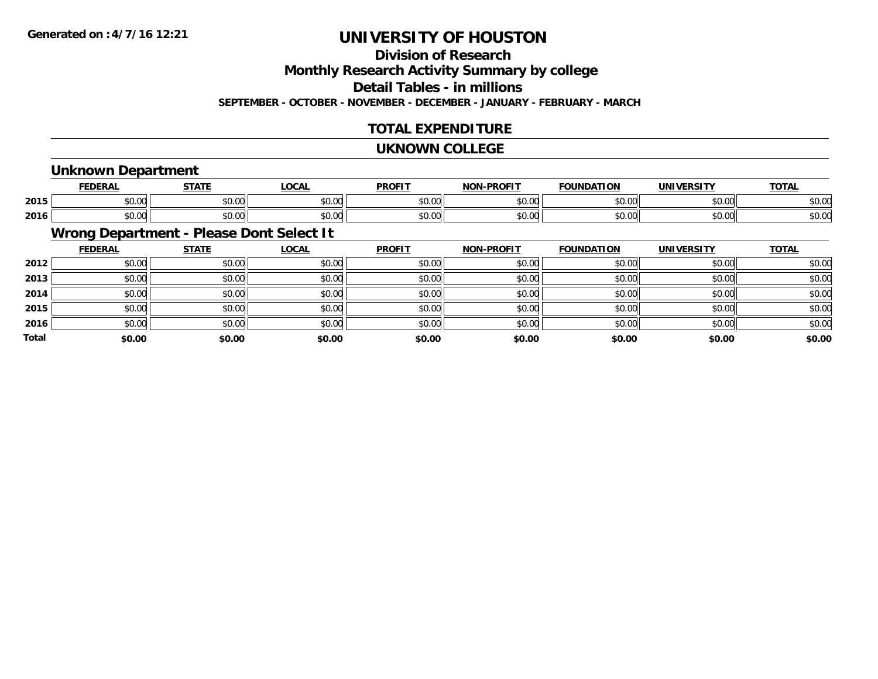# **Division of ResearchMonthly Research Activity Summary by college Detail Tables - in millions**

**SEPTEMBER - OCTOBER - NOVEMBER - DECEMBER - JANUARY - FEBRUARY - MARCH**

# **TOTAL EXPENDITURE**

#### **UKNOWN COLLEGE**

### **Unknown Department**

|      |                  | $\sim$ $\sim$ $\sim$ $\sim$ | $\sim$ $\sim$ | <b>PROFIT</b>                                                                                                                                                                                                                                                                                                                                                                                                                                               | ------<br>ימות                   | ת רו<br>or    |       | $T^{\prime}$<br>$\mathbf{v}$<br>ັ |
|------|------------------|-----------------------------|---------------|-------------------------------------------------------------------------------------------------------------------------------------------------------------------------------------------------------------------------------------------------------------------------------------------------------------------------------------------------------------------------------------------------------------------------------------------------------------|----------------------------------|---------------|-------|-----------------------------------|
| 2015 | $\cdots$         | 0.00                        | $\sim$ $\sim$ | $\mathsf{A}\cap\mathsf{A}\cap\mathsf{A}\cap\mathsf{A}\cap\mathsf{A}\cap\mathsf{A}\cap\mathsf{A}\cap\mathsf{A}\cap\mathsf{A}\cap\mathsf{A}\cap\mathsf{A}\cap\mathsf{A}\cap\mathsf{A}\cap\mathsf{A}\cap\mathsf{A}\cap\mathsf{A}\cap\mathsf{A}\cap\mathsf{A}\cap\mathsf{A}\cap\mathsf{A}\cap\mathsf{A}\cap\mathsf{A}\cap\mathsf{A}\cap\mathsf{A}\cap\mathsf{A}\cap\mathsf{A}\cap\mathsf{A}\cap\mathsf{A}\cap\mathsf{A}\cap\mathsf{A}\cap\mathsf{A}\cap\mathsf$ | $\uparrow$ $\uparrow$ $\uparrow$ | $\sim$ $\sim$ | 0.001 | $\sim$ 00                         |
|      | JU.UU            | JU.UU                       | vv.v          | JU.UU                                                                                                                                                                                                                                                                                                                                                                                                                                                       | ט.טע                             | JU.UU         | PO.OO | DU.U                              |
|      | $\sim$ 00 $\sim$ | 00000                       | ሐሴ ሰሰ         | $\mathsf{A} \cap \mathsf{A} \cap \mathsf{A}$                                                                                                                                                                                                                                                                                                                                                                                                                | $\sim$ $\sim$                    | $\sim$ $\sim$ | 0000  | ተል ስራ                             |
| 2016 | vu.vu            | JU.UU                       | vv.vu         | JU.UU                                                                                                                                                                                                                                                                                                                                                                                                                                                       | ט.טי                             | טע.           | 90.UU | DU.UU                             |

# **Wrong Department - Please Dont Select It**

|              | <b>FEDERAL</b> | <b>STATE</b> | <u>LOCAL</u> | <b>PROFIT</b> | <b>NON-PROFIT</b> | <b>FOUNDATION</b> | <b>UNIVERSITY</b> | <b>TOTAL</b> |
|--------------|----------------|--------------|--------------|---------------|-------------------|-------------------|-------------------|--------------|
| 2012         | \$0.00         | \$0.00       | \$0.00       | \$0.00        | \$0.00            | \$0.00            | \$0.00            | \$0.00       |
| 2013         | \$0.00         | \$0.00       | \$0.00       | \$0.00        | \$0.00            | \$0.00            | \$0.00            | \$0.00       |
| 2014         | \$0.00         | \$0.00       | \$0.00       | \$0.00        | \$0.00            | \$0.00            | \$0.00            | \$0.00       |
| 2015         | \$0.00         | \$0.00       | \$0.00       | \$0.00        | \$0.00            | \$0.00            | \$0.00            | \$0.00       |
| 2016         | \$0.00         | \$0.00       | \$0.00       | \$0.00        | \$0.00            | \$0.00            | \$0.00            | \$0.00       |
| <b>Total</b> | \$0.00         | \$0.00       | \$0.00       | \$0.00        | \$0.00            | \$0.00            | \$0.00            | \$0.00       |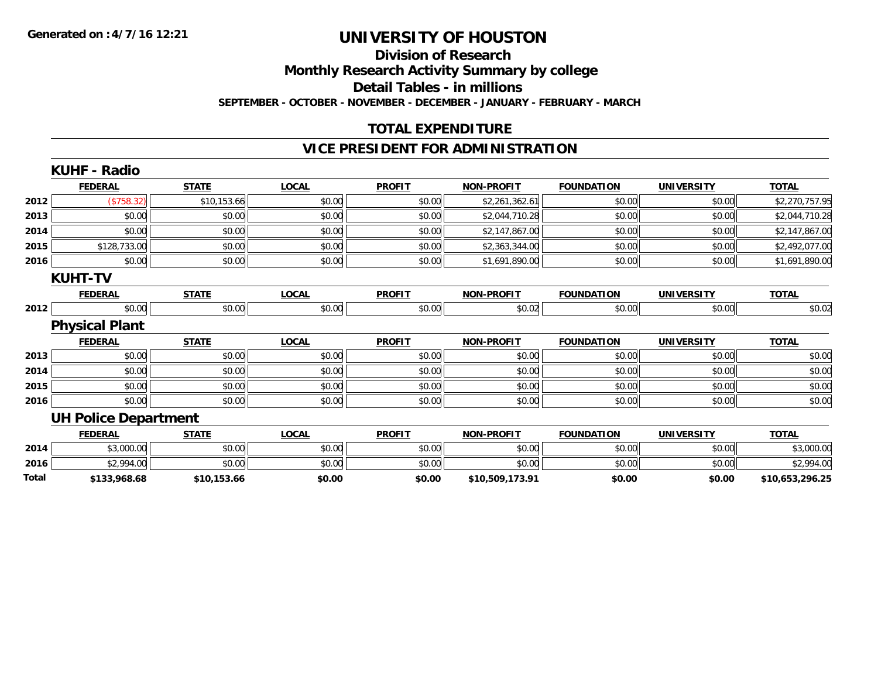#### **Division of Research Monthly Research Activity Summary by college**

**Detail Tables - in millions**

**SEPTEMBER - OCTOBER - NOVEMBER - DECEMBER - JANUARY - FEBRUARY - MARCH**

# **TOTAL EXPENDITURE**

### **VICE PRESIDENT FOR ADMINISTRATION**

|       | <b>KUHF - Radio</b>         |              |              |               |                   |                   |                   |                 |
|-------|-----------------------------|--------------|--------------|---------------|-------------------|-------------------|-------------------|-----------------|
|       | <b>FEDERAL</b>              | <b>STATE</b> | <b>LOCAL</b> | <b>PROFIT</b> | <b>NON-PROFIT</b> | <b>FOUNDATION</b> | <b>UNIVERSITY</b> | <b>TOTAL</b>    |
| 2012  | $(*758.32)$                 | \$10,153.66  | \$0.00       | \$0.00        | \$2,261,362.61    | \$0.00            | \$0.00            | \$2,270,757.95  |
| 2013  | \$0.00                      | \$0.00       | \$0.00       | \$0.00        | \$2,044,710.28    | \$0.00            | \$0.00            | \$2,044,710.28  |
| 2014  | \$0.00                      | \$0.00       | \$0.00       | \$0.00        | \$2,147,867.00    | \$0.00            | \$0.00            | \$2,147,867.00  |
| 2015  | \$128,733.00                | \$0.00       | \$0.00       | \$0.00        | \$2,363,344.00    | \$0.00            | \$0.00            | \$2,492,077.00  |
| 2016  | \$0.00                      | \$0.00       | \$0.00       | \$0.00        | \$1,691,890.00    | \$0.00            | \$0.00            | \$1,691,890.00  |
|       | <b>KUHT-TV</b>              |              |              |               |                   |                   |                   |                 |
|       | <b>FEDERAL</b>              | <b>STATE</b> | <b>LOCAL</b> | <b>PROFIT</b> | <b>NON-PROFIT</b> | <b>FOUNDATION</b> | <b>UNIVERSITY</b> | <b>TOTAL</b>    |
| 2012  | \$0.00                      | \$0.00       | \$0.00       | \$0.00        | \$0.02            | \$0.00            | \$0.00            | \$0.02          |
|       | <b>Physical Plant</b>       |              |              |               |                   |                   |                   |                 |
|       | <b>FEDERAL</b>              | <b>STATE</b> | <b>LOCAL</b> | <b>PROFIT</b> | <b>NON-PROFIT</b> | <b>FOUNDATION</b> | <b>UNIVERSITY</b> | <b>TOTAL</b>    |
| 2013  | \$0.00                      | \$0.00       | \$0.00       | \$0.00        | \$0.00            | \$0.00            | \$0.00            | \$0.00          |
| 2014  | \$0.00                      | \$0.00       | \$0.00       | \$0.00        | \$0.00            | \$0.00            | \$0.00            | \$0.00          |
| 2015  | \$0.00                      | \$0.00       | \$0.00       | \$0.00        | \$0.00            | \$0.00            | \$0.00            | \$0.00          |
| 2016  | \$0.00                      | \$0.00       | \$0.00       | \$0.00        | \$0.00            | \$0.00            | \$0.00            | \$0.00          |
|       | <b>UH Police Department</b> |              |              |               |                   |                   |                   |                 |
|       | <b>FEDERAL</b>              | <b>STATE</b> | <b>LOCAL</b> | <b>PROFIT</b> | <b>NON-PROFIT</b> | <b>FOUNDATION</b> | <b>UNIVERSITY</b> | <b>TOTAL</b>    |
| 2014  | \$3,000.00                  | \$0.00       | \$0.00       | \$0.00        | \$0.00            | \$0.00            | \$0.00            | \$3,000.00      |
| 2016  | \$2,994.00                  | \$0.00       | \$0.00       | \$0.00        | \$0.00            | \$0.00            | \$0.00            | \$2,994.00      |
| Total | \$133,968.68                | \$10,153.66  | \$0.00       | \$0.00        | \$10,509,173.91   | \$0.00            | \$0.00            | \$10,653,296.25 |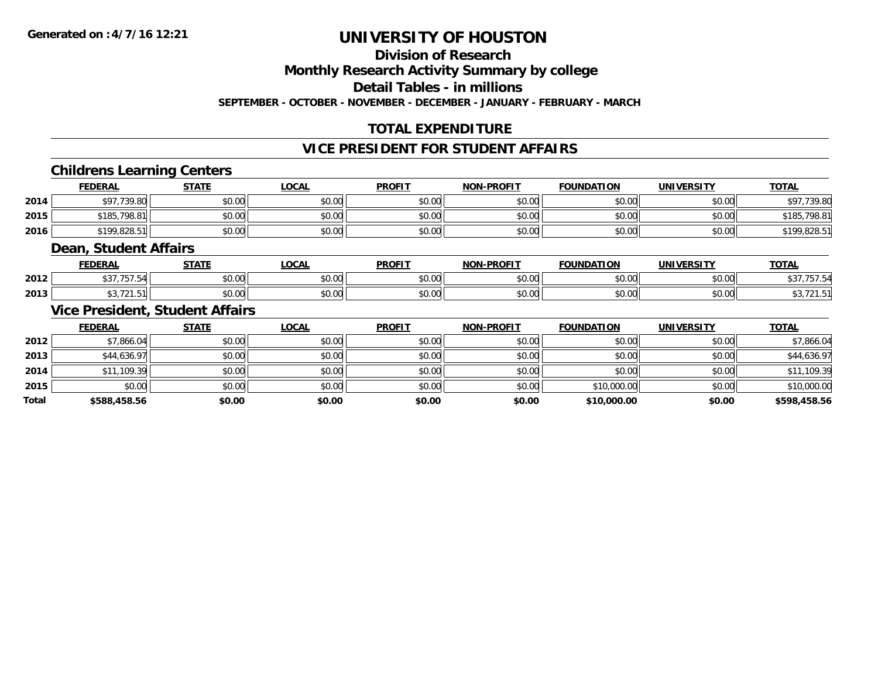### **Division of Research**

**Monthly Research Activity Summary by college**

**Detail Tables - in millions**

**SEPTEMBER - OCTOBER - NOVEMBER - DECEMBER - JANUARY - FEBRUARY - MARCH**

# **TOTAL EXPENDITURE**

#### **VICE PRESIDENT FOR STUDENT AFFAIRS**

### **Childrens Learning Centers**

|      | <b>FEDERAL</b> | STATE  | <u>LOCAL</u> | <b>PROFIT</b> | <b>NON-PROFIT</b> | <b>FOUNDATION</b> | UNIVERSITY | <b>TOTAL</b> |
|------|----------------|--------|--------------|---------------|-------------------|-------------------|------------|--------------|
| 2014 | .739.80        | \$0.00 | \$0.00       | \$0.00        | \$0.00            | \$0.00            | \$0.00     | \$97,739.80  |
| 2015 | \$185,798.81   | \$0.00 | \$0.00       | \$0.00        | \$0.00            | \$0.00            | \$0.00     | \$185,798.81 |
| 2016 | \$199,828.51   | \$0.00 | \$0.00       | \$0.00        | \$0.00            | \$0.00            | \$0.00     | \$199,828.51 |

#### **Dean, Student Affairs**

|      | <b>FEDERAL</b> | <b>CTATE</b>      | .OCAL                                | <b>DDOEIT</b>          | <b>DDAFIT</b><br>NON | <b>FOUNDATION</b> | <b>UNIVERSITY</b> | <b>TOTAL</b> |
|------|----------------|-------------------|--------------------------------------|------------------------|----------------------|-------------------|-------------------|--------------|
| 2012 | $- - -$        | $\cdots$<br>vv.vv | $\mathsf{A} \cap \mathsf{A}$<br>ט.טע | 0 <sub>n</sub><br>vv.v | 0000<br>70.UL        | 0000              | 0000              |              |
| 2013 |                | $\cdots$<br>JU.UU | 0000<br><b>JU.UU</b>                 | 0 <sub>n</sub><br>JU.U | 0000<br>vv.vv        |                   | 0000              |              |

### **Vice President, Student Affairs**

|              | <b>FEDERAL</b> | <b>STATE</b> | <u>LOCAL</u> | <b>PROFIT</b> | <b>NON-PROFIT</b> | <b>FOUNDATION</b> | <b>UNIVERSITY</b> | <b>TOTAL</b> |
|--------------|----------------|--------------|--------------|---------------|-------------------|-------------------|-------------------|--------------|
| 2012         | \$7,866.04     | \$0.00       | \$0.00       | \$0.00        | \$0.00            | \$0.00            | \$0.00            | \$7,866.04   |
| 2013         | \$44,636.97    | \$0.00       | \$0.00       | \$0.00        | \$0.00            | \$0.00            | \$0.00            | \$44,636.97  |
| 2014         | \$11,109.39    | \$0.00       | \$0.00       | \$0.00        | \$0.00            | \$0.00            | \$0.00            | \$11,109.39  |
| 2015         | \$0.00         | \$0.00       | \$0.00       | \$0.00        | \$0.00            | \$10,000.00       | \$0.00            | \$10,000.00  |
| <b>Total</b> | \$588,458.56   | \$0.00       | \$0.00       | \$0.00        | \$0.00            | \$10,000.00       | \$0.00            | \$598,458.56 |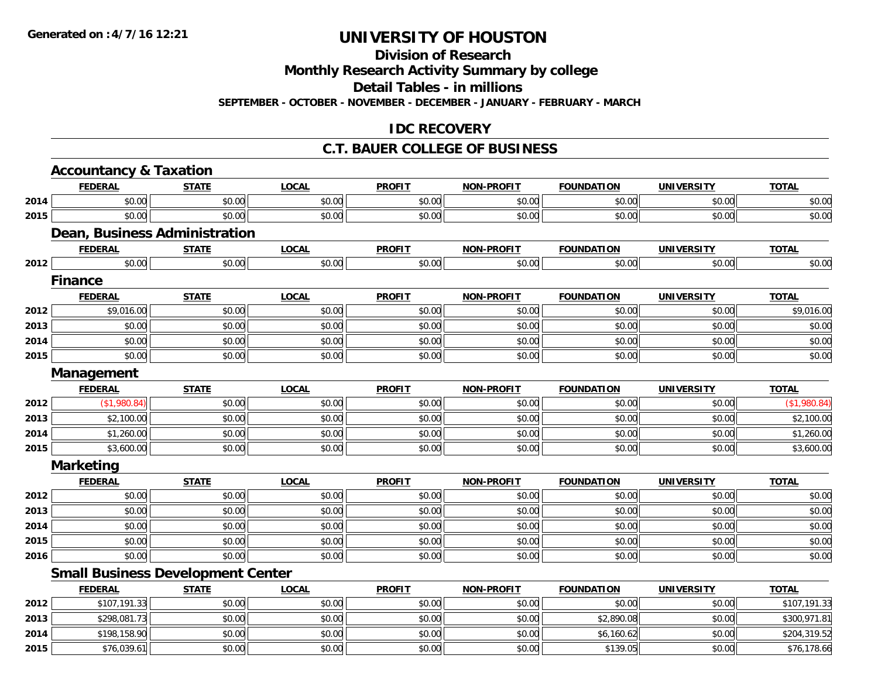# **Division of Research**

**Monthly Research Activity Summary by college**

**Detail Tables - in millions**

**SEPTEMBER - OCTOBER - NOVEMBER - DECEMBER - JANUARY - FEBRUARY - MARCH**

### **IDC RECOVERY**

### **C.T. BAUER COLLEGE OF BUSINESS**

|      | <b>Accountancy &amp; Taxation</b>        |              |              |               |                   |                   |                   |              |
|------|------------------------------------------|--------------|--------------|---------------|-------------------|-------------------|-------------------|--------------|
|      | <b>FEDERAL</b>                           | <b>STATE</b> | <b>LOCAL</b> | <b>PROFIT</b> | <b>NON-PROFIT</b> | <b>FOUNDATION</b> | <b>UNIVERSITY</b> | <b>TOTAL</b> |
| 2014 | \$0.00                                   | \$0.00       | \$0.00       | \$0.00        | \$0.00            | \$0.00            | \$0.00            | \$0.00       |
| 2015 | \$0.00                                   | \$0.00       | \$0.00       | \$0.00        | \$0.00            | \$0.00            | \$0.00            | \$0.00       |
|      | Dean, Business Administration            |              |              |               |                   |                   |                   |              |
|      | <b>FEDERAL</b>                           | <b>STATE</b> | <b>LOCAL</b> | <b>PROFIT</b> | <b>NON-PROFIT</b> | <b>FOUNDATION</b> | <b>UNIVERSITY</b> | <b>TOTAL</b> |
| 2012 | \$0.00                                   | \$0.00       | \$0.00       | \$0.00        | \$0.00            | \$0.00            | \$0.00            | \$0.00       |
|      | <b>Finance</b>                           |              |              |               |                   |                   |                   |              |
|      | <b>FEDERAL</b>                           | <b>STATE</b> | <b>LOCAL</b> | <b>PROFIT</b> | <b>NON-PROFIT</b> | <b>FOUNDATION</b> | <b>UNIVERSITY</b> | <b>TOTAL</b> |
| 2012 | \$9,016.00                               | \$0.00       | \$0.00       | \$0.00        | \$0.00            | \$0.00            | \$0.00            | \$9,016.00   |
| 2013 | \$0.00                                   | \$0.00       | \$0.00       | \$0.00        | \$0.00            | \$0.00            | \$0.00            | \$0.00       |
| 2014 | \$0.00                                   | \$0.00       | \$0.00       | \$0.00        | \$0.00            | \$0.00            | \$0.00            | \$0.00       |
| 2015 | \$0.00                                   | \$0.00       | \$0.00       | \$0.00        | \$0.00            | \$0.00            | \$0.00            | \$0.00       |
|      | Management                               |              |              |               |                   |                   |                   |              |
|      | <b>FEDERAL</b>                           | <b>STATE</b> | <b>LOCAL</b> | <b>PROFIT</b> | NON-PROFIT        | <b>FOUNDATION</b> | <b>UNIVERSITY</b> | <b>TOTAL</b> |
| 2012 | (\$1,980.84)                             | \$0.00       | \$0.00       | \$0.00        | \$0.00            | \$0.00            | \$0.00            | (\$1,980.84) |
| 2013 | \$2,100.00                               | \$0.00       | \$0.00       | \$0.00        | \$0.00            | \$0.00            | \$0.00            | \$2,100.00   |
| 2014 | \$1,260.00                               | \$0.00       | \$0.00       | \$0.00        | \$0.00            | \$0.00            | \$0.00            | \$1,260.00   |
| 2015 | \$3,600.00                               | \$0.00       | \$0.00       | \$0.00        | \$0.00            | \$0.00            | \$0.00            | \$3,600.00   |
|      | <b>Marketing</b>                         |              |              |               |                   |                   |                   |              |
|      | <b>FEDERAL</b>                           | <b>STATE</b> | <b>LOCAL</b> | <b>PROFIT</b> | <b>NON-PROFIT</b> | <b>FOUNDATION</b> | <b>UNIVERSITY</b> | <b>TOTAL</b> |
| 2012 | \$0.00                                   | \$0.00       | \$0.00       | \$0.00        | \$0.00            | \$0.00            | \$0.00            | \$0.00       |
| 2013 | \$0.00                                   | \$0.00       | \$0.00       | \$0.00        | \$0.00            | \$0.00            | \$0.00            | \$0.00       |
| 2014 | \$0.00                                   | \$0.00       | \$0.00       | \$0.00        | \$0.00            | \$0.00            | \$0.00            | \$0.00       |
| 2015 | \$0.00                                   | \$0.00       | \$0.00       | \$0.00        | \$0.00            | \$0.00            | \$0.00            | \$0.00       |
| 2016 | \$0.00                                   | \$0.00       | \$0.00       | \$0.00        | \$0.00            | \$0.00            | \$0.00            | \$0.00       |
|      | <b>Small Business Development Center</b> |              |              |               |                   |                   |                   |              |
|      | <b>FEDERAL</b>                           | <b>STATE</b> | <b>LOCAL</b> | <b>PROFIT</b> | <b>NON-PROFIT</b> | <b>FOUNDATION</b> | <b>UNIVERSITY</b> | <b>TOTAL</b> |
| 2012 | \$107,191.33                             | \$0.00       | \$0.00       | \$0.00        | \$0.00            | \$0.00            | \$0.00            | \$107,191.33 |
| 2013 | \$298,081.73                             | \$0.00       | \$0.00       | \$0.00        | \$0.00            | \$2,890.08        | \$0.00            | \$300,971.81 |
| 2014 | \$198,158.90                             | \$0.00       | \$0.00       | \$0.00        | \$0.00            | \$6,160.62        | \$0.00            | \$204,319.52 |
| 2015 | \$76,039.61                              | \$0.00       | \$0.00       | \$0.00        | \$0.00            | \$139.05          | \$0.00            | \$76,178.66  |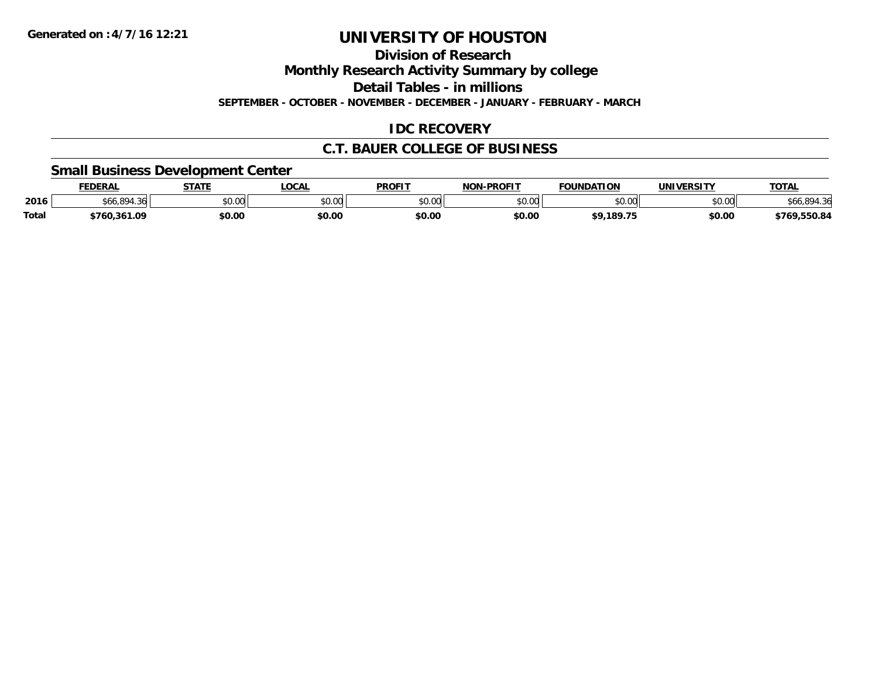**Division of Research**

**Monthly Research Activity Summary by college**

**Detail Tables - in millions**

**SEPTEMBER - OCTOBER - NOVEMBER - DECEMBER - JANUARY - FEBRUARY - MARCH**

### **IDC RECOVERY**

### **C.T. BAUER COLLEGE OF BUSINESS**

### **Small Business Development Center**

|              | <b>FEDERAL</b> | <b>STATE</b> | <b>LOCAL</b>  | <b>PROFIT</b>                   | -PROFIT<br><b>NON</b> | <b>FOUNDATION</b>  | <b>UNIVERSITY</b> | <b>TOTAL</b>     |
|--------------|----------------|--------------|---------------|---------------------------------|-----------------------|--------------------|-------------------|------------------|
| 2016         | .06.894<br>つん  | \$0.00       | 0000<br>PU.UU | $\circ$ $\circ$ $\circ$<br>ט.טע | \$0.00                | $\sim$ 00<br>JU.UU | \$0.00            | \$66,894.36      |
| <b>Total</b> | 760,361.09;    | \$0.00       | \$0.00        | \$0.00                          | \$0.00                | \$9.189.75         | \$0.00            | ,550.84<br>\$769 |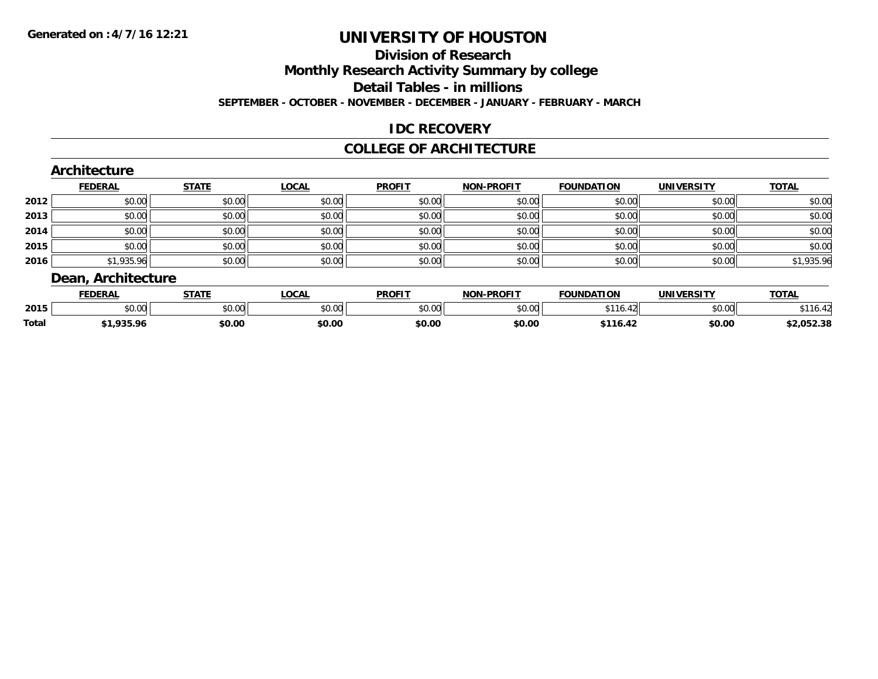### **Division of Research**

**Monthly Research Activity Summary by college**

**Detail Tables - in millions**

**SEPTEMBER - OCTOBER - NOVEMBER - DECEMBER - JANUARY - FEBRUARY - MARCH**

# **IDC RECOVERY**

#### **COLLEGE OF ARCHITECTURE**

| <b>TOTAL</b> | <b>UNIVERSITY</b> | <b>FOUNDATION</b> | <b>NON-PROFIT</b> | <b>PROFIT</b> | <b>LOCAL</b> | <b>STATE</b> | <b>FEDERAL</b>     |      |
|--------------|-------------------|-------------------|-------------------|---------------|--------------|--------------|--------------------|------|
| \$0.00       | \$0.00            | \$0.00            | \$0.00            | \$0.00        | \$0.00       | \$0.00       | \$0.00             | 2012 |
| \$0.00       | \$0.00            | \$0.00            | \$0.00            | \$0.00        | \$0.00       | \$0.00       | \$0.00             | 2013 |
| \$0.00       | \$0.00            | \$0.00            | \$0.00            | \$0.00        | \$0.00       | \$0.00       | \$0.00             | 2014 |
| \$0.00       | \$0.00            | \$0.00            | \$0.00            | \$0.00        | \$0.00       | \$0.00       | \$0.00             | 2015 |
| \$1,935.96   | \$0.00            | \$0.00            | \$0.00            | \$0.00        | \$0.00       | \$0.00       | \$1,935.96         |      |
|              |                   |                   |                   |               |              |              | Dean, Architecture | 2016 |

|              | <b>CCNCDA</b><br>LULRA | 27.77         | <b>OCAL</b> | <b>PROFIT</b>      | <b>LDDOFIT</b><br>NON | <b>FOUNDATION</b> | <b><i>IBUVEDCITY</i></b>                                                       | ΤΩΤΑ           |
|--------------|------------------------|---------------|-------------|--------------------|-----------------------|-------------------|--------------------------------------------------------------------------------|----------------|
| 2015         | $\sim$ 00<br>וטיטי     | 0.00<br>∘∪.∪∪ | \$0.00      | $\sim$ 00<br>טט.טע | $\sim$ 00             | AA<br>10.         | $\begin{array}{c} \hline \text{A} & \text{A} & \text{A} \\ \hline \end{array}$ | $\overline{D}$ |
| <b>Total</b> | $\sim$                 | \$0.00        | \$0.00      | \$0.00             | \$0.00                | .                 | \$0.00                                                                         | 2.052.38       |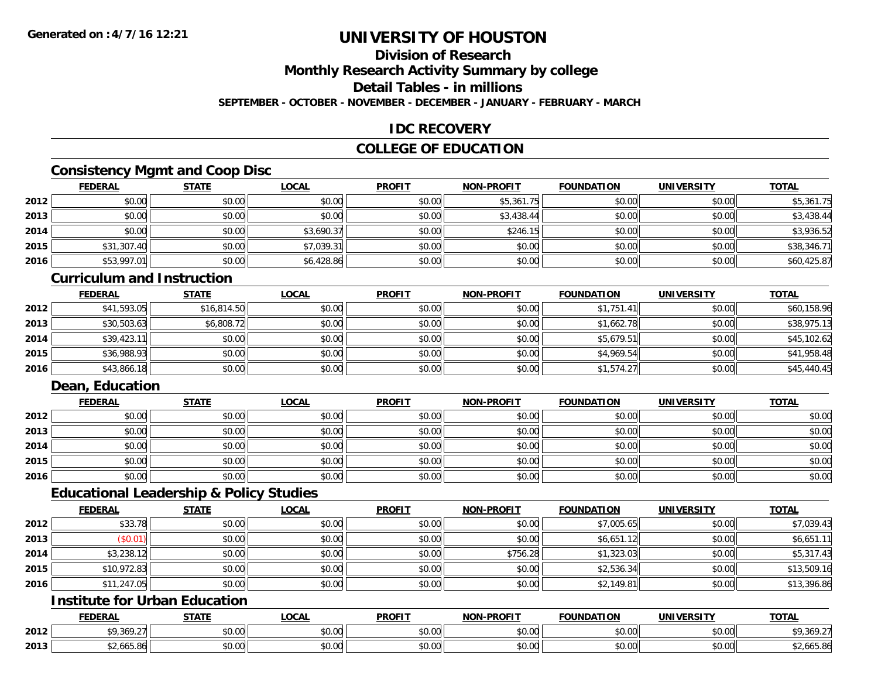# **Division of Research**

**Monthly Research Activity Summary by college**

**Detail Tables - in millions**

**SEPTEMBER - OCTOBER - NOVEMBER - DECEMBER - JANUARY - FEBRUARY - MARCH**

### **IDC RECOVERY**

### **COLLEGE OF EDUCATION**

# **Consistency Mgmt and Coop Disc**

|      | <b>FEDERAL</b> | <b>STATE</b> | <u>LOCAL</u> | <b>PROFIT</b> | <b>NON-PROFIT</b> | <b>FOUNDATION</b> | <b>UNIVERSITY</b> | <b>TOTAL</b> |
|------|----------------|--------------|--------------|---------------|-------------------|-------------------|-------------------|--------------|
| 2012 | \$0.00         | \$0.00       | \$0.00       | \$0.00        | \$5,361.75        | \$0.00            | \$0.00            | \$5,361.75   |
| 2013 | \$0.00         | \$0.00       | \$0.00       | \$0.00        | \$3,438.44        | \$0.00            | \$0.00            | \$3,438.44   |
| 2014 | \$0.00         | \$0.00       | \$3,690.37   | \$0.00        | \$246.15          | \$0.00            | \$0.00            | \$3,936.52   |
| 2015 | \$31,307.40    | \$0.00       | \$7,039.31   | \$0.00        | \$0.00            | \$0.00            | \$0.00            | \$38,346.71  |
| 2016 | \$53,997.01    | \$0.00       | \$6,428.86   | \$0.00        | \$0.00            | \$0.00            | \$0.00            | \$60,425.87  |

#### **Curriculum and Instruction**

|      | <b>FEDERAL</b> | <u>STATE</u> | <u>LOCAL</u> | <b>PROFIT</b> | <b>NON-PROFIT</b> | <b>FOUNDATION</b> | <b>UNIVERSITY</b> | <b>TOTAL</b> |
|------|----------------|--------------|--------------|---------------|-------------------|-------------------|-------------------|--------------|
| 2012 | \$41,593.05    | \$16,814.50  | \$0.00       | \$0.00        | \$0.00            | \$1,751.41        | \$0.00            | \$60,158.96  |
| 2013 | \$30,503.63    | \$6,808.72   | \$0.00       | \$0.00        | \$0.00            | \$1,662.78        | \$0.00            | \$38,975.13  |
| 2014 | \$39,423.11    | \$0.00       | \$0.00       | \$0.00        | \$0.00            | \$5,679.51        | \$0.00            | \$45,102.62  |
| 2015 | \$36,988.93    | \$0.00       | \$0.00       | \$0.00        | \$0.00            | \$4,969.54        | \$0.00            | \$41,958.48  |
| 2016 | \$43,866.18    | \$0.00       | \$0.00       | \$0.00        | \$0.00            | \$1,574.27        | \$0.00            | \$45,440.45  |

# **Dean, Education**

|      | <b>FEDERAL</b> | <b>STATE</b> | <u>LOCAL</u> | <b>PROFIT</b> | <b>NON-PROFIT</b> | <b>FOUNDATION</b> | <b>UNIVERSITY</b> | <b>TOTAL</b> |
|------|----------------|--------------|--------------|---------------|-------------------|-------------------|-------------------|--------------|
| 2012 | \$0.00         | \$0.00       | \$0.00       | \$0.00        | \$0.00            | \$0.00            | \$0.00            | \$0.00       |
| 2013 | \$0.00         | \$0.00       | \$0.00       | \$0.00        | \$0.00            | \$0.00            | \$0.00            | \$0.00       |
| 2014 | \$0.00         | \$0.00       | \$0.00       | \$0.00        | \$0.00            | \$0.00            | \$0.00            | \$0.00       |
| 2015 | \$0.00         | \$0.00       | \$0.00       | \$0.00        | \$0.00            | \$0.00            | \$0.00            | \$0.00       |
| 2016 | \$0.00         | \$0.00       | \$0.00       | \$0.00        | \$0.00            | \$0.00            | \$0.00            | \$0.00       |

#### **Educational Leadership & Policy Studies**

|      | <b>FEDERAL</b> | <b>STATE</b> | <u>LOCAL</u> | <b>PROFIT</b> | <b>NON-PROFIT</b> | <b>FOUNDATION</b> | <b>UNIVERSITY</b> | <b>TOTAL</b> |
|------|----------------|--------------|--------------|---------------|-------------------|-------------------|-------------------|--------------|
| 2012 | \$33.78        | \$0.00       | \$0.00       | \$0.00        | \$0.00            | \$7,005.65        | \$0.00            | \$7,039.43   |
| 2013 | \$0.01         | \$0.00       | \$0.00       | \$0.00        | \$0.00            | \$6,651.12        | \$0.00            | \$6,651.11   |
| 2014 | \$3,238.12     | \$0.00       | \$0.00       | \$0.00        | \$756.28          | \$1,323.03        | \$0.00            | \$5,317.43   |
| 2015 | \$10,972.83    | \$0.00       | \$0.00       | \$0.00        | \$0.00            | \$2,536.34        | \$0.00            | \$13,509.16  |
| 2016 | \$11,247.05    | \$0.00       | \$0.00       | \$0.00        | \$0.00            | \$2,149.81        | \$0.00            | \$13,396.86  |

### **Institute for Urban Education**

|      | <b>FEDERAL</b>      | <b>CTATE</b>  | <b>_OCAL</b>          | <b>PROFIT</b>                        | <b>-PROFIT</b><br><b>BIABI</b> | <b>FOUNDATION</b> | UNIVERSITY                | <b>TOTAL</b>        |
|------|---------------------|---------------|-----------------------|--------------------------------------|--------------------------------|-------------------|---------------------------|---------------------|
| 2012 | \$0.2602<br>7,007.2 | 0000<br>DU.UU | $\sim$<br>0 t<br>וטט. | $*$ $\circ$ $\circ$ $\circ$<br>DU.UU | 0.00<br>JU.UU                  | \$0.00            | $\sim$ 00<br><b>JU.UU</b> | 0.0100<br>7, JOY. Z |
| 2013 | 52.005.80           | 0.00<br>ט.טע  | $\sim$ 00<br>vv.vv    | $*$ $\cap$ $\cap$<br>JU.UU           | 0.00<br>JU.UU                  | \$0.00            | $\sim$ 00<br>JU.UU        | \$2,665.86          |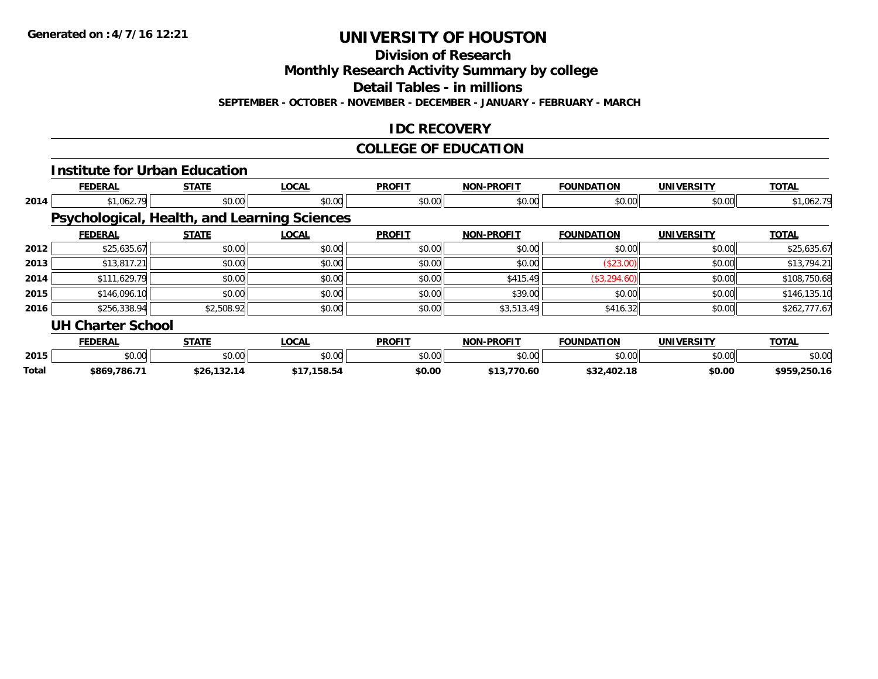**Division of Research**

**Monthly Research Activity Summary by college**

**Detail Tables - in millions**

**SEPTEMBER - OCTOBER - NOVEMBER - DECEMBER - JANUARY - FEBRUARY - MARCH**

### **IDC RECOVERY**

# **COLLEGE OF EDUCATION**

|       |                          | <b>Institute for Urban Education</b>                |              |               |                   |                   |                   |              |
|-------|--------------------------|-----------------------------------------------------|--------------|---------------|-------------------|-------------------|-------------------|--------------|
|       | <b>FEDERAL</b>           | <b>STATE</b>                                        | <b>LOCAL</b> | <b>PROFIT</b> | <b>NON-PROFIT</b> | <b>FOUNDATION</b> | <b>UNIVERSITY</b> | <b>TOTAL</b> |
| 2014  | \$1,062.79               | \$0.00                                              | \$0.00       | \$0.00        | \$0.00            | \$0.00            | \$0.00            | \$1,062.79   |
|       |                          | <b>Psychological, Health, and Learning Sciences</b> |              |               |                   |                   |                   |              |
|       | <b>FEDERAL</b>           | <b>STATE</b>                                        | <b>LOCAL</b> | <b>PROFIT</b> | <b>NON-PROFIT</b> | <b>FOUNDATION</b> | <b>UNIVERSITY</b> | <b>TOTAL</b> |
| 2012  | \$25,635.67              | \$0.00                                              | \$0.00       | \$0.00        | \$0.00            | \$0.00            | \$0.00            | \$25,635.67  |
| 2013  | \$13,817.21              | \$0.00                                              | \$0.00       | \$0.00        | \$0.00            | (\$23.00)         | \$0.00            | \$13,794.21  |
| 2014  | \$111,629.79             | \$0.00                                              | \$0.00       | \$0.00        | \$415.49          | (\$3,294.60)      | \$0.00            | \$108,750.68 |
| 2015  | \$146,096.10             | \$0.00                                              | \$0.00       | \$0.00        | \$39.00           | \$0.00            | \$0.00            | \$146,135.10 |
| 2016  | \$256,338.94             | \$2,508.92                                          | \$0.00       | \$0.00        | \$3,513.49        | \$416.32          | \$0.00            | \$262,777.67 |
|       | <b>UH Charter School</b> |                                                     |              |               |                   |                   |                   |              |
|       | <b>FEDERAL</b>           | <b>STATE</b>                                        | <b>LOCAL</b> | <b>PROFIT</b> | <b>NON-PROFIT</b> | <b>FOUNDATION</b> | <b>UNIVERSITY</b> | <b>TOTAL</b> |
| 2015  | \$0.00                   | \$0.00                                              | \$0.00       | \$0.00        | \$0.00            | \$0.00            | \$0.00            | \$0.00       |
| Total | \$869,786.71             | \$26,132.14                                         | \$17,158.54  | \$0.00        | \$13,770.60       | \$32,402.18       | \$0.00            | \$959,250.16 |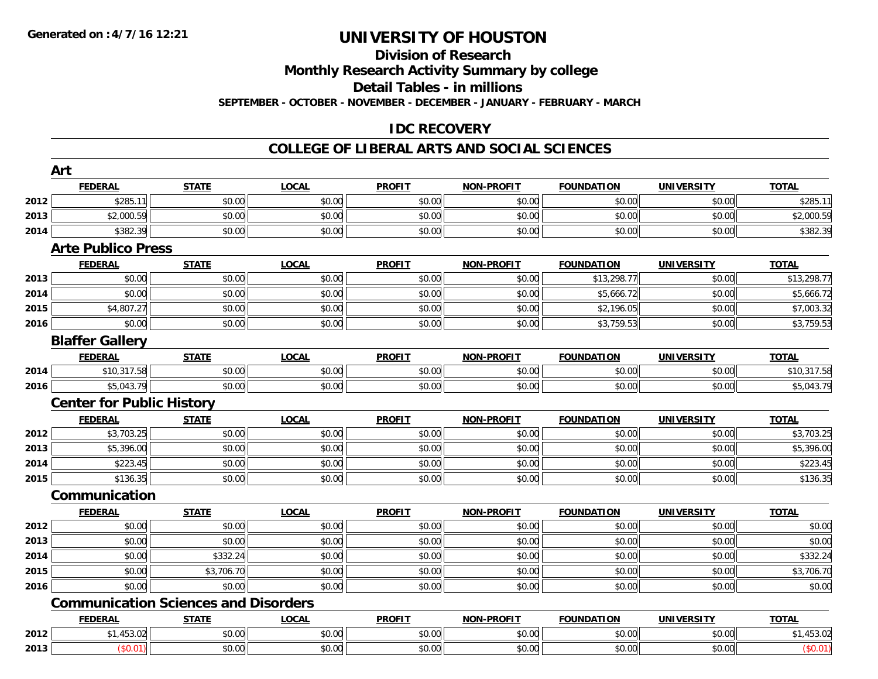## **Division of Research**

**Monthly Research Activity Summary by college**

**Detail Tables - in millions**

**SEPTEMBER - OCTOBER - NOVEMBER - DECEMBER - JANUARY - FEBRUARY - MARCH**

## **IDC RECOVERY**

#### **COLLEGE OF LIBERAL ARTS AND SOCIAL SCIENCES**

|      | Art                                         |              |              |               |                   |                   |                   |              |
|------|---------------------------------------------|--------------|--------------|---------------|-------------------|-------------------|-------------------|--------------|
|      | <b>FEDERAL</b>                              | <b>STATE</b> | <b>LOCAL</b> | <b>PROFIT</b> | <b>NON-PROFIT</b> | <b>FOUNDATION</b> | <b>UNIVERSITY</b> | <b>TOTAL</b> |
| 2012 | \$285.11                                    | \$0.00       | \$0.00       | \$0.00        | \$0.00            | \$0.00            | \$0.00            | \$285.11     |
| 2013 | \$2,000.59                                  | \$0.00       | \$0.00       | \$0.00        | \$0.00            | \$0.00            | \$0.00            | \$2,000.59   |
| 2014 | \$382.39                                    | \$0.00       | \$0.00       | \$0.00        | \$0.00            | \$0.00            | \$0.00            | \$382.39     |
|      | <b>Arte Publico Press</b>                   |              |              |               |                   |                   |                   |              |
|      | <b>FEDERAL</b>                              | <b>STATE</b> | <b>LOCAL</b> | <b>PROFIT</b> | <b>NON-PROFIT</b> | <b>FOUNDATION</b> | <b>UNIVERSITY</b> | <b>TOTAL</b> |
| 2013 | \$0.00                                      | \$0.00       | \$0.00       | \$0.00        | \$0.00            | \$13,298.77       | \$0.00            | \$13,298.77  |
| 2014 | \$0.00                                      | \$0.00       | \$0.00       | \$0.00        | \$0.00            | \$5,666.72        | \$0.00            | \$5,666.72   |
| 2015 | \$4,807.27                                  | \$0.00       | \$0.00       | \$0.00        | \$0.00            | \$2,196.05        | \$0.00            | \$7,003.32   |
| 2016 | \$0.00                                      | \$0.00       | \$0.00       | \$0.00        | \$0.00            | \$3,759.53        | \$0.00            | \$3,759.53   |
|      | <b>Blaffer Gallery</b>                      |              |              |               |                   |                   |                   |              |
|      | <b>FEDERAL</b>                              | <b>STATE</b> | <b>LOCAL</b> | <b>PROFIT</b> | <b>NON-PROFIT</b> | <b>FOUNDATION</b> | <b>UNIVERSITY</b> | <b>TOTAL</b> |
| 2014 | \$10,317.58                                 | \$0.00       | \$0.00       | \$0.00        | \$0.00            | \$0.00            | \$0.00            | \$10,317.58  |
| 2016 | \$5,043.79                                  | \$0.00       | \$0.00       | \$0.00        | \$0.00            | \$0.00            | \$0.00            | \$5,043.79   |
|      | <b>Center for Public History</b>            |              |              |               |                   |                   |                   |              |
|      | <b>FEDERAL</b>                              | <b>STATE</b> | <b>LOCAL</b> | <b>PROFIT</b> | <b>NON-PROFIT</b> | <b>FOUNDATION</b> | <b>UNIVERSITY</b> | <b>TOTAL</b> |
| 2012 | \$3,703.25                                  | \$0.00       | \$0.00       | \$0.00        | \$0.00            | \$0.00            | \$0.00            | \$3,703.25   |
| 2013 | \$5,396.00                                  | \$0.00       | \$0.00       | \$0.00        | \$0.00            | \$0.00            | \$0.00            | \$5,396.00   |
| 2014 | \$223.45                                    | \$0.00       | \$0.00       | \$0.00        | \$0.00            | \$0.00            | \$0.00            | \$223.45     |
| 2015 | \$136.35                                    | \$0.00       | \$0.00       | \$0.00        | \$0.00            | \$0.00            | \$0.00            | \$136.35     |
|      | Communication                               |              |              |               |                   |                   |                   |              |
|      | <b>FEDERAL</b>                              | <b>STATE</b> | <b>LOCAL</b> | <b>PROFIT</b> | <b>NON-PROFIT</b> | <b>FOUNDATION</b> | <b>UNIVERSITY</b> | <b>TOTAL</b> |
| 2012 | \$0.00                                      | \$0.00       | \$0.00       | \$0.00        | \$0.00            | \$0.00            | \$0.00            | \$0.00       |
| 2013 | \$0.00                                      | \$0.00       | \$0.00       | \$0.00        | \$0.00            | \$0.00            | \$0.00            | \$0.00       |
| 2014 | \$0.00                                      | \$332.24     | \$0.00       | \$0.00        | \$0.00            | \$0.00            | \$0.00            | \$332.24     |
| 2015 | \$0.00                                      | \$3,706.70   | \$0.00       | \$0.00        | \$0.00            | \$0.00            | \$0.00            | \$3,706.70   |
| 2016 | \$0.00                                      | \$0.00       | \$0.00       | \$0.00        | \$0.00            | \$0.00            | \$0.00            | \$0.00       |
|      | <b>Communication Sciences and Disorders</b> |              |              |               |                   |                   |                   |              |
|      | <b>FEDERAL</b>                              | <b>STATE</b> | <b>LOCAL</b> | <b>PROFIT</b> | <b>NON-PROFIT</b> | <b>FOUNDATION</b> | <b>UNIVERSITY</b> | <b>TOTAL</b> |
| 2012 | \$1,453.02                                  | \$0.00       | \$0.00       | \$0.00        | \$0.00            | \$0.00            | \$0.00            | \$1,453.02   |
| 2013 | (\$0.01)                                    | \$0.00       | \$0.00       | \$0.00        | \$0.00            | \$0.00            | \$0.00            | (\$0.01)     |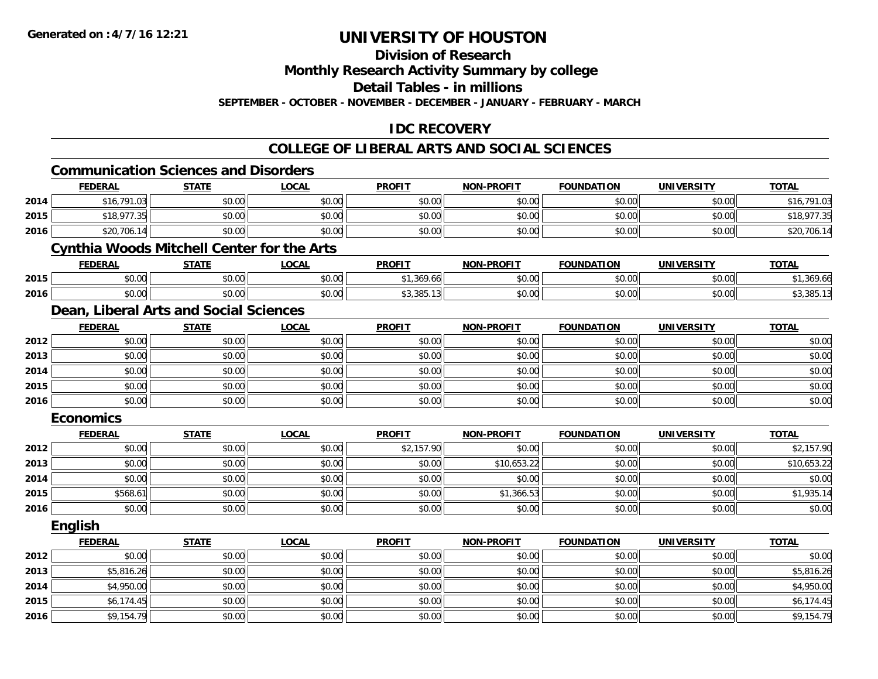**2016**

## **UNIVERSITY OF HOUSTON**

**Division of Research**

**Monthly Research Activity Summary by college**

**Detail Tables - in millions**

**SEPTEMBER - OCTOBER - NOVEMBER - DECEMBER - JANUARY - FEBRUARY - MARCH**

## **IDC RECOVERY**

## **COLLEGE OF LIBERAL ARTS AND SOCIAL SCIENCES**

|      | <b>Communication Sciences and Disorders</b> |                                                   |              |               |                   |                   |                   |              |  |  |  |  |
|------|---------------------------------------------|---------------------------------------------------|--------------|---------------|-------------------|-------------------|-------------------|--------------|--|--|--|--|
|      | <b>FEDERAL</b>                              | <b>STATE</b>                                      | <b>LOCAL</b> | <b>PROFIT</b> | <b>NON-PROFIT</b> | <b>FOUNDATION</b> | <b>UNIVERSITY</b> | <b>TOTAL</b> |  |  |  |  |
| 2014 | \$16,791.03                                 | \$0.00                                            | \$0.00       | \$0.00        | \$0.00            | \$0.00            | \$0.00            | \$16,791.03  |  |  |  |  |
| 2015 | \$18,977.35                                 | \$0.00                                            | \$0.00       | \$0.00        | \$0.00            | \$0.00            | \$0.00            | \$18,977.35  |  |  |  |  |
| 2016 | \$20,706.14                                 | \$0.00                                            | \$0.00       | \$0.00        | \$0.00            | \$0.00            | \$0.00            | \$20,706.14  |  |  |  |  |
|      |                                             | <b>Cynthia Woods Mitchell Center for the Arts</b> |              |               |                   |                   |                   |              |  |  |  |  |
|      | <b>FEDERAL</b>                              | <b>STATE</b>                                      | <b>LOCAL</b> | <b>PROFIT</b> | <b>NON-PROFIT</b> | <b>FOUNDATION</b> | <b>UNIVERSITY</b> | <b>TOTAL</b> |  |  |  |  |
| 2015 | \$0.00                                      | \$0.00                                            | \$0.00       | \$1,369.66    | \$0.00            | \$0.00            | \$0.00            | \$1,369.66   |  |  |  |  |
| 2016 | \$0.00                                      | \$0.00                                            | \$0.00       | \$3,385.13    | \$0.00            | \$0.00            | \$0.00            | \$3,385.13   |  |  |  |  |
|      | Dean, Liberal Arts and Social Sciences      |                                                   |              |               |                   |                   |                   |              |  |  |  |  |
|      | <b>FEDERAL</b>                              | <b>STATE</b>                                      | <b>LOCAL</b> | <b>PROFIT</b> | <b>NON-PROFIT</b> | <b>FOUNDATION</b> | <b>UNIVERSITY</b> | <b>TOTAL</b> |  |  |  |  |
| 2012 | \$0.00                                      | \$0.00                                            | \$0.00       | \$0.00        | \$0.00            | \$0.00            | \$0.00            | \$0.00       |  |  |  |  |
| 2013 | \$0.00                                      | \$0.00                                            | \$0.00       | \$0.00        | \$0.00            | \$0.00            | \$0.00            | \$0.00       |  |  |  |  |
| 2014 | \$0.00                                      | \$0.00                                            | \$0.00       | \$0.00        | \$0.00            | \$0.00            | \$0.00            | \$0.00       |  |  |  |  |
| 2015 | \$0.00                                      | \$0.00                                            | \$0.00       | \$0.00        | \$0.00            | \$0.00            | \$0.00            | \$0.00       |  |  |  |  |
| 2016 | \$0.00                                      | \$0.00                                            | \$0.00       | \$0.00        | \$0.00            | \$0.00            | \$0.00            | \$0.00       |  |  |  |  |
|      | <b>Economics</b>                            |                                                   |              |               |                   |                   |                   |              |  |  |  |  |
|      | <b>FEDERAL</b>                              | <b>STATE</b>                                      | <b>LOCAL</b> | <b>PROFIT</b> | <b>NON-PROFIT</b> | <b>FOUNDATION</b> | <b>UNIVERSITY</b> | <b>TOTAL</b> |  |  |  |  |
| 2012 | \$0.00                                      | \$0.00                                            | \$0.00       | \$2,157.90    | \$0.00            | \$0.00            | \$0.00            | \$2,157.90   |  |  |  |  |
| 2013 | \$0.00                                      | \$0.00                                            | \$0.00       | \$0.00        | \$10,653.22       | \$0.00            | \$0.00            | \$10,653.22  |  |  |  |  |
| 2014 | \$0.00                                      | \$0.00                                            | \$0.00       | \$0.00        | \$0.00            | \$0.00            | \$0.00            | \$0.00       |  |  |  |  |
| 2015 | \$568.61                                    | \$0.00                                            | \$0.00       | \$0.00        | \$1,366.53        | \$0.00            | \$0.00            | \$1,935.14   |  |  |  |  |
| 2016 | \$0.00                                      | \$0.00                                            | \$0.00       | \$0.00        | \$0.00            | \$0.00            | \$0.00            | \$0.00       |  |  |  |  |
|      | English                                     |                                                   |              |               |                   |                   |                   |              |  |  |  |  |
|      | <b>FEDERAL</b>                              | <b>STATE</b>                                      | <b>LOCAL</b> | <b>PROFIT</b> | <b>NON-PROFIT</b> | <b>FOUNDATION</b> | <b>UNIVERSITY</b> | <b>TOTAL</b> |  |  |  |  |
| 2012 | \$0.00                                      | \$0.00                                            | \$0.00       | \$0.00        | \$0.00            | \$0.00            | \$0.00            | \$0.00       |  |  |  |  |
| 2013 | \$5,816.26                                  | \$0.00                                            | \$0.00       | \$0.00        | \$0.00            | \$0.00            | \$0.00            | \$5,816.26   |  |  |  |  |
| 2014 | \$4,950.00                                  | \$0.00                                            | \$0.00       | \$0.00        | \$0.00            | \$0.00            | \$0.00            | \$4,950.00   |  |  |  |  |
| 2015 | \$6,174.45                                  | \$0.00                                            | \$0.00       | \$0.00        | \$0.00            | \$0.00            | \$0.00            | \$6,174.45   |  |  |  |  |

\$9,154.79 \$0.00 \$0.00 \$0.00 \$0.00 \$0.00 \$0.00 \$9,154.79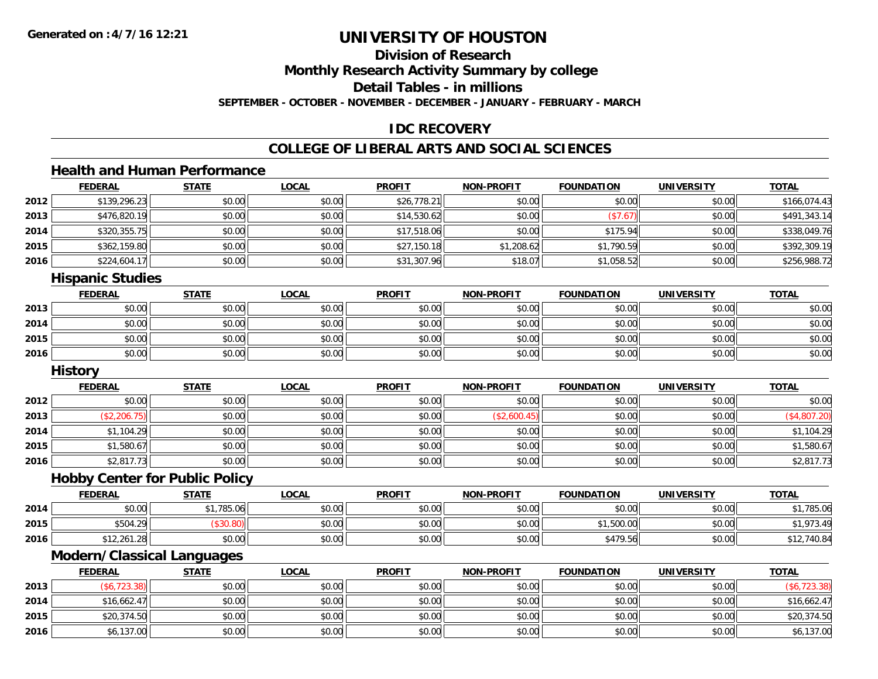**2016**

## **UNIVERSITY OF HOUSTON**

## **Division of Research**

**Monthly Research Activity Summary by college**

**Detail Tables - in millions**

**SEPTEMBER - OCTOBER - NOVEMBER - DECEMBER - JANUARY - FEBRUARY - MARCH**

## **IDC RECOVERY**

## **COLLEGE OF LIBERAL ARTS AND SOCIAL SCIENCES**

## **Health and Human Performance**

|      | <b>FEDERAL</b>                        | <b>STATE</b> | <b>LOCAL</b> | <b>PROFIT</b> | <b>NON-PROFIT</b> | <b>FOUNDATION</b> | <b>UNIVERSITY</b> | <b>TOTAL</b> |
|------|---------------------------------------|--------------|--------------|---------------|-------------------|-------------------|-------------------|--------------|
| 2012 | \$139,296.23                          | \$0.00       | \$0.00       | \$26,778.21   | \$0.00            | \$0.00            | \$0.00            | \$166,074.43 |
| 2013 | \$476,820.19                          | \$0.00       | \$0.00       | \$14,530.62   | \$0.00            | (\$7.67)          | \$0.00            | \$491,343.14 |
| 2014 | \$320,355.75                          | \$0.00       | \$0.00       | \$17,518.06   | \$0.00            | \$175.94          | \$0.00            | \$338,049.76 |
| 2015 | \$362,159.80                          | \$0.00       | \$0.00       | \$27,150.18   | \$1,208.62        | \$1,790.59        | \$0.00            | \$392,309.19 |
| 2016 | \$224,604.17                          | \$0.00       | \$0.00       | \$31,307.96   | \$18.07           | \$1,058.52        | \$0.00            | \$256,988.72 |
|      | <b>Hispanic Studies</b>               |              |              |               |                   |                   |                   |              |
|      | <b>FEDERAL</b>                        | <b>STATE</b> | <b>LOCAL</b> | <b>PROFIT</b> | <b>NON-PROFIT</b> | <b>FOUNDATION</b> | <b>UNIVERSITY</b> | <b>TOTAL</b> |
| 2013 | \$0.00                                | \$0.00       | \$0.00       | \$0.00        | \$0.00            | \$0.00            | \$0.00            | \$0.00       |
| 2014 | \$0.00                                | \$0.00       | \$0.00       | \$0.00        | \$0.00            | \$0.00            | \$0.00            | \$0.00       |
| 2015 | \$0.00                                | \$0.00       | \$0.00       | \$0.00        | \$0.00            | \$0.00            | \$0.00            | \$0.00       |
| 2016 | \$0.00                                | \$0.00       | \$0.00       | \$0.00        | \$0.00            | \$0.00            | \$0.00            | \$0.00       |
|      | <b>History</b>                        |              |              |               |                   |                   |                   |              |
|      | <b>FEDERAL</b>                        | <b>STATE</b> | <b>LOCAL</b> | <b>PROFIT</b> | <b>NON-PROFIT</b> | <b>FOUNDATION</b> | <b>UNIVERSITY</b> | <b>TOTAL</b> |
| 2012 | \$0.00                                | \$0.00       | \$0.00       | \$0.00        | \$0.00            | \$0.00            | \$0.00            | \$0.00       |
| 2013 | (\$2,206.75)                          | \$0.00       | \$0.00       | \$0.00        | (\$2,600.45)      | \$0.00            | \$0.00            | (\$4,807.20) |
| 2014 | \$1,104.29                            | \$0.00       | \$0.00       | \$0.00        | \$0.00            | \$0.00            | \$0.00            | \$1,104.29   |
| 2015 | \$1,580.67                            | \$0.00       | \$0.00       | \$0.00        | \$0.00            | \$0.00            | \$0.00            | \$1,580.67   |
| 2016 | \$2,817.73                            | \$0.00       | \$0.00       | \$0.00        | \$0.00            | \$0.00            | \$0.00            | \$2,817.73   |
|      | <b>Hobby Center for Public Policy</b> |              |              |               |                   |                   |                   |              |
|      | <b>FEDERAL</b>                        | <b>STATE</b> | <b>LOCAL</b> | <b>PROFIT</b> | <b>NON-PROFIT</b> | <b>FOUNDATION</b> | <b>UNIVERSITY</b> | <b>TOTAL</b> |
| 2014 | \$0.00                                | \$1,785.06   | \$0.00       | \$0.00        | \$0.00            | \$0.00            | \$0.00            | \$1,785.06   |
| 2015 | \$504.29                              | (\$30.80)    | \$0.00       | \$0.00        | \$0.00            | \$1,500.00        | \$0.00            | \$1,973.49   |
| 2016 | \$12,261.28                           | \$0.00       | \$0.00       | \$0.00        | \$0.00            | \$479.56          | \$0.00            | \$12,740.84  |
|      | <b>Modern/Classical Languages</b>     |              |              |               |                   |                   |                   |              |
|      | <b>FEDERAL</b>                        | <b>STATE</b> | <b>LOCAL</b> | <b>PROFIT</b> | <b>NON-PROFIT</b> | <b>FOUNDATION</b> | <b>UNIVERSITY</b> | <b>TOTAL</b> |
| 2013 | (\$6, 723.38)                         | \$0.00       | \$0.00       | \$0.00        | \$0.00            | \$0.00            | \$0.00            | (\$6,723.38) |
| 2014 | \$16,662.47                           | \$0.00       | \$0.00       | \$0.00        | \$0.00            | \$0.00            | \$0.00            | \$16,662.47  |
| 2015 | \$20,374.50                           | \$0.00       | \$0.00       | \$0.00        | \$0.00            | \$0.00            | \$0.00            | \$20,374.50  |

\$6,137.00 \$0.00 \$0.00 \$0.00 \$0.00 \$0.00 \$0.00 \$6,137.00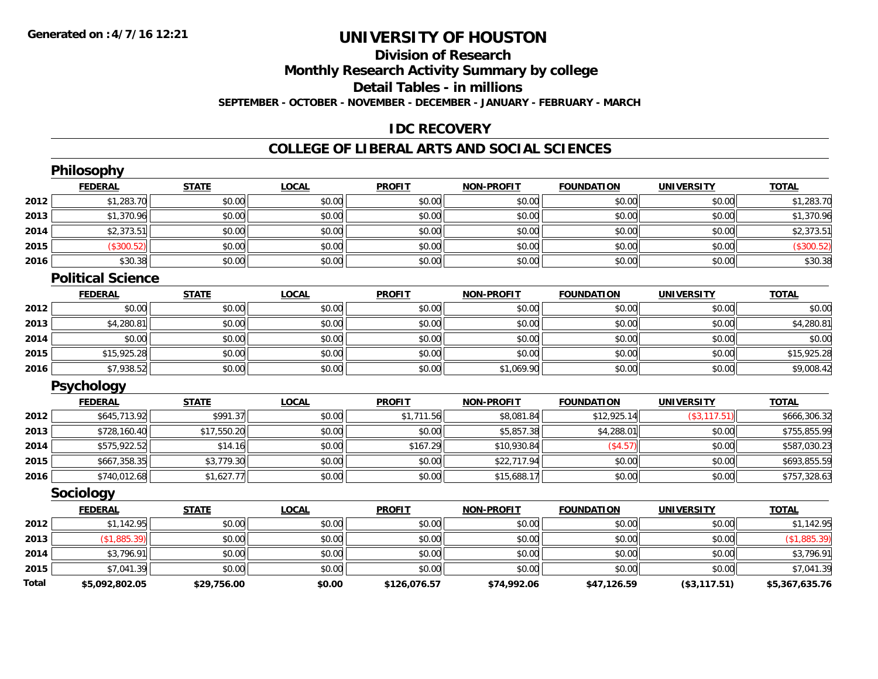## **Division of Research**

**Monthly Research Activity Summary by college**

**Detail Tables - in millions**

**SEPTEMBER - OCTOBER - NOVEMBER - DECEMBER - JANUARY - FEBRUARY - MARCH**

## **IDC RECOVERY**

### **COLLEGE OF LIBERAL ARTS AND SOCIAL SCIENCES**

|              | Philosophy               |              |              |               |                   |                   |                   |                |
|--------------|--------------------------|--------------|--------------|---------------|-------------------|-------------------|-------------------|----------------|
|              | <b>FEDERAL</b>           | <b>STATE</b> | <b>LOCAL</b> | <b>PROFIT</b> | <b>NON-PROFIT</b> | <b>FOUNDATION</b> | <b>UNIVERSITY</b> | <b>TOTAL</b>   |
| 2012         | \$1,283.70               | \$0.00       | \$0.00       | \$0.00        | \$0.00            | \$0.00            | \$0.00            | \$1,283.70     |
| 2013         | \$1,370.96               | \$0.00       | \$0.00       | \$0.00        | \$0.00            | \$0.00            | \$0.00            | \$1,370.96     |
| 2014         | \$2,373.51               | \$0.00       | \$0.00       | \$0.00        | \$0.00            | \$0.00            | \$0.00            | \$2,373.51     |
| 2015         | (\$300.52)               | \$0.00       | \$0.00       | \$0.00        | \$0.00            | \$0.00            | \$0.00            | (\$300.52)     |
| 2016         | \$30.38                  | \$0.00       | \$0.00       | \$0.00        | \$0.00            | \$0.00            | \$0.00            | \$30.38        |
|              | <b>Political Science</b> |              |              |               |                   |                   |                   |                |
|              | <b>FEDERAL</b>           | <b>STATE</b> | <b>LOCAL</b> | <b>PROFIT</b> | <b>NON-PROFIT</b> | <b>FOUNDATION</b> | <b>UNIVERSITY</b> | <b>TOTAL</b>   |
| 2012         | \$0.00                   | \$0.00       | \$0.00       | \$0.00        | \$0.00            | \$0.00            | \$0.00            | \$0.00         |
| 2013         | \$4,280.81               | \$0.00       | \$0.00       | \$0.00        | \$0.00            | \$0.00            | \$0.00            | \$4,280.81     |
| 2014         | \$0.00                   | \$0.00       | \$0.00       | \$0.00        | \$0.00            | \$0.00            | \$0.00            | \$0.00         |
| 2015         | \$15,925.28              | \$0.00       | \$0.00       | \$0.00        | \$0.00            | \$0.00            | \$0.00            | \$15,925.28    |
| 2016         | \$7,938.52               | \$0.00       | \$0.00       | \$0.00        | \$1,069.90        | \$0.00            | \$0.00            | \$9,008.42     |
|              | <b>Psychology</b>        |              |              |               |                   |                   |                   |                |
|              | <b>FEDERAL</b>           | <b>STATE</b> | <b>LOCAL</b> | <b>PROFIT</b> | <b>NON-PROFIT</b> | <b>FOUNDATION</b> | <b>UNIVERSITY</b> | <b>TOTAL</b>   |
| 2012         | \$645,713.92             | \$991.37     | \$0.00       | \$1,711.56    | \$8,081.84        | \$12,925.14       | (\$3,117.51)      | \$666,306.32   |
| 2013         | \$728,160.40             | \$17,550.20  | \$0.00       | \$0.00        | \$5,857.38        | \$4,288.01        | \$0.00            | \$755,855.99   |
| 2014         | \$575,922.52             | \$14.16      | \$0.00       | \$167.29      | \$10,930.84       | (\$4.57)          | \$0.00            | \$587,030.23   |
| 2015         | \$667,358.35             | \$3,779.30   | \$0.00       | \$0.00        | \$22,717.94       | \$0.00            | \$0.00            | \$693,855.59   |
| 2016         | \$740,012.68             | \$1,627.77   | \$0.00       | \$0.00        | \$15,688.17       | \$0.00            | \$0.00            | \$757,328.63   |
|              | <b>Sociology</b>         |              |              |               |                   |                   |                   |                |
|              | <b>FEDERAL</b>           | <b>STATE</b> | <b>LOCAL</b> | <b>PROFIT</b> | <b>NON-PROFIT</b> | <b>FOUNDATION</b> | <b>UNIVERSITY</b> | <b>TOTAL</b>   |
| 2012         | \$1,142.95               | \$0.00       | \$0.00       | \$0.00        | \$0.00            | \$0.00            | \$0.00            | \$1,142.95     |
| 2013         | (\$1,885.39)             | \$0.00       | \$0.00       | \$0.00        | \$0.00            | \$0.00            | \$0.00            | (\$1,885.39)   |
| 2014         | \$3,796.91               | \$0.00       | \$0.00       | \$0.00        | \$0.00            | \$0.00            | \$0.00            | \$3,796.91     |
| 2015         | \$7,041.39               | \$0.00       | \$0.00       | \$0.00        | \$0.00            | \$0.00            | \$0.00            | \$7,041.39     |
| <b>Total</b> | \$5,092,802.05           | \$29,756.00  | \$0.00       | \$126,076.57  | \$74,992.06       | \$47,126.59       | (\$3,117.51)      | \$5,367,635.76 |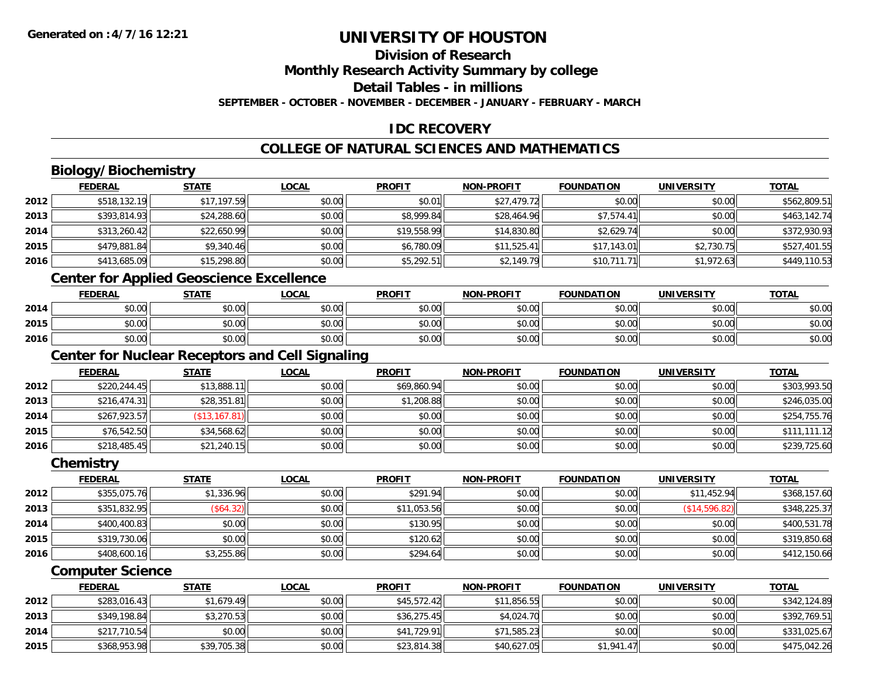## **Division of Research**

**Monthly Research Activity Summary by college**

**Detail Tables - in millions**

**SEPTEMBER - OCTOBER - NOVEMBER - DECEMBER - JANUARY - FEBRUARY - MARCH**

## **IDC RECOVERY**

## **COLLEGE OF NATURAL SCIENCES AND MATHEMATICS**

## **Biology/Biochemistry**

|      | <b>FEDERAL</b> | <u>STATE</u> | <b>LOCAL</b> | <b>PROFIT</b> | <b>NON-PROFIT</b> | <b>FOUNDATION</b> | <b>UNIVERSITY</b> | <b>TOTAL</b> |
|------|----------------|--------------|--------------|---------------|-------------------|-------------------|-------------------|--------------|
| 2012 | \$518,132.19   | \$17,197.59  | \$0.00       | \$0.01        | \$27,479.72       | \$0.00            | \$0.00            | \$562,809.51 |
| 2013 | \$393,814.93   | \$24,288.60  | \$0.00       | \$8,999.84    | \$28,464.96       | \$7,574.41        | \$0.00            | \$463,142.74 |
| 2014 | \$313,260.42   | \$22,650.99  | \$0.00       | \$19,558.99   | \$14,830.80       | \$2,629.74        | \$0.00            | \$372,930.93 |
| 2015 | \$479,881.84   | \$9,340.46   | \$0.00       | \$6,780.09    | \$11,525.41       | \$17,143.01       | \$2,730.75        | \$527,401.55 |
| 2016 | \$413,685.09   | \$15,298.80  | \$0.00       | \$5,292.51    | \$2,149.79        | \$10,711.71       | \$1,972.63        | \$449,110.53 |

## **Center for Applied Geoscience Excellence**

|      | <b>FEDERAL</b>        | STATE  | <b>LOCAL</b>          | <b>PROFIT</b>  | <b>NON-PROFIT</b> | <b>FOUNDATION</b> | <b>UNIVERSITY</b> | <b>TOTAL</b> |
|------|-----------------------|--------|-----------------------|----------------|-------------------|-------------------|-------------------|--------------|
| 2014 | <b>CO OD</b><br>90.UU | \$0.00 | <b>AO OO</b><br>PO.OO | ≮∩ ∩∩<br>PO.OO | \$0.00            | \$0.00            | \$0.00            | \$0.00       |
| 2015 | ≮n nn<br>PU.UU        | \$0.00 | ≮∩ ∩∩<br>PO.OO        | \$0.00         | \$0.00            | \$0.00            | \$0.00            | \$0.00       |
| 2016 | 40.00<br>\$U.UU       | \$0.00 | \$0.00                | \$0.00         | \$0.00            | \$0.00            | \$0.00            | \$0.00       |

<u> 1980 - Johann Barn, fransk politik (d. 1980)</u>

## **Center for Nuclear Receptors and Cell Signaling**

|      | <b>FEDERAL</b> | <b>STATE</b>   | <b>LOCAL</b> | <b>PROFIT</b> | <b>NON-PROFIT</b> | <b>FOUNDATION</b> | <b>UNIVERSITY</b> | <b>TOTAL</b> |
|------|----------------|----------------|--------------|---------------|-------------------|-------------------|-------------------|--------------|
| 2012 | \$220,244.45   | \$13,888.11    | \$0.00       | \$69,860.94   | \$0.00            | \$0.00            | \$0.00            | \$303,993.50 |
| 2013 | \$216,474.31   | \$28,351.81    | \$0.00       | \$1,208.88    | \$0.00            | \$0.00            | \$0.00            | \$246,035.00 |
| 2014 | \$267,923.57   | (\$13, 167.81) | \$0.00       | \$0.00        | \$0.00            | \$0.00            | \$0.00            | \$254,755.76 |
| 2015 | \$76,542.50    | \$34,568.62    | \$0.00       | \$0.00        | \$0.00            | \$0.00            | \$0.00            | \$111,111.12 |
| 2016 | \$218,485.45   | \$21,240.15    | \$0.00       | \$0.00        | \$0.00            | \$0.00            | \$0.00            | \$239,725.60 |

#### **Chemistry**

|      | <b>FEDERAL</b> | <b>STATE</b> | <u>LOCAL</u> | <b>PROFIT</b> | <b>NON-PROFIT</b> | <b>FOUNDATION</b> | <b>UNIVERSITY</b> | <b>TOTAL</b> |
|------|----------------|--------------|--------------|---------------|-------------------|-------------------|-------------------|--------------|
| 2012 | \$355,075.76   | \$1,336.96   | \$0.00       | \$291.94      | \$0.00            | \$0.00            | \$11,452.94       | \$368,157.60 |
| 2013 | \$351,832.95   | (\$64.32)    | \$0.00       | \$11,053.56   | \$0.00            | \$0.00            | (\$14,596.82)     | \$348,225.37 |
| 2014 | \$400,400.83   | \$0.00       | \$0.00       | \$130.95      | \$0.00            | \$0.00            | \$0.00            | \$400,531.78 |
| 2015 | \$319,730.06   | \$0.00       | \$0.00       | \$120.62      | \$0.00            | \$0.00            | \$0.00            | \$319,850.68 |
| 2016 | \$408,600.16   | \$3,255.86   | \$0.00       | \$294.64      | \$0.00            | \$0.00            | \$0.00            | \$412,150.66 |

#### **Computer Science**

|      | <b>FEDERAL</b> | <u>STATE</u> | <u>LOCAL</u> | <b>PROFIT</b> | <b>NON-PROFIT</b> | <b>FOUNDATION</b> | UNIVERSITY | <b>TOTAL</b> |
|------|----------------|--------------|--------------|---------------|-------------------|-------------------|------------|--------------|
| 2012 | \$283,016.43   | \$1,679.49   | \$0.00       | \$45,572.42   | \$11,856.55       | \$0.00            | \$0.00     | \$342,124.89 |
| 2013 | \$349,198.84   | \$3,270.53   | \$0.00       | \$36,275.45   | \$4,024.70        | \$0.00            | \$0.00     | \$392,769.51 |
| 2014 | \$217,710.54   | \$0.00       | \$0.00       | \$41,729.91   | \$71,585.23       | \$0.00            | \$0.00     | \$331,025.67 |
| 2015 | \$368,953.98   | \$39,705.38  | \$0.00       | \$23,814.38   | \$40,627.05       | \$1.941.47        | \$0.00     | \$475,042.26 |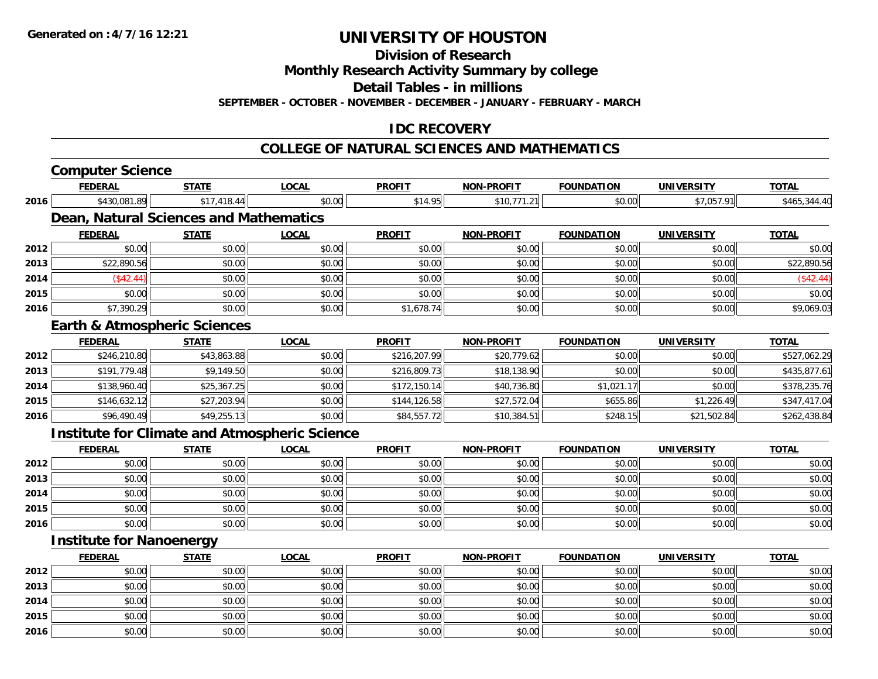**Division of Research**

**Monthly Research Activity Summary by college**

**Detail Tables - in millions**

**SEPTEMBER - OCTOBER - NOVEMBER - DECEMBER - JANUARY - FEBRUARY - MARCH**

## **IDC RECOVERY**

#### **COLLEGE OF NATURAL SCIENCES AND MATHEMATICS**

|      | <b>Computer Science</b>                              |              |              |               |                   |                   |                   |              |
|------|------------------------------------------------------|--------------|--------------|---------------|-------------------|-------------------|-------------------|--------------|
|      | <b>FEDERAL</b>                                       | <b>STATE</b> | <b>LOCAL</b> | <b>PROFIT</b> | <b>NON-PROFIT</b> | <b>FOUNDATION</b> | <b>UNIVERSITY</b> | <b>TOTAL</b> |
| 2016 | \$430,081.89                                         | \$17,418.44  | \$0.00       | \$14.95       | \$10,771.21       | \$0.00            | \$7,057.91        | \$465,344.40 |
|      | <b>Dean, Natural Sciences and Mathematics</b>        |              |              |               |                   |                   |                   |              |
|      | <b>FEDERAL</b>                                       | <b>STATE</b> | <b>LOCAL</b> | <b>PROFIT</b> | <b>NON-PROFIT</b> | <b>FOUNDATION</b> | <b>UNIVERSITY</b> | <b>TOTAL</b> |
| 2012 | \$0.00                                               | \$0.00       | \$0.00       | \$0.00        | \$0.00            | \$0.00            | \$0.00            | \$0.00       |
| 2013 | \$22,890.56                                          | \$0.00       | \$0.00       | \$0.00        | \$0.00            | \$0.00            | \$0.00            | \$22,890.56  |
| 2014 | (\$42.44)                                            | \$0.00       | \$0.00       | \$0.00        | \$0.00            | \$0.00            | \$0.00            | (\$42.44)    |
| 2015 | \$0.00                                               | \$0.00       | \$0.00       | \$0.00        | \$0.00            | \$0.00            | \$0.00            | \$0.00       |
| 2016 | \$7,390.29                                           | \$0.00       | \$0.00       | \$1,678.74    | \$0.00            | \$0.00            | \$0.00            | \$9,069.03   |
|      | <b>Earth &amp; Atmospheric Sciences</b>              |              |              |               |                   |                   |                   |              |
|      | <b>FEDERAL</b>                                       | <b>STATE</b> | <b>LOCAL</b> | <b>PROFIT</b> | <b>NON-PROFIT</b> | <b>FOUNDATION</b> | <b>UNIVERSITY</b> | <b>TOTAL</b> |
| 2012 | \$246,210.80                                         | \$43,863.88  | \$0.00       | \$216,207.99  | \$20,779.62       | \$0.00            | \$0.00            | \$527,062.29 |
| 2013 | \$191,779.48                                         | \$9,149.50   | \$0.00       | \$216,809.73  | \$18,138.90       | \$0.00            | \$0.00            | \$435,877.61 |
| 2014 | \$138,960.40                                         | \$25,367.25  | \$0.00       | \$172,150.14  | \$40,736.80       | \$1,021.17        | \$0.00            | \$378,235.76 |
| 2015 | \$146,632.12                                         | \$27,203.94  | \$0.00       | \$144,126.58  | \$27,572.04       | \$655.86          | \$1,226.49        | \$347,417.04 |
| 2016 | \$96,490.49                                          | \$49,255.13  | \$0.00       | \$84,557.72   | \$10,384.51       | \$248.15          | \$21,502.84       | \$262,438.84 |
|      | <b>Institute for Climate and Atmospheric Science</b> |              |              |               |                   |                   |                   |              |
|      | <b>FEDERAL</b>                                       | <b>STATE</b> | <b>LOCAL</b> | <b>PROFIT</b> | <b>NON-PROFIT</b> | <b>FOUNDATION</b> | <b>UNIVERSITY</b> | <b>TOTAL</b> |
| 2012 | \$0.00                                               | \$0.00       | \$0.00       | \$0.00        | \$0.00            | \$0.00            | \$0.00            | \$0.00       |
| 2013 | \$0.00                                               | \$0.00       | \$0.00       | \$0.00        | \$0.00            | \$0.00            | \$0.00            | \$0.00       |
| 2014 | \$0.00                                               | \$0.00       | \$0.00       | \$0.00        | \$0.00            | \$0.00            | \$0.00            | \$0.00       |
| 2015 | \$0.00                                               | \$0.00       | \$0.00       | \$0.00        | \$0.00            | \$0.00            | \$0.00            | \$0.00       |
| 2016 | \$0.00                                               | \$0.00       | \$0.00       | \$0.00        | \$0.00            | \$0.00            | \$0.00            | \$0.00       |
|      | <b>Institute for Nanoenergy</b>                      |              |              |               |                   |                   |                   |              |
|      | <b>FEDERAL</b>                                       | <b>STATE</b> | <b>LOCAL</b> | <b>PROFIT</b> | <b>NON-PROFIT</b> | <b>FOUNDATION</b> | <b>UNIVERSITY</b> | <b>TOTAL</b> |
| 2012 | \$0.00                                               | \$0.00       | \$0.00       | \$0.00        | \$0.00            | \$0.00            | \$0.00            | \$0.00       |
| 2013 | \$0.00                                               | \$0.00       | \$0.00       | \$0.00        | \$0.00            | \$0.00            | \$0.00            | \$0.00       |
| 2014 | \$0.00                                               | \$0.00       | \$0.00       | \$0.00        | \$0.00            | \$0.00            | \$0.00            | \$0.00       |
| 2015 | \$0.00                                               | \$0.00       | \$0.00       | \$0.00        | \$0.00            | \$0.00            | \$0.00            | \$0.00       |
| 2016 | \$0.00                                               | \$0.00       | \$0.00       | \$0.00        | \$0.00            | \$0.00            | \$0.00            | \$0.00       |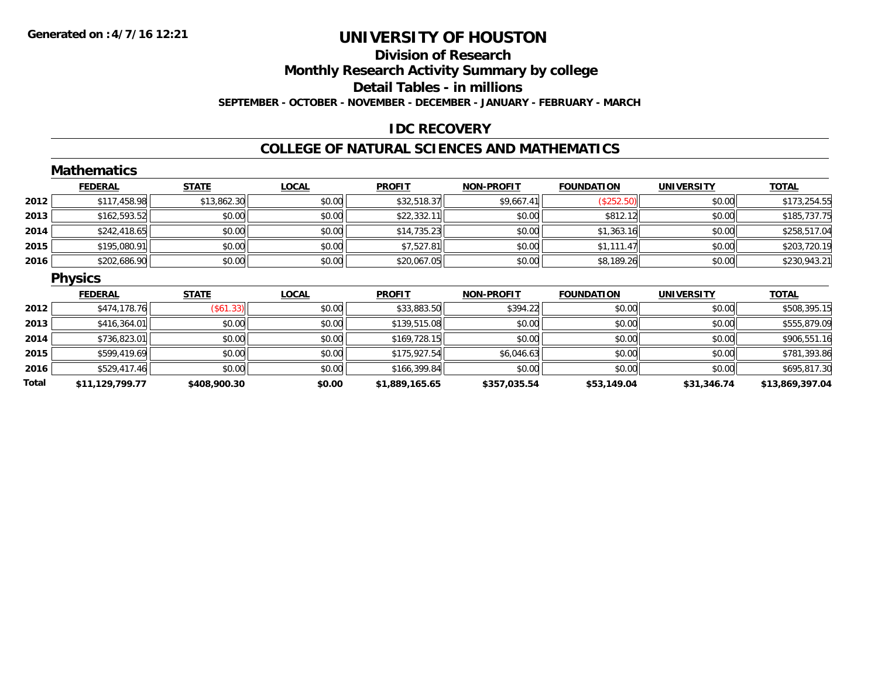## **Division of ResearchMonthly Research Activity Summary by college Detail Tables - in millions SEPTEMBER - OCTOBER - NOVEMBER - DECEMBER - JANUARY - FEBRUARY - MARCH**

## **IDC RECOVERY**

### **COLLEGE OF NATURAL SCIENCES AND MATHEMATICS**

|       | <b>Mathematics</b> |                  |              |                |                   |                   |                   |                 |
|-------|--------------------|------------------|--------------|----------------|-------------------|-------------------|-------------------|-----------------|
|       | <b>FEDERAL</b>     | <b>STATE</b>     | <b>LOCAL</b> | <b>PROFIT</b>  | <b>NON-PROFIT</b> | <b>FOUNDATION</b> | <b>UNIVERSITY</b> | <b>TOTAL</b>    |
| 2012  | \$117,458.98       | \$13,862.30      | \$0.00       | \$32,518.37    | \$9,667.41        | (\$252.50)        | \$0.00            | \$173,254.55    |
| 2013  | \$162,593.52       | \$0.00           | \$0.00       | \$22,332.11    | \$0.00            | \$812.12          | \$0.00            | \$185,737.75    |
| 2014  | \$242,418.65       | \$0.00           | \$0.00       | \$14,735.23    | \$0.00            | \$1,363.16        | \$0.00            | \$258,517.04    |
| 2015  | \$195,080.91       | \$0.00           | \$0.00       | \$7,527.81     | \$0.00            | \$1,111.47        | \$0.00            | \$203,720.19    |
| 2016  | \$202,686.90       | \$0.00           | \$0.00       | \$20,067.05    | \$0.00            | \$8,189.26        | \$0.00            | \$230,943.21    |
|       | <b>Physics</b>     |                  |              |                |                   |                   |                   |                 |
|       | <b>FEDERAL</b>     | <b>STATE</b>     | <b>LOCAL</b> | <b>PROFIT</b>  | <b>NON-PROFIT</b> | <b>FOUNDATION</b> | <b>UNIVERSITY</b> | <b>TOTAL</b>    |
| 2012  | \$474,178.76       | $($ \$61.33) $ $ | \$0.00       | \$33,883.50    | \$394.22          | \$0.00            | \$0.00            | \$508,395.15    |
| 2013  | \$416,364.01       | \$0.00           | \$0.00       | \$139,515.08   | \$0.00            | \$0.00            | \$0.00            | \$555,879.09    |
| 2014  | \$736,823.01       | \$0.00           | \$0.00       | \$169,728.15   | \$0.00            | \$0.00            | \$0.00            | \$906,551.16    |
| 2015  | \$599,419.69       | \$0.00           | \$0.00       | \$175,927.54   | \$6,046.63        | \$0.00            | \$0.00            | \$781,393.86    |
| 2016  | \$529,417.46       | \$0.00           | \$0.00       | \$166,399.84   | \$0.00            | \$0.00            | \$0.00            | \$695,817.30    |
| Total | \$11,129,799.77    | \$408,900.30     | \$0.00       | \$1,889,165.65 | \$357,035.54      | \$53,149.04       | \$31,346.74       | \$13,869,397.04 |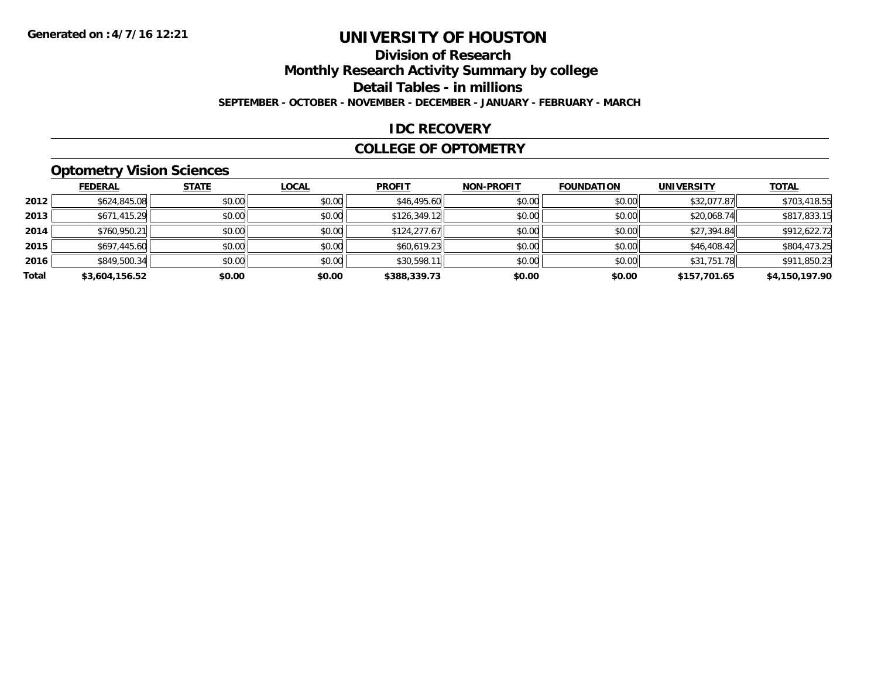## **Division of Research**

**Monthly Research Activity Summary by college**

**Detail Tables - in millions**

**SEPTEMBER - OCTOBER - NOVEMBER - DECEMBER - JANUARY - FEBRUARY - MARCH**

### **IDC RECOVERY**

#### **COLLEGE OF OPTOMETRY**

## **Optometry Vision Sciences**

|       | <b>FEDERAL</b> | <b>STATE</b> | <b>LOCAL</b> | <b>PROFIT</b> | <b>NON-PROFIT</b> | <b>FOUNDATION</b> | <b>UNIVERSITY</b> | <b>TOTAL</b>   |
|-------|----------------|--------------|--------------|---------------|-------------------|-------------------|-------------------|----------------|
| 2012  | \$624,845.08   | \$0.00       | \$0.00       | \$46,495.60   | \$0.00            | \$0.00            | \$32,077.87       | \$703,418.55   |
| 2013  | \$671,415.29   | \$0.00       | \$0.00       | \$126,349.12  | \$0.00            | \$0.00            | \$20,068.74       | \$817,833.15   |
| 2014  | \$760,950.21   | \$0.00       | \$0.00       | \$124,277.67  | \$0.00            | \$0.00            | \$27,394.84       | \$912,622.72   |
| 2015  | \$697,445.60   | \$0.00       | \$0.00       | \$60,619.23   | \$0.00            | \$0.00            | \$46,408.42       | \$804,473.25   |
| 2016  | \$849,500.34   | \$0.00       | \$0.00       | \$30,598.11   | \$0.00            | \$0.00            | \$31,751.78       | \$911,850.23   |
| Total | \$3,604,156.52 | \$0.00       | \$0.00       | \$388,339.73  | \$0.00            | \$0.00            | \$157,701.65      | \$4,150,197.90 |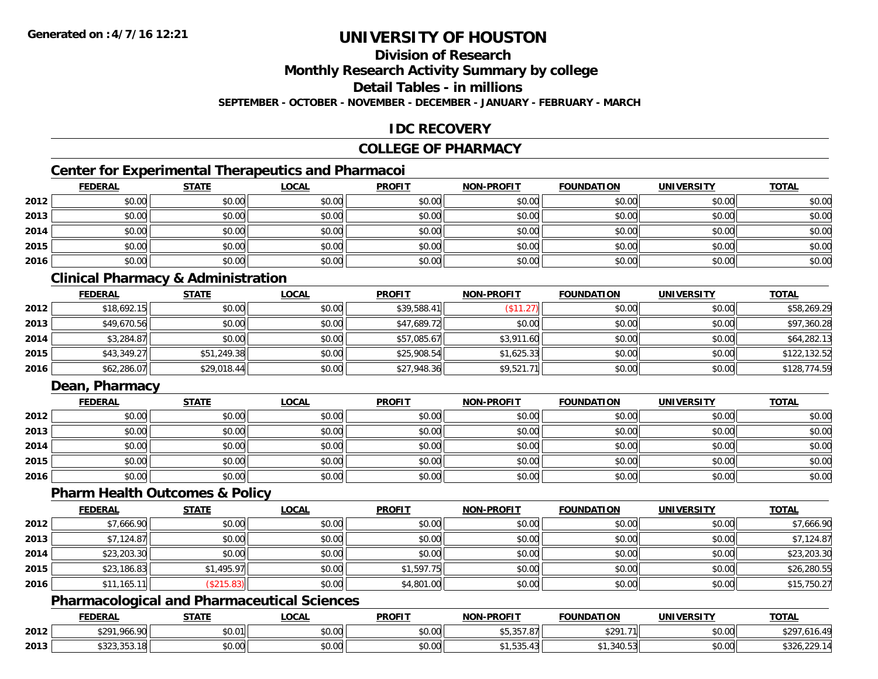## **Division of Research**

**Monthly Research Activity Summary by college**

**Detail Tables - in millions**

**SEPTEMBER - OCTOBER - NOVEMBER - DECEMBER - JANUARY - FEBRUARY - MARCH**

## **IDC RECOVERY**

### **COLLEGE OF PHARMACY**

## **Center for Experimental Therapeutics and Pharmacoi**

|      | <b>FEDERAL</b> | <b>STATE</b> | <b>LOCAL</b> | <b>PROFIT</b> | <b>NON-PROFIT</b> | <b>FOUNDATION</b> | <b>UNIVERSITY</b> | <b>TOTAL</b> |
|------|----------------|--------------|--------------|---------------|-------------------|-------------------|-------------------|--------------|
| 2012 | \$0.00         | \$0.00       | \$0.00       | \$0.00        | \$0.00            | \$0.00            | \$0.00            | \$0.00       |
| 2013 | \$0.00         | \$0.00       | \$0.00       | \$0.00        | \$0.00            | \$0.00            | \$0.00            | \$0.00       |
| 2014 | \$0.00         | \$0.00       | \$0.00       | \$0.00        | \$0.00            | \$0.00            | \$0.00            | \$0.00       |
| 2015 | \$0.00         | \$0.00       | \$0.00       | \$0.00        | \$0.00            | \$0.00            | \$0.00            | \$0.00       |
| 2016 | \$0.00         | \$0.00       | \$0.00       | \$0.00        | \$0.00            | \$0.00            | \$0.00            | \$0.00       |

## **Clinical Pharmacy & Administration**

|      | <b>FEDERAL</b> | <b>STATE</b> | <b>LOCAL</b> | <b>PROFIT</b> | <b>NON-PROFIT</b> | <b>FOUNDATION</b> | <b>UNIVERSITY</b> | <b>TOTAL</b> |
|------|----------------|--------------|--------------|---------------|-------------------|-------------------|-------------------|--------------|
| 2012 | \$18,692.15    | \$0.00       | \$0.00       | \$39,588.41   |                   | \$0.00            | \$0.00            | \$58,269.29  |
| 2013 | \$49,670.56    | \$0.00       | \$0.00       | \$47,689.72   | \$0.00            | \$0.00            | \$0.00            | \$97,360.28  |
| 2014 | \$3,284.87     | \$0.00       | \$0.00       | \$57,085.67   | \$3,911.60        | \$0.00            | \$0.00            | \$64,282.13  |
| 2015 | \$43,349.27    | \$51,249.38  | \$0.00       | \$25,908.54   | \$1,625.33        | \$0.00            | \$0.00            | \$122,132.52 |
| 2016 | \$62,286.07    | \$29,018.44  | \$0.00       | \$27,948.36   | \$9,521.71        | \$0.00            | \$0.00            | \$128,774.59 |

## **Dean, Pharmacy**

|      | <b>FEDERAL</b> | <u>STATE</u> | <u>LOCAL</u> | <b>PROFIT</b> | <b>NON-PROFIT</b> | <b>FOUNDATION</b> | <b>UNIVERSITY</b> | <b>TOTAL</b> |
|------|----------------|--------------|--------------|---------------|-------------------|-------------------|-------------------|--------------|
| 2012 | \$0.00         | \$0.00       | \$0.00       | \$0.00        | \$0.00            | \$0.00            | \$0.00            | \$0.00       |
| 2013 | \$0.00         | \$0.00       | \$0.00       | \$0.00        | \$0.00            | \$0.00            | \$0.00            | \$0.00       |
| 2014 | \$0.00         | \$0.00       | \$0.00       | \$0.00        | \$0.00            | \$0.00            | \$0.00            | \$0.00       |
| 2015 | \$0.00         | \$0.00       | \$0.00       | \$0.00        | \$0.00            | \$0.00            | \$0.00            | \$0.00       |
| 2016 | \$0.00         | \$0.00       | \$0.00       | \$0.00        | \$0.00            | \$0.00            | \$0.00            | \$0.00       |

#### **Pharm Health Outcomes & Policy**

|      | <b>FEDERAL</b> | <b>STATE</b> | <u>LOCAL</u> | <b>PROFIT</b> | <b>NON-PROFIT</b> | <b>FOUNDATION</b> | <b>UNIVERSITY</b> | <b>TOTAL</b> |
|------|----------------|--------------|--------------|---------------|-------------------|-------------------|-------------------|--------------|
| 2012 | \$7,666.90     | \$0.00       | \$0.00       | \$0.00        | \$0.00            | \$0.00            | \$0.00            | \$7,666.90   |
| 2013 | \$7,124.87     | \$0.00       | \$0.00       | \$0.00        | \$0.00            | \$0.00            | \$0.00            | \$7,124.87   |
| 2014 | \$23,203.30    | \$0.00       | \$0.00       | \$0.00        | \$0.00            | \$0.00            | \$0.00            | \$23,203.30  |
| 2015 | \$23,186.83    | \$1,495.97   | \$0.00       | \$1,597.75    | \$0.00            | \$0.00            | \$0.00            | \$26,280.55  |
| 2016 | \$11,165.1     | \$215.83     | \$0.00       | \$4,801.00    | \$0.00            | \$0.00            | \$0.00            | \$15,750.27  |

## **Pharmacological and Pharmaceutical Sciences**

|      | <b>FEDERAL</b>                               | <b>CTATE</b><br>- 31 A L | <b>OCAL</b>               | <b>PROFIT</b> | <b>LPROFIT</b><br><b>NIONI</b>         | <b>FOUNDATION</b> | UNIVERSITY           | <b>TOTAL</b>                       |
|------|----------------------------------------------|--------------------------|---------------------------|---------------|----------------------------------------|-------------------|----------------------|------------------------------------|
| 2012 | \$201,966<br>. റെ                            | 00001<br>JU.U            | $\sim$<br>$\sim$<br>40.00 | 0.00<br>DU.UG | $- - - - -$<br>$\sim$<br>.011<br>ມປາບປ | \$29171<br>9271.  | 0.00<br><b>DU.UG</b> | $\overline{a}$<br>70<br>10.<br>. U |
| 2013 | $\sim$ $\sim$ $\sim$<br>.<br>. ⊍سادل بن دے ب | \$0.00                   | ሖ ∩<br>PU.UU              | 0000<br>DU.UG | ┱…<br>.                                | $\cdot$ .         | 0.00<br><b>DU.UU</b> |                                    |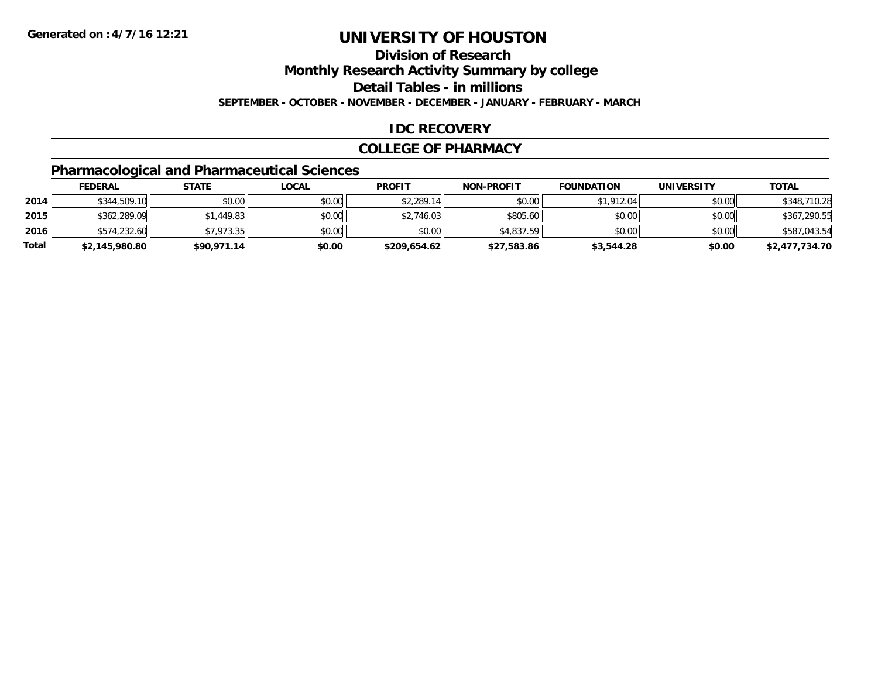## **Division of Research**

**Monthly Research Activity Summary by college**

**Detail Tables - in millions**

**SEPTEMBER - OCTOBER - NOVEMBER - DECEMBER - JANUARY - FEBRUARY - MARCH**

## **IDC RECOVERY**

#### **COLLEGE OF PHARMACY**

## **Pharmacological and Pharmaceutical Sciences**

|       | <b>FEDERAL</b> | <u>STATE</u> | <u>LOCAL</u> | <b>PROFIT</b> | <b>NON-PROFIT</b> | <b>FOUNDATION</b> | UNIVERSITY | <b>TOTAL</b>   |
|-------|----------------|--------------|--------------|---------------|-------------------|-------------------|------------|----------------|
| 2014  | \$344,509.10   | \$0.00       | \$0.00       | \$2,289.14    | \$0.00            | \$1,912.04        | \$0.00     | \$348,710.28   |
| 2015  | \$362,289.09   | \$1,449.83   | \$0.00       | \$2,746.03    | \$805.60          | \$0.00            | \$0.00     | \$367,290.55   |
| 2016  | \$574,232.60   | \$7,973.35   | \$0.00       | \$0.00        | \$4,837.59        | \$0.00            | \$0.00     | \$587.043.54   |
| Total | \$2,145,980.80 | \$90,971.14  | \$0.00       | \$209,654.62  | \$27,583.86       | \$3,544.28        | \$0.00     | \$2,477,734.70 |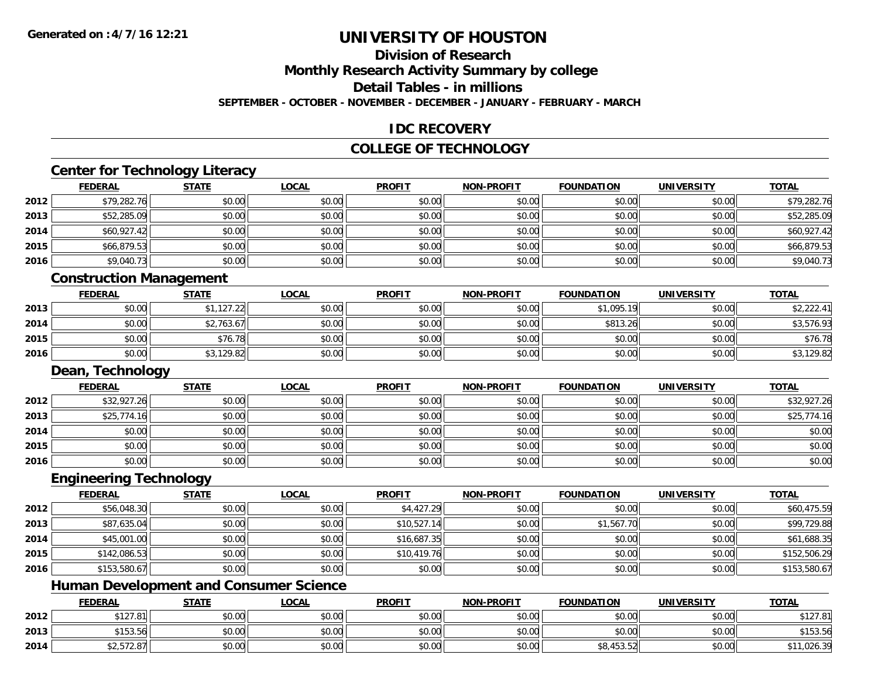## **Division of Research**

**Monthly Research Activity Summary by college**

**Detail Tables - in millions**

**SEPTEMBER - OCTOBER - NOVEMBER - DECEMBER - JANUARY - FEBRUARY - MARCH**

## **IDC RECOVERY**

## **COLLEGE OF TECHNOLOGY**

<u> 1980 - Johann Barbara, martxa amerikan bashkar (</u>

# **Center for Technology Literacy**

|      | <b>FEDERAL</b>          | <b>STATE</b> | <b>LOCAL</b> | <b>PROFIT</b> | <b>NON-PROFIT</b> | <b>FOUNDATION</b> | <b>UNIVERSITY</b> | <b>TOTAL</b> |
|------|-------------------------|--------------|--------------|---------------|-------------------|-------------------|-------------------|--------------|
| 2012 | \$79,282.76             | \$0.00       | \$0.00       | \$0.00        | \$0.00            | \$0.00            | \$0.00            | \$79,282.76  |
| 2013 | \$52,285.09             | \$0.00       | \$0.00       | \$0.00        | \$0.00            | \$0.00            | \$0.00            | \$52,285.09  |
| 2014 | \$60,927.42             | \$0.00       | \$0.00       | \$0.00        | \$0.00            | \$0.00            | \$0.00            | \$60,927.42  |
| 2015 | \$66,879.53             | \$0.00       | \$0.00       | \$0.00        | \$0.00            | \$0.00            | \$0.00            | \$66,879.53  |
| 2016 | \$9,040.73              | \$0.00       | \$0.00       | \$0.00        | \$0.00            | \$0.00            | \$0.00            | \$9,040.73   |
|      | Conctruction Monogomont |              |              |               |                   |                   |                   |              |

#### **Construction Management**

|      | <b>FEDERAL</b> | <b>STATE</b> | <u>LOCAL</u> | <b>PROFIT</b> | <b>NON-PROFIT</b> | <b>FOUNDATION</b> | <b>UNIVERSITY</b> | <b>TOTAL</b> |
|------|----------------|--------------|--------------|---------------|-------------------|-------------------|-------------------|--------------|
| 2013 | \$0.00         | ال1,127.22   | \$0.00       | \$0.00        | \$0.00            | \$1,095.19        | \$0.00            | \$2,222.41   |
| 2014 | \$0.00         | \$2,763.67   | \$0.00       | \$0.00        | \$0.00            | \$813.26          | \$0.00            | \$3,576.93   |
| 2015 | \$0.00         | \$76.78      | \$0.00       | \$0.00        | \$0.00            | \$0.00            | \$0.00            | \$76.78      |
| 2016 | \$0.00         | \$3,129.82   | \$0.00       | \$0.00        | \$0.00            | \$0.00            | \$0.00            | \$3,129.82   |

#### **Dean, Technology**

|      | <b>FEDERAL</b> | <b>STATE</b> | <u>LOCAL</u> | <b>PROFIT</b> | <b>NON-PROFIT</b> | <b>FOUNDATION</b> | <b>UNIVERSITY</b> | <b>TOTAL</b> |
|------|----------------|--------------|--------------|---------------|-------------------|-------------------|-------------------|--------------|
| 2012 | \$32,927.26    | \$0.00       | \$0.00       | \$0.00        | \$0.00            | \$0.00            | \$0.00            | \$32,927.26  |
| 2013 | \$25,774.16    | \$0.00       | \$0.00       | \$0.00        | \$0.00            | \$0.00            | \$0.00            | \$25,774.16  |
| 2014 | \$0.00         | \$0.00       | \$0.00       | \$0.00        | \$0.00            | \$0.00            | \$0.00            | \$0.00       |
| 2015 | \$0.00         | \$0.00       | \$0.00       | \$0.00        | \$0.00            | \$0.00            | \$0.00            | \$0.00       |
| 2016 | \$0.00         | \$0.00       | \$0.00       | \$0.00        | \$0.00            | \$0.00            | \$0.00            | \$0.00       |

### **Engineering Technology**

|      | <u>FEDERAL</u> | <b>STATE</b> | <b>LOCAL</b> | <b>PROFIT</b> | <b>NON-PROFIT</b> | <b>FOUNDATION</b> | <b>UNIVERSITY</b> | <b>TOTAL</b> |
|------|----------------|--------------|--------------|---------------|-------------------|-------------------|-------------------|--------------|
| 2012 | \$56,048.30    | \$0.00       | \$0.00       | \$4,427.29    | \$0.00            | \$0.00            | \$0.00            | \$60,475.59  |
| 2013 | \$87,635.04    | \$0.00       | \$0.00       | \$10,527.14   | \$0.00            | \$1,567.70        | \$0.00            | \$99,729.88  |
| 2014 | \$45,001.00    | \$0.00       | \$0.00       | \$16,687.35   | \$0.00            | \$0.00            | \$0.00            | \$61,688.35  |
| 2015 | \$142,086.53   | \$0.00       | \$0.00       | \$10,419.76   | \$0.00            | \$0.00            | \$0.00            | \$152,506.29 |
| 2016 | \$153,580.67   | \$0.00       | \$0.00       | \$0.00        | \$0.00            | \$0.00            | \$0.00            | \$153,580.67 |

## **Human Development and Consumer Science**

|      | <b>FEDERAL</b>            | <b>STATE</b> | <u>LOCAL</u> | <b>PROFIT</b> | <b>NON-PROFIT</b> | <b>FOUNDATION</b> | <b>UNIVERSITY</b> | <b>TOTAL</b> |
|------|---------------------------|--------------|--------------|---------------|-------------------|-------------------|-------------------|--------------|
| 2012 | \$127.81                  | \$0.00       | \$0.00       | \$0.00        | \$0.00            | \$0.00            | \$0.00            | \$127.81     |
| 2013 | \$15351<br><b>JIJJ.JU</b> | \$0.00       | \$0.00       | \$0.00        | \$0.00            | \$0.00            | \$0.00            | \$153.56     |
| 2014 | \$2.572.87                | \$0.00       | \$0.00       | \$0.00        | \$0.00            | \$8,453.52        | \$0.00            | \$11,026.39  |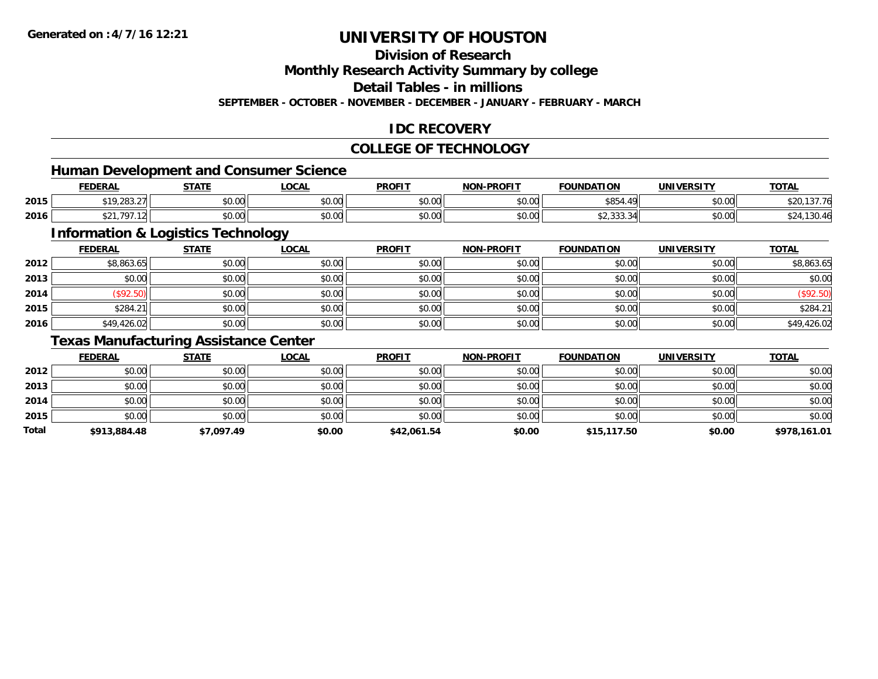## **Division of Research**

**Monthly Research Activity Summary by college**

**Detail Tables - in millions**

**SEPTEMBER - OCTOBER - NOVEMBER - DECEMBER - JANUARY - FEBRUARY - MARCH**

## **IDC RECOVERY**

### **COLLEGE OF TECHNOLOGY**

### **Human Development and Consumer Science**

|      | <b>FEDERAL</b>              | <b>STATE</b>                                 | _OCAL          | <b>PROFIT</b> | <b>M-PROFIT</b><br><b>MAN</b> | <b>FOUNDATION</b>                                       | UNIVERSITY     | <u>тота.</u>    |
|------|-----------------------------|----------------------------------------------|----------------|---------------|-------------------------------|---------------------------------------------------------|----------------|-----------------|
| 2015 | 0.10, 0.02, 0.7<br>1.203.21 | ÷0.<br>JU.UU                                 | 0000<br>vv.vv  | \$0.00        | \$0.00                        | 0.05<br>$\Lambda$ Q<br>טע                               | nn na<br>pu.uu | \$20,<br>137.76 |
| 2016 | 707<br>ሶሳ                   | $\triangle$ $\triangle$ $\triangle$<br>JU.UU | ሶስ ሰሰ<br>JU.UU | \$0.00        | \$0.00                        | $\sim$ $\sim$<br>$\cdots$<br>- - -<br><b>JZ, JJJ, J</b> | nn na<br>JU.UU | 130.40          |

<u> 1989 - Johann Stoff, deutscher Stoffen und der Stoffen und der Stoffen und der Stoffen und der Stoffen und de</u>

## **Information & Logistics Technology**

|      | <u>FEDERAL</u> | <b>STATE</b> | <b>LOCAL</b> | <b>PROFIT</b> | <b>NON-PROFIT</b> | <b>FOUNDATION</b> | <b>UNIVERSITY</b> | <b>TOTAL</b> |
|------|----------------|--------------|--------------|---------------|-------------------|-------------------|-------------------|--------------|
| 2012 | \$8,863.65     | \$0.00       | \$0.00       | \$0.00        | \$0.00            | \$0.00            | \$0.00            | \$8,863.65   |
| 2013 | \$0.00         | \$0.00       | \$0.00       | \$0.00        | \$0.00            | \$0.00            | \$0.00            | \$0.00       |
| 2014 | (\$92.50)      | \$0.00       | \$0.00       | \$0.00        | \$0.00            | \$0.00            | \$0.00            | (\$92.50)    |
| 2015 | \$284.21       | \$0.00       | \$0.00       | \$0.00        | \$0.00            | \$0.00            | \$0.00            | \$284.21     |
| 2016 | \$49,426.02    | \$0.00       | \$0.00       | \$0.00        | \$0.00            | \$0.00            | \$0.00            | \$49,426.02  |

### **Texas Manufacturing Assistance Center**

|       | <b>FEDERAL</b> | <u>STATE</u> | <b>LOCAL</b> | <b>PROFIT</b> | <b>NON-PROFIT</b> | <b>FOUNDATION</b> | <b>UNIVERSITY</b> | <b>TOTAL</b> |
|-------|----------------|--------------|--------------|---------------|-------------------|-------------------|-------------------|--------------|
| 2012  | \$0.00         | \$0.00       | \$0.00       | \$0.00        | \$0.00            | \$0.00            | \$0.00            | \$0.00       |
| 2013  | \$0.00         | \$0.00       | \$0.00       | \$0.00        | \$0.00            | \$0.00            | \$0.00            | \$0.00       |
| 2014  | \$0.00         | \$0.00       | \$0.00       | \$0.00        | \$0.00            | \$0.00            | \$0.00            | \$0.00       |
| 2015  | \$0.00         | \$0.00       | \$0.00       | \$0.00        | \$0.00            | \$0.00            | \$0.00            | \$0.00       |
| Total | \$913,884.48   | \$7,097.49   | \$0.00       | \$42,061.54   | \$0.00            | \$15,117.50       | \$0.00            | \$978,161.01 |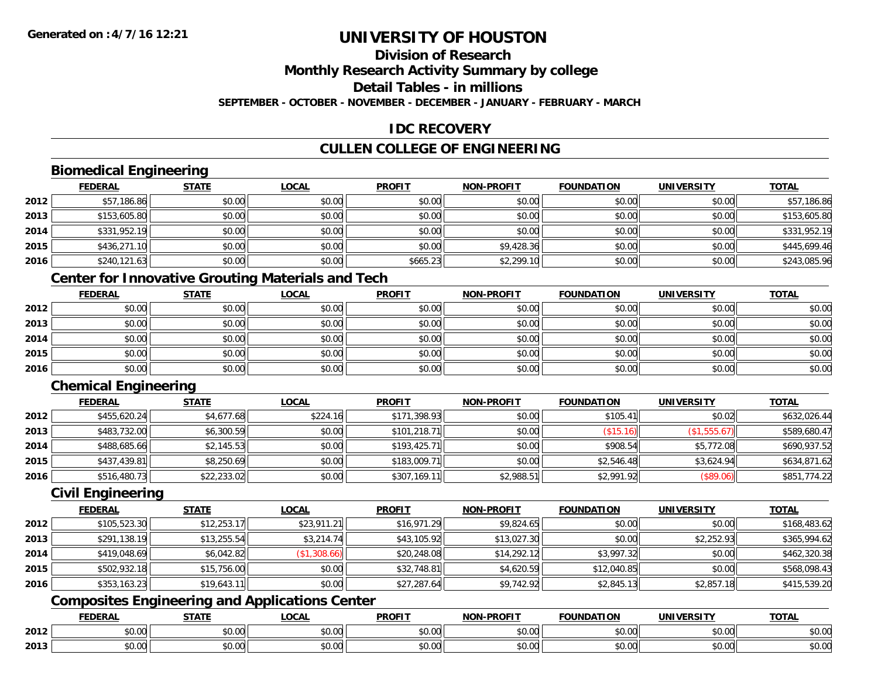## **Division of Research**

**Monthly Research Activity Summary by college**

**Detail Tables - in millions**

**SEPTEMBER - OCTOBER - NOVEMBER - DECEMBER - JANUARY - FEBRUARY - MARCH**

## **IDC RECOVERY**

## **CULLEN COLLEGE OF ENGINEERING**

## **Biomedical Engineering**

|      | <b>FEDERAL</b> | <b>STATE</b> | <b>LOCAL</b> | <b>PROFIT</b> | <b>NON-PROFIT</b> | <b>FOUNDATION</b> | <b>UNIVERSITY</b> | <b>TOTAL</b> |
|------|----------------|--------------|--------------|---------------|-------------------|-------------------|-------------------|--------------|
| 2012 | \$57,186.86    | \$0.00       | \$0.00       | \$0.00        | \$0.00            | \$0.00            | \$0.00            | \$57,186.86  |
| 2013 | \$153,605.80   | \$0.00       | \$0.00       | \$0.00        | \$0.00            | \$0.00            | \$0.00            | \$153,605.80 |
| 2014 | \$331,952.19   | \$0.00       | \$0.00       | \$0.00        | \$0.00            | \$0.00            | \$0.00            | \$331,952.19 |
| 2015 | \$436,271.10   | \$0.00       | \$0.00       | \$0.00        | \$9,428.36        | \$0.00            | \$0.00            | \$445,699.46 |
| 2016 | \$240,121.63   | \$0.00       | \$0.00       | \$665.23      | \$2,299.10        | \$0.00            | \$0.00            | \$243,085.96 |

## **Center for Innovative Grouting Materials and Tech**

|      | <u>FEDERAL</u> | <u>STATE</u> | <u>LOCAL</u> | <b>PROFIT</b> | <b>NON-PROFIT</b> | <b>FOUNDATION</b> | <b>UNIVERSITY</b> | <b>TOTAL</b> |
|------|----------------|--------------|--------------|---------------|-------------------|-------------------|-------------------|--------------|
| 2012 | \$0.00         | \$0.00       | \$0.00       | \$0.00        | \$0.00            | \$0.00            | \$0.00            | \$0.00       |
| 2013 | \$0.00         | \$0.00       | \$0.00       | \$0.00        | \$0.00            | \$0.00            | \$0.00            | \$0.00       |
| 2014 | \$0.00         | \$0.00       | \$0.00       | \$0.00        | \$0.00            | \$0.00            | \$0.00            | \$0.00       |
| 2015 | \$0.00         | \$0.00       | \$0.00       | \$0.00        | \$0.00            | \$0.00            | \$0.00            | \$0.00       |
| 2016 | \$0.00         | \$0.00       | \$0.00       | \$0.00        | \$0.00            | \$0.00            | \$0.00            | \$0.00       |

## **Chemical Engineering**

|      | <b>FEDERAL</b> | <u>STATE</u> | <b>LOCAL</b> | <b>PROFIT</b> | <b>NON-PROFIT</b> | <b>FOUNDATION</b> | <b>UNIVERSITY</b> | <b>TOTAL</b> |
|------|----------------|--------------|--------------|---------------|-------------------|-------------------|-------------------|--------------|
| 2012 | \$455,620.24   | \$4,677.68   | \$224.16     | \$171,398.93  | \$0.00            | \$105.41          | \$0.02            | \$632,026.44 |
| 2013 | \$483,732.00   | \$6,300.59   | \$0.00       | \$101,218.71  | \$0.00            | (\$15.16)         | (\$1,555.67)      | \$589,680.47 |
| 2014 | \$488,685.66   | \$2,145.53   | \$0.00       | \$193,425.71  | \$0.00            | \$908.54          | \$5,772.08        | \$690,937.52 |
| 2015 | \$437,439.81   | \$8,250.69   | \$0.00       | \$183,009.71  | \$0.00            | \$2,546.48        | \$3,624.94        | \$634,871.62 |
| 2016 | \$516,480.73   | \$22,233.02  | \$0.00       | \$307,169.11  | \$2,988.51        | \$2,991.92        | (\$89.06)         | \$851,774.22 |

#### **Civil Engineering**

|      | <b>FEDERAL</b> | <b>STATE</b> | <b>LOCAL</b> | <b>PROFIT</b> | <b>NON-PROFIT</b> | <b>FOUNDATION</b> | <b>UNIVERSITY</b> | <b>TOTAL</b> |
|------|----------------|--------------|--------------|---------------|-------------------|-------------------|-------------------|--------------|
| 2012 | \$105,523.30   | \$12,253.17  | \$23,911.21  | \$16,971.29   | \$9,824.65        | \$0.00            | \$0.00            | \$168,483.62 |
| 2013 | \$291,138.19   | \$13,255.54  | \$3,214.74   | \$43,105.92   | \$13,027.30       | \$0.00            | \$2,252.93        | \$365,994.62 |
| 2014 | \$419,048.69   | \$6,042.82   | (\$1,308.66) | \$20,248.08   | \$14,292.12       | \$3,997.32        | \$0.00            | \$462,320.38 |
| 2015 | \$502,932.18   | \$15,756.00  | \$0.00       | \$32,748.81   | \$4,620.59        | \$12,040.85       | \$0.00            | \$568,098.43 |
| 2016 | \$353,163.23   | \$19,643.11  | \$0.00       | \$27,287.64   | \$9,742.92        | \$2,845.13        | \$2,857.18        | \$415,539.20 |

## **Composites Engineering and Applications Center**

|      | <b>DERAL</b>                     | <b>CTATI</b>          | $\bigcap$<br>.OCAI     | <b>PROFIT</b>                               | <b>DDAEIT</b><br><b>NION</b> | .<br>ב נוחו<br>LION | - R.J.         | <b>TOTAL</b>   |
|------|----------------------------------|-----------------------|------------------------|---------------------------------------------|------------------------------|---------------------|----------------|----------------|
| 2012 | $\sim$<br>$. \cup . \cup \cup$   | $\overline{ }$<br>ט.ט | $\sim$ 00<br>pu.uu     | $\sim$ 00<br>ູ∞ບ.ບບ                         | 0.00<br>PO.OO                | vv.vv               | 0.001<br>vv.vv | 0000<br>\$U.UU |
| 2013 | $\sim$ $\sim$<br>$\sim$<br>,u.uu | しいい                   | $\sim$ $\sim$<br>vu.uu | $\sim$ 00<br>$\vee$ . Use the set of $\vee$ | 0.00<br>PO.OO                | JU.UU               | 0.00<br>PO.OO  | ስ ለሰ<br>JU.UU  |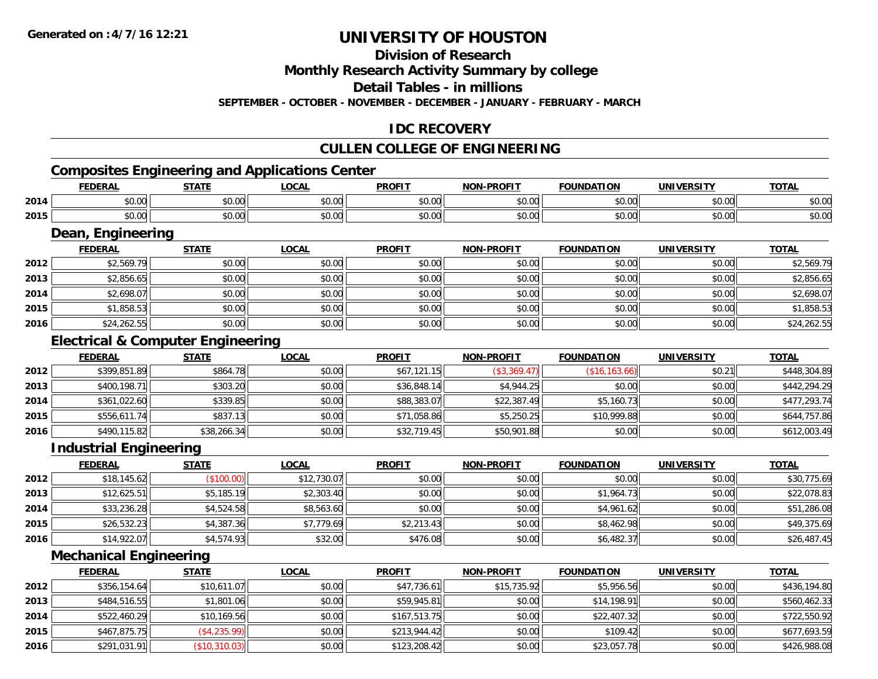## **Division of Research**

**Monthly Research Activity Summary by college**

**Detail Tables - in millions**

**SEPTEMBER - OCTOBER - NOVEMBER - DECEMBER - JANUARY - FEBRUARY - MARCH**

## **IDC RECOVERY**

## **CULLEN COLLEGE OF ENGINEERING**

## **Composites Engineering and Applications Center**

|      | ------      | <b>CTATE</b>  | .OCAL | <b>PROFIT</b>  | <b>DDAFIT</b><br><b>MON</b> | <b>10 TIAN</b><br>מרוח<br>1 O F | INII<br>. | TOT <sub>A</sub> |
|------|-------------|---------------|-------|----------------|-----------------------------|---------------------------------|-----------|------------------|
| 2014 | $\sim$      | ሶስ ሰሰ         | 0.00  | 0000           | $\sim$ $\sim$               | $\sim$ 00                       | ሰሰ ሰሰ     | $\sim$           |
|      | טט.טע       | JU.UU         | JU.UU | JU.UV          | PU.UU                       | JU.UU                           | JU.UU     | DU.UU            |
| 2015 | $\triangle$ | $\sim$ $\sim$ | 0.00  | 0 <sup>0</sup> | $\sim$ $\sim$               | $\cdots$                        | $\sim$ 00 | $\sim$ $\sim$    |
|      | טט.         | vv.vv         | DU.UU | \$U.U          | pv.uu                       | JU.U                            | vv.vv     | ง∪.∪บ            |

#### **Dean, Engineering**

|      |                | Dean, Engineering |              |               |                   |                   |                   |              |  |  |  |  |  |
|------|----------------|-------------------|--------------|---------------|-------------------|-------------------|-------------------|--------------|--|--|--|--|--|
|      | <b>FEDERAL</b> | <b>STATE</b>      | <b>LOCAL</b> | <b>PROFIT</b> | <b>NON-PROFIT</b> | <b>FOUNDATION</b> | <b>UNIVERSITY</b> | <b>TOTAL</b> |  |  |  |  |  |
| 2012 | \$2,569.79     | \$0.00            | \$0.00       | \$0.00        | \$0.00            | \$0.00            | \$0.00            | \$2,569.79   |  |  |  |  |  |
| 2013 | \$2,856.65     | \$0.00            | \$0.00       | \$0.00        | \$0.00            | \$0.00            | \$0.00            | \$2,856.65   |  |  |  |  |  |
| 2014 | \$2,698.07     | \$0.00            | \$0.00       | \$0.00        | \$0.00            | \$0.00            | \$0.00            | \$2,698.07   |  |  |  |  |  |
| 2015 | \$1,858.53     | \$0.00            | \$0.00       | \$0.00        | \$0.00            | \$0.00            | \$0.00            | \$1,858.53   |  |  |  |  |  |
| 2016 | \$24,262.55    | \$0.00            | \$0.00       | \$0.00        | \$0.00            | \$0.00            | \$0.00            | \$24,262.55  |  |  |  |  |  |

## **Electrical & Computer Engineering**

|      | <b>FEDERAL</b> | <b>STATE</b> | <b>LOCAL</b> | <b>PROFIT</b> | <b>NON-PROFIT</b> | <b>FOUNDATION</b> | UNIVERSITY | <b>TOTAL</b> |
|------|----------------|--------------|--------------|---------------|-------------------|-------------------|------------|--------------|
| 2012 | \$399,851.89   | \$864.78     | \$0.00       | \$67,121.15   | (\$3,369.47)      | (\$16, 163.66)    | \$0.21     | \$448,304.89 |
| 2013 | \$400,198.71   | \$303.20     | \$0.00       | \$36,848.14   | \$4,944.25        | \$0.00            | \$0.00     | \$442,294.29 |
| 2014 | \$361,022.60   | \$339.85     | \$0.00       | \$88,383.07   | \$22,387.49       | \$5,160.73        | \$0.00     | \$477,293.74 |
| 2015 | \$556,611.74   | \$837.13     | \$0.00       | \$71,058.86   | \$5,250.25        | \$10,999.88       | \$0.00     | \$644,757.86 |
| 2016 | \$490,115.82   | \$38,266.34  | \$0.00       | \$32,719.45   | \$50,901.88       | \$0.00            | \$0.00     | \$612,003.49 |

### **Industrial Engineering**

|      | <b>FEDERAL</b> | <b>STATE</b> | <u>LOCAL</u> | <b>PROFIT</b> | <b>NON-PROFIT</b> | <b>FOUNDATION</b> | <b>UNIVERSITY</b> | <b>TOTAL</b> |
|------|----------------|--------------|--------------|---------------|-------------------|-------------------|-------------------|--------------|
| 2012 | \$18,145.62    | (\$100.00)   | \$12,730.07  | \$0.00        | \$0.00            | \$0.00            | \$0.00            | \$30,775.69  |
| 2013 | \$12,625.51    | \$5,185.19   | \$2,303.40   | \$0.00        | \$0.00            | \$1,964.73        | \$0.00            | \$22,078.83  |
| 2014 | \$33,236.28    | \$4,524.58   | \$8,563.60   | \$0.00        | \$0.00            | \$4,961.62        | \$0.00            | \$51,286.08  |
| 2015 | \$26,532.23    | \$4,387.36   | \$7,779.69   | \$2,213.43    | \$0.00            | \$8,462.98        | \$0.00            | \$49,375.69  |
| 2016 | \$14,922.07    | \$4,574.93   | \$32.00      | \$476.08      | \$0.00            | \$6,482.37        | \$0.00            | \$26,487.45  |

## **Mechanical Engineering**

|      | <b>FEDERAL</b> | <u>STATE</u>  | <b>LOCAL</b> | <b>PROFIT</b> | <b>NON-PROFIT</b> | <b>FOUNDATION</b> | <b>UNIVERSITY</b> | <b>TOTAL</b> |
|------|----------------|---------------|--------------|---------------|-------------------|-------------------|-------------------|--------------|
| 2012 | \$356,154.64   | \$10,611.07   | \$0.00       | \$47,736.61   | \$15,735.92       | \$5,956.56        | \$0.00            | \$436,194.80 |
| 2013 | \$484,516.55   | \$1,801.06    | \$0.00       | \$59,945.81   | \$0.00            | \$14,198.91       | \$0.00            | \$560,462.33 |
| 2014 | \$522,460.29   | \$10,169.56   | \$0.00       | \$167,513.75  | \$0.00            | \$22,407.32       | \$0.00            | \$722,550.92 |
| 2015 | \$467.875.75   | (\$4,235.99)  | \$0.00       | \$213,944.42  | \$0.00            | \$109.42          | \$0.00            | \$677,693.59 |
| 2016 | \$291,031.91   | (\$10,310.03) | \$0.00       | \$123,208.42  | \$0.00            | \$23,057.78       | \$0.00            | \$426,988.08 |

<u> 1980 - Andrea Station Barbara, actor a component de la componentación de la componentación de la componentaci</u>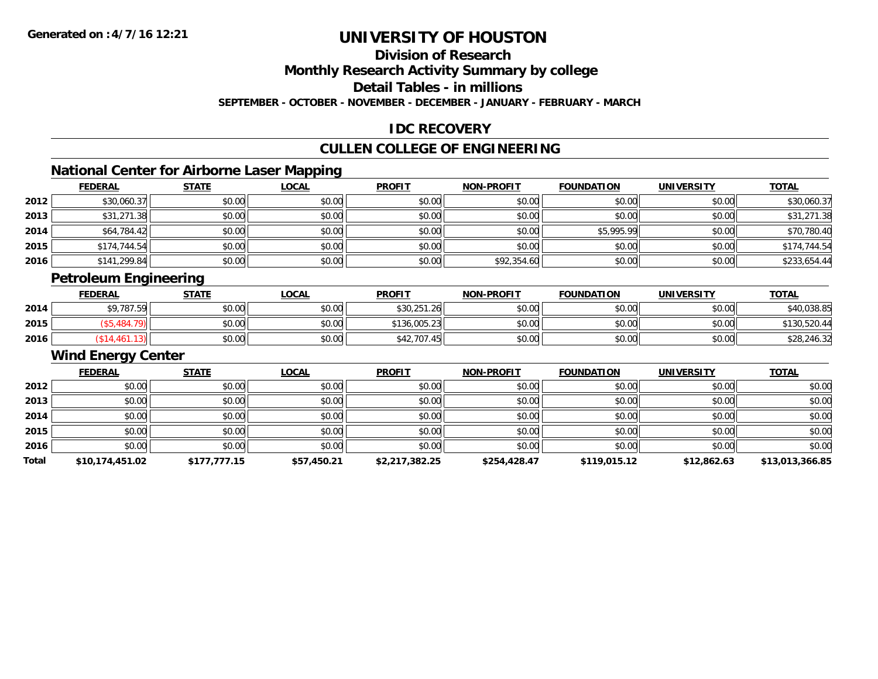## **Division of Research**

**Monthly Research Activity Summary by college**

**Detail Tables - in millions**

**SEPTEMBER - OCTOBER - NOVEMBER - DECEMBER - JANUARY - FEBRUARY - MARCH**

## **IDC RECOVERY**

## **CULLEN COLLEGE OF ENGINEERING**

## **National Center for Airborne Laser Mapping**

|      | <b>FEDERAL</b> | <b>STATE</b> | <b>LOCAL</b> | <b>PROFIT</b> | <b>NON-PROFIT</b> | <b>FOUNDATION</b> | <b>UNIVERSITY</b> | <b>TOTAL</b> |
|------|----------------|--------------|--------------|---------------|-------------------|-------------------|-------------------|--------------|
| 2012 | \$30,060.37    | \$0.00       | \$0.00       | \$0.00        | \$0.00            | \$0.00            | \$0.00            | \$30,060.37  |
| 2013 | \$31,271.38    | \$0.00       | \$0.00       | \$0.00        | \$0.00            | \$0.00            | \$0.00            | \$31,271.38  |
| 2014 | \$64,784.42    | \$0.00       | \$0.00       | \$0.00        | \$0.00            | \$5,995.99        | \$0.00            | \$70,780.40  |
| 2015 | \$174,744.54   | \$0.00       | \$0.00       | \$0.00        | \$0.00            | \$0.00            | \$0.00            | \$174,744.54 |
| 2016 | \$141,299.84   | \$0.00       | \$0.00       | \$0.00        | \$92,354.60       | \$0.00            | \$0.00            | \$233,654.44 |

## **Petroleum Engineering**

|      | <b>FEDERAL</b> | <b>STATE</b> | <u>LOCAL</u> | <b>PROFIT</b> | <b>NON-PROFIT</b> | <b>FOUNDATION</b> | UNIVERSITY | <b>TOTAL</b> |
|------|----------------|--------------|--------------|---------------|-------------------|-------------------|------------|--------------|
| 2014 | \$9,787.59     | \$0.00       | \$0.00       | \$30,251.26   | \$0.00            | \$0.00            | \$0.00     | \$40,038.85  |
| 2015 |                | \$0.00       | \$0.00       | \$136,005.23  | \$0.00            | \$0.00            | \$0.00     | \$130,520.44 |
| 2016 |                | \$0.00       | \$0.00       | \$42,707.45   | \$0.00            | \$0.00            | \$0.00     | \$28,246.32  |

#### **Wind Energy Center**

|       | <b>FEDERAL</b>  | <b>STATE</b> | <b>LOCAL</b> | <b>PROFIT</b>  | <b>NON-PROFIT</b> | <b>FOUNDATION</b> | <b>UNIVERSITY</b> | <b>TOTAL</b>    |
|-------|-----------------|--------------|--------------|----------------|-------------------|-------------------|-------------------|-----------------|
| 2012  | \$0.00          | \$0.00       | \$0.00       | \$0.00         | \$0.00            | \$0.00            | \$0.00            | \$0.00          |
| 2013  | \$0.00          | \$0.00       | \$0.00       | \$0.00         | \$0.00            | \$0.00            | \$0.00            | \$0.00          |
| 2014  | \$0.00          | \$0.00       | \$0.00       | \$0.00         | \$0.00            | \$0.00            | \$0.00            | \$0.00          |
| 2015  | \$0.00          | \$0.00       | \$0.00       | \$0.00         | \$0.00            | \$0.00            | \$0.00            | \$0.00          |
| 2016  | \$0.00          | \$0.00       | \$0.00       | \$0.00         | \$0.00            | \$0.00            | \$0.00            | \$0.00          |
| Total | \$10,174,451.02 | \$177,777.15 | \$57,450.21  | \$2,217,382.25 | \$254,428.47      | \$119,015.12      | \$12,862.63       | \$13,013,366.85 |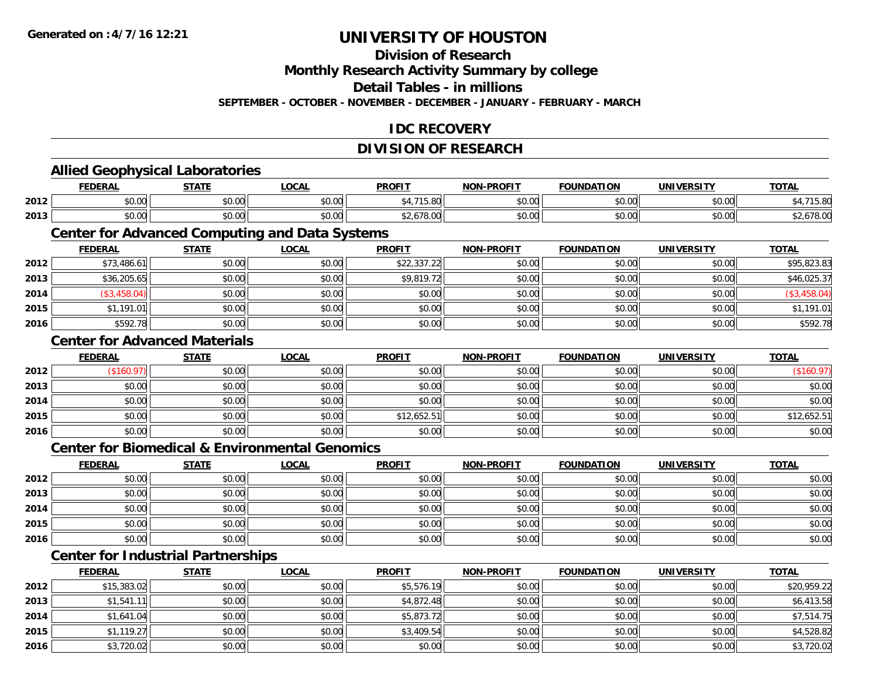**2016**

## **UNIVERSITY OF HOUSTON**

## **Division of Research**

**Monthly Research Activity Summary by college**

**Detail Tables - in millions**

**SEPTEMBER - OCTOBER - NOVEMBER - DECEMBER - JANUARY - FEBRUARY - MARCH**

## **IDC RECOVERY**

## **DIVISION OF RESEARCH**

|      | <b>FEDERAL</b>                                            | <b>STATE</b> | <b>LOCAL</b> | <b>PROFIT</b> | <b>NON-PROFIT</b> | <b>FOUNDATION</b> | <b>UNIVERSITY</b> | <b>TOTAL</b> |
|------|-----------------------------------------------------------|--------------|--------------|---------------|-------------------|-------------------|-------------------|--------------|
| 2012 | \$0.00                                                    | \$0.00       | \$0.00       | \$4,715.80    | \$0.00            | \$0.00            | \$0.00            | \$4,715.80   |
| 2013 | \$0.00                                                    | \$0.00       | \$0.00       | \$2,678.00    | \$0.00            | \$0.00            | \$0.00            | \$2,678.00   |
|      | <b>Center for Advanced Computing and Data Systems</b>     |              |              |               |                   |                   |                   |              |
|      | <b>FEDERAL</b>                                            | <b>STATE</b> | <b>LOCAL</b> | <b>PROFIT</b> | <b>NON-PROFIT</b> | <b>FOUNDATION</b> | <b>UNIVERSITY</b> | <b>TOTAL</b> |
| 2012 | \$73,486.61                                               | \$0.00       | \$0.00       | \$22,337.22   | \$0.00            | \$0.00            | \$0.00            | \$95,823.83  |
| 2013 | \$36,205.65                                               | \$0.00       | \$0.00       | \$9,819.72    | \$0.00            | \$0.00            | \$0.00            | \$46,025.37  |
| 2014 | (\$3,458.04)                                              | \$0.00       | \$0.00       | \$0.00        | \$0.00            | \$0.00            | \$0.00            | (\$3,458.04) |
| 2015 | \$1,191.01                                                | \$0.00       | \$0.00       | \$0.00        | \$0.00            | \$0.00            | \$0.00            | \$1,191.01   |
| 2016 | \$592.78                                                  | \$0.00       | \$0.00       | \$0.00        | \$0.00            | \$0.00            | \$0.00            | \$592.78     |
|      | <b>Center for Advanced Materials</b>                      |              |              |               |                   |                   |                   |              |
|      | <b>FEDERAL</b>                                            | <b>STATE</b> | <b>LOCAL</b> | <b>PROFIT</b> | <b>NON-PROFIT</b> | <b>FOUNDATION</b> | <b>UNIVERSITY</b> | <b>TOTAL</b> |
| 2012 | (\$160.97)                                                | \$0.00       | \$0.00       | \$0.00        | \$0.00            | \$0.00            | \$0.00            | (\$160.97)   |
| 2013 | \$0.00                                                    | \$0.00       | \$0.00       | \$0.00        | \$0.00            | \$0.00            | \$0.00            | \$0.00       |
| 2014 | \$0.00                                                    | \$0.00       | \$0.00       | \$0.00        | \$0.00            | \$0.00            | \$0.00            | \$0.00       |
| 2015 | \$0.00                                                    | \$0.00       | \$0.00       | \$12,652.51   | \$0.00            | \$0.00            | \$0.00            | \$12,652.51  |
| 2016 | \$0.00                                                    | \$0.00       | \$0.00       | \$0.00        | \$0.00            | \$0.00            | \$0.00            | \$0.00       |
|      | <b>Center for Biomedical &amp; Environmental Genomics</b> |              |              |               |                   |                   |                   |              |
|      | <b>FEDERAL</b>                                            | <b>STATE</b> | <b>LOCAL</b> | <b>PROFIT</b> | <b>NON-PROFIT</b> | <b>FOUNDATION</b> | <b>UNIVERSITY</b> | <b>TOTAL</b> |
| 2012 | \$0.00                                                    | \$0.00       | \$0.00       | \$0.00        | \$0.00            | \$0.00            | \$0.00            | \$0.00       |
| 2013 | \$0.00                                                    | \$0.00       | \$0.00       | \$0.00        | \$0.00            | \$0.00            | \$0.00            | \$0.00       |
| 2014 | \$0.00                                                    | \$0.00       | \$0.00       | \$0.00        | \$0.00            | \$0.00            | \$0.00            | \$0.00       |
| 2015 | \$0.00                                                    | \$0.00       | \$0.00       | \$0.00        | \$0.00            | \$0.00            | \$0.00            | \$0.00       |
| 2016 | \$0.00                                                    | \$0.00       | \$0.00       | \$0.00        | \$0.00            | \$0.00            | \$0.00            | \$0.00       |
|      | <b>Center for Industrial Partnerships</b>                 |              |              |               |                   |                   |                   |              |
|      | <b>FEDERAL</b>                                            | <b>STATE</b> | <b>LOCAL</b> | <b>PROFIT</b> | <b>NON-PROFIT</b> | <b>FOUNDATION</b> | <b>UNIVERSITY</b> | <b>TOTAL</b> |
| 2012 | \$15,383.02                                               | \$0.00       | \$0.00       | \$5,576.19    | \$0.00            | \$0.00            | \$0.00            | \$20,959.22  |
| 2013 | \$1,541.11                                                | \$0.00       | \$0.00       | \$4,872.48    | \$0.00            | \$0.00            | \$0.00            | \$6,413.58   |
| 2014 | \$1,641.04                                                | \$0.00       | \$0.00       | \$5,873.72    | \$0.00            | \$0.00            | \$0.00            | \$7,514.75   |
| 2015 | \$1,119.27                                                | \$0.00       | \$0.00       | \$3,409.54    | \$0.00            | \$0.00            | \$0.00            | \$4,528.82   |

\$3,720.02 \$0.00 \$0.00 \$0.00 \$0.00 \$0.00 \$0.00 \$3,720.02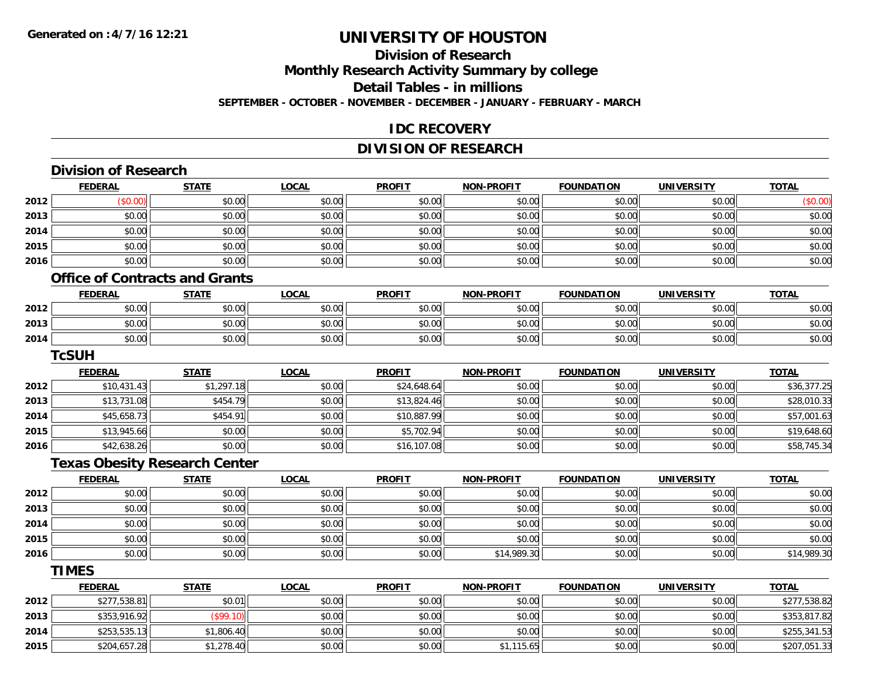## **Division of ResearchMonthly Research Activity Summary by college Detail Tables - in millions SEPTEMBER - OCTOBER - NOVEMBER - DECEMBER - JANUARY - FEBRUARY - MARCH**

### **IDC RECOVERY**

## **DIVISION OF RESEARCH**

|      | <b>Division of Research</b> |                                       |              |               |                   |                   |                   |              |
|------|-----------------------------|---------------------------------------|--------------|---------------|-------------------|-------------------|-------------------|--------------|
|      | <b>FEDERAL</b>              | <b>STATE</b>                          | <b>LOCAL</b> | <b>PROFIT</b> | <b>NON-PROFIT</b> | <b>FOUNDATION</b> | <b>UNIVERSITY</b> | <b>TOTAL</b> |
| 2012 | (\$0.00)                    | \$0.00                                | \$0.00       | \$0.00        | \$0.00            | \$0.00            | \$0.00            | (\$0.00)     |
| 2013 | \$0.00                      | \$0.00                                | \$0.00       | \$0.00        | \$0.00            | \$0.00            | \$0.00            | \$0.00       |
| 2014 | \$0.00                      | \$0.00                                | \$0.00       | \$0.00        | \$0.00            | \$0.00            | \$0.00            | \$0.00       |
| 2015 | \$0.00                      | \$0.00                                | \$0.00       | \$0.00        | \$0.00            | \$0.00            | \$0.00            | \$0.00       |
| 2016 | \$0.00                      | \$0.00                                | \$0.00       | \$0.00        | \$0.00            | \$0.00            | \$0.00            | \$0.00       |
|      |                             | <b>Office of Contracts and Grants</b> |              |               |                   |                   |                   |              |
|      | <b>FEDERAL</b>              | <b>STATE</b>                          | <b>LOCAL</b> | <b>PROFIT</b> | <b>NON-PROFIT</b> | <b>FOUNDATION</b> | <b>UNIVERSITY</b> | <b>TOTAL</b> |
| 2012 | \$0.00                      | \$0.00                                | \$0.00       | \$0.00        | \$0.00            | \$0.00            | \$0.00            | \$0.00       |
| 2013 | \$0.00                      | \$0.00                                | \$0.00       | \$0.00        | \$0.00            | \$0.00            | \$0.00            | \$0.00       |
| 2014 | \$0.00                      | \$0.00                                | \$0.00       | \$0.00        | \$0.00            | \$0.00            | \$0.00            | \$0.00       |
|      | <b>TcSUH</b>                |                                       |              |               |                   |                   |                   |              |
|      | <b>FEDERAL</b>              | <b>STATE</b>                          | <b>LOCAL</b> | <b>PROFIT</b> | <b>NON-PROFIT</b> | <b>FOUNDATION</b> | <b>UNIVERSITY</b> | <b>TOTAL</b> |
| 2012 | \$10,431.43                 | \$1,297.18                            | \$0.00       | \$24,648.64   | \$0.00            | \$0.00            | \$0.00            | \$36,377.25  |
| 2013 | \$13,731.08                 | \$454.79                              | \$0.00       | \$13,824.46   | \$0.00            | \$0.00            | \$0.00            | \$28,010.33  |
| 2014 | \$45,658.73                 | \$454.91                              | \$0.00       | \$10,887.99   | \$0.00            | \$0.00            | \$0.00            | \$57,001.63  |
| 2015 | \$13,945.66                 | \$0.00                                | \$0.00       | \$5,702.94    | \$0.00            | \$0.00            | \$0.00            | \$19,648.60  |
| 2016 | \$42,638.26                 | \$0.00                                | \$0.00       | \$16,107.08   | \$0.00            | \$0.00            | \$0.00            | \$58,745.34  |
|      |                             | <b>Texas Obesity Research Center</b>  |              |               |                   |                   |                   |              |
|      | <b>FEDERAL</b>              | <b>STATE</b>                          | <b>LOCAL</b> | <b>PROFIT</b> | <b>NON-PROFIT</b> | <b>FOUNDATION</b> | <b>UNIVERSITY</b> | <b>TOTAL</b> |
| 2012 | \$0.00                      | \$0.00                                | \$0.00       | \$0.00        | \$0.00            | \$0.00            | \$0.00            | \$0.00       |
| 2013 | \$0.00                      | \$0.00                                | \$0.00       | \$0.00        | \$0.00            | \$0.00            | \$0.00            | \$0.00       |
| 2014 | \$0.00                      | \$0.00                                | \$0.00       | \$0.00        | \$0.00            | \$0.00            | \$0.00            | \$0.00       |
| 2015 | \$0.00                      | \$0.00                                | \$0.00       | \$0.00        | \$0.00            | \$0.00            | \$0.00            | \$0.00       |
| 2016 | \$0.00                      | \$0.00                                | \$0.00       | \$0.00        | \$14,989.30       | \$0.00            | \$0.00            | \$14,989.30  |
|      | <b>TIMES</b>                |                                       |              |               |                   |                   |                   |              |
|      | <b>FEDERAL</b>              | <b>STATE</b>                          | <b>LOCAL</b> | <b>PROFIT</b> | <b>NON-PROFIT</b> | <b>FOUNDATION</b> | <b>UNIVERSITY</b> | <b>TOTAL</b> |
| 2012 | \$277,538.81                | \$0.01                                | \$0.00       | \$0.00        | \$0.00            | \$0.00            | \$0.00            | \$277,538.82 |
| 2013 | \$353,916.92                | (\$99.10)                             | \$0.00       | \$0.00        | \$0.00            | \$0.00            | \$0.00            | \$353,817.82 |
| 2014 | \$253,535.13                | \$1,806.40                            | \$0.00       | \$0.00        | \$0.00            | \$0.00            | \$0.00            | \$255,341.53 |
| 2015 | \$204,657.28                | \$1,278.40                            | \$0.00       | \$0.00        | \$1,115.65        | \$0.00            | \$0.00            | \$207,051.33 |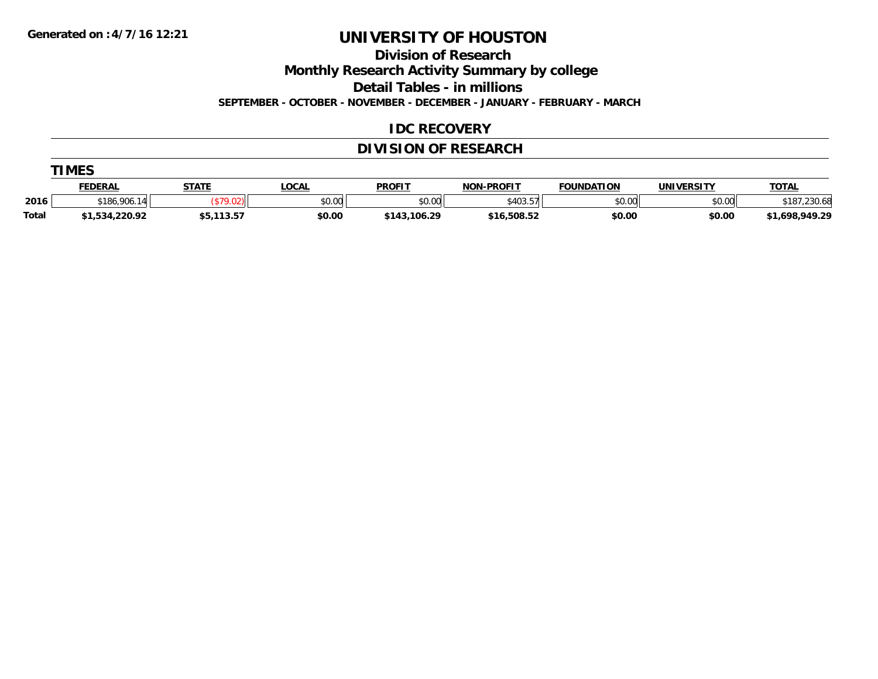**Division of Research**

**Monthly Research Activity Summary by college**

**Detail Tables - in millions**

**SEPTEMBER - OCTOBER - NOVEMBER - DECEMBER - JANUARY - FEBRUARY - MARCH**

## **IDC RECOVERY**

## **DIVISION OF RESEARCH**

|              | <b>TIMES</b>   |              |              |               |                   |                   |                   |                |  |  |  |
|--------------|----------------|--------------|--------------|---------------|-------------------|-------------------|-------------------|----------------|--|--|--|
|              | <b>FEDERAL</b> | <b>STATE</b> | <u>LOCAL</u> | <b>PROFIT</b> | <b>NON-PROFIT</b> | <b>FOUNDATION</b> | <b>UNIVERSITY</b> | <b>TOTAL</b>   |  |  |  |
| 2016         | \$186,906.14   |              | \$0.00       | \$0.00        | \$403.57          | \$0.00            | \$0.00            | \$187,230.68   |  |  |  |
| <b>Total</b> | \$1,534,220.92 | \$5,113.57   | \$0.00       | \$143,106.29  | \$16,508.52       | \$0.00            | \$0.00            | \$1,698,949.29 |  |  |  |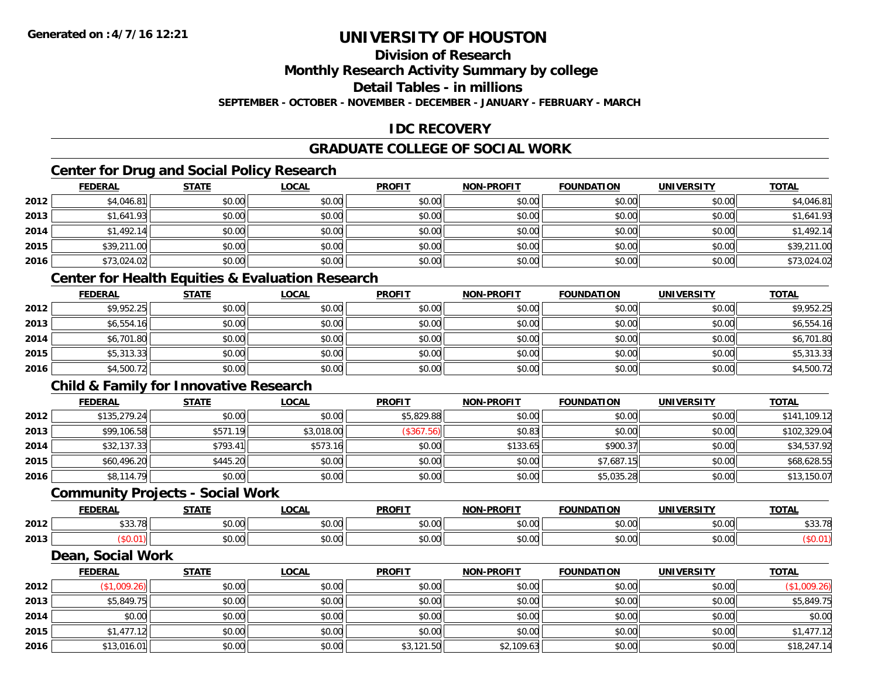## **Division of Research**

**Monthly Research Activity Summary by college**

**Detail Tables - in millions**

**SEPTEMBER - OCTOBER - NOVEMBER - DECEMBER - JANUARY - FEBRUARY - MARCH**

## **IDC RECOVERY**

## **GRADUATE COLLEGE OF SOCIAL WORK**

## **Center for Drug and Social Policy Research**

|      | <b>FEDERAL</b> | <b>STATE</b> | <u>LOCAL</u> | <b>PROFIT</b> | <b>NON-PROFIT</b> | <b>FOUNDATION</b> | <b>UNIVERSITY</b> | <b>TOTAL</b> |
|------|----------------|--------------|--------------|---------------|-------------------|-------------------|-------------------|--------------|
| 2012 | \$4,046.81     | \$0.00       | \$0.00       | \$0.00        | \$0.00            | \$0.00            | \$0.00            | \$4,046.81   |
| 2013 | \$1,641.93     | \$0.00       | \$0.00       | \$0.00        | \$0.00            | \$0.00            | \$0.00            | \$1,641.93   |
| 2014 | \$1,492.14     | \$0.00       | \$0.00       | \$0.00        | \$0.00            | \$0.00            | \$0.00            | \$1,492.14   |
| 2015 | \$39,211.00    | \$0.00       | \$0.00       | \$0.00        | \$0.00            | \$0.00            | \$0.00            | \$39,211.00  |
| 2016 | \$73,024.02    | \$0.00       | \$0.00       | \$0.00        | \$0.00            | \$0.00            | \$0.00            | \$73,024.02  |

### **Center for Health Equities & Evaluation Research**

|      | <u>FEDERAL</u> | <b>STATE</b> | <b>LOCAL</b> | <b>PROFIT</b> | <b>NON-PROFIT</b> | <b>FOUNDATION</b> | <b>UNIVERSITY</b> | <b>TOTAL</b> |
|------|----------------|--------------|--------------|---------------|-------------------|-------------------|-------------------|--------------|
| 2012 | \$9,952.25     | \$0.00       | \$0.00       | \$0.00        | \$0.00            | \$0.00            | \$0.00            | \$9,952.25   |
| 2013 | \$6,554.16     | \$0.00       | \$0.00       | \$0.00        | \$0.00            | \$0.00            | \$0.00            | \$6,554.16   |
| 2014 | \$6,701.80     | \$0.00       | \$0.00       | \$0.00        | \$0.00            | \$0.00            | \$0.00            | \$6,701.80   |
| 2015 | \$5,313.33     | \$0.00       | \$0.00       | \$0.00        | \$0.00            | \$0.00            | \$0.00            | \$5,313.33   |
| 2016 | \$4,500.72     | \$0.00       | \$0.00       | \$0.00        | \$0.00            | \$0.00            | \$0.00            | \$4,500.72   |

## **Child & Family for Innovative Research**

|      | <b>FEDERAL</b> | <b>STATE</b> | <b>LOCAL</b> | <b>PROFIT</b> | <b>NON-PROFIT</b> | <b>FOUNDATION</b> | <b>UNIVERSITY</b> | <b>TOTAL</b> |
|------|----------------|--------------|--------------|---------------|-------------------|-------------------|-------------------|--------------|
| 2012 | \$135,279.24   | \$0.00       | \$0.00       | \$5,829.88    | \$0.00            | \$0.00            | \$0.00            | \$141,109.12 |
| 2013 | \$99,106.58    | \$571.19     | \$3,018.00   | (\$367.56)    | \$0.83            | \$0.00            | \$0.00            | \$102,329.04 |
| 2014 | \$32,137.33    | \$793.41     | \$573.16     | \$0.00        | \$133.65          | \$900.37          | \$0.00            | \$34,537.92  |
| 2015 | \$60,496.20    | \$445.20     | \$0.00       | \$0.00        | \$0.00            | \$7,687.15        | \$0.00            | \$68,628.55  |
| 2016 | \$8,114.79     | \$0.00       | \$0.00       | \$0.00        | \$0.00            | \$5,035.28        | \$0.00            | \$13,150.07  |

#### **Community Projects - Social Work**

|      | <b>CENEDA</b><br>CUCRAL | 27.77          | <b>OCAL</b>   | <b>PROFIT</b>                                                             | -PROFIT<br>NON- | <b>FOUNDATION</b>       | UNIVERSITY           | <b>TOTAL</b>                                     |
|------|-------------------------|----------------|---------------|---------------------------------------------------------------------------|-----------------|-------------------------|----------------------|--------------------------------------------------|
| 2012 | 0.0270<br>JJJ. <i>I</i> | ሶስ ሰሰ<br>DU.UU | 0.00<br>JU.UU | JU.UU                                                                     | 0000<br>vv.vv   | 0000<br>⊸◡.∪∪⊩          | 0000<br><b>JU.UU</b> | $\sim$ $\sim$<br>$\overline{\phantom{a}}$<br>ັບປ |
| 2013 |                         | ሶስ ሰሰ<br>JU.UU | 0.00<br>JU.UU | $\uparrow$ $\uparrow$ $\uparrow$ $\uparrow$ $\uparrow$ $\uparrow$<br>vv.v | 0000<br>JU.UU   | $n \cap \neg$<br>⊸J.UUI | \$0.00               |                                                  |

#### **Dean, Social Work**

|      | <b>FEDERAL</b> | <b>STATE</b> | <b>LOCAL</b> | <b>PROFIT</b> | <b>NON-PROFIT</b> | <b>FOUNDATION</b> | <b>UNIVERSITY</b> | <b>TOTAL</b> |
|------|----------------|--------------|--------------|---------------|-------------------|-------------------|-------------------|--------------|
| 2012 | \$1,009.26     | \$0.00       | \$0.00       | \$0.00        | \$0.00            | \$0.00            | \$0.00            | (\$1,009.26) |
| 2013 | \$5,849.75     | \$0.00       | \$0.00       | \$0.00        | \$0.00            | \$0.00            | \$0.00            | \$5,849.75   |
| 2014 | \$0.00         | \$0.00       | \$0.00       | \$0.00        | \$0.00            | \$0.00            | \$0.00            | \$0.00       |
| 2015 | \$1,477.12     | \$0.00       | \$0.00       | \$0.00        | \$0.00            | \$0.00            | \$0.00            | \$1,477.12   |
| 2016 | \$13,016.01    | \$0.00       | \$0.00       | \$3,121.50    | \$2,109.63        | \$0.00            | \$0.00            | \$18,247.14  |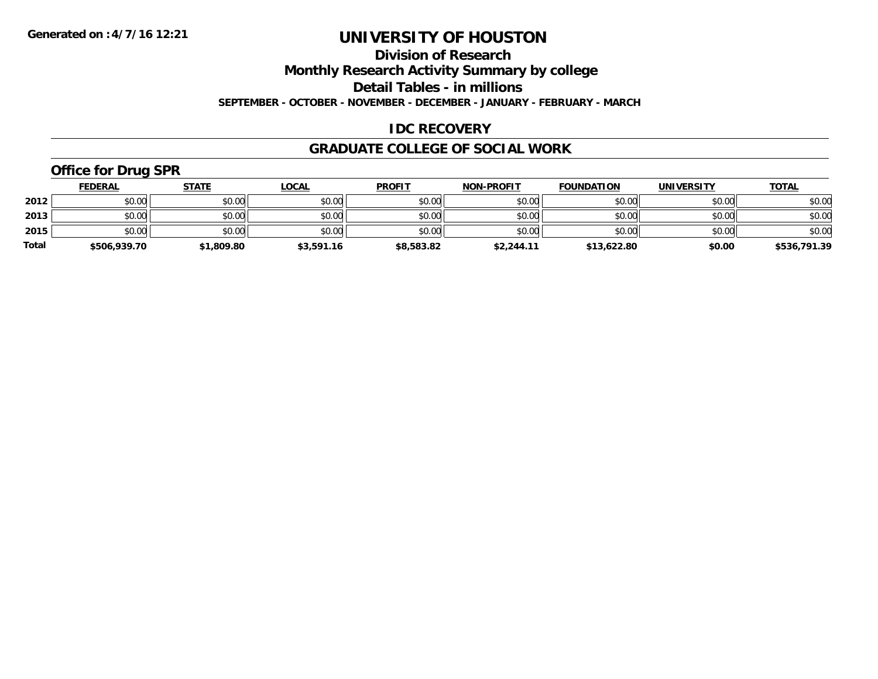**Division of Research**

**Monthly Research Activity Summary by college**

**Detail Tables - in millions**

**SEPTEMBER - OCTOBER - NOVEMBER - DECEMBER - JANUARY - FEBRUARY - MARCH**

## **IDC RECOVERY**

### **GRADUATE COLLEGE OF SOCIAL WORK**

## **Office for Drug SPR**

|              | <b>FEDERAL</b> | <b>STATE</b> | <u>LOCAL</u> | <b>PROFIT</b> | <b>NON-PROFIT</b> | <b>FOUNDATION</b> | <b>UNIVERSITY</b> | <b>TOTAL</b> |
|--------------|----------------|--------------|--------------|---------------|-------------------|-------------------|-------------------|--------------|
| 2012         | \$0.00         | \$0.00       | \$0.00       | \$0.00        | \$0.00            | \$0.00            | \$0.00            | \$0.00       |
| 2013         | \$0.00         | \$0.00       | \$0.00       | \$0.00        | \$0.00            | \$0.00            | \$0.00            | \$0.00       |
| 2015         | \$0.00         | \$0.00       | \$0.00       | \$0.00        | \$0.00            | \$0.00            | \$0.00            | \$0.00       |
| <b>Total</b> | \$506,939.70   | \$1,809.80   | \$3,591.16   | \$8,583.82    | \$2,244.11        | \$13,622.80       | \$0.00            | \$536,791.39 |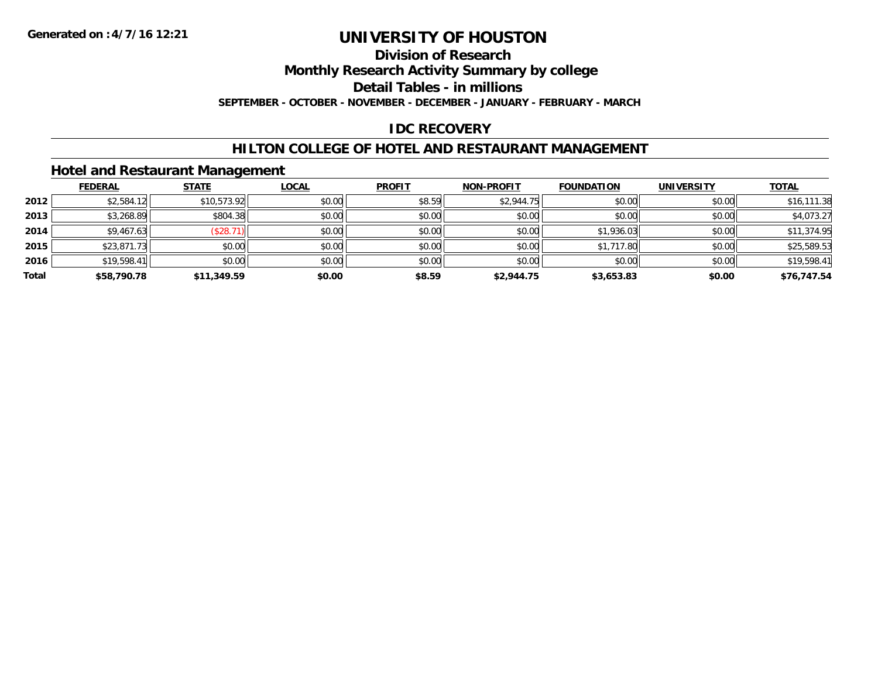## **Division of Research**

**Monthly Research Activity Summary by college**

**Detail Tables - in millions**

**SEPTEMBER - OCTOBER - NOVEMBER - DECEMBER - JANUARY - FEBRUARY - MARCH**

## **IDC RECOVERY**

### **HILTON COLLEGE OF HOTEL AND RESTAURANT MANAGEMENT**

### **Hotel and Restaurant Management**

|       | <b>FEDERAL</b> | <b>STATE</b> | <b>LOCAL</b> | <b>PROFIT</b> | <b>NON-PROFIT</b> | <b>FOUNDATION</b> | <b>UNIVERSITY</b> | <b>TOTAL</b> |
|-------|----------------|--------------|--------------|---------------|-------------------|-------------------|-------------------|--------------|
| 2012  | \$2,584.12     | \$10,573.92  | \$0.00       | \$8.59        | \$2,944.75        | \$0.00            | \$0.00            | \$16,111.38  |
| 2013  | \$3,268.89     | \$804.38     | \$0.00       | \$0.00        | \$0.00            | \$0.00            | \$0.00            | \$4,073.27   |
| 2014  | \$9,467.63     | (\$28.71)    | \$0.00       | \$0.00        | \$0.00            | \$1,936.03        | \$0.00            | \$11,374.95  |
| 2015  | \$23,871.73    | \$0.00       | \$0.00       | \$0.00        | \$0.00            | \$1,717.80        | \$0.00            | \$25,589.53  |
| 2016  | \$19,598.41    | \$0.00       | \$0.00       | \$0.00        | \$0.00            | \$0.00            | \$0.00            | \$19,598.41  |
| Total | \$58,790.78    | \$11,349.59  | \$0.00       | \$8.59        | \$2,944.75        | \$3,653.83        | \$0.00            | \$76,747.54  |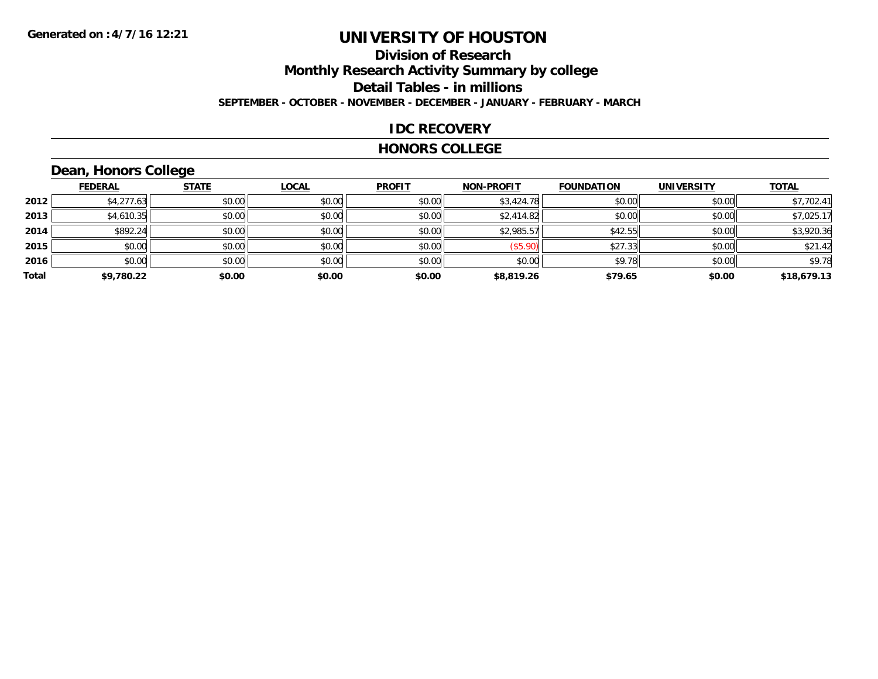### **Division of Research Monthly Research Activity Summary by college Detail Tables - in millions SEPTEMBER - OCTOBER - NOVEMBER - DECEMBER - JANUARY - FEBRUARY - MARCH**

#### **IDC RECOVERY**

#### **HONORS COLLEGE**

## **Dean, Honors College**

|       | <b>FEDERAL</b> | <b>STATE</b> | <b>LOCAL</b> | <b>PROFIT</b> | <b>NON-PROFIT</b> | <b>FOUNDATION</b> | <b>UNIVERSITY</b> | <b>TOTAL</b> |
|-------|----------------|--------------|--------------|---------------|-------------------|-------------------|-------------------|--------------|
| 2012  | \$4,277.63     | \$0.00       | \$0.00       | \$0.00        | \$3,424.78        | \$0.00            | \$0.00            | \$7,702.41   |
| 2013  | \$4,610.35     | \$0.00       | \$0.00       | \$0.00        | \$2,414.82        | \$0.00            | \$0.00            | \$7,025.17   |
| 2014  | \$892.24       | \$0.00       | \$0.00       | \$0.00        | \$2,985.57        | \$42.55           | \$0.00            | \$3,920.36   |
| 2015  | \$0.00         | \$0.00       | \$0.00       | \$0.00        | (\$5.90)          | \$27.33           | \$0.00            | \$21.42      |
| 2016  | \$0.00         | \$0.00       | \$0.00       | \$0.00        | \$0.00            | \$9.78            | \$0.00            | \$9.78       |
| Total | \$9,780.22     | \$0.00       | \$0.00       | \$0.00        | \$8,819.26        | \$79.65           | \$0.00            | \$18,679.13  |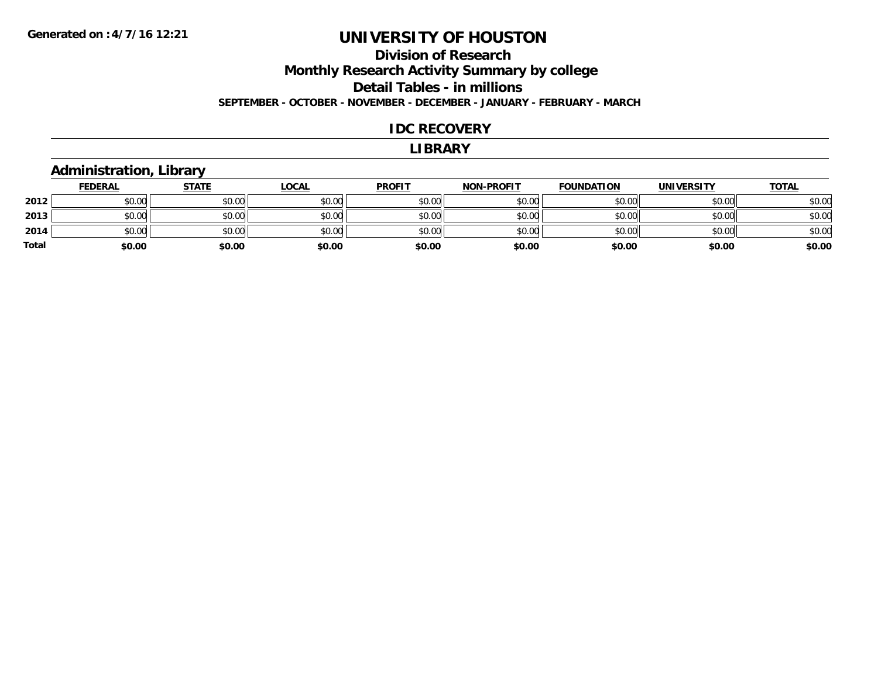## **Division of Research Monthly Research Activity Summary by college Detail Tables - in millions SEPTEMBER - OCTOBER - NOVEMBER - DECEMBER - JANUARY - FEBRUARY - MARCH**

#### **IDC RECOVERY**

#### **LIBRARY**

### **Administration, Library**

|              | <b>FEDERAL</b> | <u>STATE</u> | <u>LOCAL</u> | <b>PROFIT</b> | <b>NON-PROFIT</b> | <b>FOUNDATION</b> | <b>UNIVERSITY</b> | <b>TOTAL</b> |
|--------------|----------------|--------------|--------------|---------------|-------------------|-------------------|-------------------|--------------|
| 2012         | \$0.00         | \$0.00       | \$0.00       | \$0.00        | \$0.00            | \$0.00            | \$0.00            | \$0.00       |
| 2013         | \$0.00         | \$0.00       | \$0.00       | \$0.00        | \$0.00            | \$0.00            | \$0.00            | \$0.00       |
| 2014         | \$0.00         | \$0.00       | \$0.00       | \$0.00        | \$0.00            | \$0.00            | \$0.00            | \$0.00       |
| <b>Total</b> | \$0.00         | \$0.00       | \$0.00       | \$0.00        | \$0.00            | \$0.00            | \$0.00            | \$0.00       |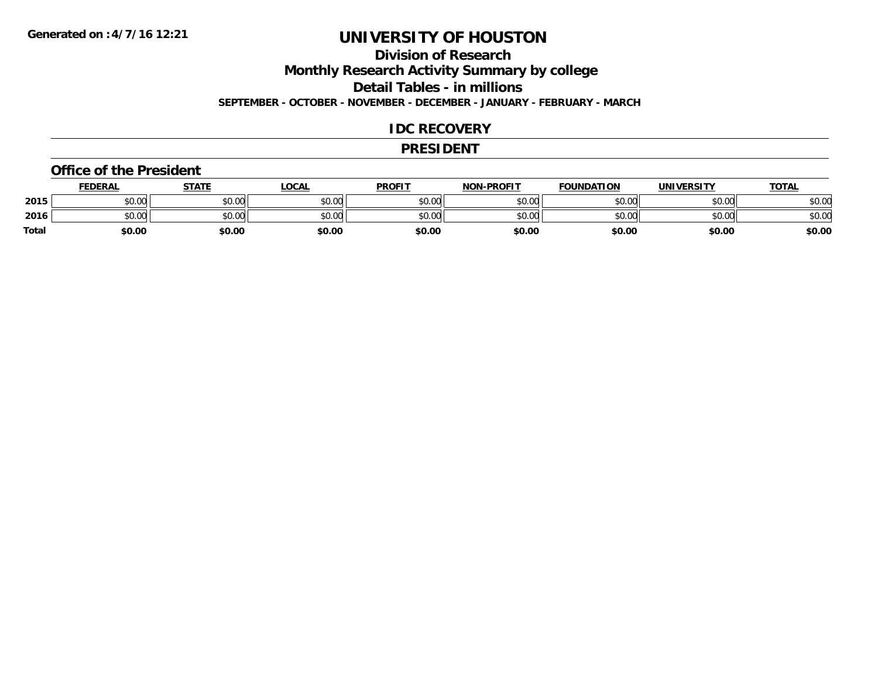## **Division of Research**

**Monthly Research Activity Summary by college**

**Detail Tables - in millions**

**SEPTEMBER - OCTOBER - NOVEMBER - DECEMBER - JANUARY - FEBRUARY - MARCH**

#### **IDC RECOVERY**

#### **PRESIDENT**

#### **Office of the President**

|              | <b>FEDERAL</b> | STATE  | LOCAL  | <b>PROFIT</b> | <b>NON-PROFIT</b> | <b>FOUNDATION</b> | <b>UNIVERSITY</b> | <b>TOTAL</b> |
|--------------|----------------|--------|--------|---------------|-------------------|-------------------|-------------------|--------------|
| 2015         | \$0.00         | \$0.00 | \$0.00 | \$0.00        | \$0.00            | \$0.00            | \$0.00            | \$0.00       |
| 2016         | \$0.00         | \$0.00 | \$0.00 | \$0.00        | \$0.00            | \$0.00            | \$0.00            | \$0.00       |
| <b>Total</b> | \$0.00         | \$0.00 | \$0.00 | \$0.00        | \$0.00            | \$0.00            | \$0.00            | \$0.00       |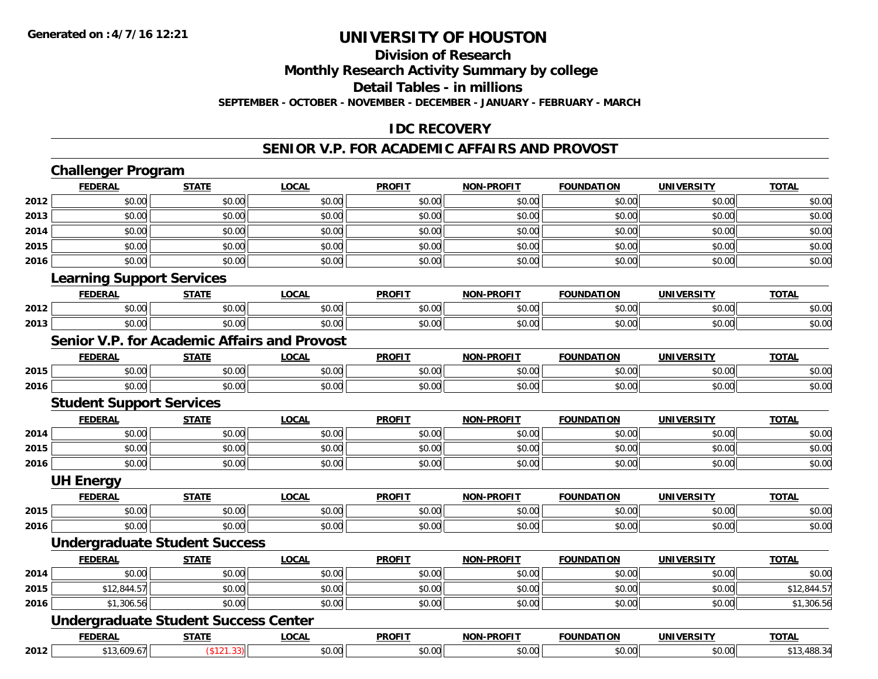## **Division of Research**

**Monthly Research Activity Summary by college**

**Detail Tables - in millions**

**SEPTEMBER - OCTOBER - NOVEMBER - DECEMBER - JANUARY - FEBRUARY - MARCH**

## **IDC RECOVERY**

### **SENIOR V.P. FOR ACADEMIC AFFAIRS AND PROVOST**

|      | <b>Challenger Program</b>                           |              |              |               |                   |                   |                   |              |
|------|-----------------------------------------------------|--------------|--------------|---------------|-------------------|-------------------|-------------------|--------------|
|      | <b>FEDERAL</b>                                      | <b>STATE</b> | <b>LOCAL</b> | <b>PROFIT</b> | <b>NON-PROFIT</b> | <b>FOUNDATION</b> | <b>UNIVERSITY</b> | <b>TOTAL</b> |
| 2012 | \$0.00                                              | \$0.00       | \$0.00       | \$0.00        | \$0.00            | \$0.00            | \$0.00            | \$0.00       |
| 2013 | \$0.00                                              | \$0.00       | \$0.00       | \$0.00        | \$0.00            | \$0.00            | \$0.00            | \$0.00       |
| 2014 | \$0.00                                              | \$0.00       | \$0.00       | \$0.00        | \$0.00            | \$0.00            | \$0.00            | \$0.00       |
| 2015 | \$0.00                                              | \$0.00       | \$0.00       | \$0.00        | \$0.00            | \$0.00            | \$0.00            | \$0.00       |
| 2016 | \$0.00                                              | \$0.00       | \$0.00       | \$0.00        | \$0.00            | \$0.00            | \$0.00            | \$0.00       |
|      | <b>Learning Support Services</b>                    |              |              |               |                   |                   |                   |              |
|      | <b>FEDERAL</b>                                      | <b>STATE</b> | <b>LOCAL</b> | <b>PROFIT</b> | <b>NON-PROFIT</b> | <b>FOUNDATION</b> | <b>UNIVERSITY</b> | <b>TOTAL</b> |
| 2012 | \$0.00                                              | \$0.00       | \$0.00       | \$0.00        | \$0.00            | \$0.00            | \$0.00            | \$0.00       |
| 2013 | \$0.00                                              | \$0.00       | \$0.00       | \$0.00        | \$0.00            | \$0.00            | \$0.00            | \$0.00       |
|      | <b>Senior V.P. for Academic Affairs and Provost</b> |              |              |               |                   |                   |                   |              |
|      | <b>FEDERAL</b>                                      | <b>STATE</b> | <b>LOCAL</b> | <b>PROFIT</b> | <b>NON-PROFIT</b> | <b>FOUNDATION</b> | <b>UNIVERSITY</b> | <b>TOTAL</b> |
| 2015 | \$0.00                                              | \$0.00       | \$0.00       | \$0.00        | \$0.00            | \$0.00            | \$0.00            | \$0.00       |
| 2016 | \$0.00                                              | \$0.00       | \$0.00       | \$0.00        | \$0.00            | \$0.00            | \$0.00            | \$0.00       |
|      | <b>Student Support Services</b>                     |              |              |               |                   |                   |                   |              |
|      | <b>FEDERAL</b>                                      | <b>STATE</b> | <b>LOCAL</b> | <b>PROFIT</b> | <b>NON-PROFIT</b> | <b>FOUNDATION</b> | <b>UNIVERSITY</b> | <b>TOTAL</b> |
| 2014 | \$0.00                                              | \$0.00       | \$0.00       | \$0.00        | \$0.00            | \$0.00            | \$0.00            | \$0.00       |
| 2015 | \$0.00                                              | \$0.00       | \$0.00       | \$0.00        | \$0.00            | \$0.00            | \$0.00            | \$0.00       |
| 2016 | \$0.00                                              | \$0.00       | \$0.00       | \$0.00        | \$0.00            | \$0.00            | \$0.00            | \$0.00       |
|      | <b>UH Energy</b>                                    |              |              |               |                   |                   |                   |              |
|      | <b>FEDERAL</b>                                      | <b>STATE</b> | <b>LOCAL</b> | <b>PROFIT</b> | <b>NON-PROFIT</b> | <b>FOUNDATION</b> | <b>UNIVERSITY</b> | <b>TOTAL</b> |
| 2015 | \$0.00                                              | \$0.00       | \$0.00       | \$0.00        | \$0.00            | \$0.00            | \$0.00            | \$0.00       |
| 2016 | \$0.00                                              | \$0.00       | \$0.00       | \$0.00        | \$0.00            | \$0.00            | \$0.00            | \$0.00       |
|      | <b>Undergraduate Student Success</b>                |              |              |               |                   |                   |                   |              |
|      | <b>FEDERAL</b>                                      | <b>STATE</b> | <b>LOCAL</b> | <b>PROFIT</b> | <b>NON-PROFIT</b> | <b>FOUNDATION</b> | <b>UNIVERSITY</b> | <b>TOTAL</b> |
| 2014 | \$0.00                                              | \$0.00       | \$0.00       | \$0.00        | \$0.00            | \$0.00            | \$0.00            | \$0.00       |
| 2015 | \$12,844.57                                         | \$0.00       | \$0.00       | \$0.00        | \$0.00            | \$0.00            | \$0.00            | \$12,844.57  |
| 2016 | \$1,306.56                                          | \$0.00       | \$0.00       | \$0.00        | \$0.00            | \$0.00            | \$0.00            | \$1,306.56   |
|      | <b>Undergraduate Student Success Center</b>         |              |              |               |                   |                   |                   |              |
|      | <b>FEDERAL</b>                                      | <b>STATE</b> | <b>LOCAL</b> | <b>PROFIT</b> | <b>NON-PROFIT</b> | <b>FOUNDATION</b> | <b>UNIVERSITY</b> | <b>TOTAL</b> |
| 2012 | \$13,609.67                                         | (\$121.33)   | \$0.00       | \$0.00        | \$0.00            | \$0.00            | \$0.00            | \$13,488.34  |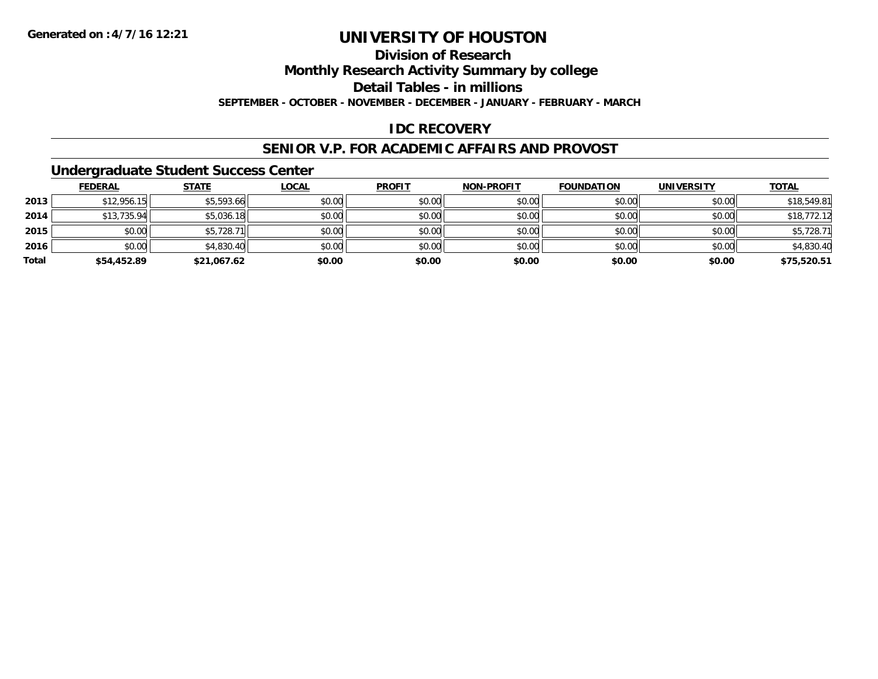## **Division of Research**

**Monthly Research Activity Summary by college**

**Detail Tables - in millions**

**SEPTEMBER - OCTOBER - NOVEMBER - DECEMBER - JANUARY - FEBRUARY - MARCH**

## **IDC RECOVERY**

#### **SENIOR V.P. FOR ACADEMIC AFFAIRS AND PROVOST**

### **Undergraduate Student Success Center**

|       | <b>FEDERAL</b> | <b>STATE</b> | <u>LOCAL</u> | <b>PROFIT</b> | <b>NON-PROFIT</b> | <b>FOUNDATION</b> | <b>UNIVERSITY</b> | <b>TOTAL</b> |
|-------|----------------|--------------|--------------|---------------|-------------------|-------------------|-------------------|--------------|
| 2013  | \$12,956.15    | \$5,593.66   | \$0.00       | \$0.00        | \$0.00            | \$0.00            | \$0.00            | \$18,549.81  |
| 2014  | \$13,735.94    | \$5,036.18   | \$0.00       | \$0.00        | \$0.00            | \$0.00            | \$0.00            | \$18,772.12  |
| 2015  | \$0.00         | \$5,728.71   | \$0.00       | \$0.00        | \$0.00            | \$0.00            | \$0.00            | \$5,728.71   |
| 2016  | \$0.00         | \$4,830.40   | \$0.00       | \$0.00        | \$0.00            | \$0.00            | \$0.00            | \$4,830.40   |
| Total | \$54,452.89    | \$21,067.62  | \$0.00       | \$0.00        | \$0.00            | \$0.00            | \$0.00            | \$75,520.51  |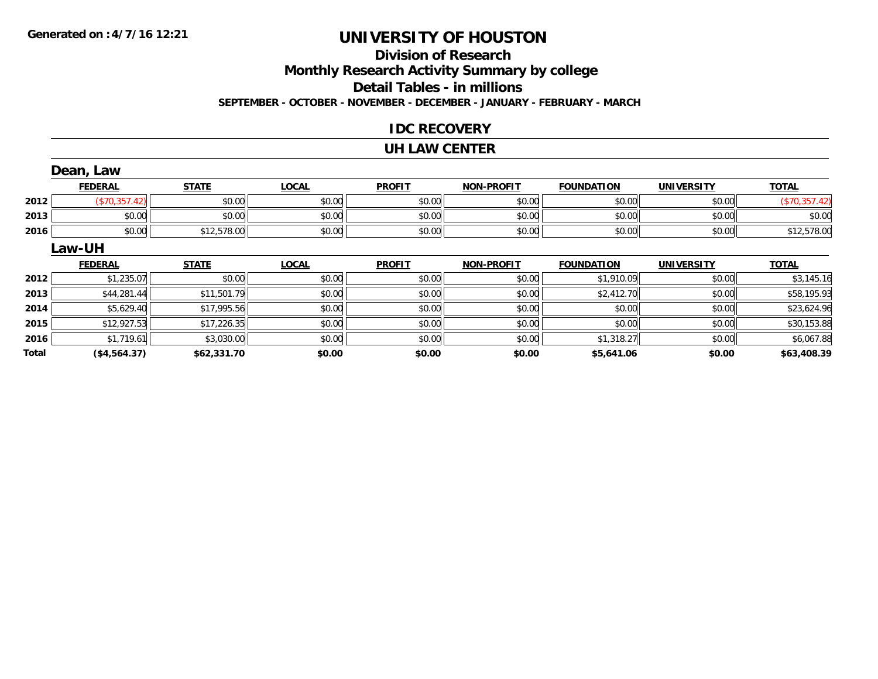## **Division of ResearchMonthly Research Activity Summary by college Detail Tables - in millions SEPTEMBER - OCTOBER - NOVEMBER - DECEMBER - JANUARY - FEBRUARY - MARCH**

### **IDC RECOVERY**

#### **UH LAW CENTER**

|       | Dean, Law      |              |              |               |                   |                   |                   |               |
|-------|----------------|--------------|--------------|---------------|-------------------|-------------------|-------------------|---------------|
|       | <b>FEDERAL</b> | <b>STATE</b> | <b>LOCAL</b> | <b>PROFIT</b> | <b>NON-PROFIT</b> | <b>FOUNDATION</b> | <b>UNIVERSITY</b> | <b>TOTAL</b>  |
| 2012  | (\$70,357.42)  | \$0.00       | \$0.00       | \$0.00        | \$0.00            | \$0.00            | \$0.00            | (\$70,357.42) |
| 2013  | \$0.00         | \$0.00       | \$0.00       | \$0.00        | \$0.00            | \$0.00            | \$0.00            | \$0.00        |
| 2016  | \$0.00         | \$12,578.00  | \$0.00       | \$0.00        | \$0.00            | \$0.00            | \$0.00            | \$12,578.00   |
|       | Law-UH         |              |              |               |                   |                   |                   |               |
|       | <b>FEDERAL</b> | <b>STATE</b> | <b>LOCAL</b> | <b>PROFIT</b> | <b>NON-PROFIT</b> | <b>FOUNDATION</b> | <b>UNIVERSITY</b> | <b>TOTAL</b>  |
| 2012  | \$1,235.07     | \$0.00       | \$0.00       | \$0.00        | \$0.00            | \$1,910.09        | \$0.00            | \$3,145.16    |
| 2013  | \$44,281.44    | \$11,501.79  | \$0.00       | \$0.00        | \$0.00            | \$2,412.70        | \$0.00            | \$58,195.93   |
| 2014  | \$5,629.40     | \$17,995.56  | \$0.00       | \$0.00        | \$0.00            | \$0.00            | \$0.00            | \$23,624.96   |
| 2015  | \$12,927.53    | \$17,226.35  | \$0.00       | \$0.00        | \$0.00            | \$0.00            | \$0.00            | \$30,153.88   |
| 2016  | \$1,719.61     | \$3,030.00   | \$0.00       | \$0.00        | \$0.00            | \$1,318.27        | \$0.00            | \$6,067.88    |
| Total | (\$4,564.37)   | \$62,331.70  | \$0.00       | \$0.00        | \$0.00            | \$5,641.06        | \$0.00            | \$63,408.39   |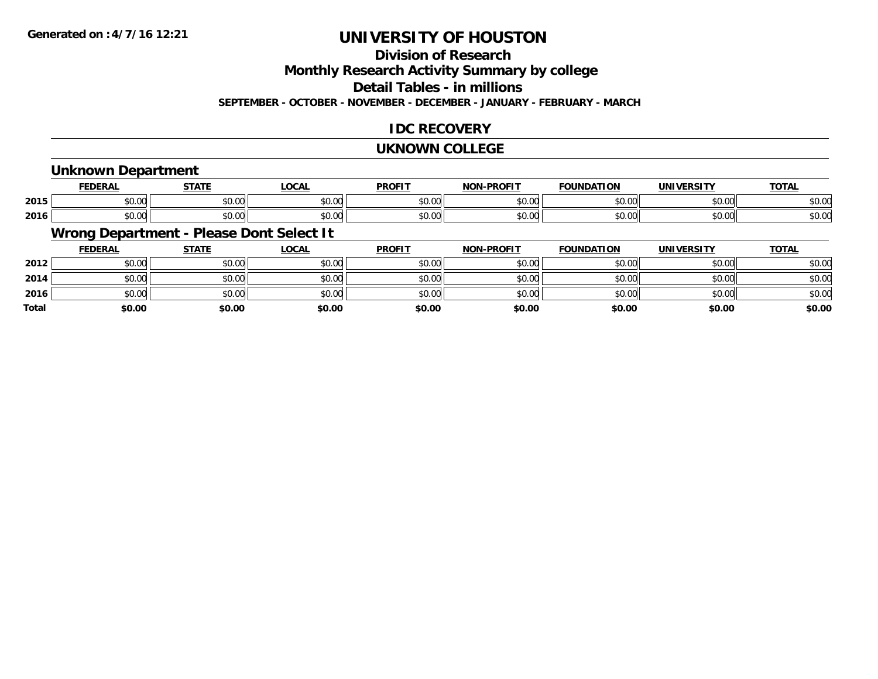## **Division of Research**

**Monthly Research Activity Summary by college**

**Detail Tables - in millions**

**SEPTEMBER - OCTOBER - NOVEMBER - DECEMBER - JANUARY - FEBRUARY - MARCH**

## **IDC RECOVERY**

#### **UKNOWN COLLEGE**

### **Unknown Department**

|      | cr.       | <b>CTATE</b>  | _OCAL                                       | <b>PROFIT</b>  | <b>DRAFIT</b><br><b>NICK</b> | וסו<br>IDA | IINIVE    | $T^{\prime}$<br>101r |
|------|-----------|---------------|---------------------------------------------|----------------|------------------------------|------------|-----------|----------------------|
| 2015 | $\sim$ 00 | $\sim$ $\sim$ | $\sim$ $\sim$                               | 0000           | 0000                         | $\sim$ 00  | 0.000     | $\sim$ $\sim$        |
|      | JU.UU     | וטט.טע        | JU.UU                                       | JU.UU          | טט.טע                        | JU.UU      | JU.UU     | 50.UC                |
| 2016 | $\sim$ 00 | $\sim$ 00     | $\uparrow$ $\uparrow$ $\uparrow$ $\uparrow$ | 0 <sup>n</sup> | $\sim$ $\sim$                | $\sim$ 00  | $\sim$ 00 | $\sim$ $\sim$        |
|      | JU.UU     | JU.UU         | JU.UU                                       | JU.UU          | JU.UU                        | JU.UU      | JU.UU     | งบ.บเ                |

## **Wrong Department - Please Dont Select It**

|              | <b>FEDERAL</b> | <b>STATE</b> | <u>LOCAL</u> | <b>PROFIT</b> | <b>NON-PROFIT</b> | <b>FOUNDATION</b> | <b>UNIVERSITY</b> | <b>TOTAL</b> |
|--------------|----------------|--------------|--------------|---------------|-------------------|-------------------|-------------------|--------------|
| 2012         | \$0.00         | \$0.00       | \$0.00       | \$0.00        | \$0.00            | \$0.00            | \$0.00            | \$0.00       |
| 2014         | \$0.00         | \$0.00       | \$0.00       | \$0.00        | \$0.00            | \$0.00            | \$0.00            | \$0.00       |
| 2016         | \$0.00         | \$0.00       | \$0.00       | \$0.00        | \$0.00            | \$0.00            | \$0.00            | \$0.00       |
| <b>Total</b> | \$0.00         | \$0.00       | \$0.00       | \$0.00        | \$0.00            | \$0.00            | \$0.00            | \$0.00       |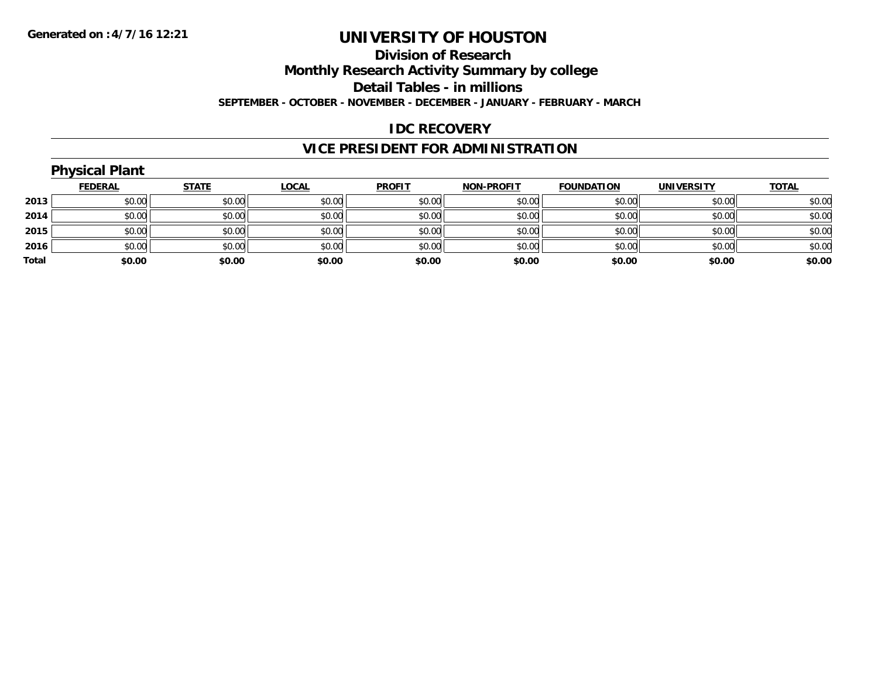#### **Division of Research**

**Monthly Research Activity Summary by college**

**Detail Tables - in millions**

**SEPTEMBER - OCTOBER - NOVEMBER - DECEMBER - JANUARY - FEBRUARY - MARCH**

## **IDC RECOVERY**

## **VICE PRESIDENT FOR ADMINISTRATION**

|       | <b>Physical Plant</b> |              |              |               |                   |                   |            |              |
|-------|-----------------------|--------------|--------------|---------------|-------------------|-------------------|------------|--------------|
|       | <b>FEDERAL</b>        | <b>STATE</b> | <u>LOCAL</u> | <b>PROFIT</b> | <b>NON-PROFIT</b> | <b>FOUNDATION</b> | UNIVERSITY | <b>TOTAL</b> |
| 2013  | \$0.00                | \$0.00       | \$0.00       | \$0.00        | \$0.00            | \$0.00            | \$0.00     | \$0.00       |
| 2014  | \$0.00                | \$0.00       | \$0.00       | \$0.00        | \$0.00            | \$0.00            | \$0.00     | \$0.00       |
| 2015  | \$0.00                | \$0.00       | \$0.00       | \$0.00        | \$0.00            | \$0.00            | \$0.00     | \$0.00       |
| 2016  | \$0.00                | \$0.00       | \$0.00       | \$0.00        | \$0.00            | \$0.00            | \$0.00     | \$0.00       |
| Total | \$0.00                | \$0.00       | \$0.00       | \$0.00        | \$0.00            | \$0.00            | \$0.00     | \$0.00       |
|       |                       |              |              |               |                   |                   |            |              |

## **Physical Plant**